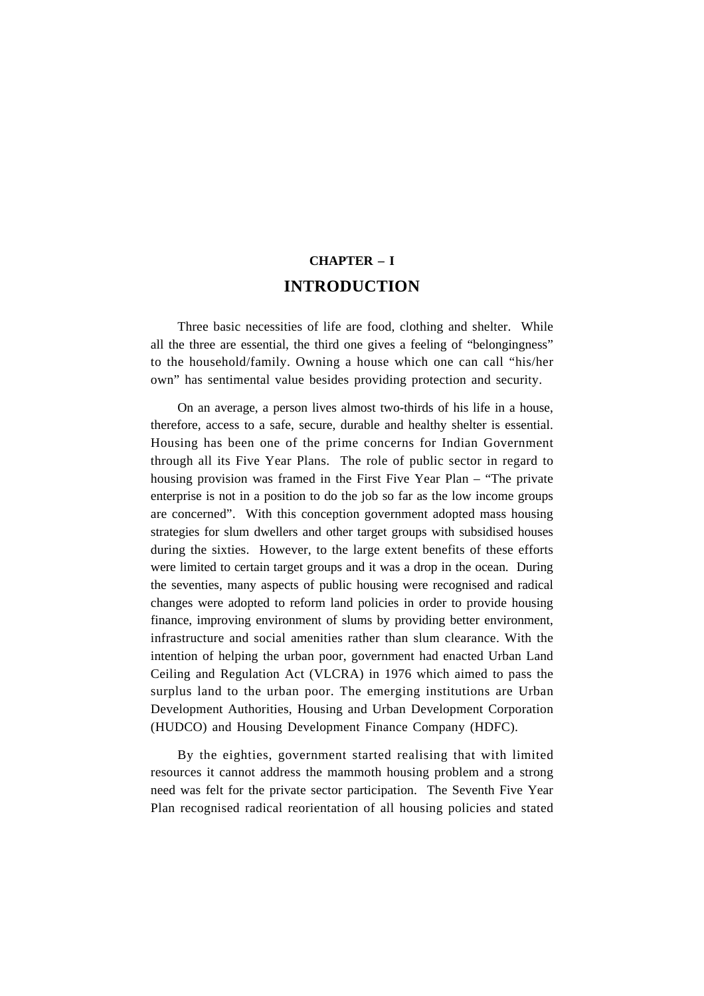# **CHAPTER – I INTRODUCTION**

Three basic necessities of life are food, clothing and shelter. While all the three are essential, the third one gives a feeling of "belongingness" to the household/family. Owning a house which one can call "his/her own" has sentimental value besides providing protection and security.

On an average, a person lives almost two-thirds of his life in a house, therefore, access to a safe, secure, durable and healthy shelter is essential. Housing has been one of the prime concerns for Indian Government through all its Five Year Plans. The role of public sector in regard to housing provision was framed in the First Five Year Plan – "The private enterprise is not in a position to do the job so far as the low income groups are concerned". With this conception government adopted mass housing strategies for slum dwellers and other target groups with subsidised houses during the sixties. However, to the large extent benefits of these efforts were limited to certain target groups and it was a drop in the ocean. During the seventies, many aspects of public housing were recognised and radical changes were adopted to reform land policies in order to provide housing finance, improving environment of slums by providing better environment, infrastructure and social amenities rather than slum clearance. With the intention of helping the urban poor, government had enacted Urban Land Ceiling and Regulation Act (VLCRA) in 1976 which aimed to pass the surplus land to the urban poor. The emerging institutions are Urban Development Authorities, Housing and Urban Development Corporation (HUDCO) and Housing Development Finance Company (HDFC).

By the eighties, government started realising that with limited resources it cannot address the mammoth housing problem and a strong need was felt for the private sector participation. The Seventh Five Year Plan recognised radical reorientation of all housing policies and stated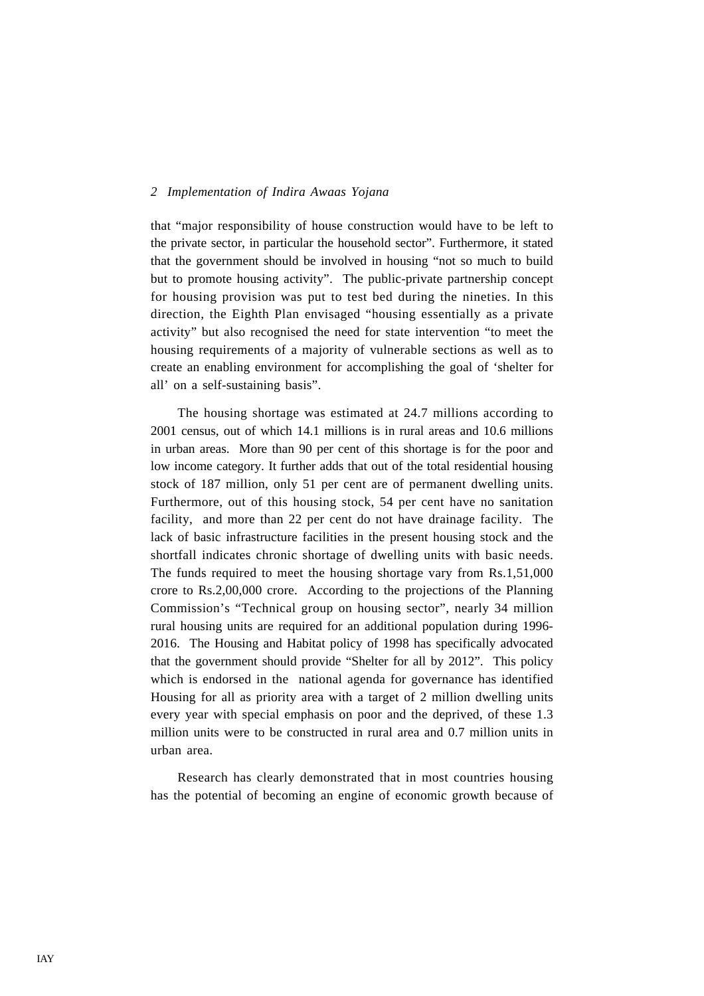that "major responsibility of house construction would have to be left to the private sector, in particular the household sector". Furthermore, it stated that the government should be involved in housing "not so much to build but to promote housing activity". The public-private partnership concept for housing provision was put to test bed during the nineties. In this direction, the Eighth Plan envisaged "housing essentially as a private activity" but also recognised the need for state intervention "to meet the housing requirements of a majority of vulnerable sections as well as to create an enabling environment for accomplishing the goal of 'shelter for all' on a self-sustaining basis".

The housing shortage was estimated at 24.7 millions according to 2001 census, out of which 14.1 millions is in rural areas and 10.6 millions in urban areas. More than 90 per cent of this shortage is for the poor and low income category. It further adds that out of the total residential housing stock of 187 million, only 51 per cent are of permanent dwelling units. Furthermore, out of this housing stock, 54 per cent have no sanitation facility, and more than 22 per cent do not have drainage facility. The lack of basic infrastructure facilities in the present housing stock and the shortfall indicates chronic shortage of dwelling units with basic needs. The funds required to meet the housing shortage vary from Rs.1,51,000 crore to Rs.2,00,000 crore. According to the projections of the Planning Commission's "Technical group on housing sector", nearly 34 million rural housing units are required for an additional population during 1996- 2016. The Housing and Habitat policy of 1998 has specifically advocated that the government should provide "Shelter for all by 2012". This policy which is endorsed in the national agenda for governance has identified Housing for all as priority area with a target of 2 million dwelling units every year with special emphasis on poor and the deprived, of these 1.3 million units were to be constructed in rural area and 0.7 million units in urban area.

Research has clearly demonstrated that in most countries housing has the potential of becoming an engine of economic growth because of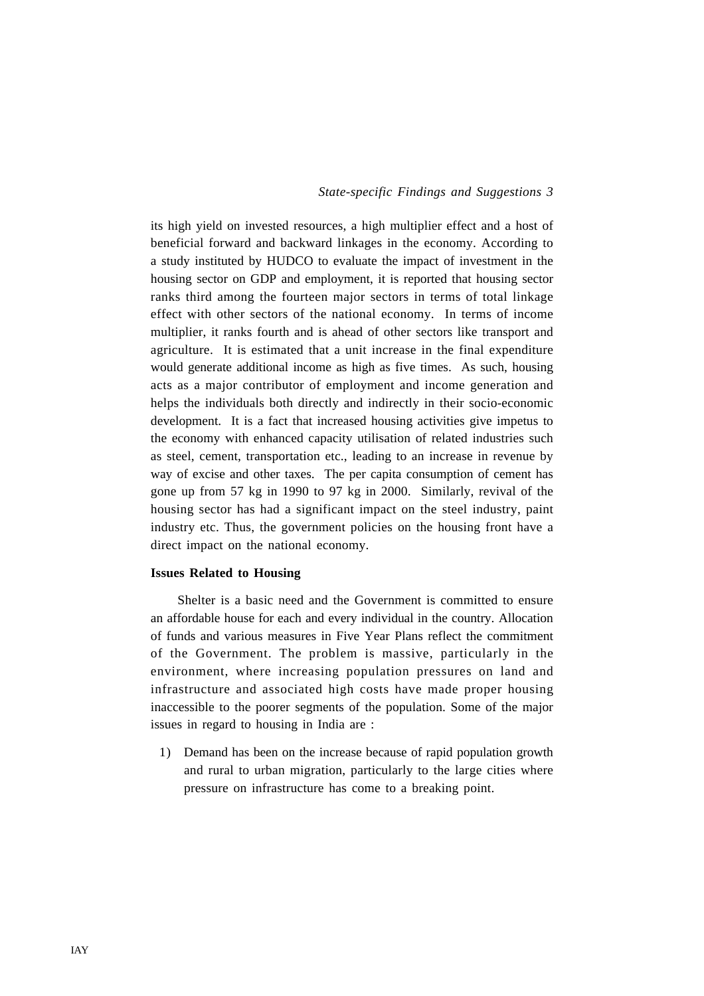its high yield on invested resources, a high multiplier effect and a host of beneficial forward and backward linkages in the economy. According to a study instituted by HUDCO to evaluate the impact of investment in the housing sector on GDP and employment, it is reported that housing sector ranks third among the fourteen major sectors in terms of total linkage effect with other sectors of the national economy. In terms of income multiplier, it ranks fourth and is ahead of other sectors like transport and agriculture. It is estimated that a unit increase in the final expenditure would generate additional income as high as five times. As such, housing acts as a major contributor of employment and income generation and helps the individuals both directly and indirectly in their socio-economic development. It is a fact that increased housing activities give impetus to the economy with enhanced capacity utilisation of related industries such as steel, cement, transportation etc., leading to an increase in revenue by way of excise and other taxes. The per capita consumption of cement has gone up from 57 kg in 1990 to 97 kg in 2000. Similarly, revival of the housing sector has had a significant impact on the steel industry, paint industry etc. Thus, the government policies on the housing front have a direct impact on the national economy.

#### **Issues Related to Housing**

Shelter is a basic need and the Government is committed to ensure an affordable house for each and every individual in the country. Allocation of funds and various measures in Five Year Plans reflect the commitment of the Government. The problem is massive, particularly in the environment, where increasing population pressures on land and infrastructure and associated high costs have made proper housing inaccessible to the poorer segments of the population. Some of the major issues in regard to housing in India are :

1) Demand has been on the increase because of rapid population growth and rural to urban migration, particularly to the large cities where pressure on infrastructure has come to a breaking point.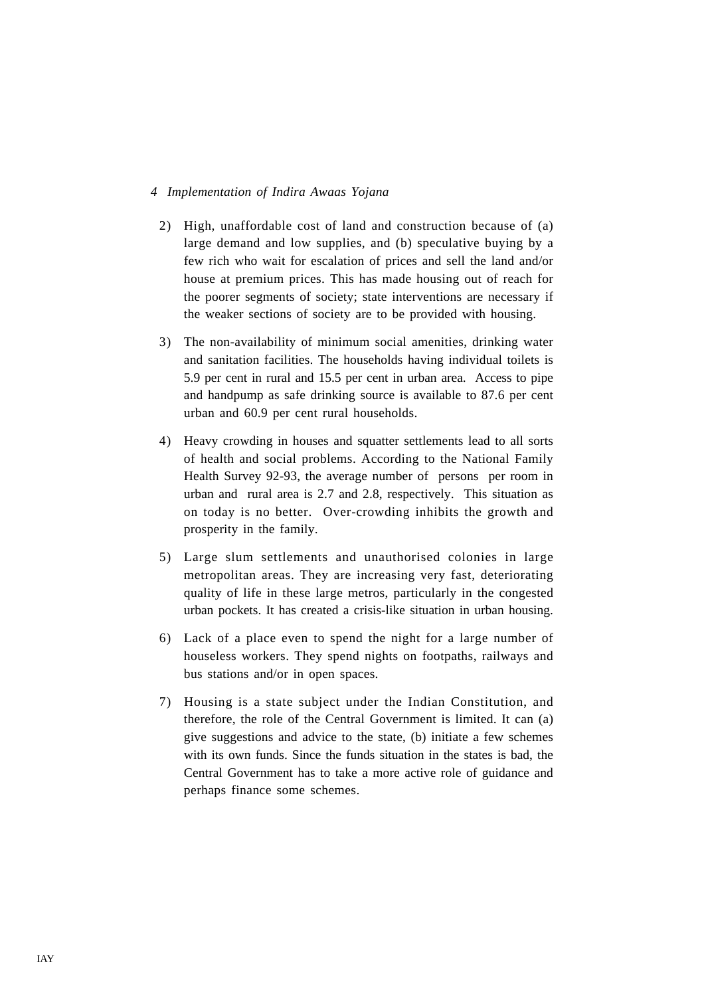- 2) High, unaffordable cost of land and construction because of (a) large demand and low supplies, and (b) speculative buying by a few rich who wait for escalation of prices and sell the land and/or house at premium prices. This has made housing out of reach for the poorer segments of society; state interventions are necessary if the weaker sections of society are to be provided with housing.
- 3) The non-availability of minimum social amenities, drinking water and sanitation facilities. The households having individual toilets is 5.9 per cent in rural and 15.5 per cent in urban area. Access to pipe and handpump as safe drinking source is available to 87.6 per cent urban and 60.9 per cent rural households.
- 4) Heavy crowding in houses and squatter settlements lead to all sorts of health and social problems. According to the National Family Health Survey 92-93, the average number of persons per room in urban and rural area is 2.7 and 2.8, respectively. This situation as on today is no better. Over-crowding inhibits the growth and prosperity in the family.
- 5) Large slum settlements and unauthorised colonies in large metropolitan areas. They are increasing very fast, deteriorating quality of life in these large metros, particularly in the congested urban pockets. It has created a crisis-like situation in urban housing.
- 6) Lack of a place even to spend the night for a large number of houseless workers. They spend nights on footpaths, railways and bus stations and/or in open spaces.
- 7) Housing is a state subject under the Indian Constitution, and therefore, the role of the Central Government is limited. It can (a) give suggestions and advice to the state, (b) initiate a few schemes with its own funds. Since the funds situation in the states is bad, the Central Government has to take a more active role of guidance and perhaps finance some schemes.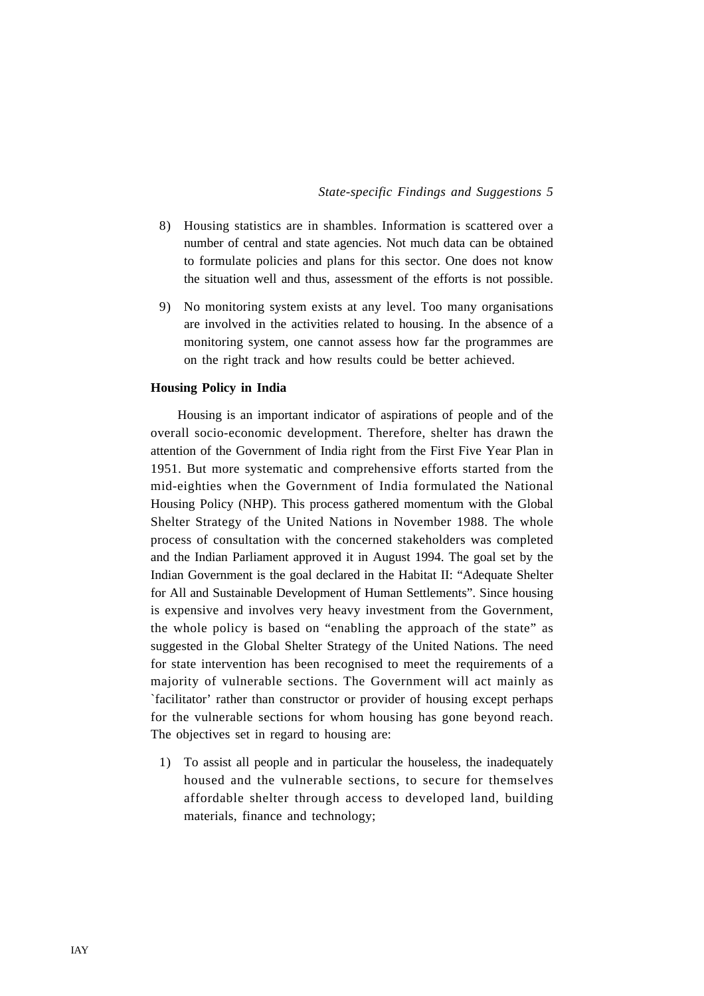- 8) Housing statistics are in shambles. Information is scattered over a number of central and state agencies. Not much data can be obtained to formulate policies and plans for this sector. One does not know the situation well and thus, assessment of the efforts is not possible.
- 9) No monitoring system exists at any level. Too many organisations are involved in the activities related to housing. In the absence of a monitoring system, one cannot assess how far the programmes are on the right track and how results could be better achieved.

#### **Housing Policy in India**

Housing is an important indicator of aspirations of people and of the overall socio-economic development. Therefore, shelter has drawn the attention of the Government of India right from the First Five Year Plan in 1951. But more systematic and comprehensive efforts started from the mid-eighties when the Government of India formulated the National Housing Policy (NHP). This process gathered momentum with the Global Shelter Strategy of the United Nations in November 1988. The whole process of consultation with the concerned stakeholders was completed and the Indian Parliament approved it in August 1994. The goal set by the Indian Government is the goal declared in the Habitat II: "Adequate Shelter for All and Sustainable Development of Human Settlements". Since housing is expensive and involves very heavy investment from the Government, the whole policy is based on "enabling the approach of the state" as suggested in the Global Shelter Strategy of the United Nations. The need for state intervention has been recognised to meet the requirements of a majority of vulnerable sections. The Government will act mainly as `facilitator' rather than constructor or provider of housing except perhaps for the vulnerable sections for whom housing has gone beyond reach. The objectives set in regard to housing are:

1) To assist all people and in particular the houseless, the inadequately housed and the vulnerable sections, to secure for themselves affordable shelter through access to developed land, building materials, finance and technology;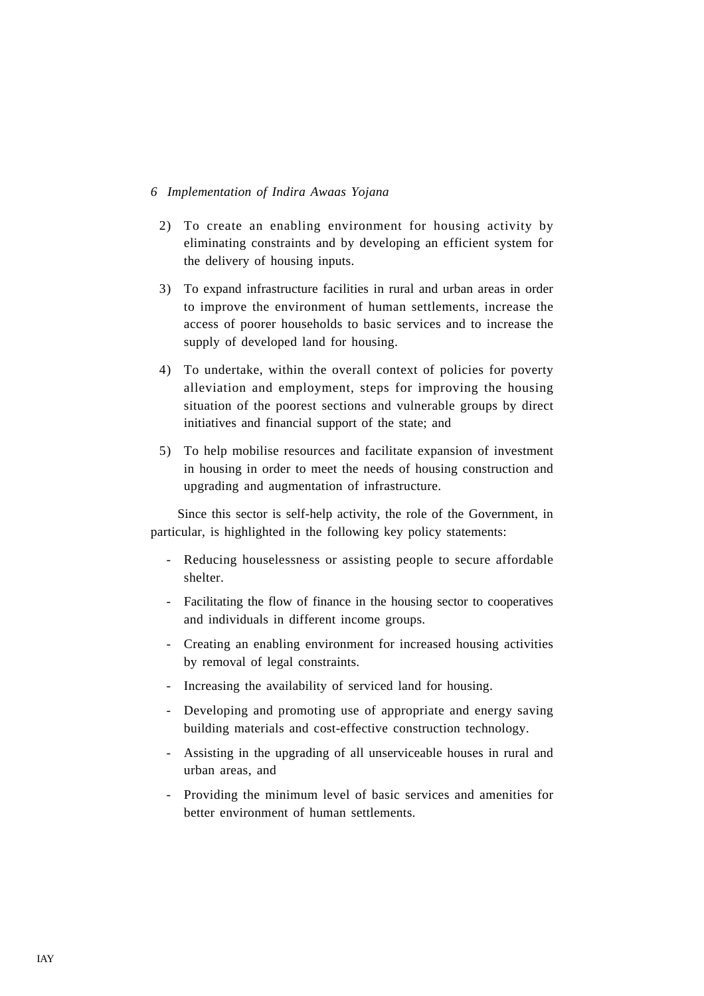- 2) To create an enabling environment for housing activity by eliminating constraints and by developing an efficient system for the delivery of housing inputs.
- 3) To expand infrastructure facilities in rural and urban areas in order to improve the environment of human settlements, increase the access of poorer households to basic services and to increase the supply of developed land for housing.
- 4) To undertake, within the overall context of policies for poverty alleviation and employment, steps for improving the housing situation of the poorest sections and vulnerable groups by direct initiatives and financial support of the state; and
- 5) To help mobilise resources and facilitate expansion of investment in housing in order to meet the needs of housing construction and upgrading and augmentation of infrastructure.

Since this sector is self-help activity, the role of the Government, in particular, is highlighted in the following key policy statements:

- Reducing houselessness or assisting people to secure affordable shelter.
- Facilitating the flow of finance in the housing sector to cooperatives and individuals in different income groups.
- Creating an enabling environment for increased housing activities by removal of legal constraints.
- Increasing the availability of serviced land for housing.
- Developing and promoting use of appropriate and energy saving building materials and cost-effective construction technology.
- Assisting in the upgrading of all unserviceable houses in rural and urban areas, and
- Providing the minimum level of basic services and amenities for better environment of human settlements.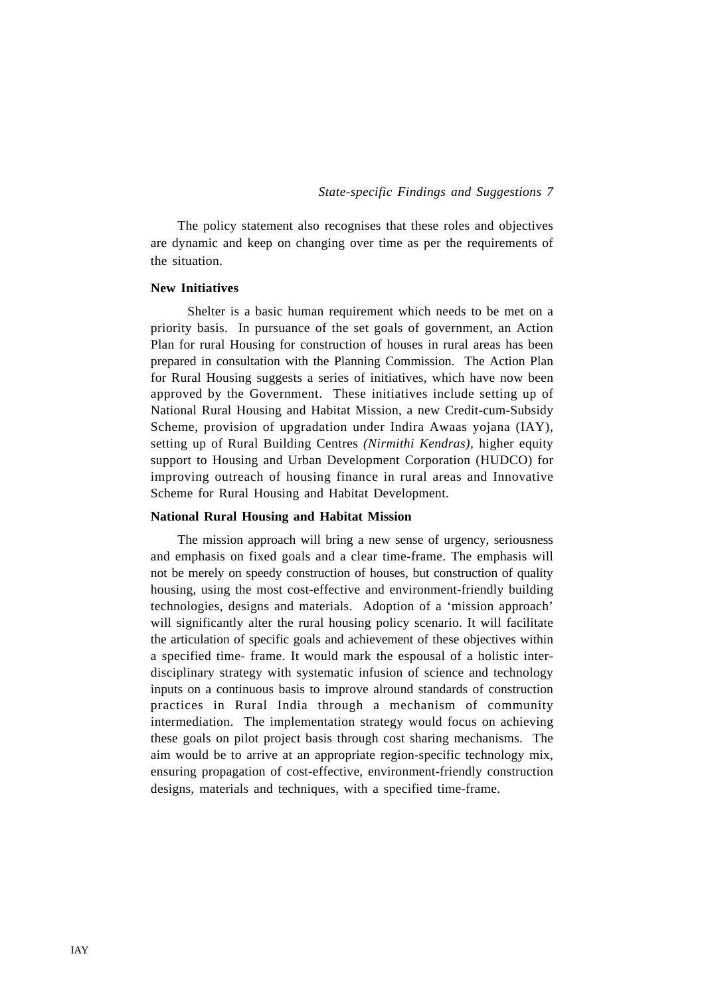The policy statement also recognises that these roles and objectives are dynamic and keep on changing over time as per the requirements of the situation.

#### **New Initiatives**

 Shelter is a basic human requirement which needs to be met on a priority basis. In pursuance of the set goals of government, an Action Plan for rural Housing for construction of houses in rural areas has been prepared in consultation with the Planning Commission. The Action Plan for Rural Housing suggests a series of initiatives, which have now been approved by the Government. These initiatives include setting up of National Rural Housing and Habitat Mission, a new Credit-cum-Subsidy Scheme, provision of upgradation under Indira Awaas yojana (IAY), setting up of Rural Building Centres *(Nirmithi Kendras),* higher equity support to Housing and Urban Development Corporation (HUDCO) for improving outreach of housing finance in rural areas and Innovative Scheme for Rural Housing and Habitat Development.

#### **National Rural Housing and Habitat Mission**

The mission approach will bring a new sense of urgency, seriousness and emphasis on fixed goals and a clear time-frame. The emphasis will not be merely on speedy construction of houses, but construction of quality housing, using the most cost-effective and environment-friendly building technologies, designs and materials. Adoption of a 'mission approach' will significantly alter the rural housing policy scenario. It will facilitate the articulation of specific goals and achievement of these objectives within a specified time- frame. It would mark the espousal of a holistic interdisciplinary strategy with systematic infusion of science and technology inputs on a continuous basis to improve alround standards of construction practices in Rural India through a mechanism of community intermediation. The implementation strategy would focus on achieving these goals on pilot project basis through cost sharing mechanisms. The aim would be to arrive at an appropriate region-specific technology mix, ensuring propagation of cost-effective, environment-friendly construction designs, materials and techniques, with a specified time-frame.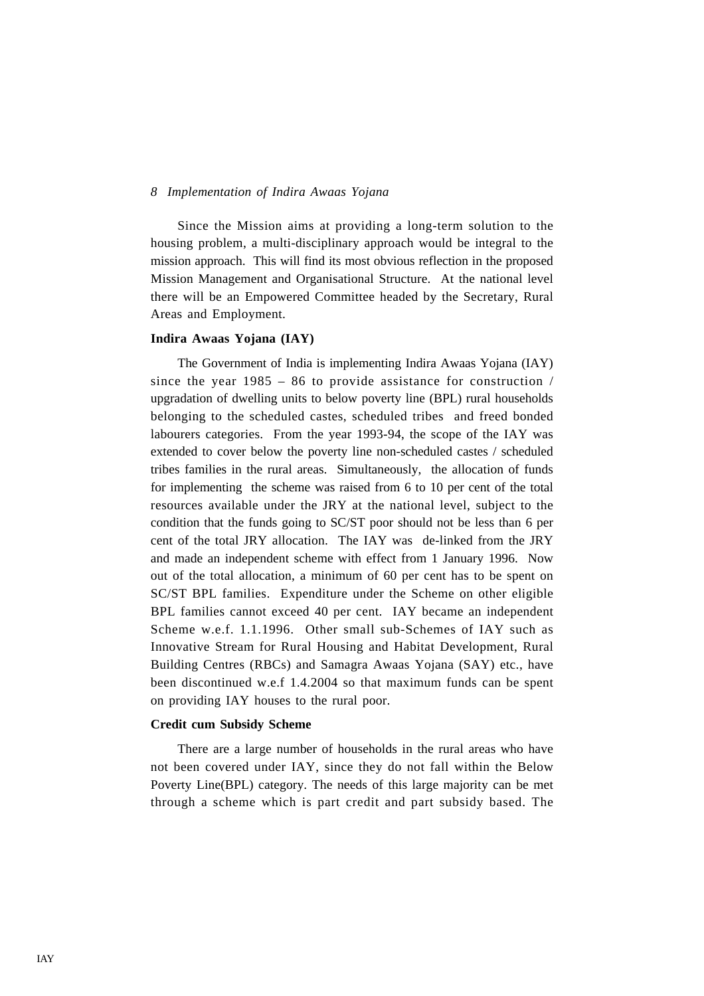Since the Mission aims at providing a long-term solution to the housing problem, a multi-disciplinary approach would be integral to the mission approach. This will find its most obvious reflection in the proposed Mission Management and Organisational Structure. At the national level there will be an Empowered Committee headed by the Secretary, Rural Areas and Employment.

#### **Indira Awaas Yojana (IAY)**

The Government of India is implementing Indira Awaas Yojana (IAY) since the year  $1985 - 86$  to provide assistance for construction / upgradation of dwelling units to below poverty line (BPL) rural households belonging to the scheduled castes, scheduled tribes and freed bonded labourers categories. From the year 1993-94, the scope of the IAY was extended to cover below the poverty line non-scheduled castes / scheduled tribes families in the rural areas. Simultaneously, the allocation of funds for implementing the scheme was raised from 6 to 10 per cent of the total resources available under the JRY at the national level, subject to the condition that the funds going to SC/ST poor should not be less than 6 per cent of the total JRY allocation. The IAY was de-linked from the JRY and made an independent scheme with effect from 1 January 1996. Now out of the total allocation, a minimum of 60 per cent has to be spent on SC/ST BPL families. Expenditure under the Scheme on other eligible BPL families cannot exceed 40 per cent. IAY became an independent Scheme w.e.f. 1.1.1996. Other small sub-Schemes of IAY such as Innovative Stream for Rural Housing and Habitat Development, Rural Building Centres (RBCs) and Samagra Awaas Yojana (SAY) etc., have been discontinued w.e.f 1.4.2004 so that maximum funds can be spent on providing IAY houses to the rural poor.

#### **Credit cum Subsidy Scheme**

There are a large number of households in the rural areas who have not been covered under IAY, since they do not fall within the Below Poverty Line(BPL) category. The needs of this large majority can be met through a scheme which is part credit and part subsidy based. The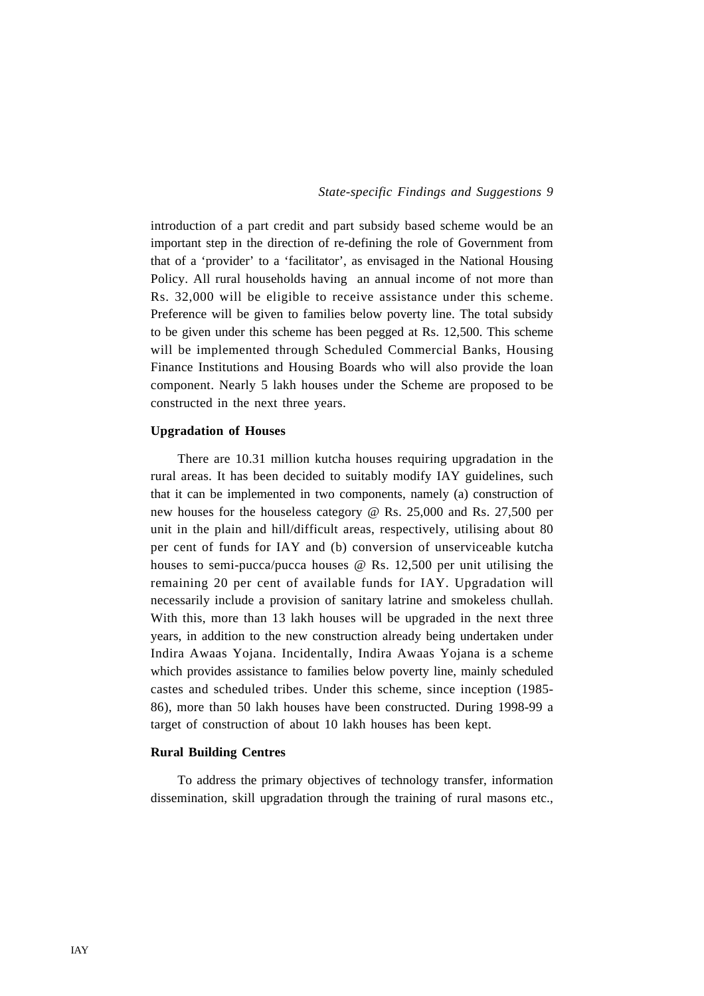introduction of a part credit and part subsidy based scheme would be an important step in the direction of re-defining the role of Government from that of a 'provider' to a 'facilitator', as envisaged in the National Housing Policy. All rural households having an annual income of not more than Rs. 32,000 will be eligible to receive assistance under this scheme. Preference will be given to families below poverty line. The total subsidy to be given under this scheme has been pegged at Rs. 12,500. This scheme will be implemented through Scheduled Commercial Banks, Housing Finance Institutions and Housing Boards who will also provide the loan component. Nearly 5 lakh houses under the Scheme are proposed to be constructed in the next three years.

#### **Upgradation of Houses**

There are 10.31 million kutcha houses requiring upgradation in the rural areas. It has been decided to suitably modify IAY guidelines, such that it can be implemented in two components, namely (a) construction of new houses for the houseless category @ Rs. 25,000 and Rs. 27,500 per unit in the plain and hill/difficult areas, respectively, utilising about 80 per cent of funds for IAY and (b) conversion of unserviceable kutcha houses to semi-pucca/pucca houses @ Rs. 12,500 per unit utilising the remaining 20 per cent of available funds for IAY. Upgradation will necessarily include a provision of sanitary latrine and smokeless chullah. With this, more than 13 lakh houses will be upgraded in the next three years, in addition to the new construction already being undertaken under Indira Awaas Yojana. Incidentally, Indira Awaas Yojana is a scheme which provides assistance to families below poverty line, mainly scheduled castes and scheduled tribes. Under this scheme, since inception (1985- 86), more than 50 lakh houses have been constructed. During 1998-99 a target of construction of about 10 lakh houses has been kept.

#### **Rural Building Centres**

To address the primary objectives of technology transfer, information dissemination, skill upgradation through the training of rural masons etc.,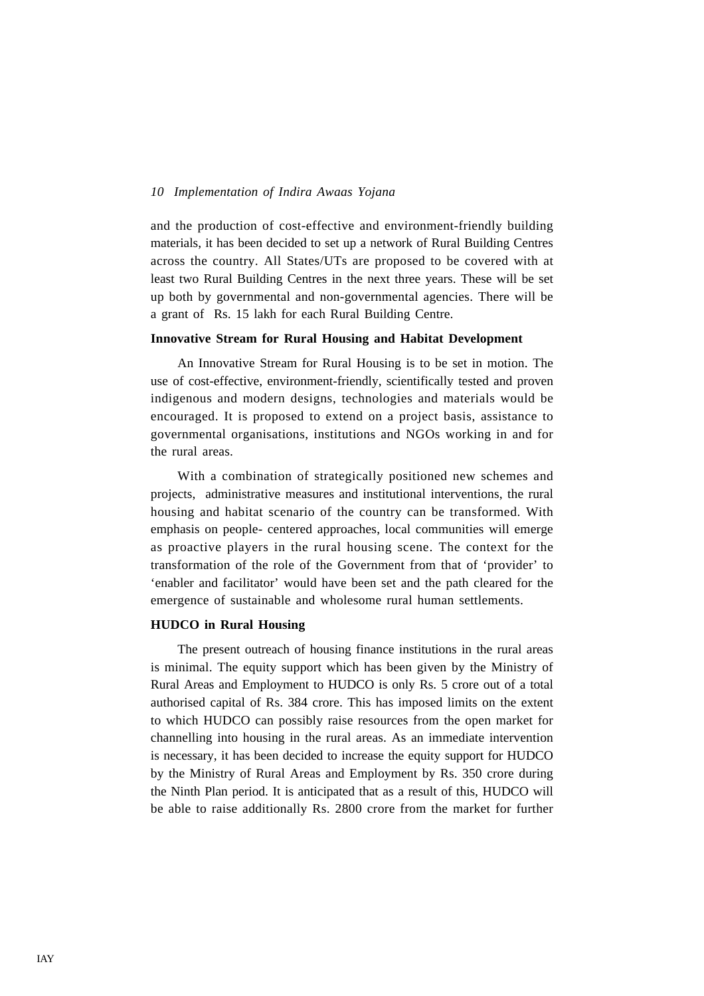and the production of cost-effective and environment-friendly building materials, it has been decided to set up a network of Rural Building Centres across the country. All States/UTs are proposed to be covered with at least two Rural Building Centres in the next three years. These will be set up both by governmental and non-governmental agencies. There will be a grant of Rs. 15 lakh for each Rural Building Centre.

#### **Innovative Stream for Rural Housing and Habitat Development**

An Innovative Stream for Rural Housing is to be set in motion. The use of cost-effective, environment-friendly, scientifically tested and proven indigenous and modern designs, technologies and materials would be encouraged. It is proposed to extend on a project basis, assistance to governmental organisations, institutions and NGOs working in and for the rural areas.

With a combination of strategically positioned new schemes and projects, administrative measures and institutional interventions, the rural housing and habitat scenario of the country can be transformed. With emphasis on people- centered approaches, local communities will emerge as proactive players in the rural housing scene. The context for the transformation of the role of the Government from that of 'provider' to 'enabler and facilitator' would have been set and the path cleared for the emergence of sustainable and wholesome rural human settlements.

## **HUDCO in Rural Housing**

The present outreach of housing finance institutions in the rural areas is minimal. The equity support which has been given by the Ministry of Rural Areas and Employment to HUDCO is only Rs. 5 crore out of a total authorised capital of Rs. 384 crore. This has imposed limits on the extent to which HUDCO can possibly raise resources from the open market for channelling into housing in the rural areas. As an immediate intervention is necessary, it has been decided to increase the equity support for HUDCO by the Ministry of Rural Areas and Employment by Rs. 350 crore during the Ninth Plan period. It is anticipated that as a result of this, HUDCO will be able to raise additionally Rs. 2800 crore from the market for further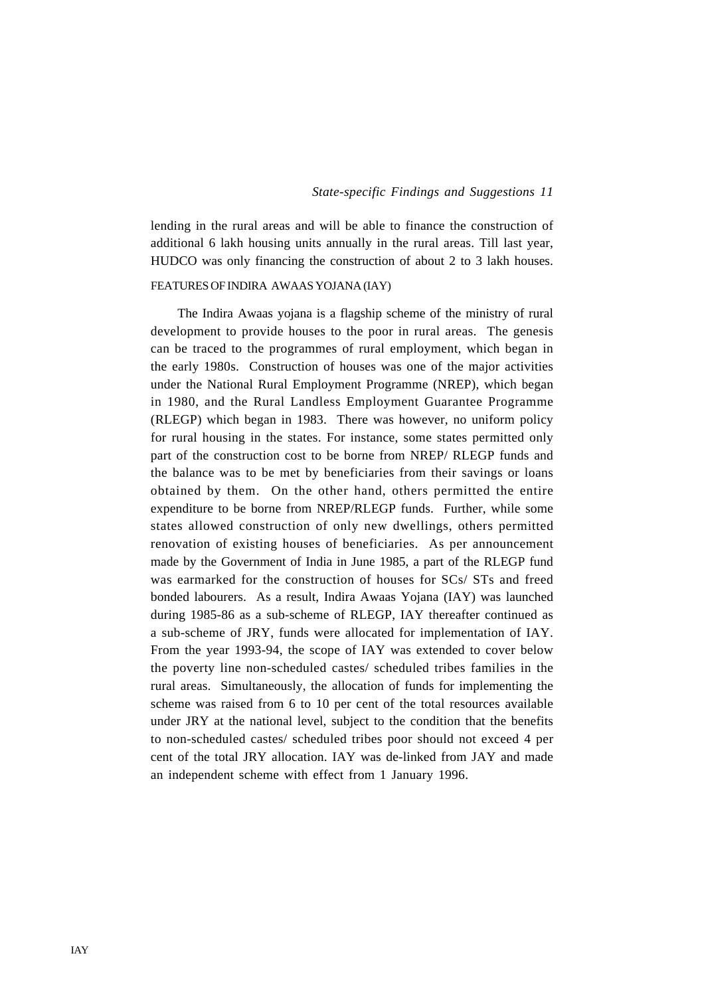lending in the rural areas and will be able to finance the construction of additional 6 lakh housing units annually in the rural areas. Till last year, HUDCO was only financing the construction of about 2 to 3 lakh houses.

## FEATURES OF INDIRA AWAAS YOJANA (IAY)

The Indira Awaas yojana is a flagship scheme of the ministry of rural development to provide houses to the poor in rural areas. The genesis can be traced to the programmes of rural employment, which began in the early 1980s. Construction of houses was one of the major activities under the National Rural Employment Programme (NREP), which began in 1980, and the Rural Landless Employment Guarantee Programme (RLEGP) which began in 1983. There was however, no uniform policy for rural housing in the states. For instance, some states permitted only part of the construction cost to be borne from NREP/ RLEGP funds and the balance was to be met by beneficiaries from their savings or loans obtained by them. On the other hand, others permitted the entire expenditure to be borne from NREP/RLEGP funds. Further, while some states allowed construction of only new dwellings, others permitted renovation of existing houses of beneficiaries. As per announcement made by the Government of India in June 1985, a part of the RLEGP fund was earmarked for the construction of houses for SCs/ STs and freed bonded labourers. As a result, Indira Awaas Yojana (IAY) was launched during 1985-86 as a sub-scheme of RLEGP, IAY thereafter continued as a sub-scheme of JRY, funds were allocated for implementation of IAY. From the year 1993-94, the scope of IAY was extended to cover below the poverty line non-scheduled castes/ scheduled tribes families in the rural areas. Simultaneously, the allocation of funds for implementing the scheme was raised from 6 to 10 per cent of the total resources available under JRY at the national level, subject to the condition that the benefits to non-scheduled castes/ scheduled tribes poor should not exceed 4 per cent of the total JRY allocation. IAY was de-linked from JAY and made an independent scheme with effect from 1 January 1996.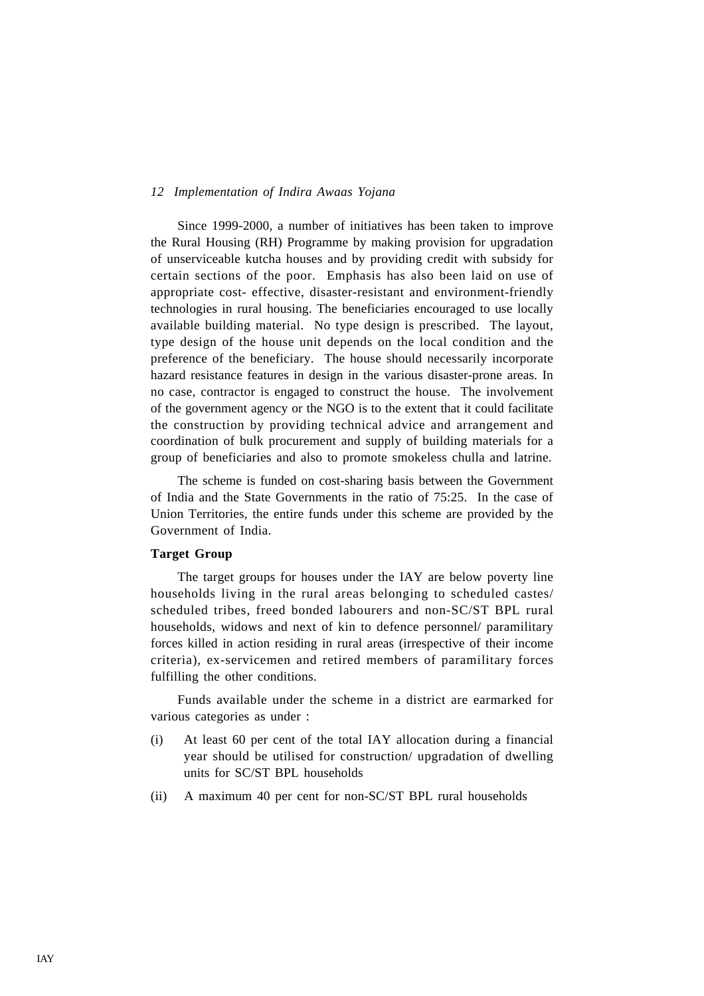Since 1999-2000, a number of initiatives has been taken to improve the Rural Housing (RH) Programme by making provision for upgradation of unserviceable kutcha houses and by providing credit with subsidy for certain sections of the poor. Emphasis has also been laid on use of appropriate cost- effective, disaster-resistant and environment-friendly technologies in rural housing. The beneficiaries encouraged to use locally available building material. No type design is prescribed. The layout, type design of the house unit depends on the local condition and the preference of the beneficiary. The house should necessarily incorporate hazard resistance features in design in the various disaster-prone areas. In no case, contractor is engaged to construct the house. The involvement of the government agency or the NGO is to the extent that it could facilitate the construction by providing technical advice and arrangement and coordination of bulk procurement and supply of building materials for a group of beneficiaries and also to promote smokeless chulla and latrine.

The scheme is funded on cost-sharing basis between the Government of India and the State Governments in the ratio of 75:25. In the case of Union Territories, the entire funds under this scheme are provided by the Government of India.

## **Target Group**

The target groups for houses under the IAY are below poverty line households living in the rural areas belonging to scheduled castes/ scheduled tribes, freed bonded labourers and non-SC/ST BPL rural households, widows and next of kin to defence personnel/ paramilitary forces killed in action residing in rural areas (irrespective of their income criteria), ex-servicemen and retired members of paramilitary forces fulfilling the other conditions.

Funds available under the scheme in a district are earmarked for various categories as under :

- (i) At least 60 per cent of the total IAY allocation during a financial year should be utilised for construction/ upgradation of dwelling units for SC/ST BPL households
- (ii) A maximum 40 per cent for non-SC/ST BPL rural households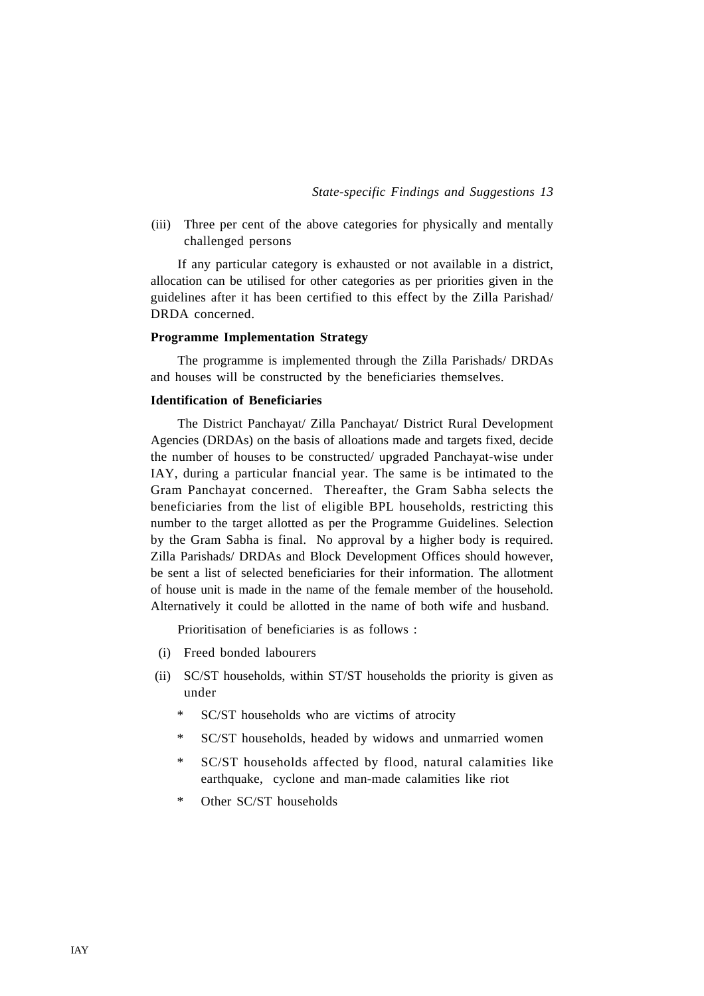(iii) Three per cent of the above categories for physically and mentally challenged persons

If any particular category is exhausted or not available in a district, allocation can be utilised for other categories as per priorities given in the guidelines after it has been certified to this effect by the Zilla Parishad/ DRDA concerned.

#### **Programme Implementation Strategy**

The programme is implemented through the Zilla Parishads/ DRDAs and houses will be constructed by the beneficiaries themselves.

#### **Identification of Beneficiaries**

The District Panchayat/ Zilla Panchayat/ District Rural Development Agencies (DRDAs) on the basis of alloations made and targets fixed, decide the number of houses to be constructed/ upgraded Panchayat-wise under IAY, during a particular fnancial year. The same is be intimated to the Gram Panchayat concerned. Thereafter, the Gram Sabha selects the beneficiaries from the list of eligible BPL households, restricting this number to the target allotted as per the Programme Guidelines. Selection by the Gram Sabha is final. No approval by a higher body is required. Zilla Parishads/ DRDAs and Block Development Offices should however, be sent a list of selected beneficiaries for their information. The allotment of house unit is made in the name of the female member of the household. Alternatively it could be allotted in the name of both wife and husband.

Prioritisation of beneficiaries is as follows :

- (i) Freed bonded labourers
- (ii) SC/ST households, within ST/ST households the priority is given as under
	- \* SC/ST households who are victims of atrocity
	- \* SC/ST households, headed by widows and unmarried women
	- \* SC/ST households affected by flood, natural calamities like earthquake, cyclone and man-made calamities like riot
	- \* Other SC/ST households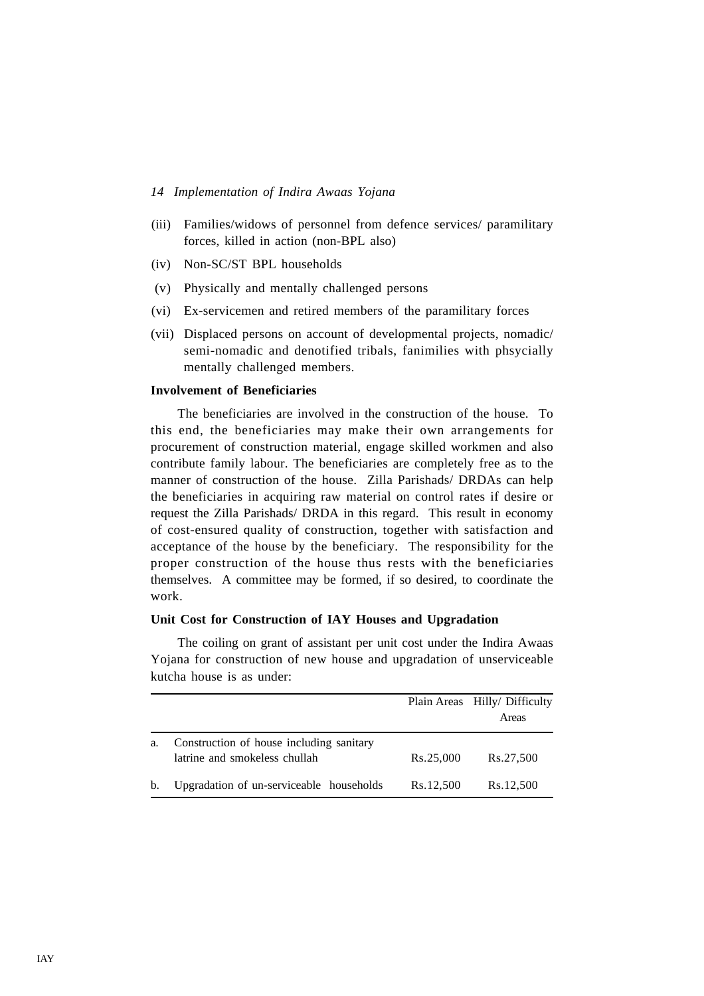- (iii) Families/widows of personnel from defence services/ paramilitary forces, killed in action (non-BPL also)
- (iv) Non-SC/ST BPL households
- (v) Physically and mentally challenged persons
- (vi) Ex-servicemen and retired members of the paramilitary forces
- (vii) Displaced persons on account of developmental projects, nomadic/ semi-nomadic and denotified tribals, fanimilies with phsycially mentally challenged members.

## **Involvement of Beneficiaries**

The beneficiaries are involved in the construction of the house. To this end, the beneficiaries may make their own arrangements for procurement of construction material, engage skilled workmen and also contribute family labour. The beneficiaries are completely free as to the manner of construction of the house. Zilla Parishads/ DRDAs can help the beneficiaries in acquiring raw material on control rates if desire or request the Zilla Parishads/ DRDA in this regard. This result in economy of cost-ensured quality of construction, together with satisfaction and acceptance of the house by the beneficiary. The responsibility for the proper construction of the house thus rests with the beneficiaries themselves. A committee may be formed, if so desired, to coordinate the work.

## **Unit Cost for Construction of IAY Houses and Upgradation**

The coiling on grant of assistant per unit cost under the Indira Awaas Yojana for construction of new house and upgradation of unserviceable kutcha house is as under:

|    |                                                                           |           | Plain Areas Hilly/ Difficulty<br>Areas |
|----|---------------------------------------------------------------------------|-----------|----------------------------------------|
| a. | Construction of house including sanitary<br>latrine and smokeless chullah | Rs.25,000 | Rs.27,500                              |
| b. | Upgradation of un-serviceable households                                  | Rs.12,500 | Rs.12,500                              |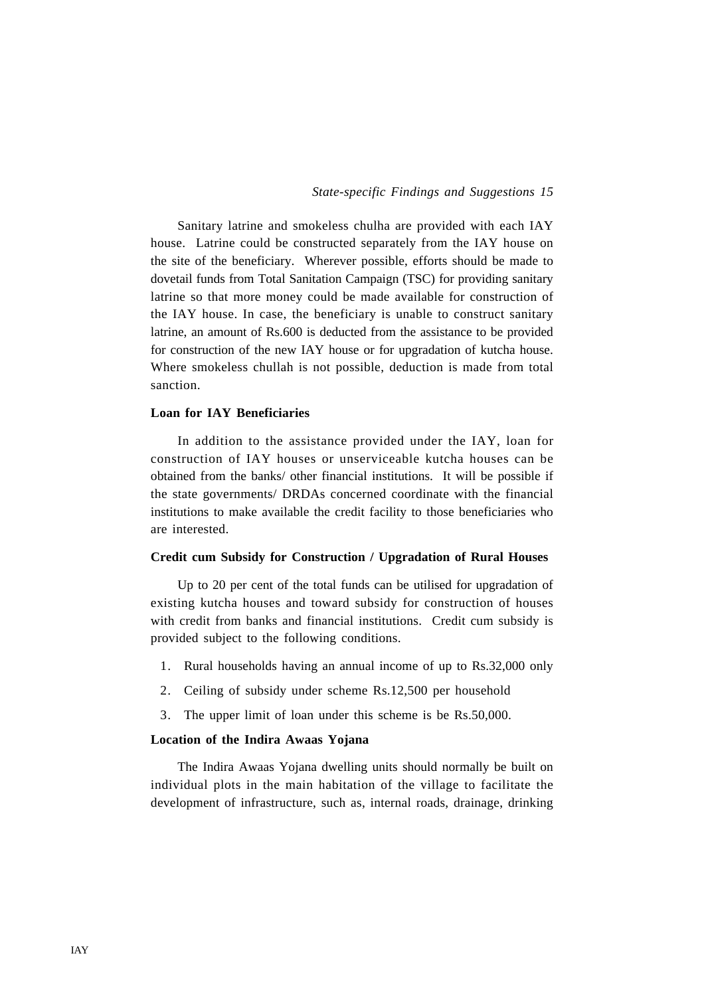Sanitary latrine and smokeless chulha are provided with each IAY house. Latrine could be constructed separately from the IAY house on the site of the beneficiary. Wherever possible, efforts should be made to dovetail funds from Total Sanitation Campaign (TSC) for providing sanitary latrine so that more money could be made available for construction of the IAY house. In case, the beneficiary is unable to construct sanitary latrine, an amount of Rs.600 is deducted from the assistance to be provided for construction of the new IAY house or for upgradation of kutcha house. Where smokeless chullah is not possible, deduction is made from total sanction.

## **Loan for IAY Beneficiaries**

In addition to the assistance provided under the IAY, loan for construction of IAY houses or unserviceable kutcha houses can be obtained from the banks/ other financial institutions. It will be possible if the state governments/ DRDAs concerned coordinate with the financial institutions to make available the credit facility to those beneficiaries who are interested.

#### **Credit cum Subsidy for Construction / Upgradation of Rural Houses**

Up to 20 per cent of the total funds can be utilised for upgradation of existing kutcha houses and toward subsidy for construction of houses with credit from banks and financial institutions. Credit cum subsidy is provided subject to the following conditions.

- 1. Rural households having an annual income of up to Rs.32,000 only
- 2. Ceiling of subsidy under scheme Rs.12,500 per household
- 3. The upper limit of loan under this scheme is be Rs.50,000.

#### **Location of the Indira Awaas Yojana**

The Indira Awaas Yojana dwelling units should normally be built on individual plots in the main habitation of the village to facilitate the development of infrastructure, such as, internal roads, drainage, drinking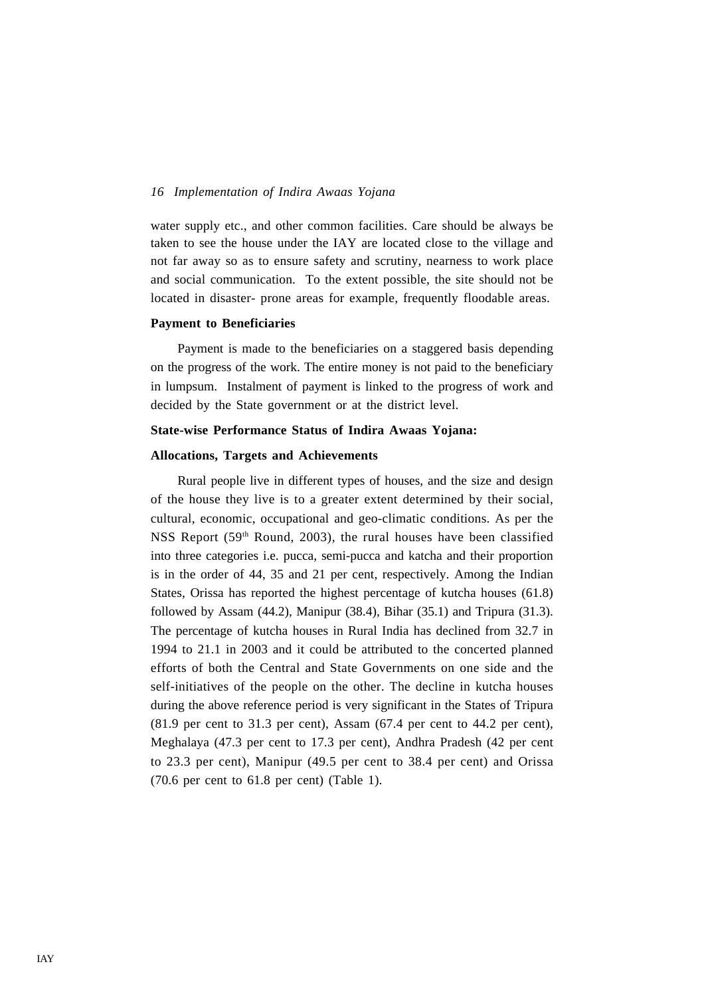water supply etc., and other common facilities. Care should be always be taken to see the house under the IAY are located close to the village and not far away so as to ensure safety and scrutiny, nearness to work place and social communication. To the extent possible, the site should not be located in disaster- prone areas for example, frequently floodable areas.

#### **Payment to Beneficiaries**

Payment is made to the beneficiaries on a staggered basis depending on the progress of the work. The entire money is not paid to the beneficiary in lumpsum. Instalment of payment is linked to the progress of work and decided by the State government or at the district level.

#### **State-wise Performance Status of Indira Awaas Yojana:**

#### **Allocations, Targets and Achievements**

Rural people live in different types of houses, and the size and design of the house they live is to a greater extent determined by their social, cultural, economic, occupational and geo-climatic conditions. As per the NSS Report (59<sup>th</sup> Round, 2003), the rural houses have been classified into three categories i.e. pucca, semi-pucca and katcha and their proportion is in the order of 44, 35 and 21 per cent, respectively. Among the Indian States, Orissa has reported the highest percentage of kutcha houses (61.8) followed by Assam (44.2), Manipur (38.4), Bihar (35.1) and Tripura (31.3). The percentage of kutcha houses in Rural India has declined from 32.7 in 1994 to 21.1 in 2003 and it could be attributed to the concerted planned efforts of both the Central and State Governments on one side and the self-initiatives of the people on the other. The decline in kutcha houses during the above reference period is very significant in the States of Tripura (81.9 per cent to 31.3 per cent), Assam (67.4 per cent to 44.2 per cent), Meghalaya (47.3 per cent to 17.3 per cent), Andhra Pradesh (42 per cent to 23.3 per cent), Manipur (49.5 per cent to 38.4 per cent) and Orissa (70.6 per cent to 61.8 per cent) (Table 1).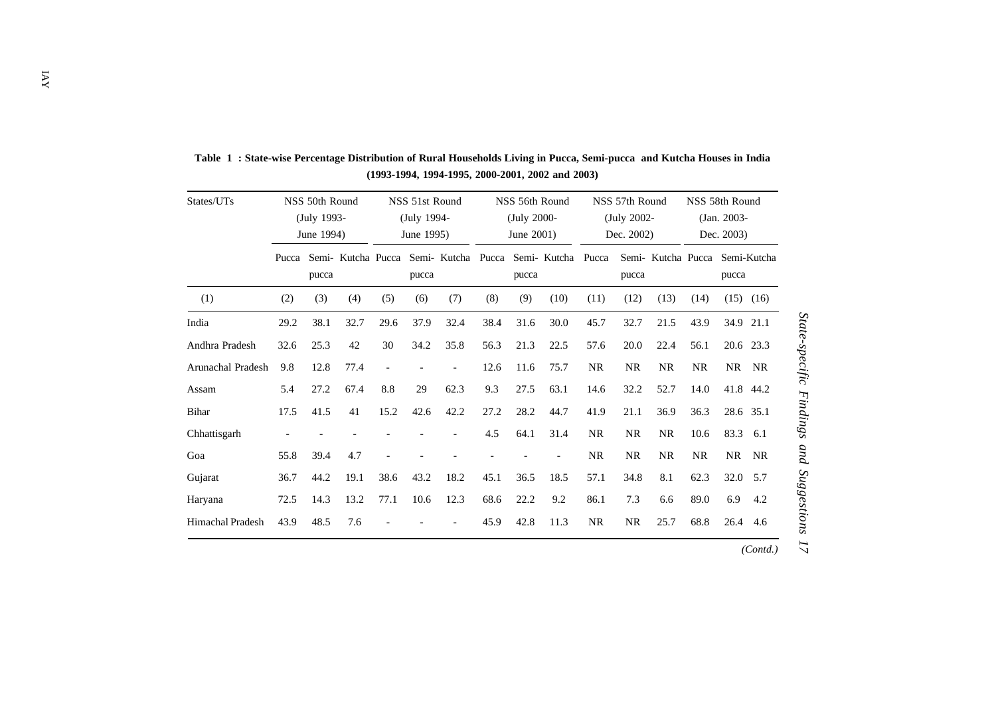| States/UTs        | NSS 50th Round<br>(July 1993-<br>June 1994) |       |                    | NSS 51st Round<br>(July 1994-<br>June 1995) |       |                          |      | NSS 56th Round<br>(July 2000-<br>June 2001) |                                       |           | NSS 57th Round<br>(July 2002-<br>Dec. 2002) |                    |           | NSS 58th Round<br>$(Jan. 2003 -$<br>Dec. 2003) |               |  |
|-------------------|---------------------------------------------|-------|--------------------|---------------------------------------------|-------|--------------------------|------|---------------------------------------------|---------------------------------------|-----------|---------------------------------------------|--------------------|-----------|------------------------------------------------|---------------|--|
|                   | Pucca                                       | pucca | Semi- Kutcha Pucca |                                             | pucca |                          |      | pucca                                       | Semi- Kutcha Pucca Semi- Kutcha Pucca |           | pucca                                       | Semi- Kutcha Pucca |           | pucca                                          | Semi-Kutcha   |  |
| (1)               | (2)                                         | (3)   | (4)                | (5)                                         | (6)   | (7)                      | (8)  | (9)                                         | (10)                                  | (11)      | (12)                                        | (13)               | (14)      |                                                | $(15)$ $(16)$ |  |
| India             | 29.2                                        | 38.1  | 32.7               | 29.6                                        | 37.9  | 32.4                     | 38.4 | 31.6                                        | 30.0                                  | 45.7      | 32.7                                        | 21.5               | 43.9      |                                                | 34.9 21.1     |  |
| Andhra Pradesh    | 32.6                                        | 25.3  | 42                 | 30                                          | 34.2  | 35.8                     | 56.3 | 21.3                                        | 22.5                                  | 57.6      | 20.0                                        | 22.4               | 56.1      |                                                | 20.6 23.3     |  |
| Arunachal Pradesh | 9.8                                         | 12.8  | 77.4               | $\overline{\phantom{a}}$                    |       | $\overline{\phantom{a}}$ | 12.6 | 11.6                                        | 75.7                                  | <b>NR</b> | <b>NR</b>                                   | <b>NR</b>          | <b>NR</b> |                                                | NR NR         |  |
| Assam             | 5.4                                         | 27.2  | 67.4               | 8.8                                         | 29    | 62.3                     | 9.3  | 27.5                                        | 63.1                                  | 14.6      | 32.2                                        | 52.7               | 14.0      |                                                | 41.8 44.2     |  |
| <b>Bihar</b>      | 17.5                                        | 41.5  | 41                 | 15.2                                        | 42.6  | 42.2                     | 27.2 | 28.2                                        | 44.7                                  | 41.9      | 21.1                                        | 36.9               | 36.3      |                                                | 28.6 35.1     |  |
| Chhattisgarh      |                                             |       |                    |                                             |       |                          | 4.5  | 64.1                                        | 31.4                                  | <b>NR</b> | NR                                          | <b>NR</b>          | 10.6      | 83.3 6.1                                       |               |  |
| Goa               | 55.8                                        | 39.4  | 4.7                |                                             |       |                          |      |                                             |                                       | <b>NR</b> | <b>NR</b>                                   | <b>NR</b>          | <b>NR</b> | NR                                             | <b>NR</b>     |  |
| Gujarat           | 36.7                                        | 44.2  | 19.1               | 38.6                                        | 43.2  | 18.2                     | 45.1 | 36.5                                        | 18.5                                  | 57.1      | 34.8                                        | 8.1                | 62.3      | 32.0 5.7                                       |               |  |
| Haryana           | 72.5                                        | 14.3  | 13.2               | 77.1                                        | 10.6  | 12.3                     | 68.6 | 22.2                                        | 9.2                                   | 86.1      | 7.3                                         | 6.6                | 89.0      | 6.9                                            | 4.2           |  |
| Himachal Pradesh  | 43.9                                        | 48.5  | 7.6                |                                             |       |                          | 45.9 | 42.8                                        | 11.3                                  | <b>NR</b> | <b>NR</b>                                   | 25.7               | 68.8      | 26.4                                           | 4.6           |  |
|                   |                                             |       |                    |                                             |       |                          |      |                                             |                                       |           |                                             |                    |           |                                                | (Contd.)      |  |

**Table 1 : State-wise Percentage Distribution of Rural Households Living in Pucca, Semi-pucca and Kutcha Houses in India (1993-1994, 1994-1995, 2000-2001, 2002 and 2003)**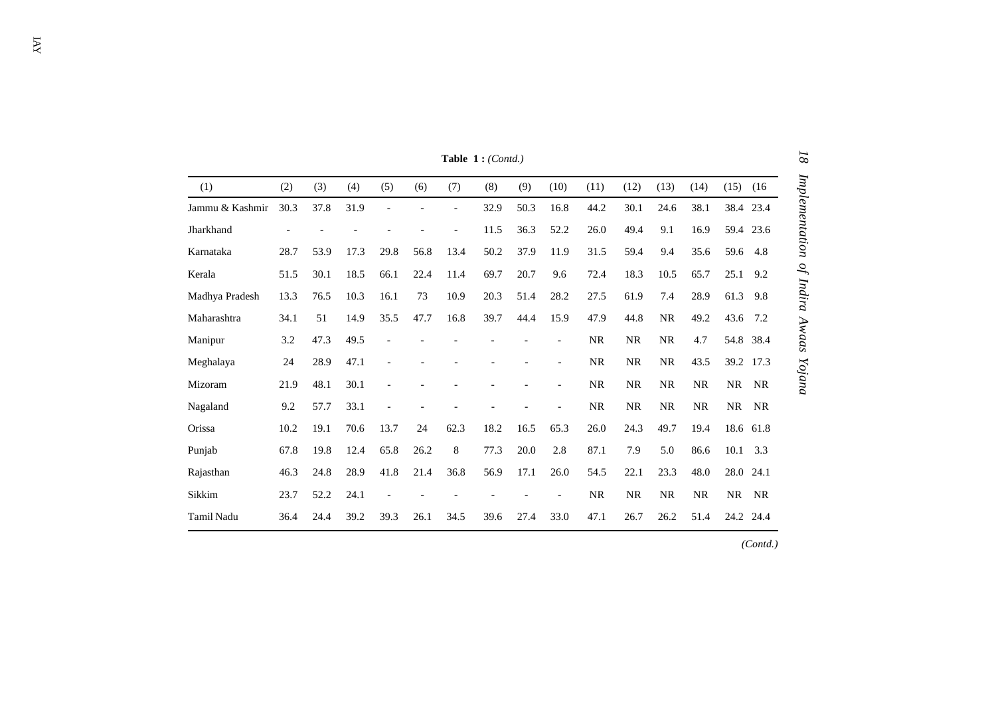|                   |      |      |      |                |      |                | Table $1:(\text{Cont} d.)$ |      |                          |           |           |           |           |           |           |
|-------------------|------|------|------|----------------|------|----------------|----------------------------|------|--------------------------|-----------|-----------|-----------|-----------|-----------|-----------|
| (1)               | (2)  | (3)  | (4)  | (5)            | (6)  | (7)            | (8)                        | (9)  | (10)                     | (11)      | (12)      | (13)      | (14)      | (15)      | (16)      |
| Jammu & Kashmir   | 30.3 | 37.8 | 31.9 |                |      | $\overline{a}$ | 32.9                       | 50.3 | 16.8                     | 44.2      | 30.1      | 24.6      | 38.1      |           | 38.4 23.4 |
| Jharkhand         |      |      |      |                |      | $\overline{a}$ | 11.5                       | 36.3 | 52.2                     | 26.0      | 49.4      | 9.1       | 16.9      |           | 59.4 23.6 |
| Karnataka         | 28.7 | 53.9 | 17.3 | 29.8           | 56.8 | 13.4           | 50.2                       | 37.9 | 11.9                     | 31.5      | 59.4      | 9.4       | 35.6      | 59.6      | 4.8       |
| Kerala            | 51.5 | 30.1 | 18.5 | 66.1           | 22.4 | 11.4           | 69.7                       | 20.7 | 9.6                      | 72.4      | 18.3      | 10.5      | 65.7      | 25.1      | 9.2       |
| Madhya Pradesh    | 13.3 | 76.5 | 10.3 | 16.1           | 73   | 10.9           | 20.3                       | 51.4 | 28.2                     | 27.5      | 61.9      | 7.4       | 28.9      | 61.3      | 9.8       |
| Maharashtra       | 34.1 | 51   | 14.9 | 35.5           | 47.7 | 16.8           | 39.7                       | 44.4 | 15.9                     | 47.9      | 44.8      | NR        | 49.2      | 43.6      | 7.2       |
| Manipur           | 3.2  | 47.3 | 49.5 |                |      |                |                            |      | $\overline{a}$           | <b>NR</b> | <b>NR</b> | <b>NR</b> | 4.7       |           | 54.8 38.4 |
| Meghalaya         | 24   | 28.9 | 47.1 | $\overline{a}$ |      |                |                            |      | $\overline{\phantom{a}}$ | NR        | NR        | NR        | 43.5      |           | 39.2 17.3 |
| Mizoram           | 21.9 | 48.1 | 30.1 |                |      |                |                            |      |                          | NR        | NR        | <b>NR</b> | <b>NR</b> | <b>NR</b> | <b>NR</b> |
| Nagaland          | 9.2  | 57.7 | 33.1 |                |      |                |                            |      |                          | NR        | NR        | NR        | NR        | NR        | NR        |
| Orissa            | 10.2 | 19.1 | 70.6 | 13.7           | 24   | 62.3           | 18.2                       | 16.5 | 65.3                     | 26.0      | 24.3      | 49.7      | 19.4      |           | 18.6 61.8 |
| Punjab            | 67.8 | 19.8 | 12.4 | 65.8           | 26.2 | 8              | 77.3                       | 20.0 | 2.8                      | 87.1      | 7.9       | 5.0       | 86.6      | 10.1      | 3.3       |
| Rajasthan         | 46.3 | 24.8 | 28.9 | 41.8           | 21.4 | 36.8           | 56.9                       | 17.1 | 26.0                     | 54.5      | 22.1      | 23.3      | 48.0      | 28.0      | 24.1      |
| Sikkim            | 23.7 | 52.2 | 24.1 |                |      |                |                            |      |                          | <b>NR</b> | <b>NR</b> | <b>NR</b> | <b>NR</b> | NR.       | NR        |
| <b>Tamil Nadu</b> | 36.4 | 24.4 | 39.2 | 39.3           | 26.1 | 34.5           | 39.6                       | 27.4 | 33.0                     | 47.1      | 26.7      | 26.2      | 51.4      |           | 24.2 24.4 |

**Table 1 :** *(Contd.)*

*(Contd.)*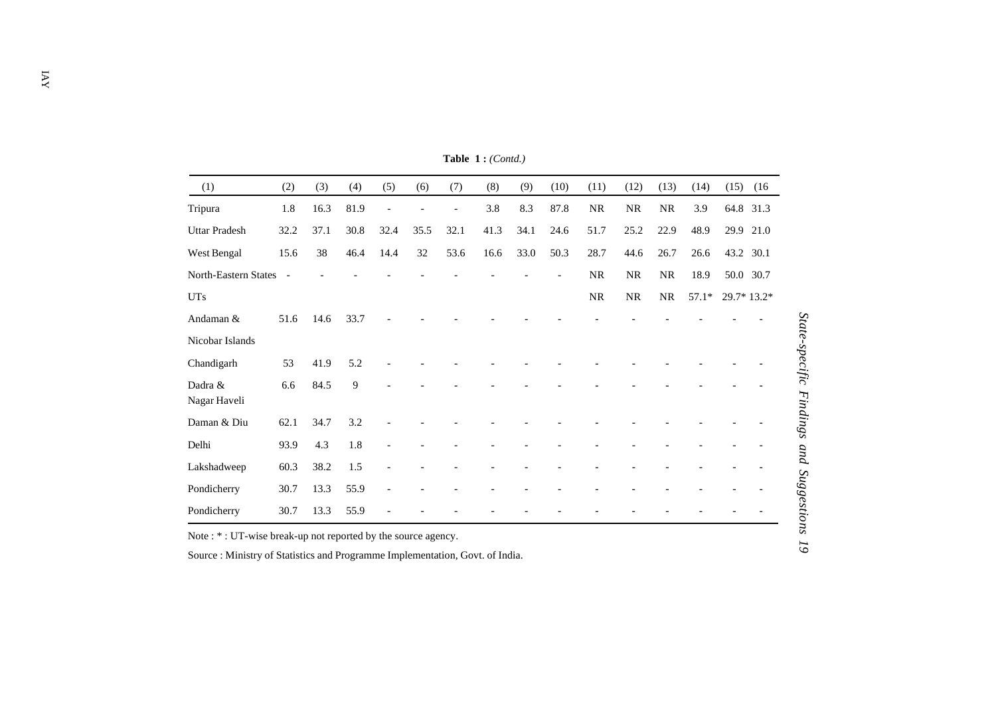| (1)                     | (2)            | (3)  | (4)  | (5)            | (6)  | (7)            | (8)  | (9)  | (10)           | (11)      | (12)      | (13)     | (14)    | (15)<br>(16) |
|-------------------------|----------------|------|------|----------------|------|----------------|------|------|----------------|-----------|-----------|----------|---------|--------------|
| Tripura                 | 1.8            | 16.3 | 81.9 |                |      | $\overline{a}$ | 3.8  | 8.3  | 87.8           | NR        | <b>NR</b> | $\rm NR$ | 3.9     | 64.8 31.3    |
| <b>Uttar Pradesh</b>    | 32.2           | 37.1 | 30.8 | 32.4           | 35.5 | 32.1           | 41.3 | 34.1 | 24.6           | 51.7      | 25.2      | 22.9     | 48.9    | 21.0<br>29.9 |
| West Bengal             | 15.6           | 38   | 46.4 | 14.4           | 32   | 53.6           | 16.6 | 33.0 | 50.3           | 28.7      | 44.6      | 26.7     | 26.6    | 43.2 30.1    |
| North-Eastern States    | $\blacksquare$ |      |      |                |      |                |      |      | $\overline{a}$ | <b>NR</b> | <b>NR</b> | NR       | 18.9    | 50.0 30.7    |
| <b>UTs</b>              |                |      |      |                |      |                |      |      |                | NR        | NR        | NR       | $57.1*$ | 29.7* 13.2*  |
| Andaman &               | 51.6           | 14.6 | 33.7 |                |      |                |      |      |                |           |           |          |         |              |
| Nicobar Islands         |                |      |      |                |      |                |      |      |                |           |           |          |         |              |
| Chandigarh              | 53             | 41.9 | 5.2  |                |      |                |      |      |                |           |           |          |         |              |
| Dadra &<br>Nagar Haveli | 6.6            | 84.5 | 9    |                |      |                |      |      |                |           |           |          |         |              |
| Daman & Diu             | 62.1           | 34.7 | 3.2  |                |      |                |      |      |                |           |           |          |         |              |
| Delhi                   | 93.9           | 4.3  | 1.8  |                |      |                |      |      |                |           |           |          |         |              |
| Lakshadweep             | 60.3           | 38.2 | 1.5  |                |      |                |      |      |                |           |           |          |         |              |
| Pondicherry             | 30.7           | 13.3 | 55.9 | $\overline{a}$ |      |                |      |      |                |           |           |          |         |              |
| Pondicherry             | 30.7           | 13.3 | 55.9 |                |      |                |      |      |                |           |           |          |         |              |

**Table 1 :** *(Contd.)*

Note : \* : UT-wise break-up not reported by the source agency.

Source : Ministry of Statistics and Programme Implementation, Govt. of India.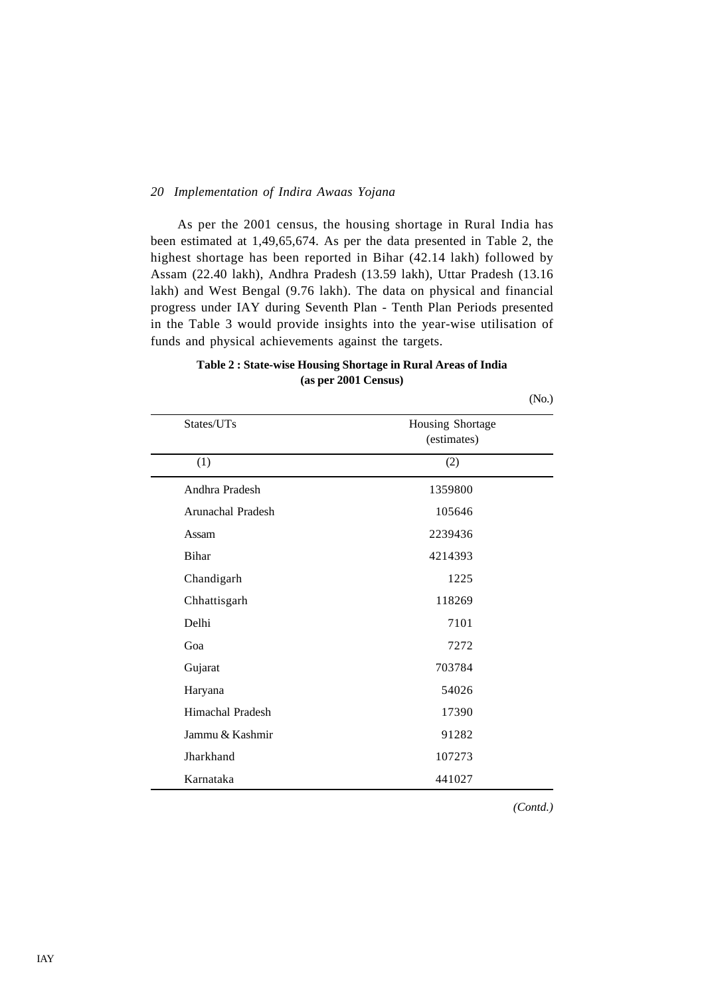As per the 2001 census, the housing shortage in Rural India has been estimated at 1,49,65,674. As per the data presented in Table 2, the highest shortage has been reported in Bihar (42.14 lakh) followed by Assam (22.40 lakh), Andhra Pradesh (13.59 lakh), Uttar Pradesh (13.16 lakh) and West Bengal (9.76 lakh). The data on physical and financial progress under IAY during Seventh Plan - Tenth Plan Periods presented in the Table 3 would provide insights into the year-wise utilisation of funds and physical achievements against the targets.

| Table 2: State-wise Housing Shortage in Rural Areas of India |
|--------------------------------------------------------------|
| (as per 2001 Census)                                         |

(No.)

| States/UTs        | Housing Shortage<br>(estimates) |
|-------------------|---------------------------------|
| (1)               | (2)                             |
| Andhra Pradesh    | 1359800                         |
| Arunachal Pradesh | 105646                          |
| Assam             | 2239436                         |
| <b>Bihar</b>      | 4214393                         |
| Chandigarh        | 1225                            |
| Chhattisgarh      | 118269                          |
| Delhi             | 7101                            |
| Goa               | 7272                            |
| Gujarat           | 703784                          |
| Haryana           | 54026                           |
| Himachal Pradesh  | 17390                           |
| Jammu & Kashmir   | 91282                           |
| Jharkhand         | 107273                          |
| Karnataka         | 441027                          |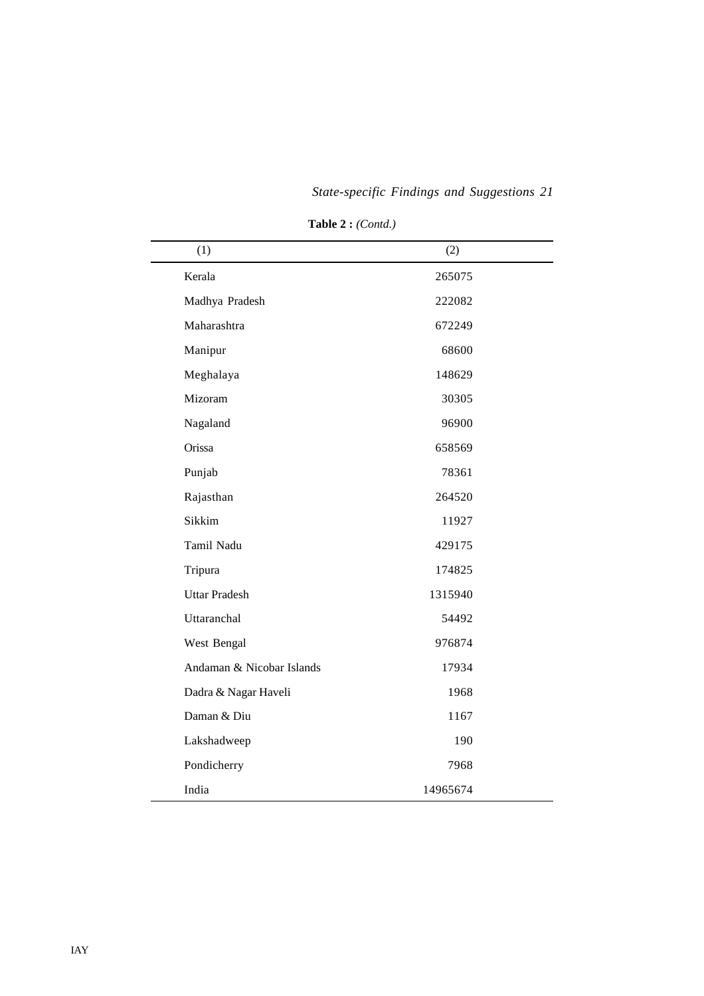| (1)                       | (2)      |
|---------------------------|----------|
| Kerala                    | 265075   |
| Madhya Pradesh            | 222082   |
| Maharashtra               | 672249   |
| Manipur                   | 68600    |
| Meghalaya                 | 148629   |
| Mizoram                   | 30305    |
| Nagaland                  | 96900    |
| Orissa                    | 658569   |
| Punjab                    | 78361    |
| Rajasthan                 | 264520   |
| Sikkim                    | 11927    |
| Tamil Nadu                | 429175   |
| Tripura                   | 174825   |
| <b>Uttar Pradesh</b>      | 1315940  |
| Uttaranchal               | 54492    |
| West Bengal               | 976874   |
| Andaman & Nicobar Islands | 17934    |
| Dadra & Nagar Haveli      | 1968     |
| Daman & Diu               | 1167     |
| Lakshadweep               | 190      |
| Pondicherry               | 7968     |
| India                     | 14965674 |

**Table 2 :** *(Contd.)*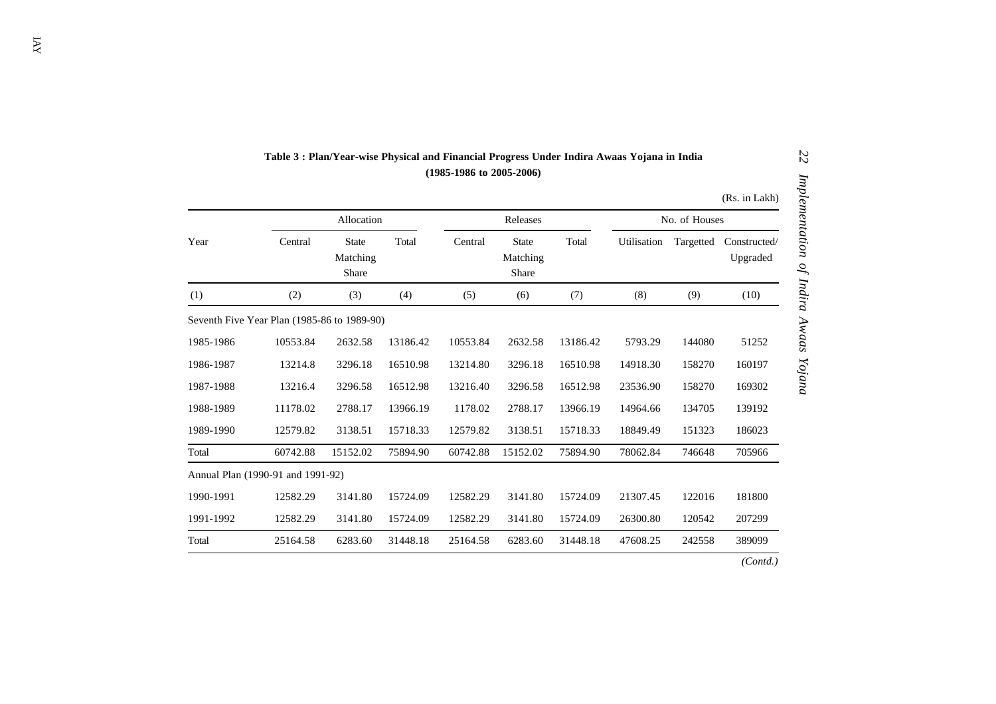## **Table 3 : Plan/Year-wise Physical and Financial Progress Under Indira Awaas Yojana in India (1985-1986 to 2005-2006)**

|           |                                             |                                   |          |          |                                   |          |               |           | (Rs. in Lakh)            |  |
|-----------|---------------------------------------------|-----------------------------------|----------|----------|-----------------------------------|----------|---------------|-----------|--------------------------|--|
|           |                                             | Allocation                        |          |          | Releases                          |          | No. of Houses |           |                          |  |
| Year      | Central                                     | <b>State</b><br>Matching<br>Share | Total    | Central  | <b>State</b><br>Matching<br>Share | Total    | Utilisation   | Targetted | Constructed/<br>Upgraded |  |
| (1)       | (2)                                         | (3)                               | (4)      | (5)      | (6)                               | (7)      | (8)           | (9)       | (10)                     |  |
|           | Seventh Five Year Plan (1985-86 to 1989-90) |                                   |          |          |                                   |          |               |           |                          |  |
| 1985-1986 | 10553.84                                    | 2632.58                           | 13186.42 | 10553.84 | 2632.58                           | 13186.42 | 5793.29       | 144080    | 51252                    |  |
| 1986-1987 | 13214.8                                     | 3296.18                           | 16510.98 | 13214.80 | 3296.18                           | 16510.98 | 14918.30      | 158270    | 160197                   |  |
| 1987-1988 | 13216.4                                     | 3296.58                           | 16512.98 | 13216.40 | 3296.58                           | 16512.98 | 23536.90      | 158270    | 169302                   |  |
| 1988-1989 | 11178.02                                    | 2788.17                           | 13966.19 | 1178.02  | 2788.17                           | 13966.19 | 14964.66      | 134705    | 139192                   |  |
| 1989-1990 | 12579.82                                    | 3138.51                           | 15718.33 | 12579.82 | 3138.51                           | 15718.33 | 18849.49      | 151323    | 186023                   |  |
| Total     | 60742.88                                    | 15152.02                          | 75894.90 | 60742.88 | 15152.02                          | 75894.90 | 78062.84      | 746648    | 705966                   |  |
|           | Annual Plan (1990-91 and 1991-92)           |                                   |          |          |                                   |          |               |           |                          |  |
| 1990-1991 | 12582.29                                    | 3141.80                           | 15724.09 | 12582.29 | 3141.80                           | 15724.09 | 21307.45      | 122016    | 181800                   |  |
| 1991-1992 | 12582.29                                    | 3141.80                           | 15724.09 | 12582.29 | 3141.80                           | 15724.09 | 26300.80      | 120542    | 207299                   |  |
| Total     | 25164.58                                    | 6283.60                           | 31448.18 | 25164.58 | 6283.60                           | 31448.18 | 47608.25      | 242558    | 389099                   |  |
|           |                                             |                                   |          |          |                                   |          |               |           | (Contd.)                 |  |

*22 Implementation of Indira Awaas Yojana*

Implementation of Indira Awaas Yojana

**ZZ**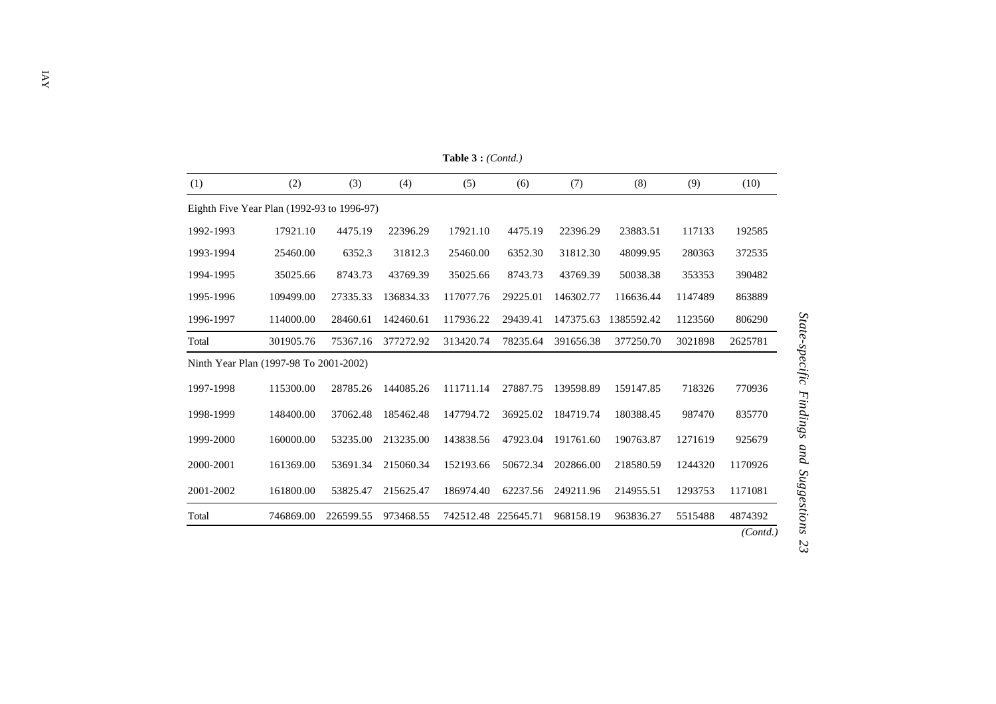| (1)       | (2)                                        | (3)       | (4)       | (5)       | (6)                 | (7)       | (8)        | (9)     | (10)     |
|-----------|--------------------------------------------|-----------|-----------|-----------|---------------------|-----------|------------|---------|----------|
|           | Eighth Five Year Plan (1992-93 to 1996-97) |           |           |           |                     |           |            |         |          |
| 1992-1993 | 17921.10                                   | 4475.19   | 22396.29  | 17921.10  | 4475.19             | 22396.29  | 23883.51   | 117133  | 192585   |
| 1993-1994 | 25460.00                                   | 6352.3    | 31812.3   | 25460.00  | 6352.30             | 31812.30  | 48099.95   | 280363  | 372535   |
| 1994-1995 | 35025.66                                   | 8743.73   | 43769.39  | 35025.66  | 8743.73             | 43769.39  | 50038.38   | 353353  | 390482   |
| 1995-1996 | 109499.00                                  | 27335.33  | 136834.33 | 117077.76 | 29225.01            | 146302.77 | 116636.44  | 1147489 | 863889   |
| 1996-1997 | 114000.00                                  | 28460.61  | 142460.61 | 117936.22 | 29439.41            | 147375.63 | 1385592.42 | 1123560 | 806290   |
| Total     | 301905.76                                  | 75367.16  | 377272.92 | 313420.74 | 78235.64            | 391656.38 | 377250.70  | 3021898 | 2625781  |
|           | Ninth Year Plan (1997-98 To 2001-2002)     |           |           |           |                     |           |            |         |          |
| 1997-1998 | 115300.00                                  | 28785.26  | 144085.26 | 111711.14 | 27887.75            | 139598.89 | 159147.85  | 718326  | 770936   |
| 1998-1999 | 148400.00                                  | 37062.48  | 185462.48 | 147794.72 | 36925.02            | 184719.74 | 180388.45  | 987470  | 835770   |
| 1999-2000 | 160000.00                                  | 53235.00  | 213235.00 | 143838.56 | 47923.04            | 191761.60 | 190763.87  | 1271619 | 925679   |
| 2000-2001 | 161369.00                                  | 53691.34  | 215060.34 | 152193.66 | 50672.34            | 202866.00 | 218580.59  | 1244320 | 1170926  |
| 2001-2002 | 161800.00                                  | 53825.47  | 215625.47 | 186974.40 | 62237.56            | 249211.96 | 214955.51  | 1293753 | 1171081  |
| Total     | 746869.00                                  | 226599.55 | 973468.55 |           | 742512.48 225645.71 | 968158.19 | 963836.27  | 5515488 | 4874392  |
|           |                                            |           |           |           |                     |           |            |         | (Contd.) |

**Table 3 :** *(Contd.)*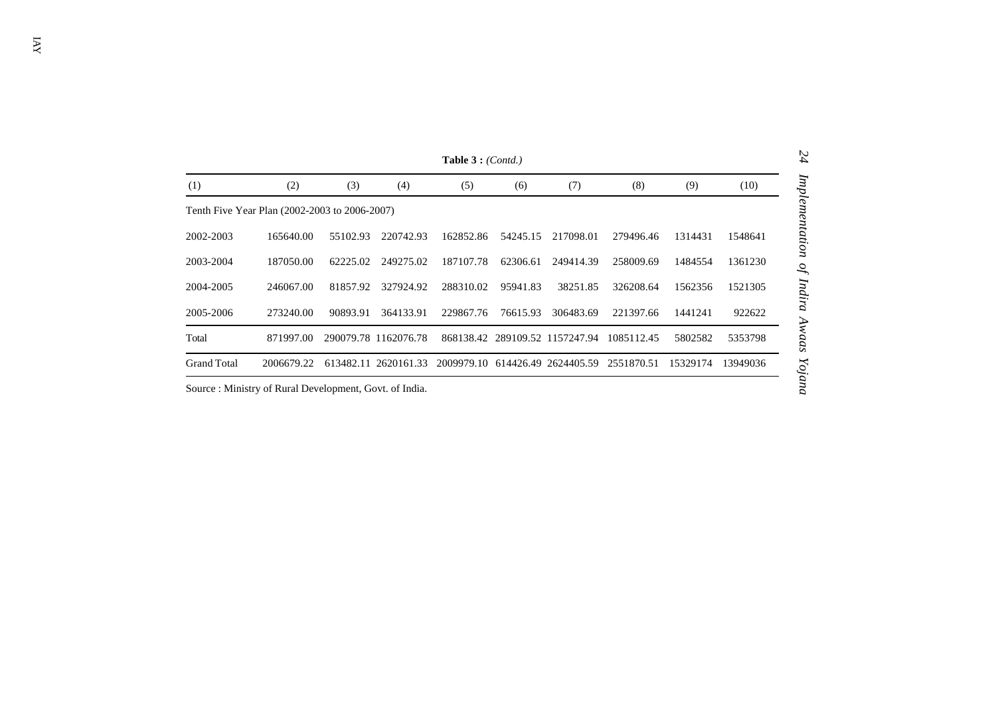|                    |                                               |           |                      | <b>Table 3</b> : $(Cond.)$ |          |                                 |            |          |          |
|--------------------|-----------------------------------------------|-----------|----------------------|----------------------------|----------|---------------------------------|------------|----------|----------|
| (1)                | (2)                                           | (3)       | (4)                  | (5)                        | (6)      | (7)                             | (8)        | (9)      | (10)     |
|                    | Tenth Five Year Plan (2002-2003 to 2006-2007) |           |                      |                            |          |                                 |            |          |          |
| 2002-2003          | 165640.00                                     | 55102.93  | 220742.93            | 162852.86                  | 54245.15 | 217098.01                       | 279496.46  | 1314431  | 1548641  |
| 2003-2004          | 187050.00                                     | 62225.02  | 249275.02            | 187107.78                  | 62306.61 | 249414.39                       | 258009.69  | 1484554  | 1361230  |
| 2004-2005          | 246067.00                                     | 81857.92  | 327924.92            | 288310.02                  | 95941.83 | 38251.85                        | 326208.64  | 1562356  | 1521305  |
| 2005-2006          | 273240.00                                     | 90893.91  | 364133.91            | 229867.76                  | 76615.93 | 306483.69                       | 221397.66  | 1441241  | 922622   |
| Total              | 871997.00                                     |           | 290079.78 1162076.78 |                            |          | 868138.42 289109.52 1157247.94  | 1085112.45 | 5802582  | 5353798  |
| <b>Grand Total</b> | 2006679.22                                    | 613482.11 | 2620161.33           |                            |          | 2009979.10 614426.49 2624405.59 | 2551870.51 | 15329174 | 13949036 |

Source : Ministry of Rural Development, Govt. of India.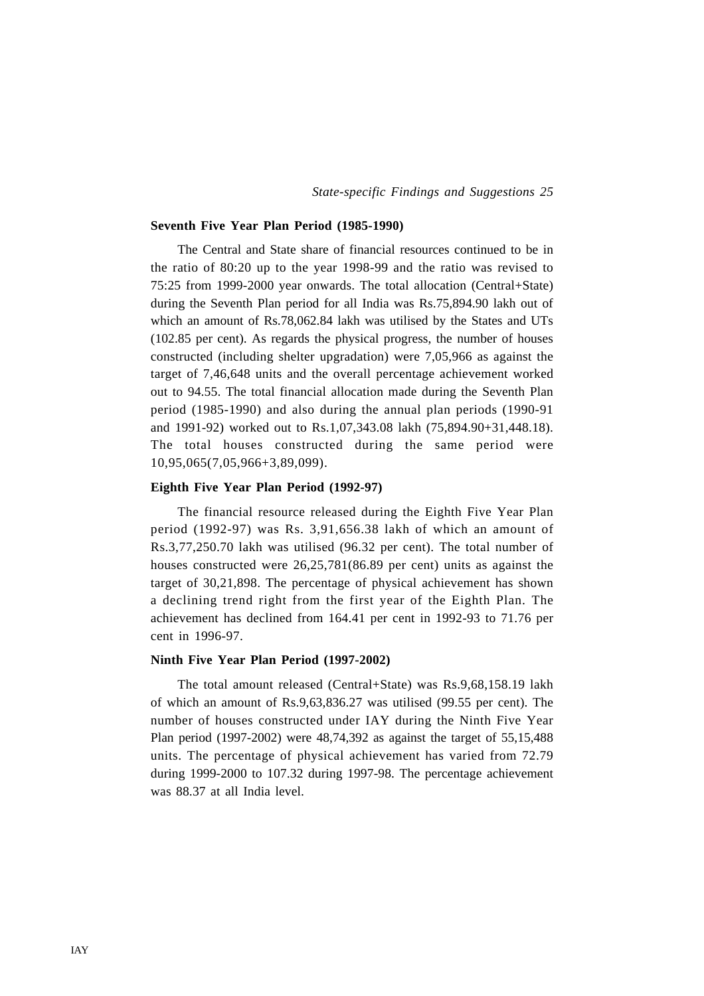#### **Seventh Five Year Plan Period (1985-1990)**

The Central and State share of financial resources continued to be in the ratio of 80:20 up to the year 1998-99 and the ratio was revised to 75:25 from 1999-2000 year onwards. The total allocation (Central+State) during the Seventh Plan period for all India was Rs.75,894.90 lakh out of which an amount of Rs.78,062.84 lakh was utilised by the States and UTs (102.85 per cent). As regards the physical progress, the number of houses constructed (including shelter upgradation) were 7,05,966 as against the target of 7,46,648 units and the overall percentage achievement worked out to 94.55. The total financial allocation made during the Seventh Plan period (1985-1990) and also during the annual plan periods (1990-91 and 1991-92) worked out to Rs.1,07,343.08 lakh (75,894.90+31,448.18). The total houses constructed during the same period were 10,95,065(7,05,966+3,89,099).

#### **Eighth Five Year Plan Period (1992-97)**

The financial resource released during the Eighth Five Year Plan period (1992-97) was Rs. 3,91,656.38 lakh of which an amount of Rs.3,77,250.70 lakh was utilised (96.32 per cent). The total number of houses constructed were 26,25,781(86.89 per cent) units as against the target of 30,21,898. The percentage of physical achievement has shown a declining trend right from the first year of the Eighth Plan. The achievement has declined from 164.41 per cent in 1992-93 to 71.76 per cent in 1996-97.

#### **Ninth Five Year Plan Period (1997-2002)**

The total amount released (Central+State) was Rs.9,68,158.19 lakh of which an amount of Rs.9,63,836.27 was utilised (99.55 per cent). The number of houses constructed under IAY during the Ninth Five Year Plan period (1997-2002) were 48,74,392 as against the target of 55,15,488 units. The percentage of physical achievement has varied from 72.79 during 1999-2000 to 107.32 during 1997-98. The percentage achievement was 88.37 at all India level.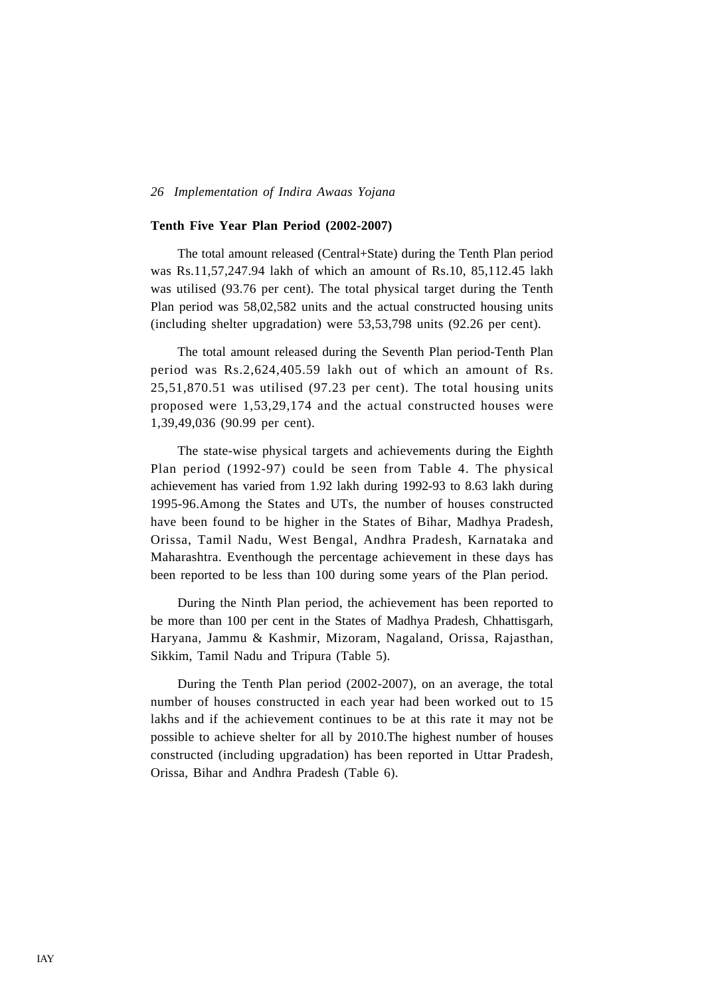#### **Tenth Five Year Plan Period (2002-2007)**

The total amount released (Central+State) during the Tenth Plan period was Rs.11,57,247.94 lakh of which an amount of Rs.10, 85,112.45 lakh was utilised (93.76 per cent). The total physical target during the Tenth Plan period was 58,02,582 units and the actual constructed housing units (including shelter upgradation) were 53,53,798 units (92.26 per cent).

The total amount released during the Seventh Plan period-Tenth Plan period was Rs.2,624,405.59 lakh out of which an amount of Rs. 25,51,870.51 was utilised (97.23 per cent). The total housing units proposed were 1,53,29,174 and the actual constructed houses were 1,39,49,036 (90.99 per cent).

The state-wise physical targets and achievements during the Eighth Plan period (1992-97) could be seen from Table 4. The physical achievement has varied from 1.92 lakh during 1992-93 to 8.63 lakh during 1995-96.Among the States and UTs, the number of houses constructed have been found to be higher in the States of Bihar, Madhya Pradesh, Orissa, Tamil Nadu, West Bengal, Andhra Pradesh, Karnataka and Maharashtra. Eventhough the percentage achievement in these days has been reported to be less than 100 during some years of the Plan period.

During the Ninth Plan period, the achievement has been reported to be more than 100 per cent in the States of Madhya Pradesh, Chhattisgarh, Haryana, Jammu & Kashmir, Mizoram, Nagaland, Orissa, Rajasthan, Sikkim, Tamil Nadu and Tripura (Table 5).

During the Tenth Plan period (2002-2007), on an average, the total number of houses constructed in each year had been worked out to 15 lakhs and if the achievement continues to be at this rate it may not be possible to achieve shelter for all by 2010.The highest number of houses constructed (including upgradation) has been reported in Uttar Pradesh, Orissa, Bihar and Andhra Pradesh (Table 6).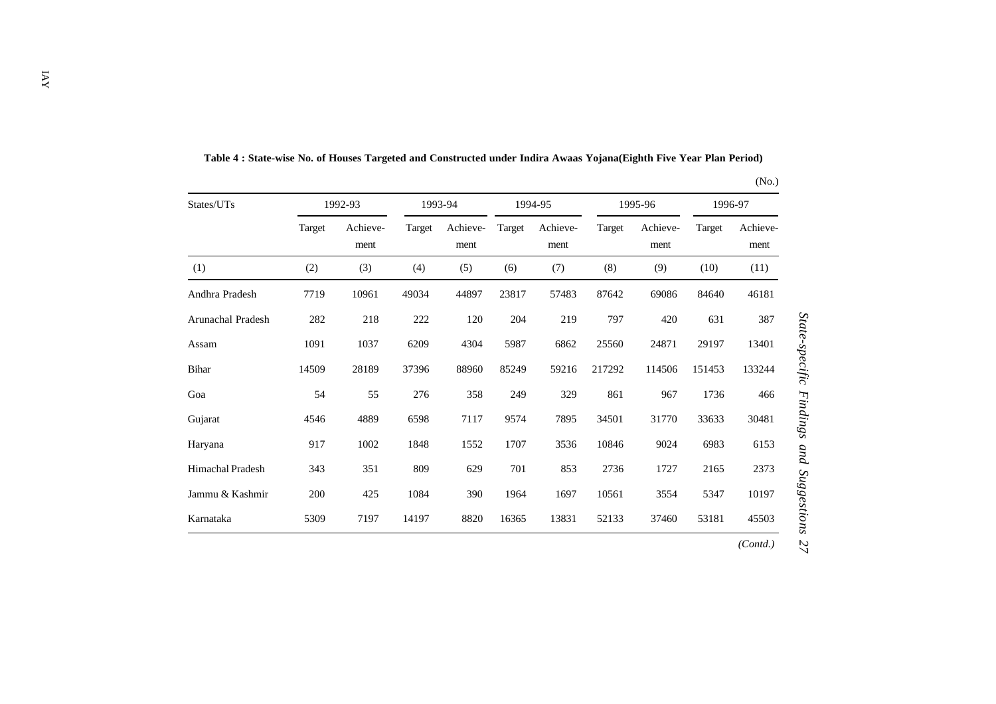| States/UTs              |        | 1992-93          |        | 1993-94          |        | 1994-95          |        | 1995-96          | 1996-97 |                  |
|-------------------------|--------|------------------|--------|------------------|--------|------------------|--------|------------------|---------|------------------|
|                         | Target | Achieve-<br>ment | Target | Achieve-<br>ment | Target | Achieve-<br>ment | Target | Achieve-<br>ment | Target  | Achieve-<br>ment |
| (1)                     | (2)    | (3)              | (4)    | (5)              | (6)    | (7)              | (8)    | (9)              | (10)    | (11)             |
| Andhra Pradesh          | 7719   | 10961            | 49034  | 44897            | 23817  | 57483            | 87642  | 69086            | 84640   | 46181            |
| Arunachal Pradesh       | 282    | 218              | 222    | 120              | 204    | 219              | 797    | 420              | 631     | 387              |
| Assam                   | 1091   | 1037             | 6209   | 4304             | 5987   | 6862             | 25560  | 24871            | 29197   | 13401            |
| Bihar                   | 14509  | 28189            | 37396  | 88960            | 85249  | 59216            | 217292 | 114506           | 151453  | 133244           |
| Goa                     | 54     | 55               | 276    | 358              | 249    | 329              | 861    | 967              | 1736    | 466              |
| Gujarat                 | 4546   | 4889             | 6598   | 7117             | 9574   | 7895             | 34501  | 31770            | 33633   | 30481            |
| Haryana                 | 917    | 1002             | 1848   | 1552             | 1707   | 3536             | 10846  | 9024             | 6983    | 6153             |
| <b>Himachal Pradesh</b> | 343    | 351              | 809    | 629              | 701    | 853              | 2736   | 1727             | 2165    | 2373             |
| Jammu & Kashmir         | 200    | 425              | 1084   | 390              | 1964   | 1697             | 10561  | 3554             | 5347    | 10197            |
| Karnataka               | 5309   | 7197             | 14197  | 8820             | 16365  | 13831            | 52133  | 37460            | 53181   | 45503            |
|                         |        |                  |        |                  |        |                  |        |                  |         | (Cond.)          |

**Table 4 : State-wise No. of Houses Targeted and Constructed under Indira Awaas Yojana(Eighth Five Year Plan Period)**

## (No.)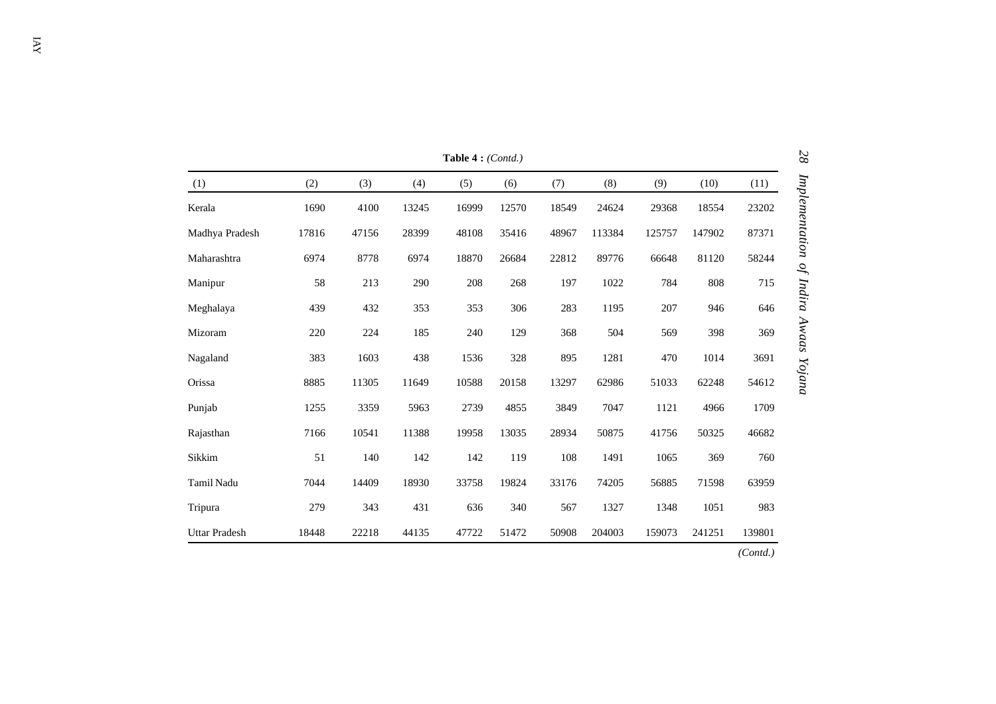|                   |       |       |       | Table 4: (Contd.) |       |       |        |        |        |          |
|-------------------|-------|-------|-------|-------------------|-------|-------|--------|--------|--------|----------|
| (1)               | (2)   | (3)   | (4)   | (5)               | (6)   | (7)   | (8)    | (9)    | (10)   | (11)     |
| Kerala            | 1690  | 4100  | 13245 | 16999             | 12570 | 18549 | 24624  | 29368  | 18554  | 23202    |
| Madhya Pradesh    | 17816 | 47156 | 28399 | 48108             | 35416 | 48967 | 113384 | 125757 | 147902 | 87371    |
| Maharashtra       | 6974  | 8778  | 6974  | 18870             | 26684 | 22812 | 89776  | 66648  | 81120  | 58244    |
| Manipur           | 58    | 213   | 290   | 208               | 268   | 197   | 1022   | 784    | 808    | 715      |
| Meghalaya         | 439   | 432   | 353   | 353               | 306   | 283   | 1195   | 207    | 946    | 646      |
| Mizoram           | 220   | 224   | 185   | 240               | 129   | 368   | 504    | 569    | 398    | 369      |
| Nagaland          | 383   | 1603  | 438   | 1536              | 328   | 895   | 1281   | 470    | 1014   | 3691     |
| Orissa            | 8885  | 11305 | 11649 | 10588             | 20158 | 13297 | 62986  | 51033  | 62248  | 54612    |
| Punjab            | 1255  | 3359  | 5963  | 2739              | 4855  | 3849  | 7047   | 1121   | 4966   | 1709     |
| Rajasthan         | 7166  | 10541 | 11388 | 19958             | 13035 | 28934 | 50875  | 41756  | 50325  | 46682    |
| Sikkim            | 51    | 140   | 142   | 142               | 119   | 108   | 1491   | 1065   | 369    | 760      |
| <b>Tamil Nadu</b> | 7044  | 14409 | 18930 | 33758             | 19824 | 33176 | 74205  | 56885  | 71598  | 63959    |
| Tripura           | 279   | 343   | 431   | 636               | 340   | 567   | 1327   | 1348   | 1051   | 983      |
| Uttar Pradesh     | 18448 | 22218 | 44135 | 47722             | 51472 | 50908 | 204003 | 159073 | 241251 | 139801   |
|                   |       |       |       |                   |       |       |        |        |        | (Contd.) |

28 Implementation of Indira Awaas Yojana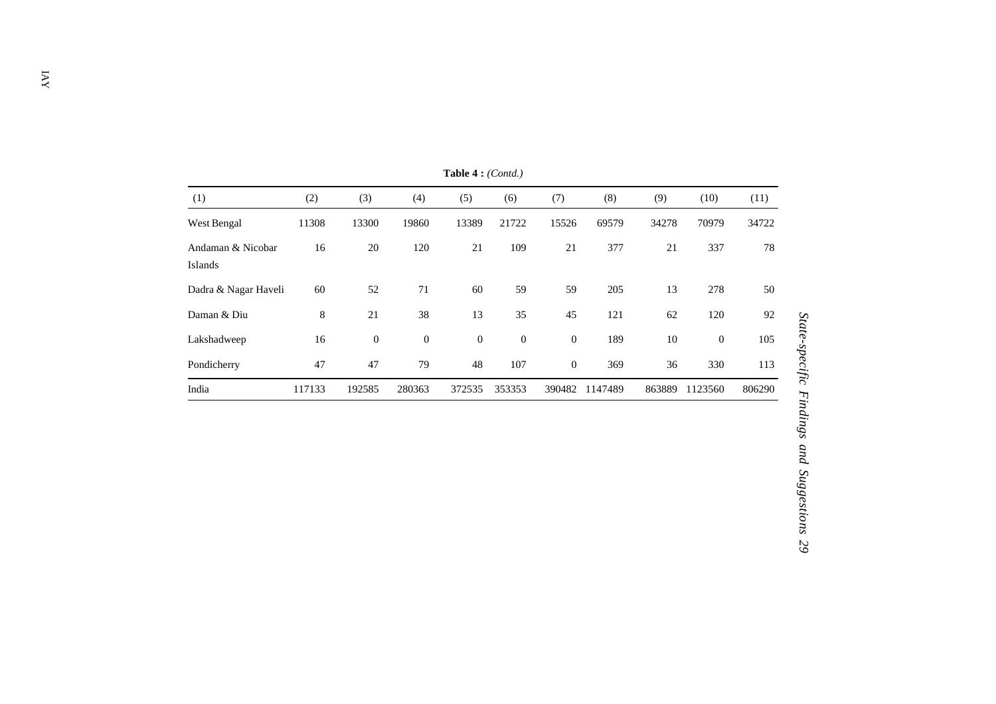| (1)                          | (2)    | (3)          | (4)          | (5)          | (6)              | (7)              | (8)     | (9)    | (10)           | (11)   |
|------------------------------|--------|--------------|--------------|--------------|------------------|------------------|---------|--------|----------------|--------|
| West Bengal                  | 11308  | 13300        | 19860        | 13389        | 21722            | 15526            | 69579   | 34278  | 70979          | 34722  |
| Andaman & Nicobar<br>Islands | 16     | 20           | 120          | 21           | 109              | 21               | 377     | 21     | 337            | 78     |
| Dadra & Nagar Haveli         | 60     | 52           | 71           | 60           | 59               | 59               | 205     | 13     | 278            | 50     |
| Daman & Diu                  | 8      | 21           | 38           | 13           | 35               | 45               | 121     | 62     | 120            | 92     |
| Lakshadweep                  | 16     | $\mathbf{0}$ | $\mathbf{0}$ | $\mathbf{0}$ | $\boldsymbol{0}$ | $\boldsymbol{0}$ | 189     | 10     | $\overline{0}$ | 105    |
| Pondicherry                  | 47     | 47           | 79           | 48           | 107              | $\mathbf{0}$     | 369     | 36     | 330            | 113    |
| India                        | 117133 | 192585       | 280363       | 372535       | 353353           | 390482           | 1147489 | 863889 | 1123560        | 806290 |

**Table 4 :** *(Contd.)*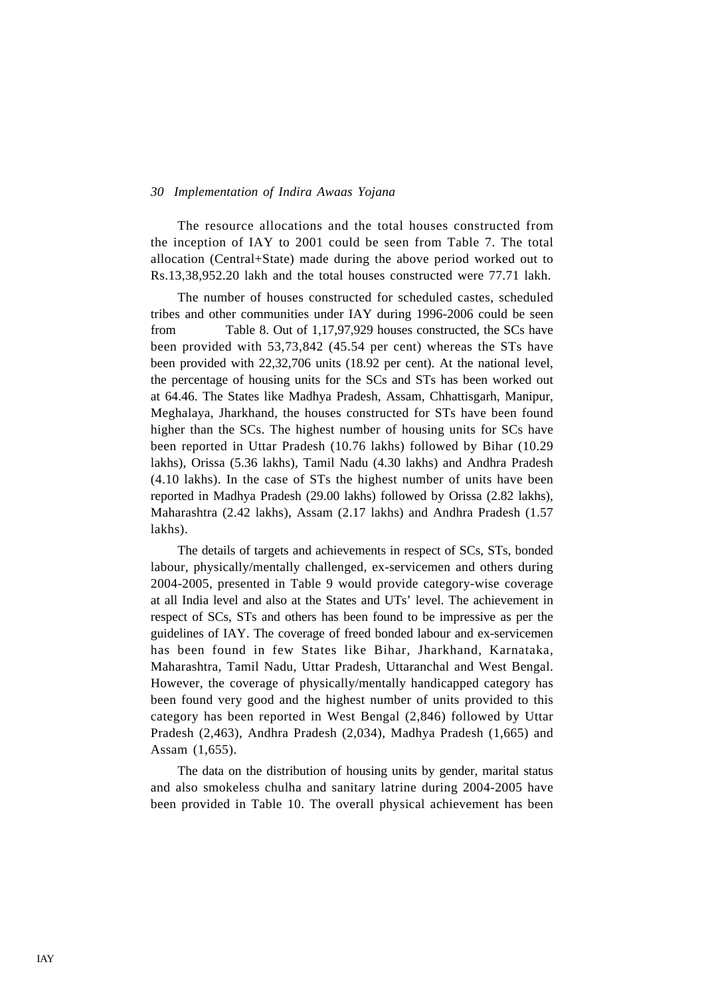The resource allocations and the total houses constructed from the inception of IAY to 2001 could be seen from Table 7. The total allocation (Central+State) made during the above period worked out to Rs.13,38,952.20 lakh and the total houses constructed were 77.71 lakh.

The number of houses constructed for scheduled castes, scheduled tribes and other communities under IAY during 1996-2006 could be seen from Table 8. Out of 1,17,97,929 houses constructed, the SCs have been provided with 53,73,842 (45.54 per cent) whereas the STs have been provided with 22,32,706 units (18.92 per cent). At the national level, the percentage of housing units for the SCs and STs has been worked out at 64.46. The States like Madhya Pradesh, Assam, Chhattisgarh, Manipur, Meghalaya, Jharkhand, the houses constructed for STs have been found higher than the SCs. The highest number of housing units for SCs have been reported in Uttar Pradesh (10.76 lakhs) followed by Bihar (10.29 lakhs), Orissa (5.36 lakhs), Tamil Nadu (4.30 lakhs) and Andhra Pradesh (4.10 lakhs). In the case of STs the highest number of units have been reported in Madhya Pradesh (29.00 lakhs) followed by Orissa (2.82 lakhs), Maharashtra (2.42 lakhs), Assam (2.17 lakhs) and Andhra Pradesh (1.57 lakhs).

The details of targets and achievements in respect of SCs, STs, bonded labour, physically/mentally challenged, ex-servicemen and others during 2004-2005, presented in Table 9 would provide category-wise coverage at all India level and also at the States and UTs' level. The achievement in respect of SCs, STs and others has been found to be impressive as per the guidelines of IAY. The coverage of freed bonded labour and ex-servicemen has been found in few States like Bihar, Jharkhand, Karnataka, Maharashtra, Tamil Nadu, Uttar Pradesh, Uttaranchal and West Bengal. However, the coverage of physically/mentally handicapped category has been found very good and the highest number of units provided to this category has been reported in West Bengal (2,846) followed by Uttar Pradesh (2,463), Andhra Pradesh (2,034), Madhya Pradesh (1,665) and Assam (1,655).

The data on the distribution of housing units by gender, marital status and also smokeless chulha and sanitary latrine during 2004-2005 have been provided in Table 10. The overall physical achievement has been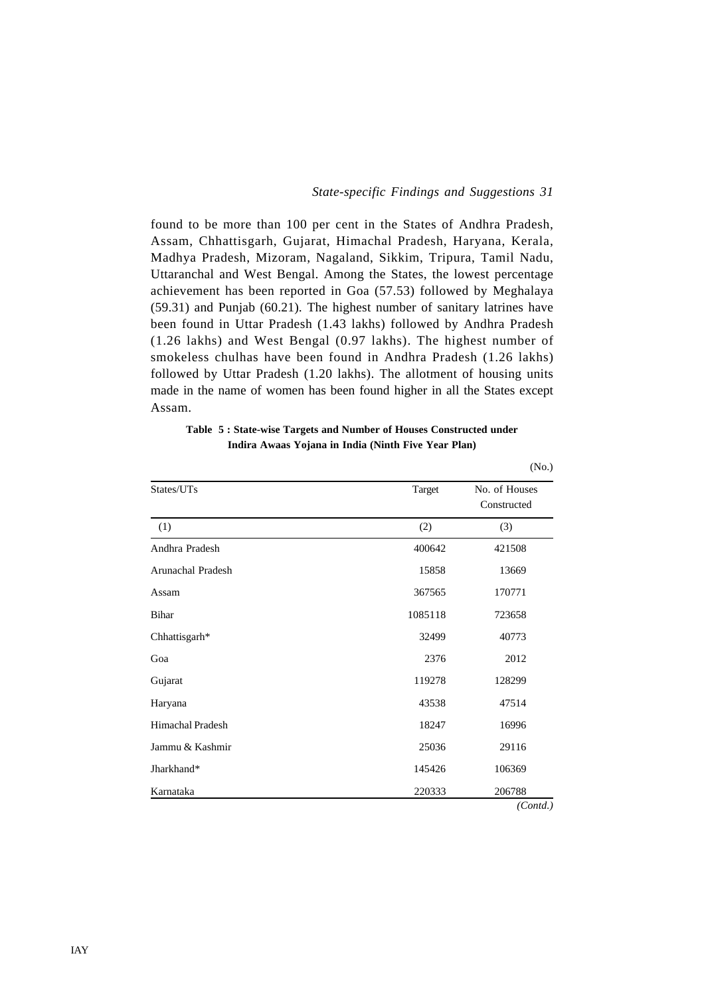found to be more than 100 per cent in the States of Andhra Pradesh, Assam, Chhattisgarh, Gujarat, Himachal Pradesh, Haryana, Kerala, Madhya Pradesh, Mizoram, Nagaland, Sikkim, Tripura, Tamil Nadu, Uttaranchal and West Bengal. Among the States, the lowest percentage achievement has been reported in Goa (57.53) followed by Meghalaya (59.31) and Punjab (60.21). The highest number of sanitary latrines have been found in Uttar Pradesh (1.43 lakhs) followed by Andhra Pradesh (1.26 lakhs) and West Bengal (0.97 lakhs). The highest number of smokeless chulhas have been found in Andhra Pradesh (1.26 lakhs) followed by Uttar Pradesh (1.20 lakhs). The allotment of housing units made in the name of women has been found higher in all the States except Assam.

| Table 5: State-wise Targets and Number of Houses Constructed under |
|--------------------------------------------------------------------|
| Indira Awaas Yojana in India (Ninth Five Year Plan)                |

|                         |         | (No.)                        |
|-------------------------|---------|------------------------------|
| States/UTs              | Target  | No. of Houses<br>Constructed |
| (1)                     | (2)     | (3)                          |
| Andhra Pradesh          | 400642  | 421508                       |
| Arunachal Pradesh       | 15858   | 13669                        |
| Assam                   | 367565  | 170771                       |
| <b>Bihar</b>            | 1085118 | 723658                       |
| Chhattisgarh*           | 32499   | 40773                        |
| Goa                     | 2376    | 2012                         |
| Gujarat                 | 119278  | 128299                       |
| Haryana                 | 43538   | 47514                        |
| <b>Himachal Pradesh</b> | 18247   | 16996                        |
| Jammu & Kashmir         | 25036   | 29116                        |
| Jharkhand*              | 145426  | 106369                       |
| Karnataka               | 220333  | 206788                       |
|                         |         | (Cond.)                      |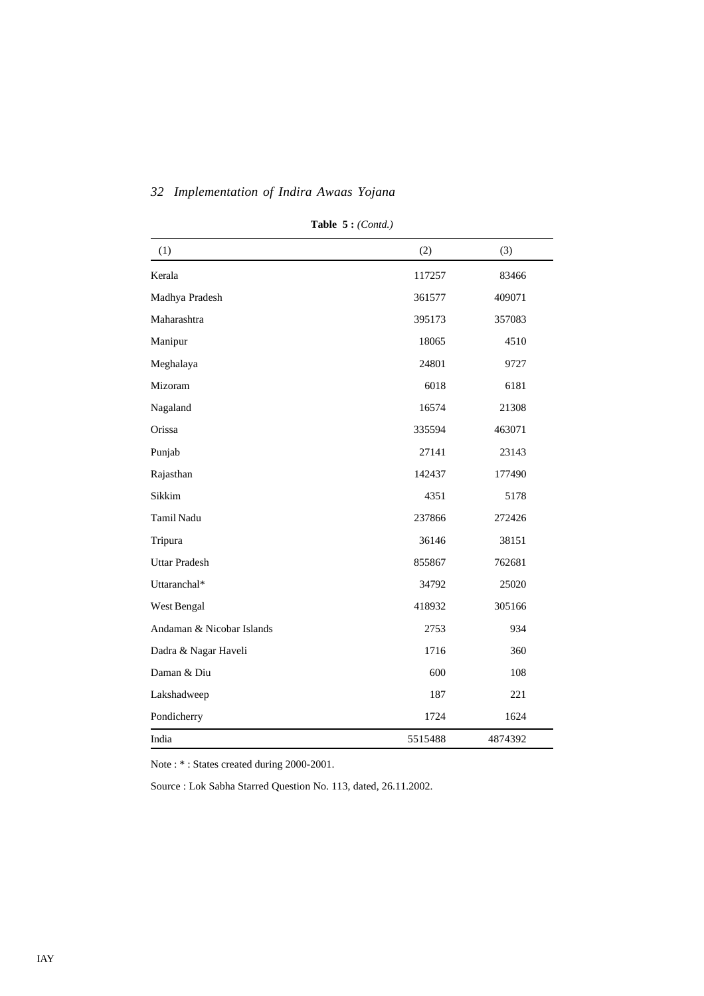| (1)                       | (2)     | (3)     |
|---------------------------|---------|---------|
| Kerala                    | 117257  | 83466   |
| Madhya Pradesh            | 361577  | 409071  |
| Maharashtra               | 395173  | 357083  |
| Manipur                   | 18065   | 4510    |
| Meghalaya                 | 24801   | 9727    |
| Mizoram                   | 6018    | 6181    |
| Nagaland                  | 16574   | 21308   |
| Orissa                    | 335594  | 463071  |
| Punjab                    | 27141   | 23143   |
| Rajasthan                 | 142437  | 177490  |
| Sikkim                    | 4351    | 5178    |
| Tamil Nadu                | 237866  | 272426  |
| Tripura                   | 36146   | 38151   |
| <b>Uttar Pradesh</b>      | 855867  | 762681  |
| Uttaranchal*              | 34792   | 25020   |
| West Bengal               | 418932  | 305166  |
| Andaman & Nicobar Islands | 2753    | 934     |
| Dadra & Nagar Haveli      | 1716    | 360     |
| Daman & Diu               | 600     | 108     |
| Lakshadweep               | 187     | 221     |
| Pondicherry               | 1724    | 1624    |
| India                     | 5515488 | 4874392 |

**Table 5 :** *(Contd.)*

Note : \* : States created during 2000-2001.

Source : Lok Sabha Starred Question No. 113, dated, 26.11.2002.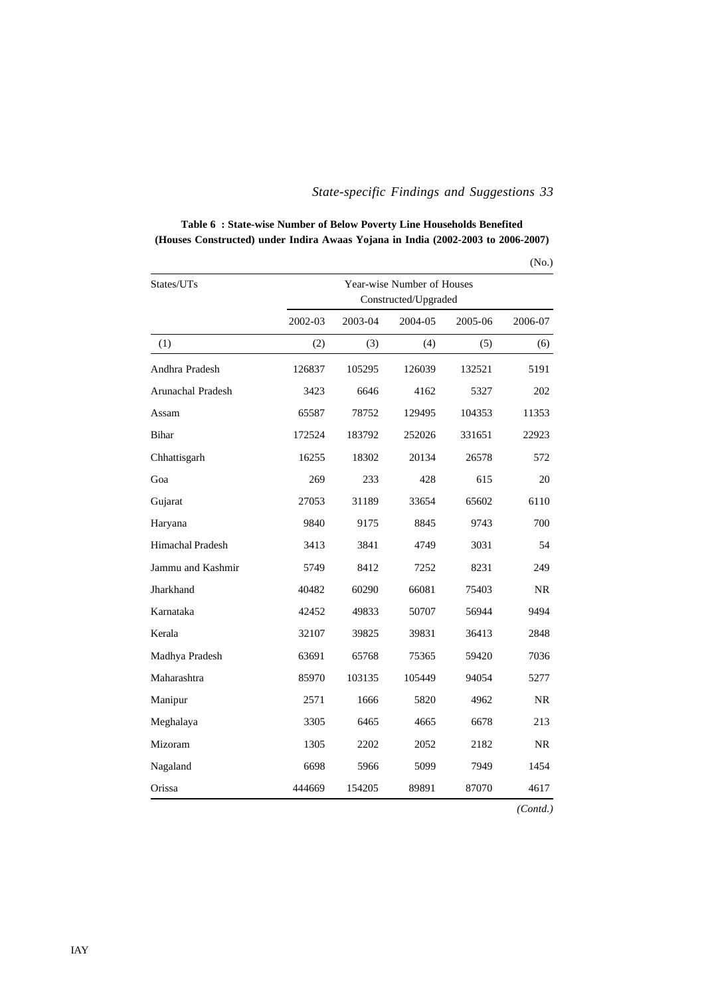| Table 6: State-wise Number of Below Poverty Line Households Benefited            |
|----------------------------------------------------------------------------------|
| (Houses Constructed) under Indira Awaas Yojana in India (2002-2003 to 2006-2007) |

|                         |                            |         |                      |         | (No.)   |  |
|-------------------------|----------------------------|---------|----------------------|---------|---------|--|
| States/UTs              | Year-wise Number of Houses |         |                      |         |         |  |
|                         |                            |         | Constructed/Upgraded |         |         |  |
|                         | 2002-03                    | 2003-04 | 2004-05              | 2005-06 | 2006-07 |  |
| (1)                     | (2)                        | (3)     | (4)                  | (5)     | (6)     |  |
| Andhra Pradesh          | 126837                     | 105295  | 126039               | 132521  | 5191    |  |
| Arunachal Pradesh       | 3423                       | 6646    | 4162                 | 5327    | 202     |  |
| Assam                   | 65587                      | 78752   | 129495               | 104353  | 11353   |  |
| <b>Bihar</b>            | 172524                     | 183792  | 252026               | 331651  | 22923   |  |
| Chhattisgarh            | 16255                      | 18302   | 20134                | 26578   | 572     |  |
| Goa                     | 269                        | 233     | 428                  | 615     | 20      |  |
| Gujarat                 | 27053                      | 31189   | 33654                | 65602   | 6110    |  |
| Haryana                 | 9840                       | 9175    | 8845                 | 9743    | 700     |  |
| <b>Himachal Pradesh</b> | 3413                       | 3841    | 4749                 | 3031    | 54      |  |
| Jammu and Kashmir       | 5749                       | 8412    | 7252                 | 8231    | 249     |  |
| Jharkhand               | 40482                      | 60290   | 66081                | 75403   | NR.     |  |
| Karnataka               | 42452                      | 49833   | 50707                | 56944   | 9494    |  |
| Kerala                  | 32107                      | 39825   | 39831                | 36413   | 2848    |  |
| Madhya Pradesh          | 63691                      | 65768   | 75365                | 59420   | 7036    |  |
| Maharashtra             | 85970                      | 103135  | 105449               | 94054   | 5277    |  |
| Manipur                 | 2571                       | 1666    | 5820                 | 4962    | NR.     |  |
| Meghalaya               | 3305                       | 6465    | 4665                 | 6678    | 213     |  |
| Mizoram                 | 1305                       | 2202    | 2052                 | 2182    | NR.     |  |
| Nagaland                | 6698                       | 5966    | 5099                 | 7949    | 1454    |  |
| Orissa                  | 444669                     | 154205  | 89891                | 87070   | 4617    |  |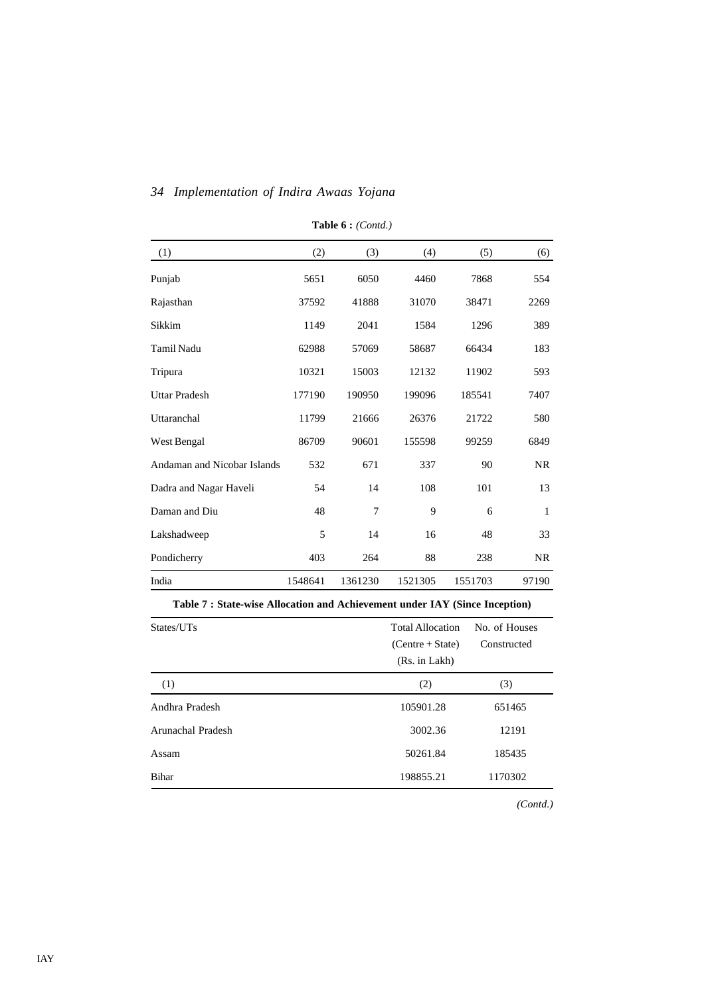| (1)                         | (2)     | (3)     | (4)     | (5)     | (6)          |
|-----------------------------|---------|---------|---------|---------|--------------|
| Punjab                      | 5651    | 6050    | 4460    | 7868    | 554          |
| Rajasthan                   | 37592   | 41888   | 31070   | 38471   | 2269         |
| Sikkim                      | 1149    | 2041    | 1584    | 1296    | 389          |
| Tamil Nadu                  | 62988   | 57069   | 58687   | 66434   | 183          |
| Tripura                     | 10321   | 15003   | 12132   | 11902   | 593          |
| <b>Uttar Pradesh</b>        | 177190  | 190950  | 199096  | 185541  | 7407         |
| Uttaranchal                 | 11799   | 21666   | 26376   | 21722   | 580          |
| West Bengal                 | 86709   | 90601   | 155598  | 99259   | 6849         |
| Andaman and Nicobar Islands | 532     | 671     | 337     | 90      | <b>NR</b>    |
| Dadra and Nagar Haveli      | 54      | 14      | 108     | 101     | 13           |
| Daman and Diu               | 48      | 7       | 9       | 6       | $\mathbf{1}$ |
| Lakshadweep                 | 5       | 14      | 16      | 48      | 33           |
| Pondicherry                 | 403     | 264     | 88      | 238     | <b>NR</b>    |
| India                       | 1548641 | 1361230 | 1521305 | 1551703 | 97190        |

**Table 6 :** *(Contd.)*

## **Table 7 : State-wise Allocation and Achievement under IAY (Since Inception)**

| States/UTs        | <b>Total Allocation</b><br>$(Centre + State)$<br>(Rs. in Lakh) | No. of Houses<br>Constructed |
|-------------------|----------------------------------------------------------------|------------------------------|
| (1)               | (2)                                                            | (3)                          |
| Andhra Pradesh    | 105901.28                                                      | 651465                       |
| Arunachal Pradesh | 3002.36                                                        | 12191                        |
| Assam             | 50261.84                                                       | 185435                       |
| Bihar             | 198855.21                                                      | 1170302                      |
|                   |                                                                |                              |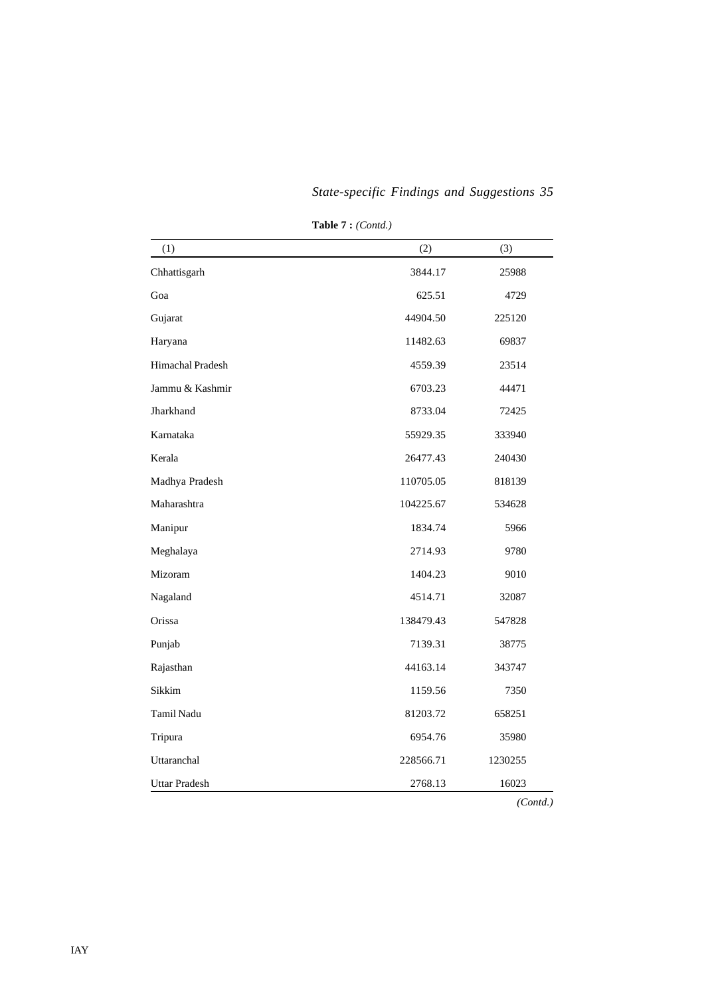| (1)                  | (2)       | (3)     |
|----------------------|-----------|---------|
| Chhattisgarh         | 3844.17   | 25988   |
| Goa                  | 625.51    | 4729    |
| Gujarat              | 44904.50  | 225120  |
| Haryana              | 11482.63  | 69837   |
| Himachal Pradesh     | 4559.39   | 23514   |
| Jammu & Kashmir      | 6703.23   | 44471   |
| Jharkhand            | 8733.04   | 72425   |
| Karnataka            | 55929.35  | 333940  |
| Kerala               | 26477.43  | 240430  |
| Madhya Pradesh       | 110705.05 | 818139  |
| Maharashtra          | 104225.67 | 534628  |
| Manipur              | 1834.74   | 5966    |
| Meghalaya            | 2714.93   | 9780    |
| Mizoram              | 1404.23   | 9010    |
| Nagaland             | 4514.71   | 32087   |
| Orissa               | 138479.43 | 547828  |
| Punjab               | 7139.31   | 38775   |
| Rajasthan            | 44163.14  | 343747  |
| Sikkim               | 1159.56   | 7350    |
| Tamil Nadu           | 81203.72  | 658251  |
| Tripura              | 6954.76   | 35980   |
| Uttaranchal          | 228566.71 | 1230255 |
| <b>Uttar Pradesh</b> | 2768.13   | 16023   |

**Table 7 :** *(Contd.)*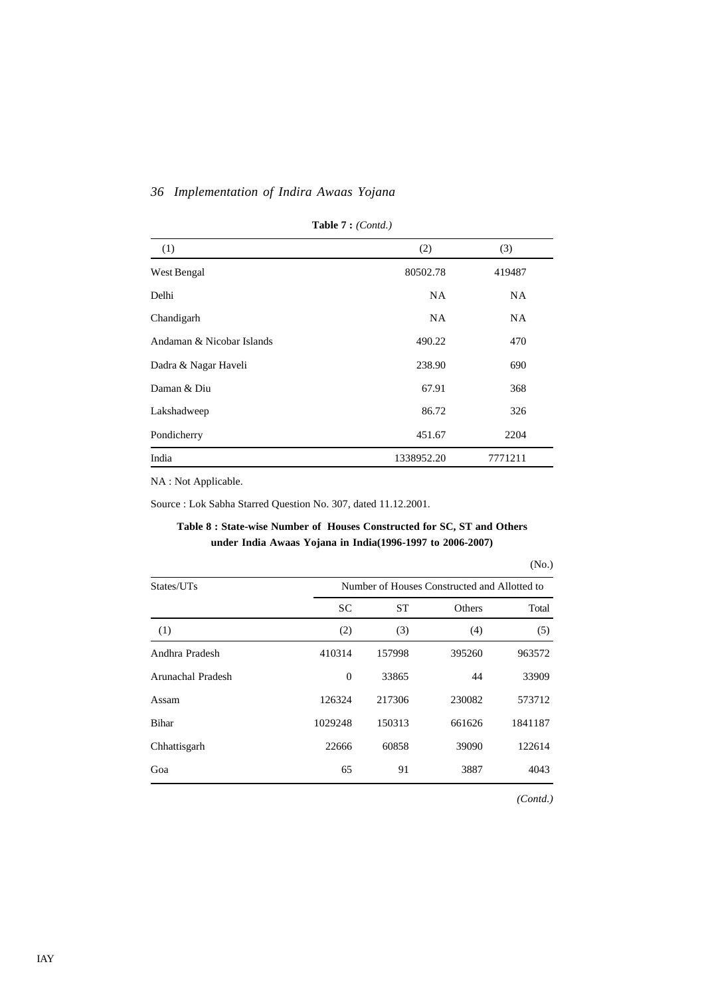| (1)                       | (2)        | (3)       |
|---------------------------|------------|-----------|
| West Bengal               | 80502.78   | 419487    |
| Delhi                     | <b>NA</b>  | <b>NA</b> |
| Chandigarh                | <b>NA</b>  | <b>NA</b> |
| Andaman & Nicobar Islands | 490.22     | 470       |
| Dadra & Nagar Haveli      | 238.90     | 690       |
| Daman & Diu               | 67.91      | 368       |
| Lakshadweep               | 86.72      | 326       |
| Pondicherry               | 451.67     | 2204      |
| India                     | 1338952.20 | 7771211   |

**Table 7 :** *(Contd.)*

NA : Not Applicable.

Source : Lok Sabha Starred Question No. 307, dated 11.12.2001.

## **Table 8 : State-wise Number of Houses Constructed for SC, ST and Others under India Awaas Yojana in India(1996-1997 to 2006-2007)**

#### (No.)

| States/UTs        | Number of Houses Constructed and Allotted to |           |        |         |  |  |
|-------------------|----------------------------------------------|-----------|--------|---------|--|--|
|                   | <b>SC</b>                                    | <b>ST</b> | Others | Total   |  |  |
| (1)               | (2)                                          | (3)       | (4)    | (5)     |  |  |
| Andhra Pradesh    | 410314                                       | 157998    | 395260 | 963572  |  |  |
| Arunachal Pradesh | $\overline{0}$                               | 33865     | 44     | 33909   |  |  |
| Assam             | 126324                                       | 217306    | 230082 | 573712  |  |  |
| <b>Bihar</b>      | 1029248                                      | 150313    | 661626 | 1841187 |  |  |
| Chhattisgarh      | 22666                                        | 60858     | 39090  | 122614  |  |  |
| Goa               | 65                                           | 91        | 3887   | 4043    |  |  |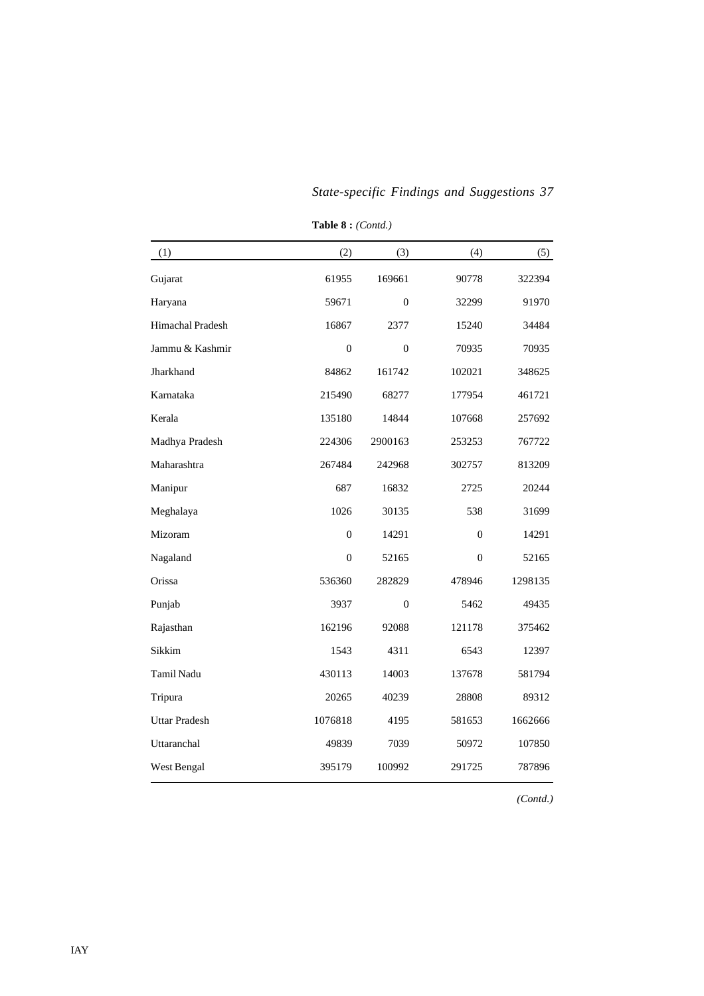| (1)                  | (2)            | (3)            | (4)            | (5)     |
|----------------------|----------------|----------------|----------------|---------|
| Gujarat              | 61955          | 169661         | 90778          | 322394  |
| Haryana              | 59671          | $\Omega$       | 32299          | 91970   |
| Himachal Pradesh     | 16867          | 2377           | 15240          | 34484   |
| Jammu & Kashmir      | $\overline{0}$ | $\Omega$       | 70935          | 70935   |
| Jharkhand            | 84862          | 161742         | 102021         | 348625  |
| Karnataka            | 215490         | 68277          | 177954         | 461721  |
| Kerala               | 135180         | 14844          | 107668         | 257692  |
| Madhya Pradesh       | 224306         | 2900163        | 253253         | 767722  |
| Maharashtra          | 267484         | 242968         | 302757         | 813209  |
| Manipur              | 687            | 16832          | 2725           | 20244   |
| Meghalaya            | 1026           | 30135          | 538            | 31699   |
| Mizoram              | $\mathbf{0}$   | 14291          | $\overline{0}$ | 14291   |
| Nagaland             | $\overline{0}$ | 52165          | $\overline{0}$ | 52165   |
| Orissa               | 536360         | 282829         | 478946         | 1298135 |
| Punjab               | 3937           | $\overline{0}$ | 5462           | 49435   |
| Rajasthan            | 162196         | 92088          | 121178         | 375462  |
| Sikkim               | 1543           | 4311           | 6543           | 12397   |
| Tamil Nadu           | 430113         | 14003          | 137678         | 581794  |
| Tripura              | 20265          | 40239          | 28808          | 89312   |
| <b>Uttar Pradesh</b> | 1076818        | 4195           | 581653         | 1662666 |
| Uttaranchal          | 49839          | 7039           | 50972          | 107850  |
| West Bengal          | 395179         | 100992         | 291725         | 787896  |
|                      |                |                |                |         |

**Table 8 :** *(Contd.)*

*(Contd.)*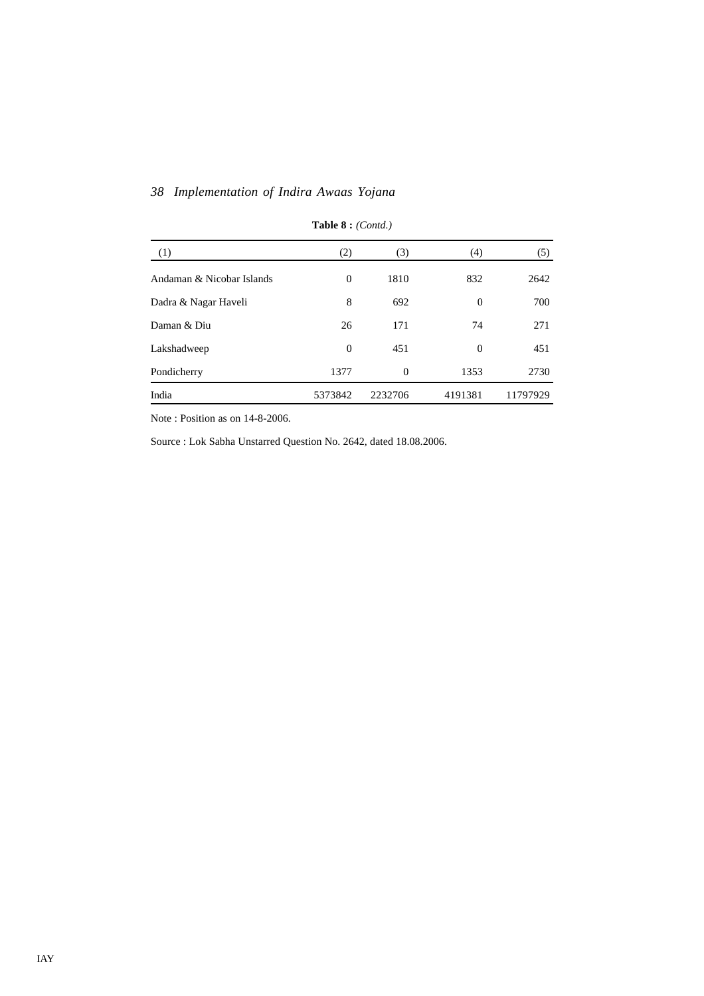| (1)                       | (2)            | (3)      | (4)      | (5)      |
|---------------------------|----------------|----------|----------|----------|
| Andaman & Nicobar Islands | $\overline{0}$ | 1810     | 832      | 2642     |
| Dadra & Nagar Haveli      | 8              | 692      | $\Omega$ | 700      |
| Daman & Diu               | 26             | 171      | 74       | 271      |
| Lakshadweep               | $\overline{0}$ | 451      | $\Omega$ | 451      |
| Pondicherry               | 1377           | $\theta$ | 1353     | 2730     |
| India                     | 5373842        | 2232706  | 4191381  | 11797929 |

# **Table 8 :** *(Contd.)*

Note : Position as on 14-8-2006.

Source : Lok Sabha Unstarred Question No. 2642, dated 18.08.2006.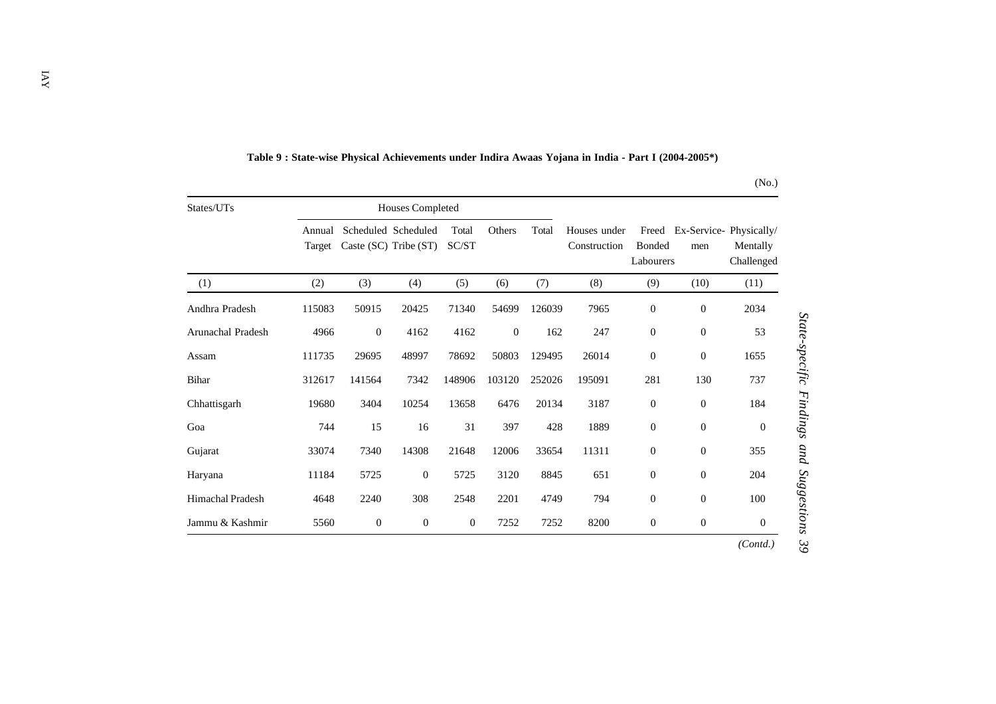| States/UTs              |                  |                  | <b>Houses Completed</b>                      |                |          |        |                              |                                     |                  |                                                  |
|-------------------------|------------------|------------------|----------------------------------------------|----------------|----------|--------|------------------------------|-------------------------------------|------------------|--------------------------------------------------|
|                         | Annual<br>Target |                  | Scheduled Scheduled<br>Caste (SC) Tribe (ST) | Total<br>SC/ST | Others   | Total  | Houses under<br>Construction | Freed<br><b>Bonded</b><br>Labourers | men              | Ex-Service-Physically/<br>Mentally<br>Challenged |
| (1)                     | (2)              | (3)              | (4)                                          | (5)            | (6)      | (7)    | (8)                          | (9)                                 | (10)             | (11)                                             |
| Andhra Pradesh          | 115083           | 50915            | 20425                                        | 71340          | 54699    | 126039 | 7965                         | $\boldsymbol{0}$                    | $\mathbf{0}$     | 2034                                             |
| Arunachal Pradesh       | 4966             | $\boldsymbol{0}$ | 4162                                         | 4162           | $\theta$ | 162    | 247                          | $\boldsymbol{0}$                    | $\boldsymbol{0}$ | 53                                               |
| Assam                   | 111735           | 29695            | 48997                                        | 78692          | 50803    | 129495 | 26014                        | $\boldsymbol{0}$                    | $\boldsymbol{0}$ | 1655                                             |
| Bihar                   | 312617           | 141564           | 7342                                         | 148906         | 103120   | 252026 | 195091                       | 281                                 | 130              | 737                                              |
| Chhattisgarh            | 19680            | 3404             | 10254                                        | 13658          | 6476     | 20134  | 3187                         | $\boldsymbol{0}$                    | $\boldsymbol{0}$ | 184                                              |
| Goa                     | 744              | 15               | 16                                           | 31             | 397      | 428    | 1889                         | $\theta$                            | $\mathbf{0}$     | $\Omega$                                         |
| Gujarat                 | 33074            | 7340             | 14308                                        | 21648          | 12006    | 33654  | 11311                        | $\boldsymbol{0}$                    | $\boldsymbol{0}$ | 355                                              |
| Haryana                 | 11184            | 5725             | $\theta$                                     | 5725           | 3120     | 8845   | 651                          | $\mathbf{0}$                        | $\mathbf{0}$     | 204                                              |
| <b>Himachal Pradesh</b> | 4648             | 2240             | 308                                          | 2548           | 2201     | 4749   | 794                          | $\boldsymbol{0}$                    | $\boldsymbol{0}$ | 100                                              |
| Jammu & Kashmir         | 5560             | $\boldsymbol{0}$ | $\mathbf{0}$                                 | $\mathbf{0}$   | 7252     | 7252   | 8200                         | $\mathbf{0}$                        | $\boldsymbol{0}$ | $\Omega$                                         |
|                         |                  |                  |                                              |                |          |        |                              |                                     |                  | (Contd.)                                         |

## **Table 9 : State-wise Physical Achievements under Indira Awaas Yojana in India - Part I (2004-2005\*)**

(No.)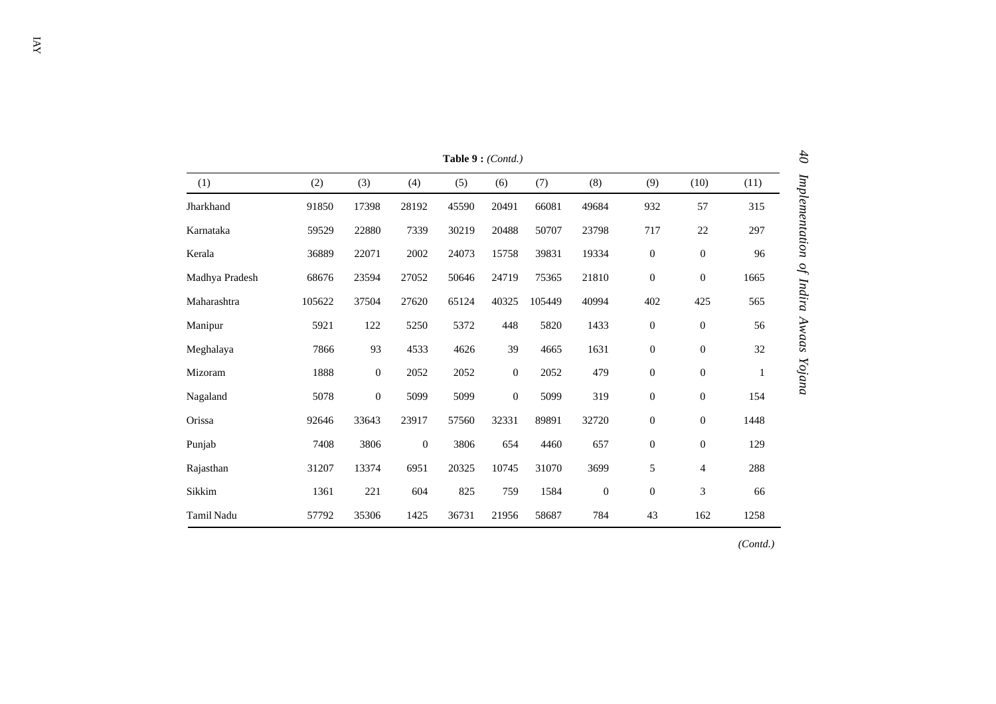|                | Table 9: (Contd.) |                  |              |       |                  |        |                  |                  |                  |      |  |  |
|----------------|-------------------|------------------|--------------|-------|------------------|--------|------------------|------------------|------------------|------|--|--|
| (1)            | (2)               | (3)              | (4)          | (5)   | (6)              | (7)    | (8)              | (9)              | (10)             | (11) |  |  |
| Jharkhand      | 91850             | 17398            | 28192        | 45590 | 20491            | 66081  | 49684            | 932              | 57               | 315  |  |  |
| Karnataka      | 59529             | 22880            | 7339         | 30219 | 20488            | 50707  | 23798            | 717              | $22\,$           | 297  |  |  |
| Kerala         | 36889             | 22071            | 2002         | 24073 | 15758            | 39831  | 19334            | $\boldsymbol{0}$ | $\boldsymbol{0}$ | 96   |  |  |
| Madhya Pradesh | 68676             | 23594            | 27052        | 50646 | 24719            | 75365  | 21810            | $\boldsymbol{0}$ | $\boldsymbol{0}$ | 1665 |  |  |
| Maharashtra    | 105622            | 37504            | 27620        | 65124 | 40325            | 105449 | 40994            | 402              | 425              | 565  |  |  |
| Manipur        | 5921              | 122              | 5250         | 5372  | 448              | 5820   | 1433             | $\boldsymbol{0}$ | $\mathbf{0}$     | 56   |  |  |
| Meghalaya      | 7866              | 93               | 4533         | 4626  | 39               | 4665   | 1631             | $\boldsymbol{0}$ | $\boldsymbol{0}$ | 32   |  |  |
| Mizoram        | 1888              | $\boldsymbol{0}$ | 2052         | 2052  | $\boldsymbol{0}$ | 2052   | 479              | $\boldsymbol{0}$ | $\boldsymbol{0}$ | 1    |  |  |
| Nagaland       | 5078              | $\theta$         | 5099         | 5099  | $\overline{0}$   | 5099   | 319              | $\boldsymbol{0}$ | $\boldsymbol{0}$ | 154  |  |  |
| Orissa         | 92646             | 33643            | 23917        | 57560 | 32331            | 89891  | 32720            | $\boldsymbol{0}$ | $\boldsymbol{0}$ | 1448 |  |  |
| Punjab         | 7408              | 3806             | $\mathbf{0}$ | 3806  | 654              | 4460   | 657              | $\boldsymbol{0}$ | $\boldsymbol{0}$ | 129  |  |  |
| Rajasthan      | 31207             | 13374            | 6951         | 20325 | 10745            | 31070  | 3699             | 5                | $\overline{4}$   | 288  |  |  |
| Sikkim         | 1361              | 221              | 604          | 825   | 759              | 1584   | $\boldsymbol{0}$ | $\boldsymbol{0}$ | 3                | 66   |  |  |
| Tamil Nadu     | 57792             | 35306            | 1425         | 36731 | 21956            | 58687  | 784              | 43               | 162              | 1258 |  |  |

*(Contd.)*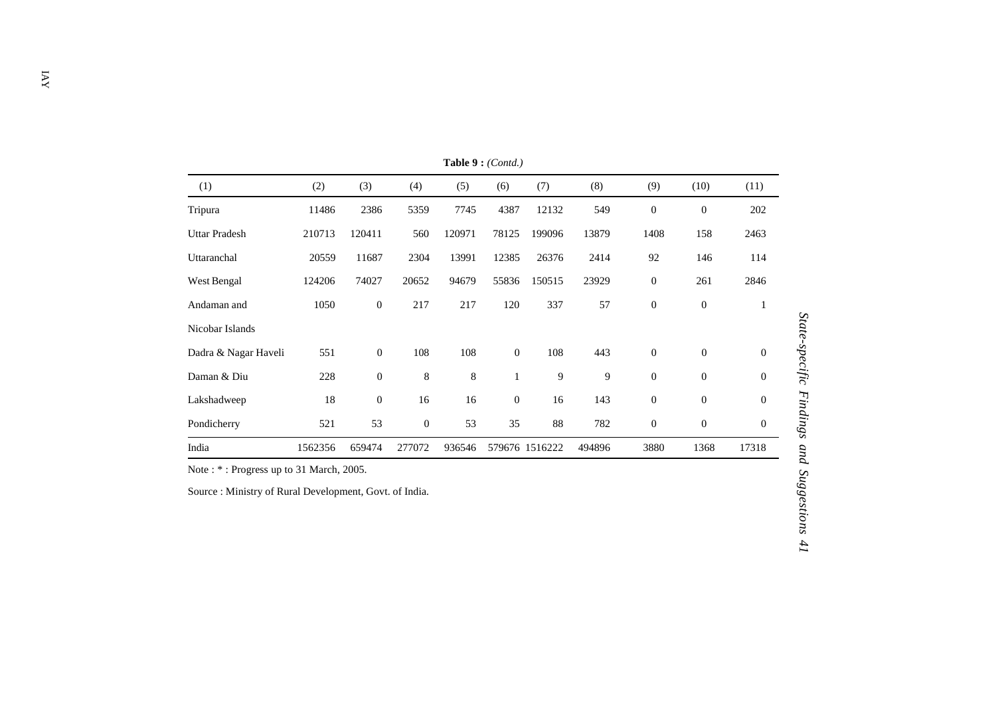| (1)                  | (2)     | (3)              | (4)          | (5)    | (6)            | (7)            | (8)    | (9)              | (10)             | (11)             |
|----------------------|---------|------------------|--------------|--------|----------------|----------------|--------|------------------|------------------|------------------|
| Tripura              | 11486   | 2386             | 5359         | 7745   | 4387           | 12132          | 549    | $\boldsymbol{0}$ | $\mathbf{0}$     | 202              |
| <b>Uttar Pradesh</b> | 210713  | 120411           | 560          | 120971 | 78125          | 199096         | 13879  | 1408             | 158              | 2463             |
| Uttaranchal          | 20559   | 11687            | 2304         | 13991  | 12385          | 26376          | 2414   | 92               | 146              | 114              |
| West Bengal          | 124206  | 74027            | 20652        | 94679  | 55836          | 150515         | 23929  | $\boldsymbol{0}$ | 261              | 2846             |
| Andaman and          | 1050    | $\mathbf{0}$     | 217          | 217    | 120            | 337            | 57     | $\boldsymbol{0}$ | $\boldsymbol{0}$ | 1                |
| Nicobar Islands      |         |                  |              |        |                |                |        |                  |                  |                  |
| Dadra & Nagar Haveli | 551     | $\boldsymbol{0}$ | 108          | 108    | $\overline{0}$ | 108            | 443    | $\boldsymbol{0}$ | $\overline{0}$   | $\theta$         |
| Daman & Diu          | 228     | $\boldsymbol{0}$ | 8            | 8      | $\mathbf{1}$   | 9              | 9      | $\boldsymbol{0}$ | $\theta$         | $\overline{0}$   |
| Lakshadweep          | 18      | $\boldsymbol{0}$ | 16           | 16     | $\theta$       | 16             | 143    | $\boldsymbol{0}$ | $\theta$         | $\mathbf{0}$     |
| Pondicherry          | 521     | 53               | $\mathbf{0}$ | 53     | 35             | 88             | 782    | $\boldsymbol{0}$ | $\boldsymbol{0}$ | $\boldsymbol{0}$ |
| India                | 1562356 | 659474           | 277072       | 936546 |                | 579676 1516222 | 494896 | 3880             | 1368             | 17318            |

**Table 9 :** *(Contd.)*

Note : \* : Progress up to 31 March, 2005.

Source : Ministry of Rural Development, Govt. of India.

State-specific Findings and Suggestions 41 *State-specific Findings and Suggestions 41*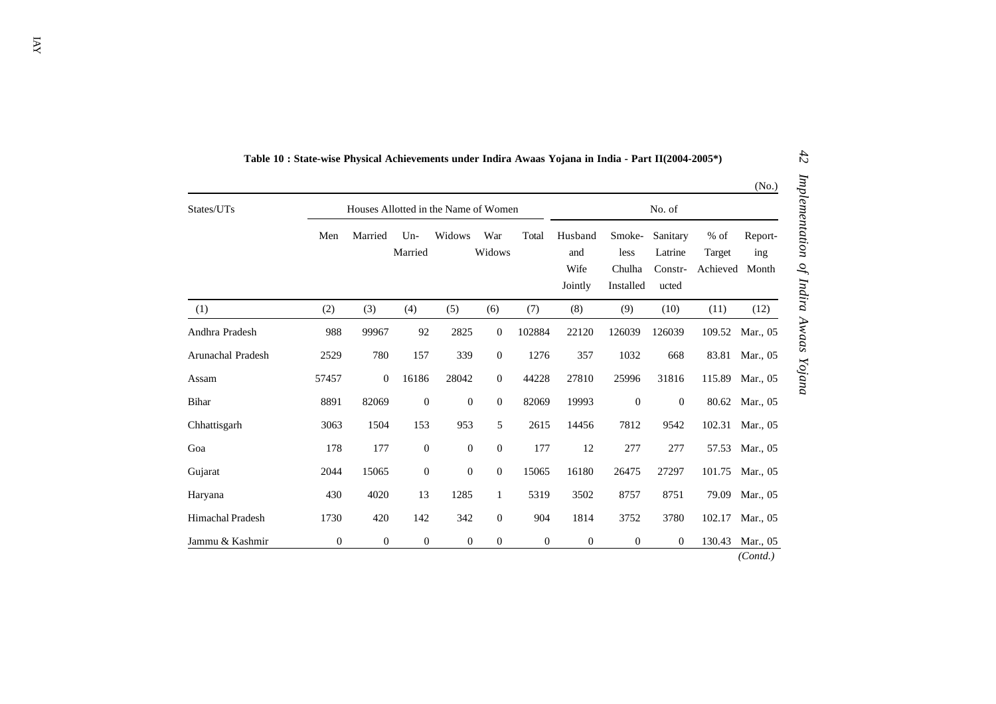| States/UTs        |              | Houses Allotted in the Name of Women | No. of           |                  |               |        |                                   |                                       |                                         |                              |                         |
|-------------------|--------------|--------------------------------------|------------------|------------------|---------------|--------|-----------------------------------|---------------------------------------|-----------------------------------------|------------------------------|-------------------------|
|                   | Men          | Married                              | $Un-$<br>Married | Widows           | War<br>Widows | Total  | Husband<br>and<br>Wife<br>Jointly | Smoke-<br>less<br>Chulha<br>Installed | Sanitary<br>Latrine<br>Constr-<br>ucted | $%$ of<br>Target<br>Achieved | Report-<br>ing<br>Month |
| (1)               | (2)          | (3)                                  | (4)              | (5)              | (6)           | (7)    | (8)                               | (9)                                   | (10)                                    | (11)                         | (12)                    |
| Andhra Pradesh    | 988          | 99967                                | 92               | 2825             | $\theta$      | 102884 | 22120                             | 126039                                | 126039                                  | 109.52                       | Mar., 05                |
| Arunachal Pradesh | 2529         | 780                                  | 157              | 339              | $\mathbf{0}$  | 1276   | 357                               | 1032                                  | 668                                     | 83.81                        | Mar., 05                |
| Assam             | 57457        | $\mathbf{0}$                         | 16186            | 28042            | $\mathbf{0}$  | 44228  | 27810                             | 25996                                 | 31816                                   | 115.89                       | Mar., 05                |
| Bihar             | 8891         | 82069                                | $\boldsymbol{0}$ | $\boldsymbol{0}$ | $\mathbf{0}$  | 82069  | 19993                             | $\boldsymbol{0}$                      | $\overline{0}$                          | 80.62                        | Mar., 05                |
| Chhattisgarh      | 3063         | 1504                                 | 153              | 953              | 5             | 2615   | 14456                             | 7812                                  | 9542                                    | 102.31                       | Mar., 05                |
| Goa               | 178          | 177                                  | $\mathbf{0}$     | $\mathbf{0}$     | $\mathbf{0}$  | 177    | 12                                | 277                                   | 277                                     | 57.53                        | Mar., 05                |
| Gujarat           | 2044         | 15065                                | $\mathbf{0}$     | $\mathbf{0}$     | $\theta$      | 15065  | 16180                             | 26475                                 | 27297                                   | 101.75                       | Mar., 05                |
| Haryana           | 430          | 4020                                 | 13               | 1285             | $\mathbf{1}$  | 5319   | 3502                              | 8757                                  | 8751                                    | 79.09                        | Mar., 05                |
| Himachal Pradesh  | 1730         | 420                                  | 142              | 342              | $\theta$      | 904    | 1814                              | 3752                                  | 3780                                    | 102.17                       | Mar., 05                |
| Jammu & Kashmir   | $\mathbf{0}$ | $\mathbf{0}$                         | $\mathbf{0}$     | $\boldsymbol{0}$ | $\mathbf{0}$  | 0      | $\mathbf{0}$                      | $\mathbf{0}$                          | $\mathbf{0}$                            | 130.43                       | Mar., 05                |

**Table 10 : State-wise Physical Achievements under Indira Awaas Yojana in India - Part II(2004-2005\*)**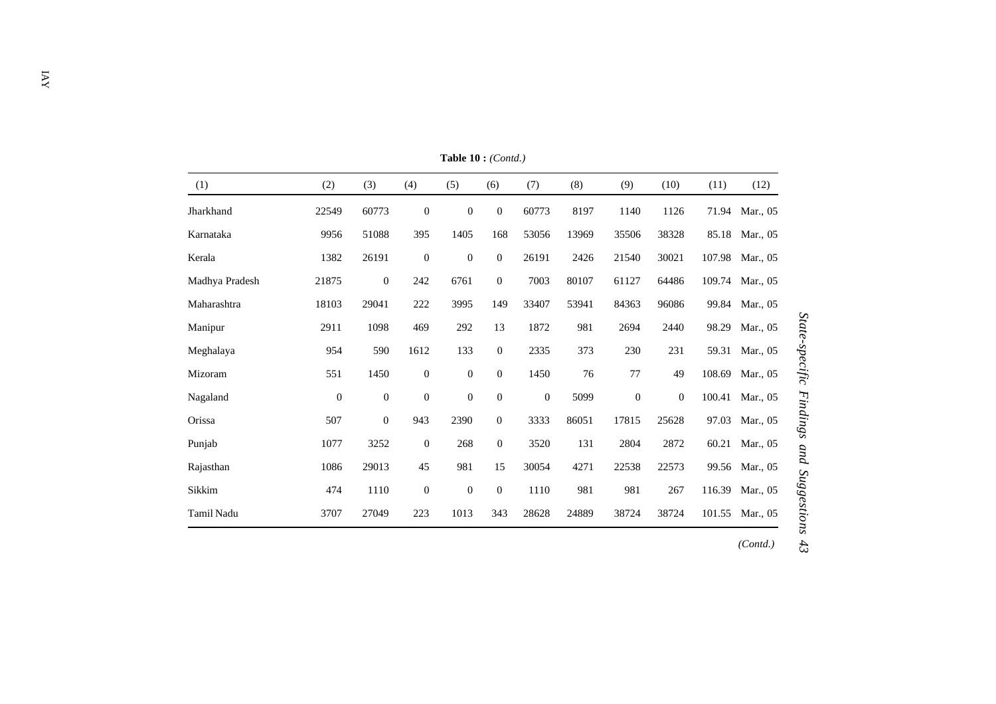| (1)            | (2)          | (3)              | (4)              | (5)              | (6)              | (7)          | (8)   | (9)              | (10)             | (11)   | (12)     |
|----------------|--------------|------------------|------------------|------------------|------------------|--------------|-------|------------------|------------------|--------|----------|
| Jharkhand      | 22549        | 60773            | $\mathbf{0}$     | $\boldsymbol{0}$ | $\mathbf{0}$     | 60773        | 8197  | 1140             | 1126             | 71.94  | Mar., 05 |
| Karnataka      | 9956         | 51088            | 395              | 1405             | 168              | 53056        | 13969 | 35506            | 38328            | 85.18  | Mar., 05 |
| Kerala         | 1382         | 26191            | $\mathbf{0}$     | $\boldsymbol{0}$ | $\overline{0}$   | 26191        | 2426  | 21540            | 30021            | 107.98 | Mar., 05 |
| Madhya Pradesh | 21875        | $\boldsymbol{0}$ | 242              | 6761             | $\boldsymbol{0}$ | 7003         | 80107 | 61127            | 64486            | 109.74 | Mar., 05 |
| Maharashtra    | 18103        | 29041            | 222              | 3995             | 149              | 33407        | 53941 | 84363            | 96086            | 99.84  | Mar., 05 |
| Manipur        | 2911         | 1098             | 469              | 292              | 13               | 1872         | 981   | 2694             | 2440             | 98.29  | Mar., 05 |
| Meghalaya      | 954          | 590              | 1612             | 133              | $\overline{0}$   | 2335         | 373   | 230              | 231              | 59.31  | Mar., 05 |
| Mizoram        | 551          | 1450             | $\boldsymbol{0}$ | $\boldsymbol{0}$ | $\mathbf{0}$     | 1450         | 76    | $77 \,$          | 49               | 108.69 | Mar., 05 |
| Nagaland       | $\mathbf{0}$ | $\mathbf{0}$     | $\mathbf{0}$     | $\boldsymbol{0}$ | $\mathbf{0}$     | $\mathbf{0}$ | 5099  | $\boldsymbol{0}$ | $\boldsymbol{0}$ | 100.41 | Mar., 05 |
| Orissa         | 507          | $\boldsymbol{0}$ | 943              | 2390             | $\boldsymbol{0}$ | 3333         | 86051 | 17815            | 25628            | 97.03  | Mar., 05 |
| Punjab         | 1077         | 3252             | $\boldsymbol{0}$ | 268              | $\mathbf{0}$     | 3520         | 131   | 2804             | 2872             | 60.21  | Mar., 05 |
| Rajasthan      | 1086         | 29013            | 45               | 981              | 15               | 30054        | 4271  | 22538            | 22573            | 99.56  | Mar., 05 |
| Sikkim         | 474          | 1110             | $\mathbf{0}$     | $\boldsymbol{0}$ | $\theta$         | 1110         | 981   | 981              | 267              | 116.39 | Mar., 05 |
| Tamil Nadu     | 3707         | 27049            | 223              | 1013             | 343              | 28628        | 24889 | 38724            | 38724            | 101.55 | Mar., 05 |

**Table 10 :** *(Contd.)*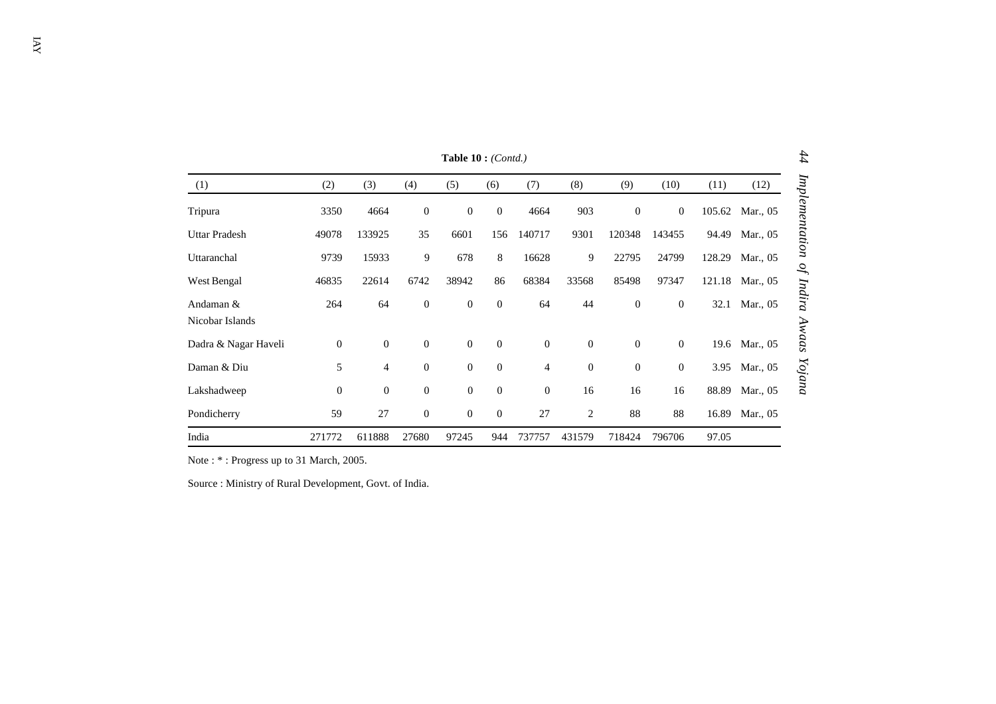|                              | 44<br>Table $10:(\text{Cont}.)$ |                  |                  |                  |                |                  |                  |                  |                  |        |               |                |
|------------------------------|---------------------------------|------------------|------------------|------------------|----------------|------------------|------------------|------------------|------------------|--------|---------------|----------------|
| (1)                          | (2)                             | (3)              | (4)              | (5)              | (6)            | (7)              | (8)              | (9)              | (10)             | (11)   | (12)          |                |
| Tripura                      | 3350                            | 4664             | $\mathbf{0}$     | $\boldsymbol{0}$ | $\mathbf{0}$   | 4664             | 903              | $\boldsymbol{0}$ | $\boldsymbol{0}$ | 105.62 | Mar., 05      | Implementation |
| <b>Uttar Pradesh</b>         | 49078                           | 133925           | 35               | 6601             | 156            | 140717           | 9301             | 120348           | 143455           | 94.49  | Mar., 05      |                |
| Uttaranchal                  | 9739                            | 15933            | 9                | 678              | 8              | 16628            | 9                | 22795            | 24799            | 128.29 | Mar., 05      | $\mathcal{O}$  |
| West Bengal                  | 46835                           | 22614            | 6742             | 38942            | 86             | 68384            | 33568            | 85498            | 97347            | 121.18 | Mar., 05      |                |
| Andaman &<br>Nicobar Islands | 264                             | 64               | $\mathbf{0}$     | $\boldsymbol{0}$ | $\overline{0}$ | 64               | 44               | $\mathbf{0}$     | $\boldsymbol{0}$ | 32.1   | Mar., 05      | Indira         |
| Dadra & Nagar Haveli         | $\boldsymbol{0}$                | $\boldsymbol{0}$ | $\theta$         | $\boldsymbol{0}$ | $\mathbf{0}$   | $\mathbf{0}$     | $\boldsymbol{0}$ | $\boldsymbol{0}$ | $\overline{0}$   |        | 19.6 Mar., 05 | Awaas          |
| Daman & Diu                  | 5                               | 4                | $\mathbf{0}$     | $\boldsymbol{0}$ | $\mathbf{0}$   | $\overline{4}$   | $\boldsymbol{0}$ | $\boldsymbol{0}$ | $\boldsymbol{0}$ | 3.95   | Mar., 05      | Yojana         |
| Lakshadweep                  | $\boldsymbol{0}$                | $\boldsymbol{0}$ | $\mathbf{0}$     | $\boldsymbol{0}$ | $\mathbf{0}$   | $\boldsymbol{0}$ | 16               | 16               | 16               | 88.89  | Mar., 05      |                |
| Pondicherry                  | 59                              | 27               | $\boldsymbol{0}$ | $\boldsymbol{0}$ | $\mathbf{0}$   | 27               | $\overline{c}$   | 88               | 88               | 16.89  | Mar., 05      |                |
| India                        | 271772                          | 611888           | 27680            | 97245            | 944            | 737757           | 431579           | 718424           | 796706           | 97.05  |               |                |

Note : \* : Progress up to 31 March, 2005.

Source : Ministry of Rural Development, Govt. of India.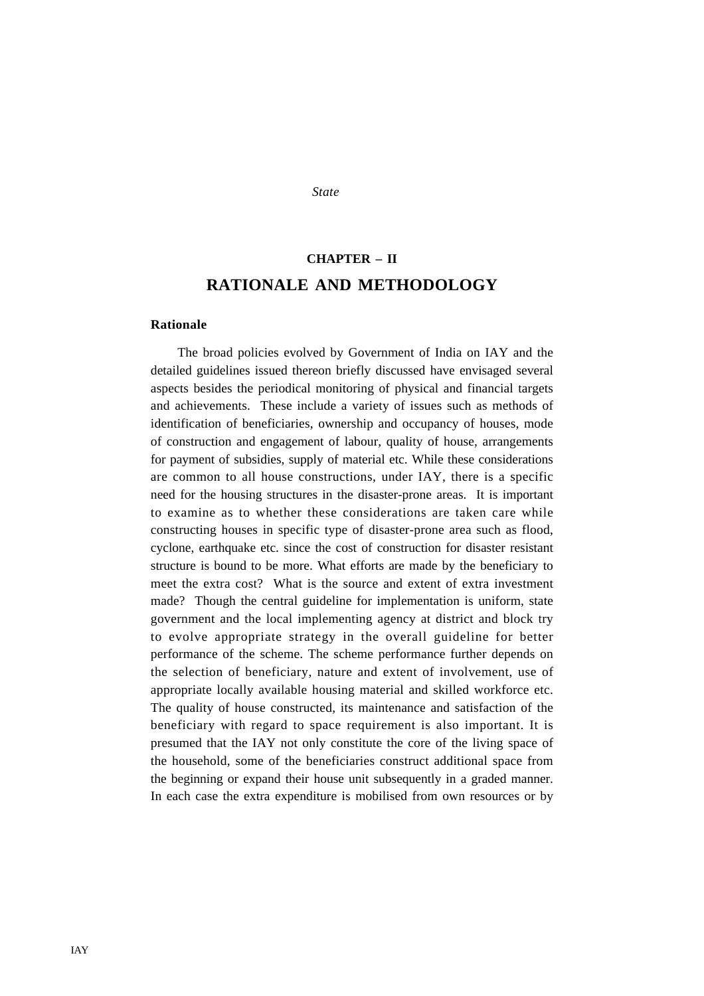#### *State-specific Findings and Suggestions and Suggestions 45*

# **CHAPTER – II RATIONALE AND METHODOLOGY**

### **Rationale**

The broad policies evolved by Government of India on IAY and the detailed guidelines issued thereon briefly discussed have envisaged several aspects besides the periodical monitoring of physical and financial targets and achievements. These include a variety of issues such as methods of identification of beneficiaries, ownership and occupancy of houses, mode of construction and engagement of labour, quality of house, arrangements for payment of subsidies, supply of material etc. While these considerations are common to all house constructions, under IAY, there is a specific need for the housing structures in the disaster-prone areas. It is important to examine as to whether these considerations are taken care while constructing houses in specific type of disaster-prone area such as flood, cyclone, earthquake etc. since the cost of construction for disaster resistant structure is bound to be more. What efforts are made by the beneficiary to meet the extra cost? What is the source and extent of extra investment made? Though the central guideline for implementation is uniform, state government and the local implementing agency at district and block try to evolve appropriate strategy in the overall guideline for better performance of the scheme. The scheme performance further depends on the selection of beneficiary, nature and extent of involvement, use of appropriate locally available housing material and skilled workforce etc. The quality of house constructed, its maintenance and satisfaction of the beneficiary with regard to space requirement is also important. It is presumed that the IAY not only constitute the core of the living space of the household, some of the beneficiaries construct additional space from the beginning or expand their house unit subsequently in a graded manner. In each case the extra expenditure is mobilised from own resources or by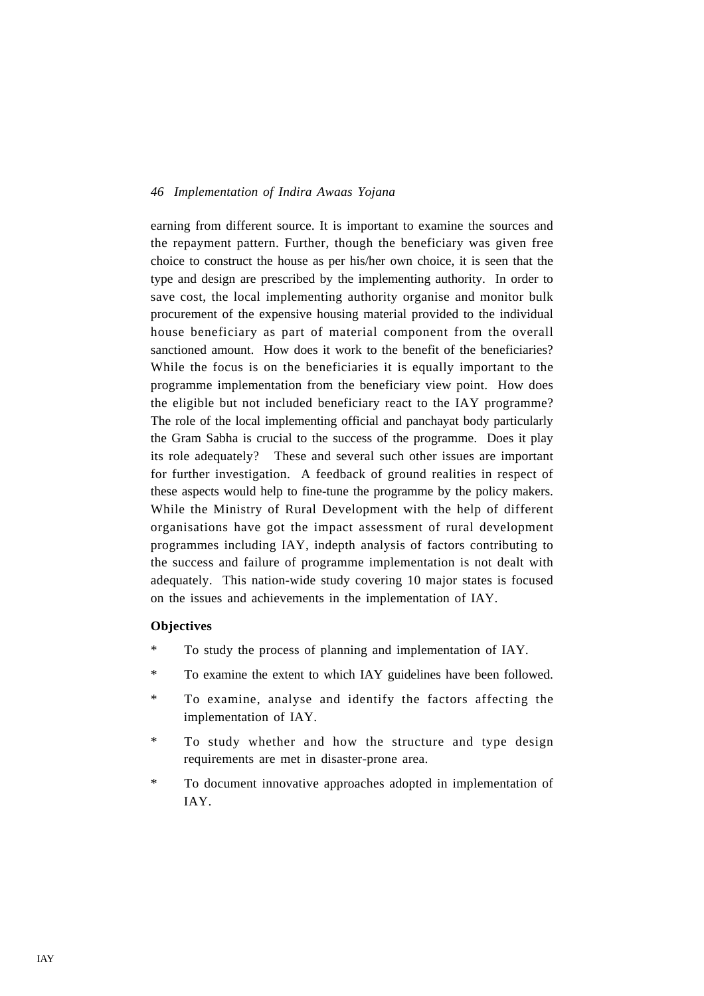earning from different source. It is important to examine the sources and the repayment pattern. Further, though the beneficiary was given free choice to construct the house as per his/her own choice, it is seen that the type and design are prescribed by the implementing authority. In order to save cost, the local implementing authority organise and monitor bulk procurement of the expensive housing material provided to the individual house beneficiary as part of material component from the overall sanctioned amount. How does it work to the benefit of the beneficiaries? While the focus is on the beneficiaries it is equally important to the programme implementation from the beneficiary view point. How does the eligible but not included beneficiary react to the IAY programme? The role of the local implementing official and panchayat body particularly the Gram Sabha is crucial to the success of the programme. Does it play its role adequately? These and several such other issues are important for further investigation. A feedback of ground realities in respect of these aspects would help to fine-tune the programme by the policy makers. While the Ministry of Rural Development with the help of different organisations have got the impact assessment of rural development programmes including IAY, indepth analysis of factors contributing to the success and failure of programme implementation is not dealt with adequately. This nation-wide study covering 10 major states is focused on the issues and achievements in the implementation of IAY.

### **Objectives**

- \* To study the process of planning and implementation of IAY.
- \* To examine the extent to which IAY guidelines have been followed.
- \* To examine, analyse and identify the factors affecting the implementation of IAY.
- \* To study whether and how the structure and type design requirements are met in disaster-prone area.
- \* To document innovative approaches adopted in implementation of IAY.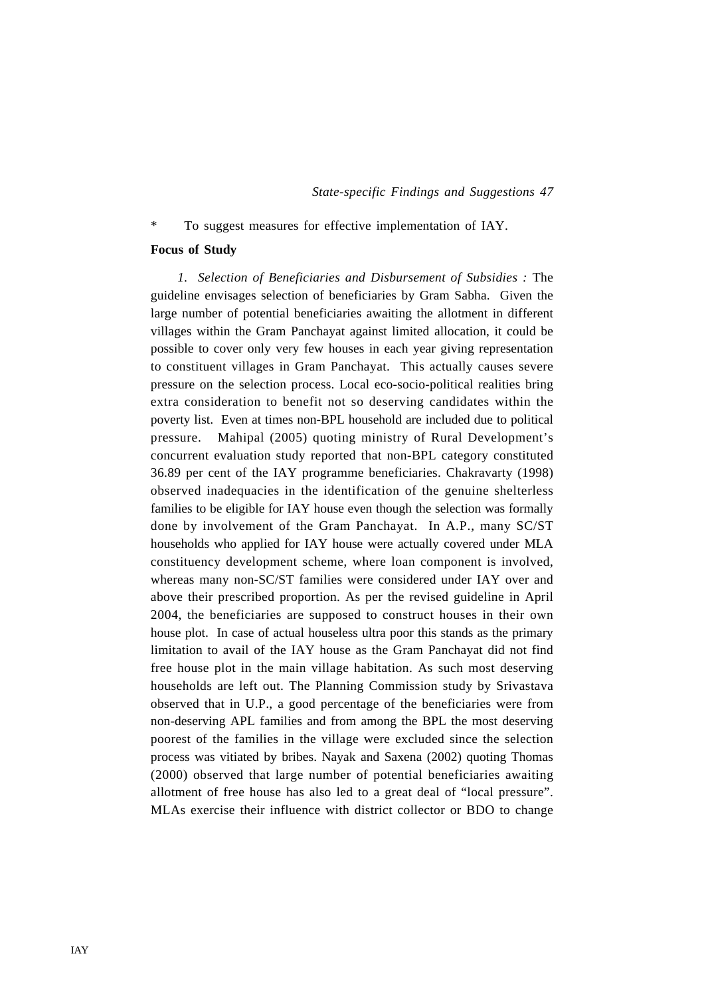### \* To suggest measures for effective implementation of IAY.

### **Focus of Study**

*1. Selection of Beneficiaries and Disbursement of Subsidies :* The guideline envisages selection of beneficiaries by Gram Sabha. Given the large number of potential beneficiaries awaiting the allotment in different villages within the Gram Panchayat against limited allocation, it could be possible to cover only very few houses in each year giving representation to constituent villages in Gram Panchayat. This actually causes severe pressure on the selection process. Local eco-socio-political realities bring extra consideration to benefit not so deserving candidates within the poverty list. Even at times non-BPL household are included due to political pressure. Mahipal (2005) quoting ministry of Rural Development's concurrent evaluation study reported that non-BPL category constituted 36.89 per cent of the IAY programme beneficiaries. Chakravarty (1998) observed inadequacies in the identification of the genuine shelterless families to be eligible for IAY house even though the selection was formally done by involvement of the Gram Panchayat. In A.P., many SC/ST households who applied for IAY house were actually covered under MLA constituency development scheme, where loan component is involved, whereas many non-SC/ST families were considered under IAY over and above their prescribed proportion. As per the revised guideline in April 2004, the beneficiaries are supposed to construct houses in their own house plot. In case of actual houseless ultra poor this stands as the primary limitation to avail of the IAY house as the Gram Panchayat did not find free house plot in the main village habitation. As such most deserving households are left out. The Planning Commission study by Srivastava observed that in U.P., a good percentage of the beneficiaries were from non-deserving APL families and from among the BPL the most deserving poorest of the families in the village were excluded since the selection process was vitiated by bribes. Nayak and Saxena (2002) quoting Thomas (2000) observed that large number of potential beneficiaries awaiting allotment of free house has also led to a great deal of "local pressure". MLAs exercise their influence with district collector or BDO to change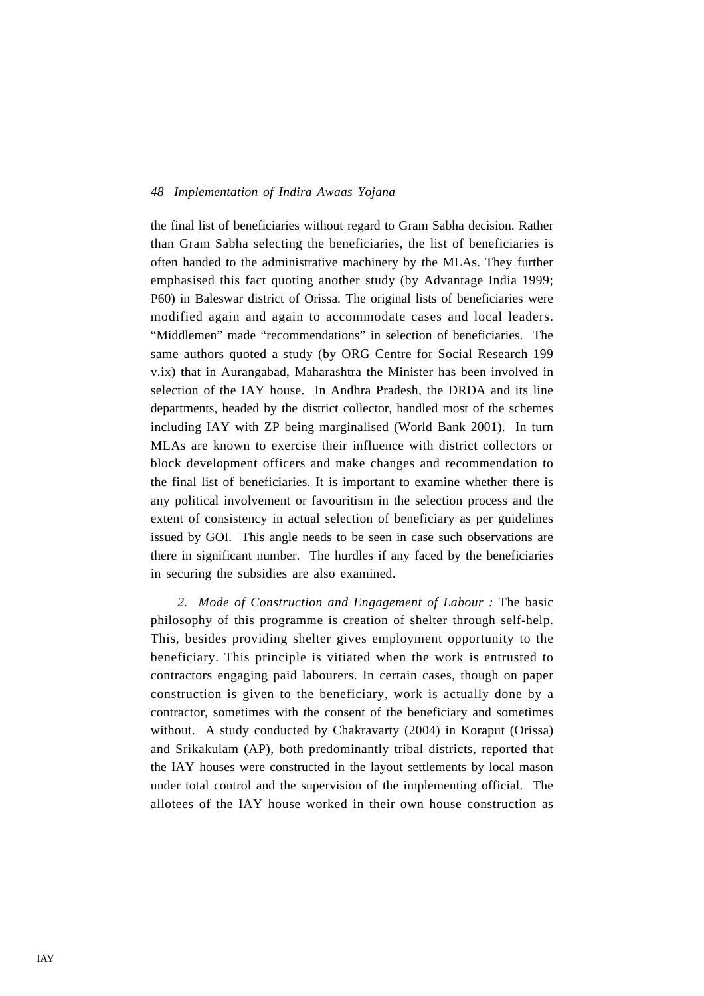the final list of beneficiaries without regard to Gram Sabha decision. Rather than Gram Sabha selecting the beneficiaries, the list of beneficiaries is often handed to the administrative machinery by the MLAs. They further emphasised this fact quoting another study (by Advantage India 1999; P60) in Baleswar district of Orissa. The original lists of beneficiaries were modified again and again to accommodate cases and local leaders. "Middlemen" made "recommendations" in selection of beneficiaries. The same authors quoted a study (by ORG Centre for Social Research 199 v.ix) that in Aurangabad, Maharashtra the Minister has been involved in selection of the IAY house. In Andhra Pradesh, the DRDA and its line departments, headed by the district collector, handled most of the schemes including IAY with ZP being marginalised (World Bank 2001). In turn MLAs are known to exercise their influence with district collectors or block development officers and make changes and recommendation to the final list of beneficiaries. It is important to examine whether there is any political involvement or favouritism in the selection process and the extent of consistency in actual selection of beneficiary as per guidelines issued by GOI. This angle needs to be seen in case such observations are there in significant number. The hurdles if any faced by the beneficiaries in securing the subsidies are also examined.

*2. Mode of Construction and Engagement of Labour :* The basic philosophy of this programme is creation of shelter through self-help. This, besides providing shelter gives employment opportunity to the beneficiary. This principle is vitiated when the work is entrusted to contractors engaging paid labourers. In certain cases, though on paper construction is given to the beneficiary, work is actually done by a contractor, sometimes with the consent of the beneficiary and sometimes without. A study conducted by Chakravarty (2004) in Koraput (Orissa) and Srikakulam (AP), both predominantly tribal districts, reported that the IAY houses were constructed in the layout settlements by local mason under total control and the supervision of the implementing official. The allotees of the IAY house worked in their own house construction as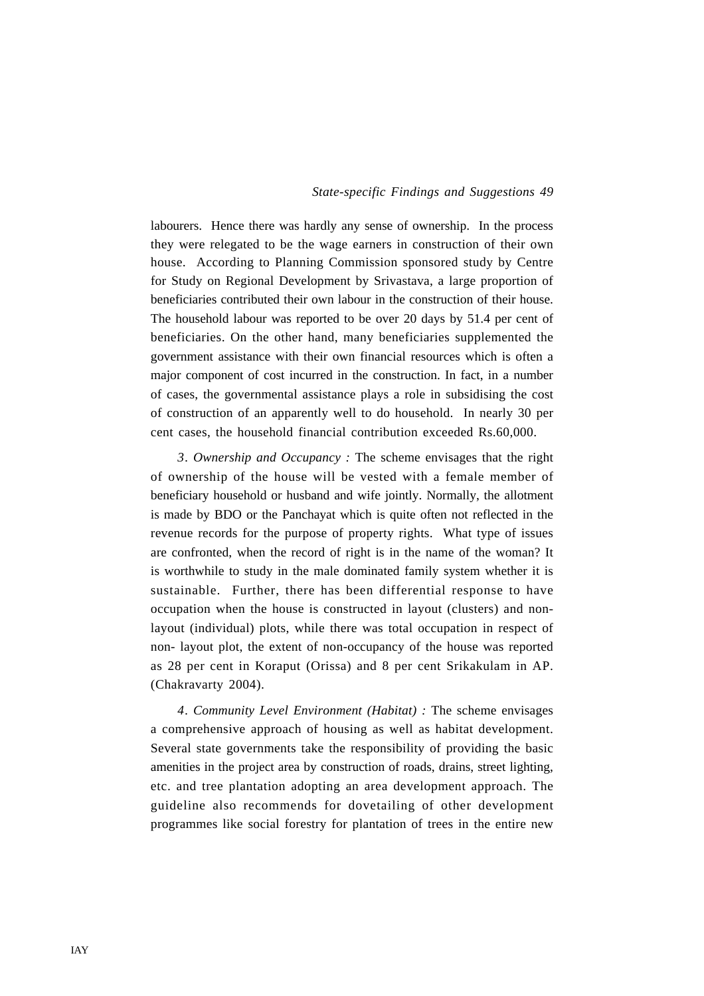labourers. Hence there was hardly any sense of ownership. In the process they were relegated to be the wage earners in construction of their own house. According to Planning Commission sponsored study by Centre for Study on Regional Development by Srivastava, a large proportion of beneficiaries contributed their own labour in the construction of their house. The household labour was reported to be over 20 days by 51.4 per cent of beneficiaries. On the other hand, many beneficiaries supplemented the government assistance with their own financial resources which is often a major component of cost incurred in the construction. In fact, in a number of cases, the governmental assistance plays a role in subsidising the cost of construction of an apparently well to do household. In nearly 30 per cent cases, the household financial contribution exceeded Rs.60,000.

*3. Ownership and Occupancy :* The scheme envisages that the right of ownership of the house will be vested with a female member of beneficiary household or husband and wife jointly. Normally, the allotment is made by BDO or the Panchayat which is quite often not reflected in the revenue records for the purpose of property rights. What type of issues are confronted, when the record of right is in the name of the woman? It is worthwhile to study in the male dominated family system whether it is sustainable. Further, there has been differential response to have occupation when the house is constructed in layout (clusters) and nonlayout (individual) plots, while there was total occupation in respect of non- layout plot, the extent of non-occupancy of the house was reported as 28 per cent in Koraput (Orissa) and 8 per cent Srikakulam in AP. (Chakravarty 2004).

*4. Community Level Environment (Habitat) :* The scheme envisages a comprehensive approach of housing as well as habitat development. Several state governments take the responsibility of providing the basic amenities in the project area by construction of roads, drains, street lighting, etc. and tree plantation adopting an area development approach. The guideline also recommends for dovetailing of other development programmes like social forestry for plantation of trees in the entire new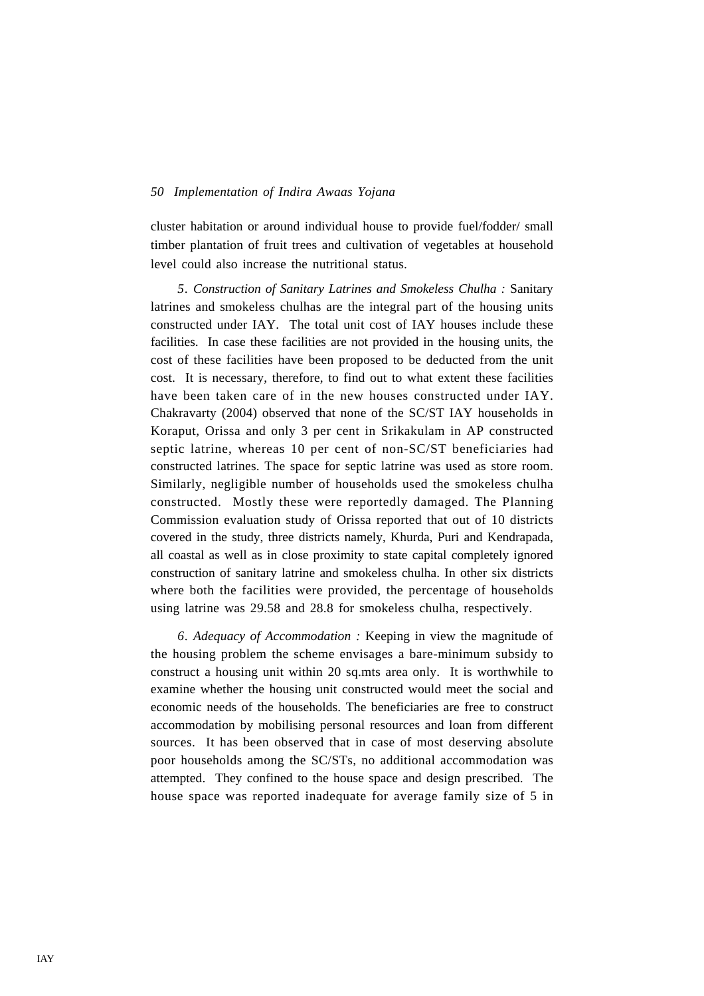cluster habitation or around individual house to provide fuel/fodder/ small timber plantation of fruit trees and cultivation of vegetables at household level could also increase the nutritional status.

*5. Construction of Sanitary Latrines and Smokeless Chulha :* Sanitary latrines and smokeless chulhas are the integral part of the housing units constructed under IAY. The total unit cost of IAY houses include these facilities. In case these facilities are not provided in the housing units, the cost of these facilities have been proposed to be deducted from the unit cost. It is necessary, therefore, to find out to what extent these facilities have been taken care of in the new houses constructed under IAY. Chakravarty (2004) observed that none of the SC/ST IAY households in Koraput, Orissa and only 3 per cent in Srikakulam in AP constructed septic latrine, whereas 10 per cent of non-SC/ST beneficiaries had constructed latrines. The space for septic latrine was used as store room. Similarly, negligible number of households used the smokeless chulha constructed. Mostly these were reportedly damaged. The Planning Commission evaluation study of Orissa reported that out of 10 districts covered in the study, three districts namely, Khurda, Puri and Kendrapada, all coastal as well as in close proximity to state capital completely ignored construction of sanitary latrine and smokeless chulha. In other six districts where both the facilities were provided, the percentage of households using latrine was 29.58 and 28.8 for smokeless chulha, respectively.

*6. Adequacy of Accommodation :* Keeping in view the magnitude of the housing problem the scheme envisages a bare-minimum subsidy to construct a housing unit within 20 sq.mts area only. It is worthwhile to examine whether the housing unit constructed would meet the social and economic needs of the households. The beneficiaries are free to construct accommodation by mobilising personal resources and loan from different sources. It has been observed that in case of most deserving absolute poor households among the SC/STs, no additional accommodation was attempted. They confined to the house space and design prescribed. The house space was reported inadequate for average family size of 5 in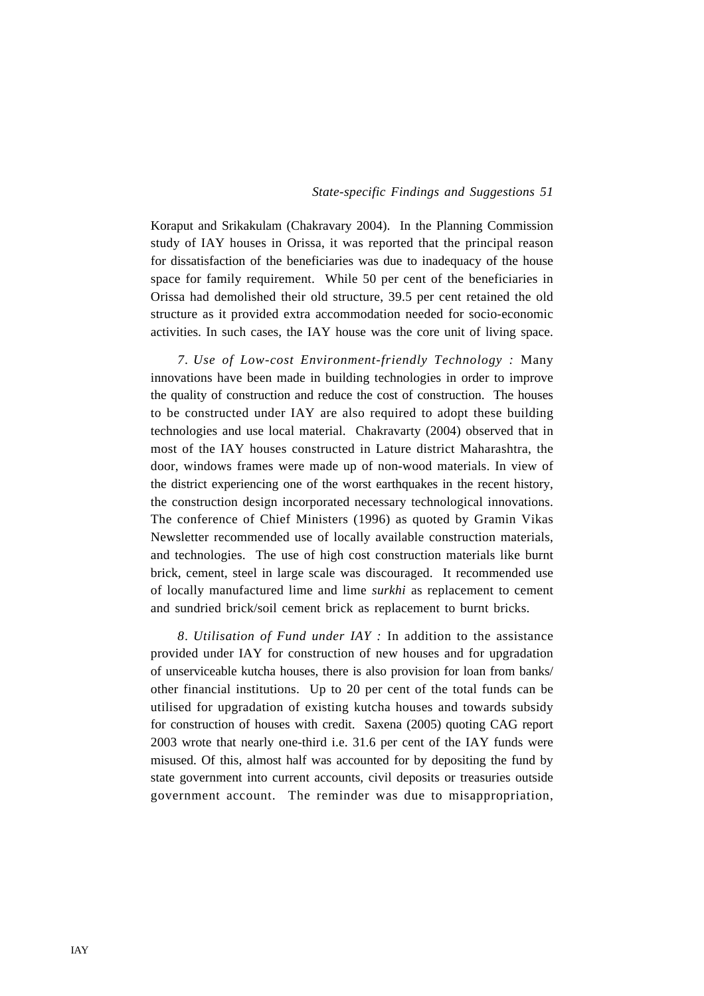Koraput and Srikakulam (Chakravary 2004). In the Planning Commission study of IAY houses in Orissa, it was reported that the principal reason for dissatisfaction of the beneficiaries was due to inadequacy of the house space for family requirement. While 50 per cent of the beneficiaries in Orissa had demolished their old structure, 39.5 per cent retained the old structure as it provided extra accommodation needed for socio-economic activities. In such cases, the IAY house was the core unit of living space.

*7. Use of Low-cost Environment-friendly Technology :* Many innovations have been made in building technologies in order to improve the quality of construction and reduce the cost of construction. The houses to be constructed under IAY are also required to adopt these building technologies and use local material. Chakravarty (2004) observed that in most of the IAY houses constructed in Lature district Maharashtra, the door, windows frames were made up of non-wood materials. In view of the district experiencing one of the worst earthquakes in the recent history, the construction design incorporated necessary technological innovations. The conference of Chief Ministers (1996) as quoted by Gramin Vikas Newsletter recommended use of locally available construction materials, and technologies. The use of high cost construction materials like burnt brick, cement, steel in large scale was discouraged. It recommended use of locally manufactured lime and lime *surkhi* as replacement to cement and sundried brick/soil cement brick as replacement to burnt bricks.

*8. Utilisation of Fund under IAY :* In addition to the assistance provided under IAY for construction of new houses and for upgradation of unserviceable kutcha houses, there is also provision for loan from banks/ other financial institutions. Up to 20 per cent of the total funds can be utilised for upgradation of existing kutcha houses and towards subsidy for construction of houses with credit. Saxena (2005) quoting CAG report 2003 wrote that nearly one-third i.e. 31.6 per cent of the IAY funds were misused. Of this, almost half was accounted for by depositing the fund by state government into current accounts, civil deposits or treasuries outside government account. The reminder was due to misappropriation,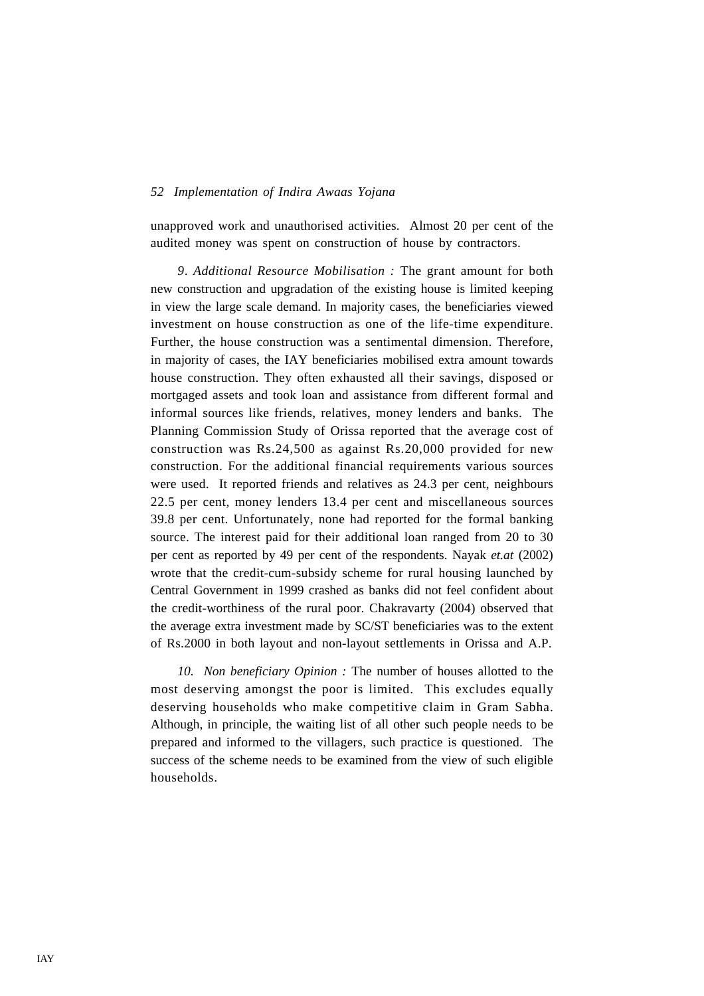unapproved work and unauthorised activities. Almost 20 per cent of the audited money was spent on construction of house by contractors.

*9. Additional Resource Mobilisation :* The grant amount for both new construction and upgradation of the existing house is limited keeping in view the large scale demand. In majority cases, the beneficiaries viewed investment on house construction as one of the life-time expenditure. Further, the house construction was a sentimental dimension. Therefore, in majority of cases, the IAY beneficiaries mobilised extra amount towards house construction. They often exhausted all their savings, disposed or mortgaged assets and took loan and assistance from different formal and informal sources like friends, relatives, money lenders and banks. The Planning Commission Study of Orissa reported that the average cost of construction was Rs.24,500 as against Rs.20,000 provided for new construction. For the additional financial requirements various sources were used. It reported friends and relatives as 24.3 per cent, neighbours 22.5 per cent, money lenders 13.4 per cent and miscellaneous sources 39.8 per cent. Unfortunately, none had reported for the formal banking source. The interest paid for their additional loan ranged from 20 to 30 per cent as reported by 49 per cent of the respondents. Nayak *et.at* (2002) wrote that the credit-cum-subsidy scheme for rural housing launched by Central Government in 1999 crashed as banks did not feel confident about the credit-worthiness of the rural poor. Chakravarty (2004) observed that the average extra investment made by SC/ST beneficiaries was to the extent of Rs.2000 in both layout and non-layout settlements in Orissa and A.P.

*10. Non beneficiary Opinion :* The number of houses allotted to the most deserving amongst the poor is limited. This excludes equally deserving households who make competitive claim in Gram Sabha. Although, in principle, the waiting list of all other such people needs to be prepared and informed to the villagers, such practice is questioned. The success of the scheme needs to be examined from the view of such eligible households.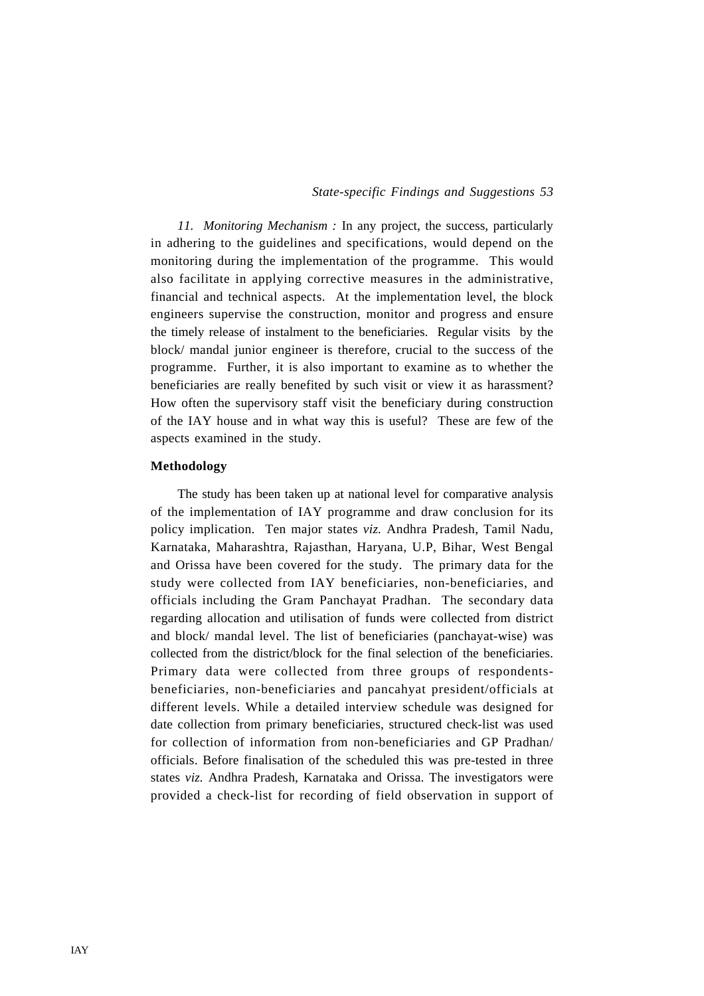*11. Monitoring Mechanism :* In any project, the success, particularly in adhering to the guidelines and specifications, would depend on the monitoring during the implementation of the programme. This would also facilitate in applying corrective measures in the administrative, financial and technical aspects. At the implementation level, the block engineers supervise the construction, monitor and progress and ensure the timely release of instalment to the beneficiaries. Regular visits by the block/ mandal junior engineer is therefore, crucial to the success of the programme. Further, it is also important to examine as to whether the beneficiaries are really benefited by such visit or view it as harassment? How often the supervisory staff visit the beneficiary during construction of the IAY house and in what way this is useful? These are few of the aspects examined in the study.

### **Methodology**

The study has been taken up at national level for comparative analysis of the implementation of IAY programme and draw conclusion for its policy implication. Ten major states *viz.* Andhra Pradesh, Tamil Nadu, Karnataka, Maharashtra, Rajasthan, Haryana, U.P, Bihar, West Bengal and Orissa have been covered for the study. The primary data for the study were collected from IAY beneficiaries, non-beneficiaries, and officials including the Gram Panchayat Pradhan. The secondary data regarding allocation and utilisation of funds were collected from district and block/ mandal level. The list of beneficiaries (panchayat-wise) was collected from the district/block for the final selection of the beneficiaries. Primary data were collected from three groups of respondentsbeneficiaries, non-beneficiaries and pancahyat president/officials at different levels. While a detailed interview schedule was designed for date collection from primary beneficiaries, structured check-list was used for collection of information from non-beneficiaries and GP Pradhan/ officials. Before finalisation of the scheduled this was pre-tested in three states *viz.* Andhra Pradesh, Karnataka and Orissa. The investigators were provided a check-list for recording of field observation in support of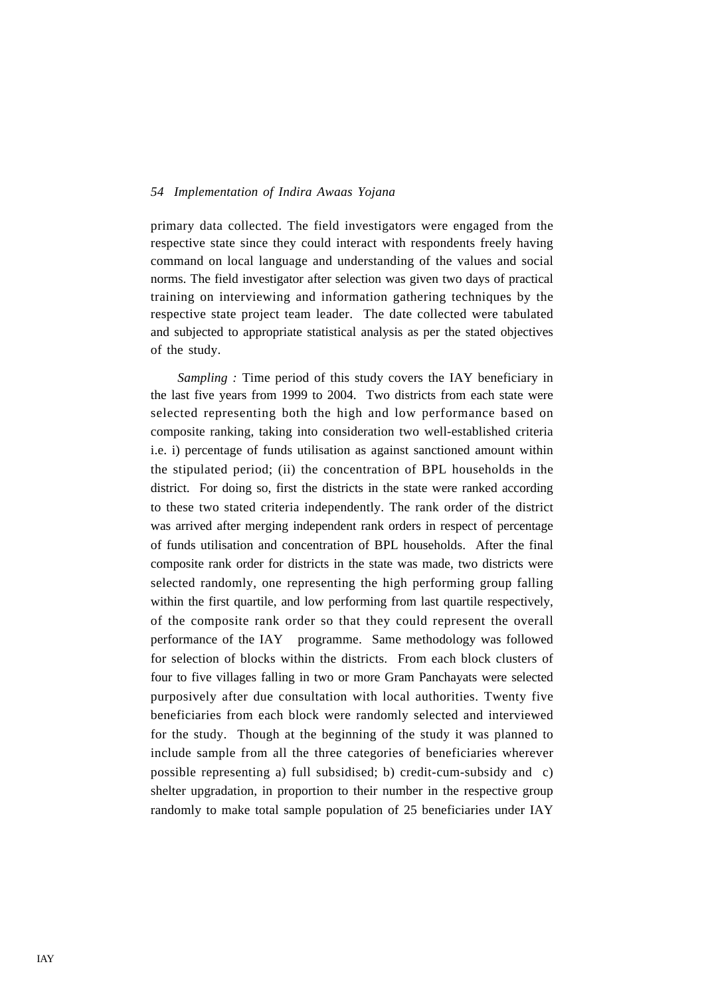primary data collected. The field investigators were engaged from the respective state since they could interact with respondents freely having command on local language and understanding of the values and social norms. The field investigator after selection was given two days of practical training on interviewing and information gathering techniques by the respective state project team leader. The date collected were tabulated and subjected to appropriate statistical analysis as per the stated objectives of the study.

*Sampling :* Time period of this study covers the IAY beneficiary in the last five years from 1999 to 2004. Two districts from each state were selected representing both the high and low performance based on composite ranking, taking into consideration two well-established criteria i.e. i) percentage of funds utilisation as against sanctioned amount within the stipulated period; (ii) the concentration of BPL households in the district. For doing so, first the districts in the state were ranked according to these two stated criteria independently. The rank order of the district was arrived after merging independent rank orders in respect of percentage of funds utilisation and concentration of BPL households. After the final composite rank order for districts in the state was made, two districts were selected randomly, one representing the high performing group falling within the first quartile, and low performing from last quartile respectively, of the composite rank order so that they could represent the overall performance of the IAY programme. Same methodology was followed for selection of blocks within the districts. From each block clusters of four to five villages falling in two or more Gram Panchayats were selected purposively after due consultation with local authorities. Twenty five beneficiaries from each block were randomly selected and interviewed for the study. Though at the beginning of the study it was planned to include sample from all the three categories of beneficiaries wherever possible representing a) full subsidised; b) credit-cum-subsidy and c) shelter upgradation, in proportion to their number in the respective group randomly to make total sample population of 25 beneficiaries under IAY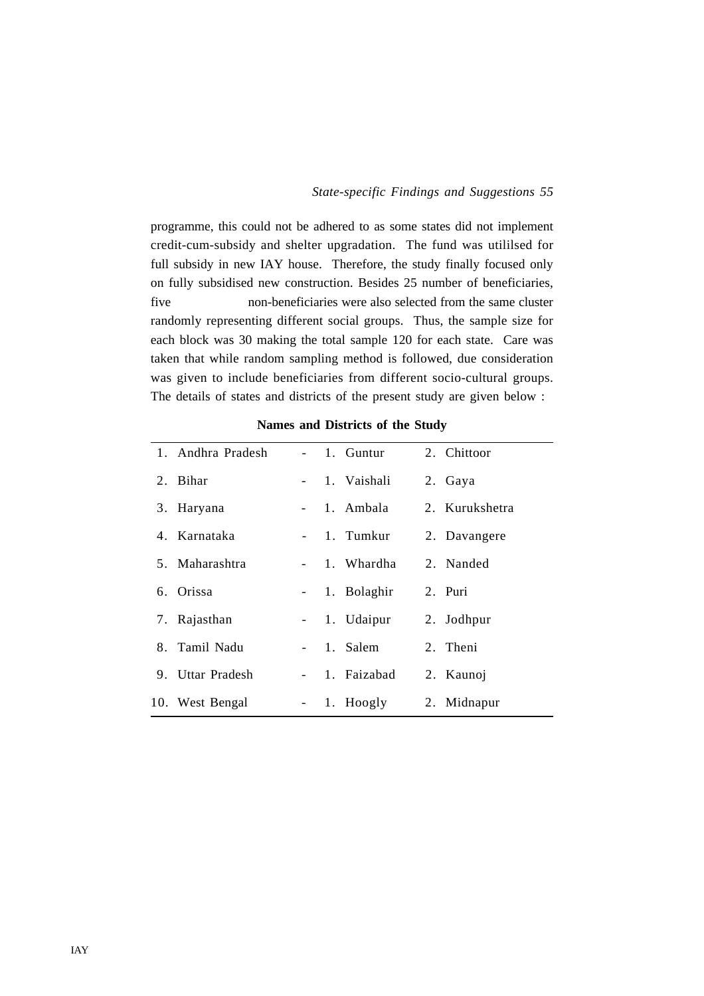programme, this could not be adhered to as some states did not implement credit-cum-subsidy and shelter upgradation. The fund was utililsed for full subsidy in new IAY house. Therefore, the study finally focused only on fully subsidised new construction. Besides 25 number of beneficiaries, five non-beneficiaries were also selected from the same cluster randomly representing different social groups. Thus, the sample size for each block was 30 making the total sample 120 for each state. Care was taken that while random sampling method is followed, due consideration was given to include beneficiaries from different socio-cultural groups. The details of states and districts of the present study are given below :

| 1. Andhra Pradesh |                 | - 1. Guntur   | 2. Chittoor    |
|-------------------|-----------------|---------------|----------------|
| 2. Bihar          |                 | - 1. Vaishali | 2. Gaya        |
| 3. Haryana        |                 | - 1. Ambala   | 2. Kurukshetra |
| 4. Karnataka      |                 | - 1. Tumkur   | 2. Davangere   |
| 5. Maharashtra    |                 | - 1. Whardha  | 2. Nanded      |
| 6. Orissa         |                 | - 1. Bolaghir | 2. Puri        |
| 7. Rajasthan      |                 | - 1. Udaipur  | 2. Jodhpur     |
| 8. Tamil Nadu     |                 | 1. Salem      | 2. Theni       |
| 9. Uttar Pradesh  |                 | - 1. Faizabad | 2. Kaunoj      |
| 10. West Bengal   | $\sim 10^{-10}$ | 1. Hoogly     | 2. Midnapur    |

**Names and Districts of the Study**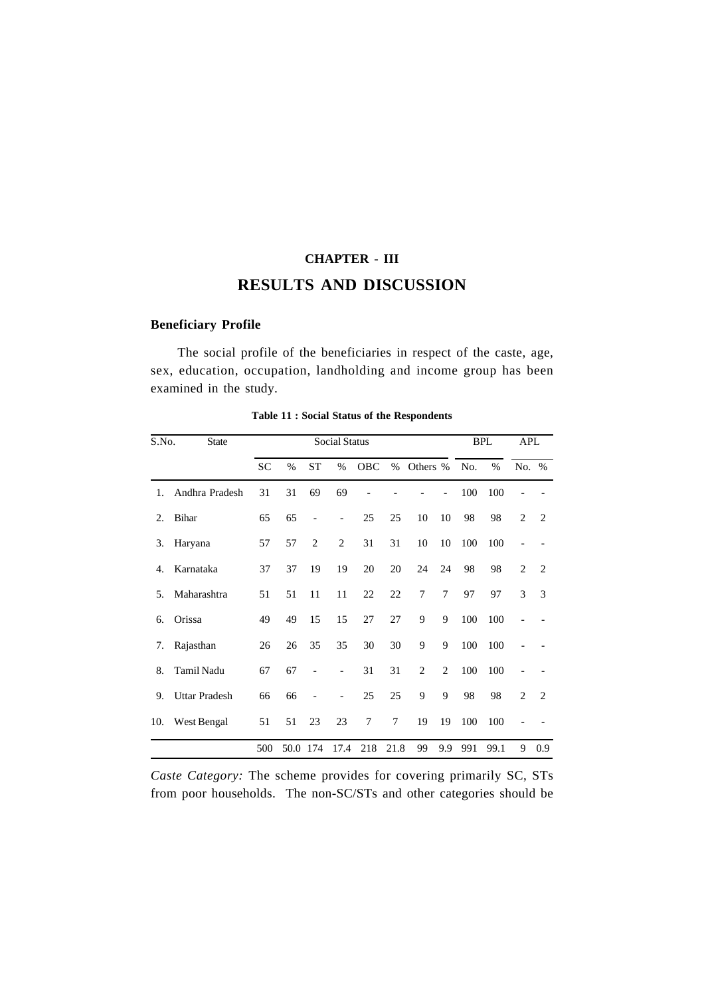# **CHAPTER - III RESULTS AND DISCUSSION**

# **Beneficiary Profile**

The social profile of the beneficiaries in respect of the caste, age, sex, education, occupation, landholding and income group has been examined in the study.

| S.No. | <b>State</b>         |           | <b>Social Status</b> |                          |                          |     |      |                |                |     | <b>BPL</b>    |                | APL            |
|-------|----------------------|-----------|----------------------|--------------------------|--------------------------|-----|------|----------------|----------------|-----|---------------|----------------|----------------|
|       |                      | <b>SC</b> | $\%$                 | <b>ST</b>                | $\frac{0}{0}$            | OBC | %    | Others %       |                | No. | $\frac{0}{0}$ | No.            | $\%$           |
| 1.    | Andhra Pradesh       | 31        | 31                   | 69                       | 69                       |     |      |                |                | 100 | 100           |                |                |
| 2.    | <b>Bihar</b>         | 65        | 65                   | $\overline{\phantom{0}}$ | $\overline{\phantom{a}}$ | 25  | 25   | 10             | 10             | 98  | 98            | $\overline{c}$ | 2              |
| 3.    | Haryana              | 57        | 57                   | $\overline{2}$           | $\overline{c}$           | 31  | 31   | 10             | 10             | 100 | 100           |                |                |
| 4.    | Karnataka            | 37        | 37                   | 19                       | 19                       | 20  | 20   | 24             | 24             | 98  | 98            | $\overline{c}$ | $\overline{2}$ |
| 5.    | Maharashtra          | 51        | 51                   | 11                       | 11                       | 22  | 22   | 7              | 7              | 97  | 97            | 3              | 3              |
| 6.    | Orissa               | 49        | 49                   | 15                       | 15                       | 27  | 27   | 9              | 9              | 100 | 100           |                |                |
| 7.    | Rajasthan            | 26        | 26                   | 35                       | 35                       | 30  | 30   | 9              | 9              | 100 | 100           |                |                |
| 8.    | Tamil Nadu           | 67        | 67                   |                          |                          | 31  | 31   | $\overline{2}$ | $\overline{2}$ | 100 | 100           |                |                |
| 9.    | <b>Uttar Pradesh</b> | 66        | 66                   |                          |                          | 25  | 25   | 9              | 9              | 98  | 98            | $\mathfrak{D}$ | $\mathfrak{D}$ |
| 10.   | West Bengal          | 51        | 51                   | 23                       | 23                       | 7   | 7    | 19             | 19             | 100 | 100           |                |                |
|       |                      | 500       | 50.0                 | 174                      | 17.4                     | 218 | 21.8 | 99             | 9.9            | 991 | 99.1          | 9              | 0.9            |

**Table 11 : Social Status of the Respondents**

*Caste Category:* The scheme provides for covering primarily SC, STs from poor households. The non-SC/STs and other categories should be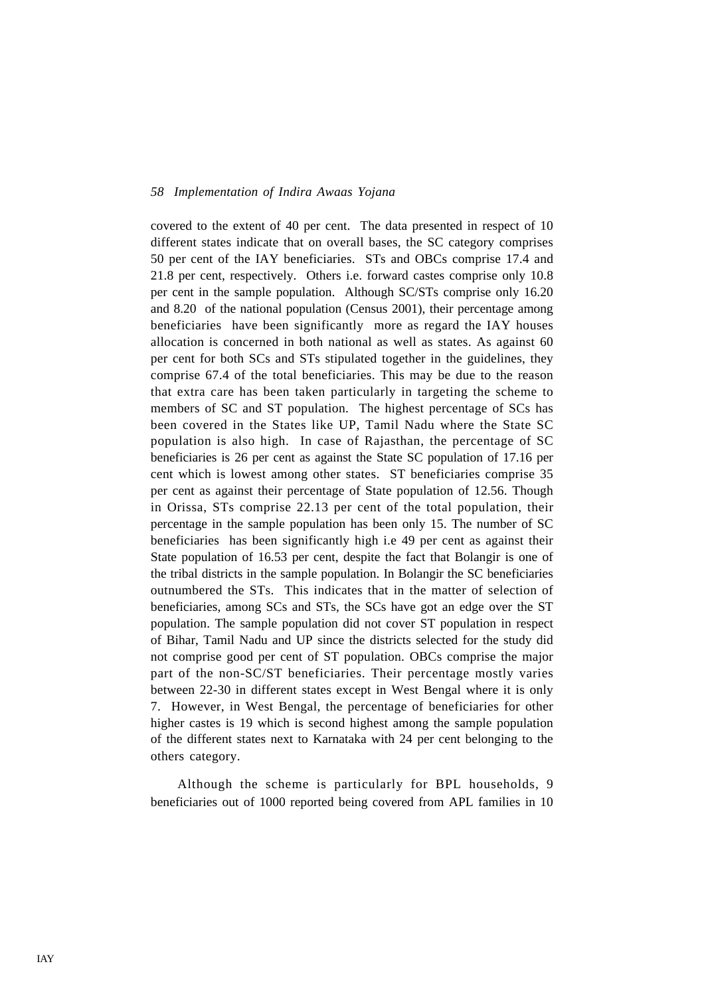covered to the extent of 40 per cent. The data presented in respect of 10 different states indicate that on overall bases, the SC category comprises 50 per cent of the IAY beneficiaries. STs and OBCs comprise 17.4 and 21.8 per cent, respectively. Others i.e. forward castes comprise only 10.8 per cent in the sample population. Although SC/STs comprise only 16.20 and 8.20 of the national population (Census 2001), their percentage among beneficiaries have been significantly more as regard the IAY houses allocation is concerned in both national as well as states. As against 60 per cent for both SCs and STs stipulated together in the guidelines, they comprise 67.4 of the total beneficiaries. This may be due to the reason that extra care has been taken particularly in targeting the scheme to members of SC and ST population. The highest percentage of SCs has been covered in the States like UP, Tamil Nadu where the State SC population is also high. In case of Rajasthan, the percentage of SC beneficiaries is 26 per cent as against the State SC population of 17.16 per cent which is lowest among other states. ST beneficiaries comprise 35 per cent as against their percentage of State population of 12.56. Though in Orissa, STs comprise 22.13 per cent of the total population, their percentage in the sample population has been only 15. The number of SC beneficiaries has been significantly high i.e 49 per cent as against their State population of 16.53 per cent, despite the fact that Bolangir is one of the tribal districts in the sample population. In Bolangir the SC beneficiaries outnumbered the STs. This indicates that in the matter of selection of beneficiaries, among SCs and STs, the SCs have got an edge over the ST population. The sample population did not cover ST population in respect of Bihar, Tamil Nadu and UP since the districts selected for the study did not comprise good per cent of ST population. OBCs comprise the major part of the non-SC/ST beneficiaries. Their percentage mostly varies between 22-30 in different states except in West Bengal where it is only 7. However, in West Bengal, the percentage of beneficiaries for other higher castes is 19 which is second highest among the sample population of the different states next to Karnataka with 24 per cent belonging to the others category.

Although the scheme is particularly for BPL households, 9 beneficiaries out of 1000 reported being covered from APL families in 10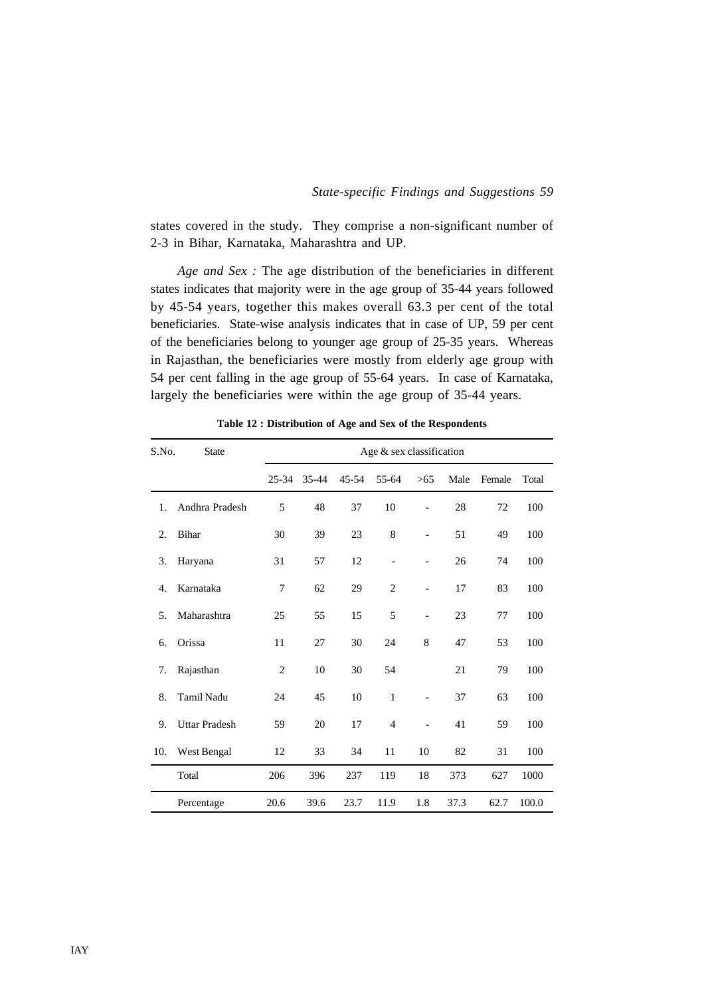states covered in the study. They comprise a non-significant number of 2-3 in Bihar, Karnataka, Maharashtra and UP.

*Age and Sex :* The age distribution of the beneficiaries in different states indicates that majority were in the age group of 35-44 years followed by 45-54 years, together this makes overall 63.3 per cent of the total beneficiaries. State-wise analysis indicates that in case of UP, 59 per cent of the beneficiaries belong to younger age group of 25-35 years. Whereas in Rajasthan, the beneficiaries were mostly from elderly age group with 54 per cent falling in the age group of 55-64 years. In case of Karnataka, largely the beneficiaries were within the age group of 35-44 years.

| S.No. | <b>State</b>         |                  |       |       | Age & sex classification |                          |      |        |       |
|-------|----------------------|------------------|-------|-------|--------------------------|--------------------------|------|--------|-------|
|       |                      | 25-34            | 35-44 | 45-54 | 55-64                    | $>65$                    | Male | Female | Total |
| 1.    | Andhra Pradesh       | 5                | 48    | 37    | 10                       |                          | 28   | 72     | 100   |
| 2.    | <b>Bihar</b>         | 30               | 39    | 23    | $\,$ 8 $\,$              | $\blacksquare$           | 51   | 49     | 100   |
| 3.    | Haryana              | 31               | 57    | 12    | $\overline{\phantom{0}}$ | $\blacksquare$           | 26   | 74     | 100   |
| 4.    | Karnataka            | $\boldsymbol{7}$ | 62    | 29    | $\overline{c}$           | $\overline{a}$           | 17   | 83     | 100   |
| 5.    | Maharashtra          | 25               | 55    | 15    | 5                        | $\blacksquare$           | 23   | 77     | 100   |
| 6.    | Orissa               | 11               | 27    | 30    | 24                       | 8                        | 47   | 53     | 100   |
| 7.    | Rajasthan            | $\overline{c}$   | 10    | 30    | 54                       |                          | 21   | 79     | 100   |
| 8.    | <b>Tamil Nadu</b>    | 24               | 45    | 10    | $\mathbf{1}$             | $\overline{\phantom{0}}$ | 37   | 63     | 100   |
| 9.    | <b>Uttar Pradesh</b> | 59               | 20    | 17    | $\overline{4}$           | $\overline{a}$           | 41   | 59     | 100   |
| 10.   | West Bengal          | 12               | 33    | 34    | 11                       | 10                       | 82   | 31     | 100   |
|       | Total                | 206              | 396   | 237   | 119                      | 18                       | 373  | 627    | 1000  |
|       | Percentage           | 20.6             | 39.6  | 23.7  | 11.9                     | 1.8                      | 37.3 | 62.7   | 100.0 |

**Table 12 : Distribution of Age and Sex of the Respondents**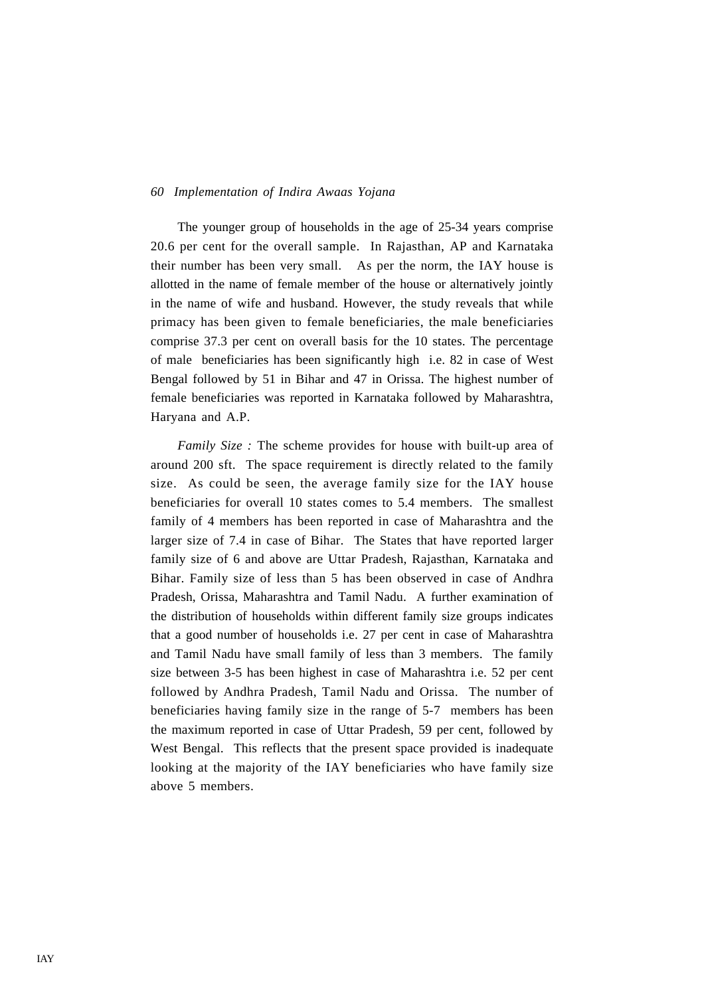The younger group of households in the age of 25-34 years comprise 20.6 per cent for the overall sample. In Rajasthan, AP and Karnataka their number has been very small. As per the norm, the IAY house is allotted in the name of female member of the house or alternatively jointly in the name of wife and husband. However, the study reveals that while primacy has been given to female beneficiaries, the male beneficiaries comprise 37.3 per cent on overall basis for the 10 states. The percentage of male beneficiaries has been significantly high i.e. 82 in case of West Bengal followed by 51 in Bihar and 47 in Orissa. The highest number of female beneficiaries was reported in Karnataka followed by Maharashtra, Haryana and A.P.

*Family Size :* The scheme provides for house with built-up area of around 200 sft. The space requirement is directly related to the family size. As could be seen, the average family size for the IAY house beneficiaries for overall 10 states comes to 5.4 members. The smallest family of 4 members has been reported in case of Maharashtra and the larger size of 7.4 in case of Bihar. The States that have reported larger family size of 6 and above are Uttar Pradesh, Rajasthan, Karnataka and Bihar. Family size of less than 5 has been observed in case of Andhra Pradesh, Orissa, Maharashtra and Tamil Nadu. A further examination of the distribution of households within different family size groups indicates that a good number of households i.e. 27 per cent in case of Maharashtra and Tamil Nadu have small family of less than 3 members. The family size between 3-5 has been highest in case of Maharashtra i.e. 52 per cent followed by Andhra Pradesh, Tamil Nadu and Orissa. The number of beneficiaries having family size in the range of 5-7 members has been the maximum reported in case of Uttar Pradesh, 59 per cent, followed by West Bengal. This reflects that the present space provided is inadequate looking at the majority of the IAY beneficiaries who have family size above 5 members.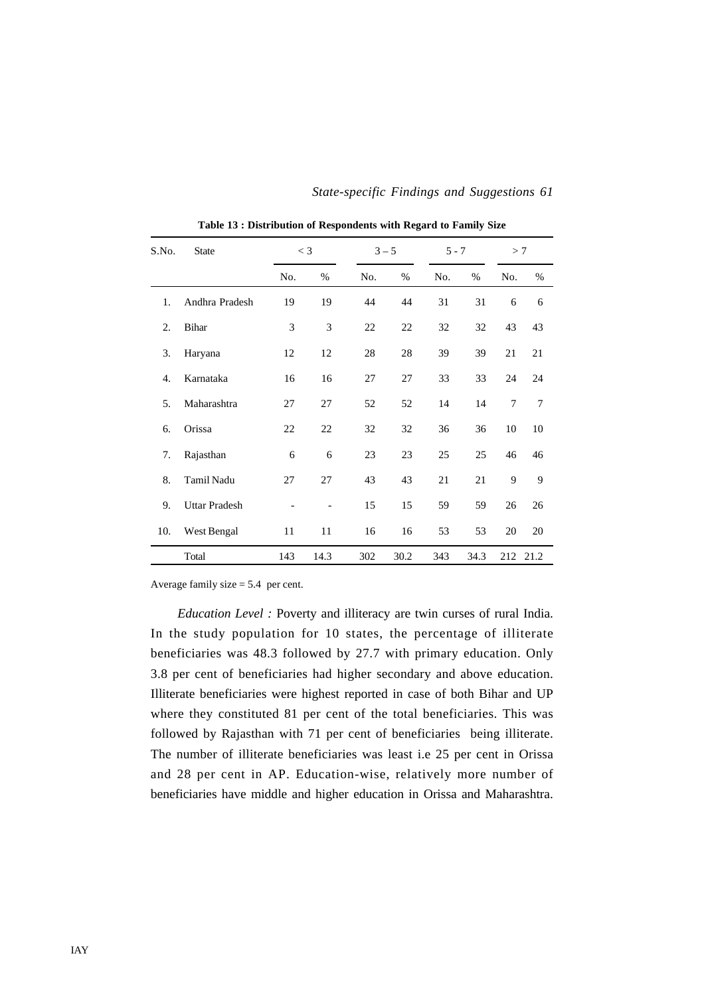| S.No.            | <b>State</b>         |     | $<$ 3 |     | $3 - 5$ | $5 - 7$ |      | >7  |      |
|------------------|----------------------|-----|-------|-----|---------|---------|------|-----|------|
|                  |                      | No. | %     | No. | $\%$    | No.     | %    | No. | %    |
| 1.               | Andhra Pradesh       | 19  | 19    | 44  | 44      | 31      | 31   | 6   | 6    |
| 2.               | <b>Bihar</b>         | 3   | 3     | 22  | 22      | 32      | 32   | 43  | 43   |
| 3.               | Haryana              | 12  | 12    | 28  | 28      | 39      | 39   | 21  | 21   |
| $\overline{4}$ . | Karnataka            | 16  | 16    | 27  | 27      | 33      | 33   | 24  | 24   |
| 5.               | Maharashtra          | 27  | 27    | 52  | 52      | 14      | 14   | 7   | 7    |
| 6.               | Orissa               | 22  | 22    | 32  | 32      | 36      | 36   | 10  | 10   |
| 7.               | Rajasthan            | 6   | 6     | 23  | 23      | 25      | 25   | 46  | 46   |
| 8.               | Tamil Nadu           | 27  | 27    | 43  | 43      | 21      | 21   | 9   | 9    |
| 9.               | <b>Uttar Pradesh</b> |     |       | 15  | 15      | 59      | 59   | 26  | 26   |
| 10.              | West Bengal          | 11  | 11    | 16  | 16      | 53      | 53   | 20  | 20   |
|                  | Total                | 143 | 14.3  | 302 | 30.2    | 343     | 34.3 | 212 | 21.2 |

**Table 13 : Distribution of Respondents with Regard to Family Size**

Average family size  $= 5.4$  per cent.

*Education Level :* Poverty and illiteracy are twin curses of rural India. In the study population for 10 states, the percentage of illiterate beneficiaries was 48.3 followed by 27.7 with primary education. Only 3.8 per cent of beneficiaries had higher secondary and above education. Illiterate beneficiaries were highest reported in case of both Bihar and UP where they constituted 81 per cent of the total beneficiaries. This was followed by Rajasthan with 71 per cent of beneficiaries being illiterate. The number of illiterate beneficiaries was least i.e 25 per cent in Orissa and 28 per cent in AP. Education-wise, relatively more number of beneficiaries have middle and higher education in Orissa and Maharashtra.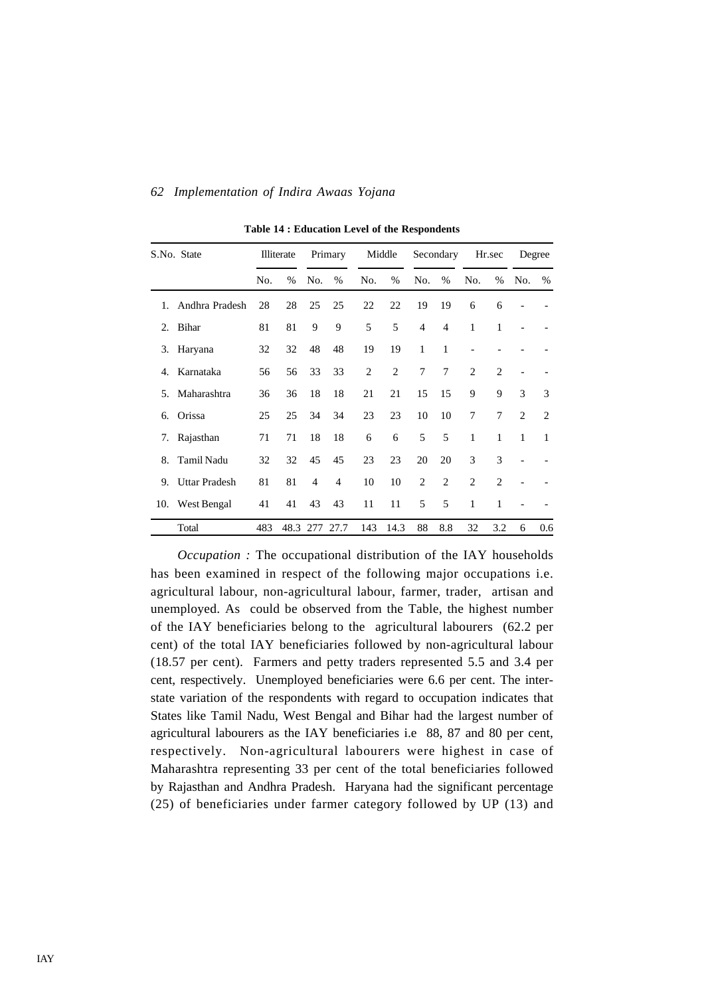|     | S.No. State          |     | Illiterate | Primary        |                |                | Middle         |                | Secondary      |                | Hr.sec         | Degree                      |                |
|-----|----------------------|-----|------------|----------------|----------------|----------------|----------------|----------------|----------------|----------------|----------------|-----------------------------|----------------|
|     |                      | No. | $\%$       | No.            | $\%$           | No.            | $\%$           | No.            | $\%$           | No.            | $\%$           | No.                         | $\%$           |
| 1.  | Andhra Pradesh       | 28  | 28         | 25             | 25             | 22             | 22             | 19             | 19             | 6              | 6              |                             |                |
| 2.  | Bihar                | 81  | 81         | 9              | 9              | 5              | 5              | $\overline{4}$ | $\overline{4}$ | 1              | 1              |                             |                |
| 3.  | Haryana              | 32  | 32         | 48             | 48             | 19             | 19             | 1              | 1              |                |                |                             |                |
| 4.  | Karnataka            | 56  | 56         | 33             | 33             | $\overline{2}$ | $\overline{2}$ | 7              | 7              | $\overline{2}$ | $\mathfrak{D}$ |                             |                |
| 5.  | Maharashtra          | 36  | 36         | 18             | 18             | 21             | 21             | 15             | 15             | 9              | 9              | 3                           | 3              |
| 6.  | Orissa               | 25  | 25         | 34             | 34             | 23             | 23             | 10             | 10             | 7              | $\tau$         | $\mathcal{D}_{\mathcal{L}}$ | $\overline{c}$ |
| 7.  | Rajasthan            | 71  | 71         | 18             | 18             | 6              | 6              | 5              | 5              | 1              | $\mathbf{1}$   | 1                           | 1              |
| 8.  | Tamil Nadu           | 32  | 32         | 45             | 45             | 23             | 23             | 20             | 20             | 3              | 3              |                             |                |
| 9.  | <b>Uttar Pradesh</b> | 81  | 81         | $\overline{4}$ | $\overline{4}$ | 10             | 10             | $\overline{2}$ | $\overline{c}$ | $\overline{2}$ | $\overline{c}$ |                             |                |
| 10. | West Bengal          | 41  | 41         | 43             | 43             | 11             | 11             | 5              | 5              | 1              | 1              |                             |                |
|     | Total                | 483 | 48.3 277   |                | 27.7           | 143            | 14.3           | 88             | 8.8            | 32             | 3.2            | 6                           | 0.6            |

**Table 14 : Education Level of the Respondents**

*Occupation :* The occupational distribution of the IAY households has been examined in respect of the following major occupations i.e. agricultural labour, non-agricultural labour, farmer, trader, artisan and unemployed. As could be observed from the Table, the highest number of the IAY beneficiaries belong to the agricultural labourers (62.2 per cent) of the total IAY beneficiaries followed by non-agricultural labour (18.57 per cent). Farmers and petty traders represented 5.5 and 3.4 per cent, respectively. Unemployed beneficiaries were 6.6 per cent. The interstate variation of the respondents with regard to occupation indicates that States like Tamil Nadu, West Bengal and Bihar had the largest number of agricultural labourers as the IAY beneficiaries i.e 88, 87 and 80 per cent, respectively. Non-agricultural labourers were highest in case of Maharashtra representing 33 per cent of the total beneficiaries followed by Rajasthan and Andhra Pradesh. Haryana had the significant percentage (25) of beneficiaries under farmer category followed by UP (13) and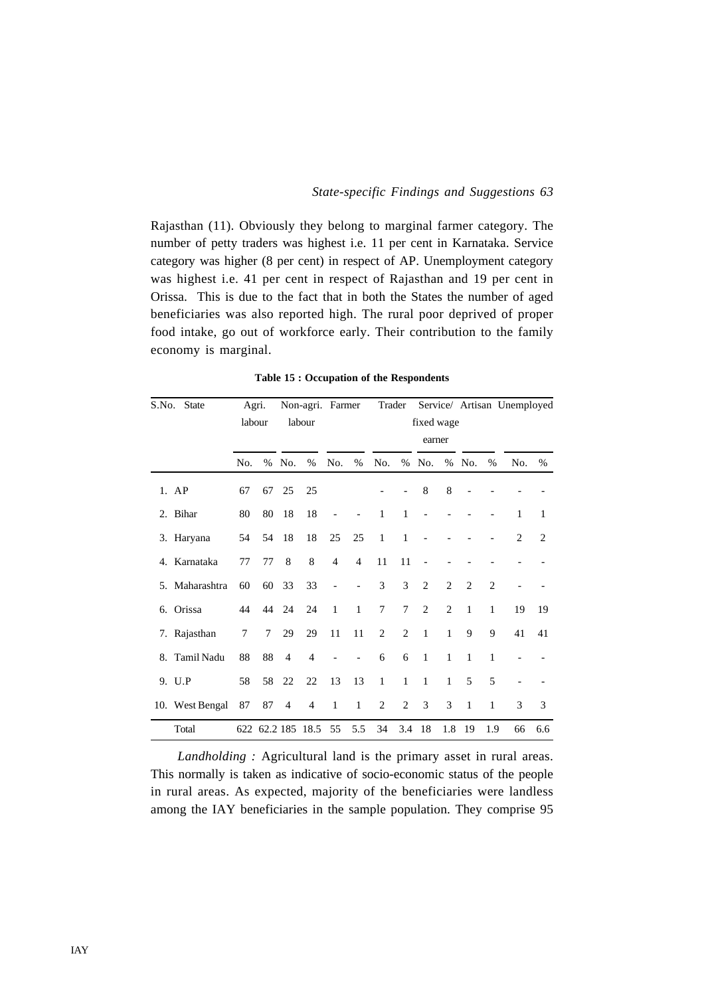Rajasthan (11). Obviously they belong to marginal farmer category. The number of petty traders was highest i.e. 11 per cent in Karnataka. Service category was higher (8 per cent) in respect of AP. Unemployment category was highest i.e. 41 per cent in respect of Rajasthan and 19 per cent in Orissa. This is due to the fact that in both the States the number of aged beneficiaries was also reported high. The rural poor deprived of proper food intake, go out of workforce early. Their contribution to the family economy is marginal.

**Table 15 : Occupation of the Respondents**

| S.No. | <b>State</b>    |        | Agri.  |                | Non-agri. Farmer  |                          |                          |              | Trader         |                |                |                             |                | Service/ Artisan Unemployed |                |
|-------|-----------------|--------|--------|----------------|-------------------|--------------------------|--------------------------|--------------|----------------|----------------|----------------|-----------------------------|----------------|-----------------------------|----------------|
|       |                 |        | labour |                | labour            |                          |                          |              |                | fixed wage     |                |                             |                |                             |                |
|       |                 |        |        |                |                   |                          |                          |              |                | earner         |                |                             |                |                             |                |
|       |                 | No.    | $\%$   | No.            | %                 | No.                      | %                        | No.          | $\%$           | No.            | $\%$           | No.                         | %              | No.                         | $\%$           |
|       | $1.$ AP         | 67     | 67     | 25             | 25                |                          |                          |              |                | 8              | 8              |                             |                |                             |                |
|       | 2. Bihar        | 80     | 80     | 18             | 18                | $\overline{\phantom{0}}$ |                          | $\mathbf{1}$ | $\mathbf{1}$   |                |                |                             |                | 1                           | 1              |
|       | 3. Haryana      | 54     | 54     | 18             | 18                | 25                       | 25                       | $\mathbf{1}$ | 1              |                |                |                             |                | $\mathfrak{D}$              | $\overline{c}$ |
|       | 4. Karnataka    | 77     | 77     | 8              | 8                 | $\overline{4}$           | $\overline{4}$           | 11           | 11             |                |                |                             |                |                             |                |
|       | 5. Maharashtra  | 60     | 60     | 33             | 33                | $\overline{\phantom{0}}$ | $\overline{\phantom{a}}$ | 3            | 3              | 2              | $\overline{2}$ | $\mathcal{D}_{\mathcal{L}}$ | $\overline{2}$ |                             |                |
|       | 6. Orissa       | 44     | 44     | 24             | 24                | $\mathbf{1}$             | $\mathbf{1}$             | 7            | 7              | $\overline{2}$ | 2              | $\mathbf{1}$                | 1              | 19                          | 19             |
|       | 7. Rajasthan    | $\tau$ | $\tau$ | 29             | 29                | 11                       | 11                       | 2            | $\overline{2}$ | $\mathbf{1}$   | $\mathbf{1}$   | 9                           | 9              | 41                          | 41             |
| 8.    | Tamil Nadu      | 88     | 88     | $\overline{4}$ | $\overline{4}$    |                          |                          | 6            | 6              | $\mathbf{1}$   | $\mathbf{1}$   | $\mathbf{1}$                | 1              |                             |                |
|       | 9. U.P          | 58     | 58     | 22             | 22                | 13                       | 13                       | $\mathbf{1}$ | $\mathbf{1}$   | $\mathbf{1}$   | $\mathbf{1}$   | 5                           | 5              |                             |                |
|       | 10. West Bengal | 87     | 87     | $\overline{4}$ | 4                 | $\mathbf{1}$             | $\mathbf{1}$             | 2            | $\overline{c}$ | 3              | 3              | 1                           | 1              | 3                           | 3              |
|       | Total           |        |        |                | 622 62.2 185 18.5 | 55                       | 5.5                      | 34           | 3.4            | 18             | 1.8            | 19                          | 1.9            | 66                          | 6.6            |

*Landholding : Agricultural land is the primary asset in rural areas.* This normally is taken as indicative of socio-economic status of the people in rural areas. As expected, majority of the beneficiaries were landless among the IAY beneficiaries in the sample population. They comprise 95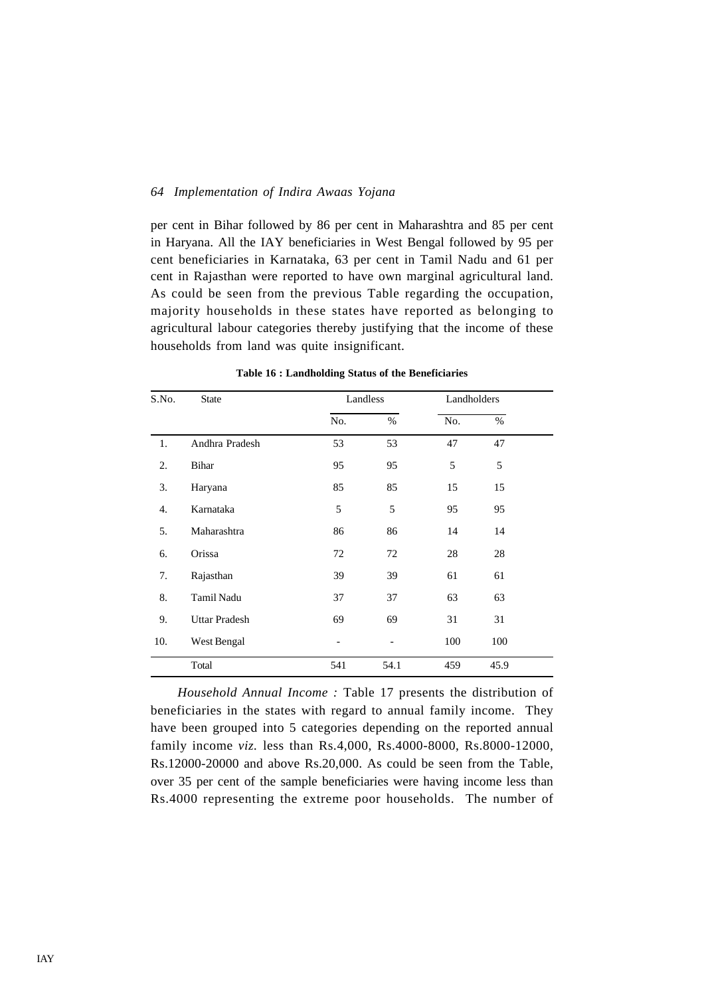per cent in Bihar followed by 86 per cent in Maharashtra and 85 per cent in Haryana. All the IAY beneficiaries in West Bengal followed by 95 per cent beneficiaries in Karnataka, 63 per cent in Tamil Nadu and 61 per cent in Rajasthan were reported to have own marginal agricultural land. As could be seen from the previous Table regarding the occupation, majority households in these states have reported as belonging to agricultural labour categories thereby justifying that the income of these households from land was quite insignificant.

| S.No. | <b>State</b>         |     | Landless | Landholders |      |  |
|-------|----------------------|-----|----------|-------------|------|--|
|       |                      | No. | $\%$     | No.         | $\%$ |  |
| 1.    | Andhra Pradesh       | 53  | 53       | 47          | 47   |  |
| 2.    | Bihar                | 95  | 95       | 5           | 5    |  |
| 3.    | Haryana              | 85  | 85       | 15          | 15   |  |
| 4.    | Karnataka            | 5   | 5        | 95          | 95   |  |
| 5.    | Maharashtra          | 86  | 86       | 14          | 14   |  |
| 6.    | Orissa               | 72  | 72       | 28          | 28   |  |
| 7.    | Rajasthan            | 39  | 39       | 61          | 61   |  |
| 8.    | Tamil Nadu           | 37  | 37       | 63          | 63   |  |
| 9.    | <b>Uttar Pradesh</b> | 69  | 69       | 31          | 31   |  |
| 10.   | West Bengal          |     |          | 100         | 100  |  |
|       | Total                | 541 | 54.1     | 459         | 45.9 |  |

**Table 16 : Landholding Status of the Beneficiaries**

*Household Annual Income :* Table 17 presents the distribution of beneficiaries in the states with regard to annual family income. They have been grouped into 5 categories depending on the reported annual family income *viz.* less than Rs.4,000, Rs.4000-8000, Rs.8000-12000, Rs.12000-20000 and above Rs.20,000. As could be seen from the Table, over 35 per cent of the sample beneficiaries were having income less than Rs.4000 representing the extreme poor households. The number of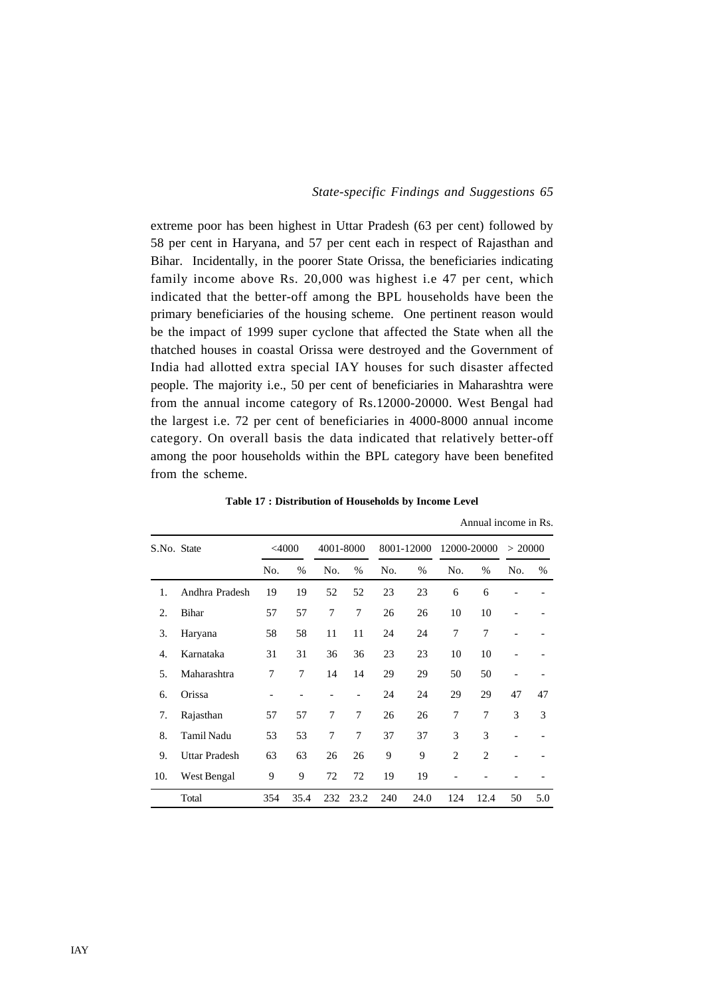Annual income in Rs.

extreme poor has been highest in Uttar Pradesh (63 per cent) followed by 58 per cent in Haryana, and 57 per cent each in respect of Rajasthan and Bihar. Incidentally, in the poorer State Orissa, the beneficiaries indicating family income above Rs. 20,000 was highest i.e 47 per cent, which indicated that the better-off among the BPL households have been the primary beneficiaries of the housing scheme. One pertinent reason would be the impact of 1999 super cyclone that affected the State when all the thatched houses in coastal Orissa were destroyed and the Government of India had allotted extra special IAY houses for such disaster affected people. The majority i.e., 50 per cent of beneficiaries in Maharashtra were from the annual income category of Rs.12000-20000. West Bengal had the largest i.e. 72 per cent of beneficiaries in 4000-8000 annual income category. On overall basis the data indicated that relatively better-off among the poor households within the BPL category have been benefited from the scheme.

| S.No. State |                      |                | $<$ 4000<br>4001-8000 |     | 8001-12000     |     | 12000-20000 |                | > 20000        |                              |      |
|-------------|----------------------|----------------|-----------------------|-----|----------------|-----|-------------|----------------|----------------|------------------------------|------|
|             |                      | No.            | %                     | No. | $\%$           | No. | $\%$        | No.            | $\%$           | No.                          | $\%$ |
| 1.          | Andhra Pradesh       | 19             | 19                    | 52  | 52             | 23  | 23          | 6              | 6              |                              |      |
| 2.          | Bihar                | 57             | 57                    | 7   | 7              | 26  | 26          | 10             | 10             |                              |      |
| 3.          | Haryana              | 58             | 58                    | 11  | 11             | 24  | 24          | 7              | 7              |                              |      |
| 4.          | Karnataka            | 31             | 31                    | 36  | 36             | 23  | 23          | 10             | 10             |                              |      |
| 5.          | Maharashtra          | 7              | 7                     | 14  | 14             | 29  | 29          | 50             | 50             | $\qquad \qquad \blacksquare$ |      |
| 6.          | Orissa               | $\overline{a}$ |                       |     |                | 24  | 24          | 29             | 29             | 47                           | 47   |
| 7.          | Rajasthan            | 57             | 57                    | 7   | 7              | 26  | 26          | 7              | 7              | 3                            | 3    |
| 8.          | <b>Tamil Nadu</b>    | 53             | 53                    | 7   | $\overline{7}$ | 37  | 37          | 3              | 3              |                              |      |
| 9.          | <b>Uttar Pradesh</b> | 63             | 63                    | 26  | 26             | 9   | 9           | $\overline{c}$ | $\overline{c}$ |                              |      |
| 10.         | West Bengal          | 9              | 9                     | 72  | 72             | 19  | 19          |                |                |                              |      |
|             | Total                | 354            | 35.4                  | 232 | 23.2           | 240 | 24.0        | 124            | 12.4           | 50                           | 5.0  |

**Table 17 : Distribution of Households by Income Level**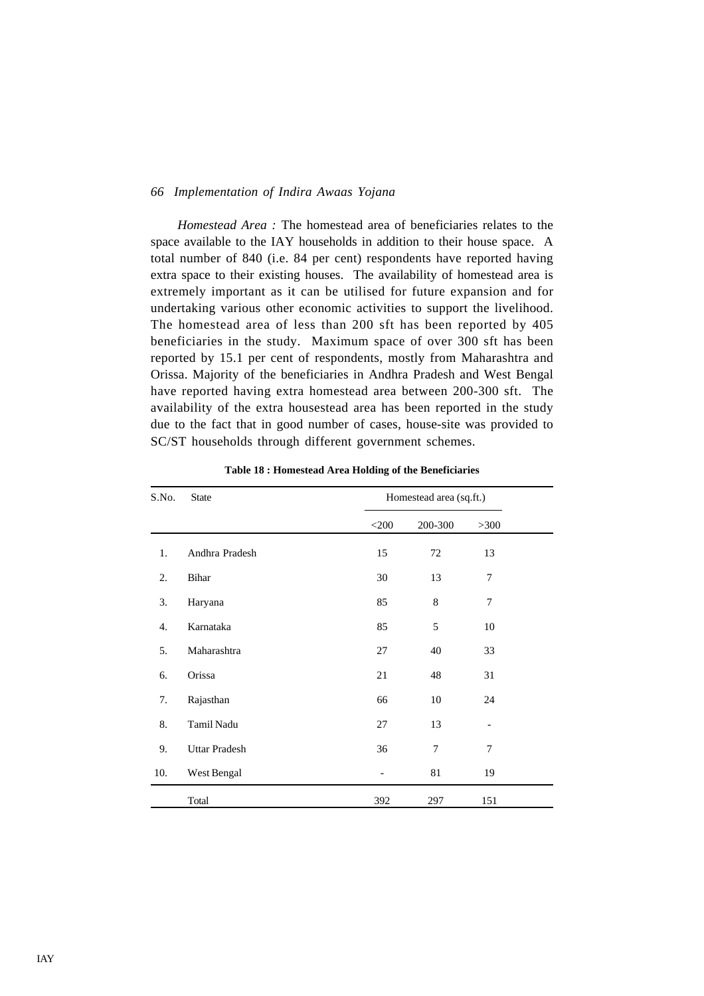*Homestead Area :* The homestead area of beneficiaries relates to the space available to the IAY households in addition to their house space. A total number of 840 (i.e. 84 per cent) respondents have reported having extra space to their existing houses. The availability of homestead area is extremely important as it can be utilised for future expansion and for undertaking various other economic activities to support the livelihood. The homestead area of less than 200 sft has been reported by 405 beneficiaries in the study. Maximum space of over 300 sft has been reported by 15.1 per cent of respondents, mostly from Maharashtra and Orissa. Majority of the beneficiaries in Andhra Pradesh and West Bengal have reported having extra homestead area between 200-300 sft. The availability of the extra housestead area has been reported in the study due to the fact that in good number of cases, house-site was provided to SC/ST households through different government schemes.

| S.No. | <b>State</b>         |                          | Homestead area (sq.ft.) |        |  |
|-------|----------------------|--------------------------|-------------------------|--------|--|
|       |                      | $<$ 200                  | 200-300                 | $>300$ |  |
| 1.    | Andhra Pradesh       | 15                       | 72                      | 13     |  |
| 2.    | Bihar                | 30                       | 13                      | 7      |  |
| 3.    | Haryana              | 85                       | 8                       | 7      |  |
| 4.    | Karnataka            | 85                       | 5                       | 10     |  |
| 5.    | Maharashtra          | 27                       | 40                      | 33     |  |
| 6.    | Orissa               | $21\,$                   | 48                      | 31     |  |
| 7.    | Rajasthan            | 66                       | $10\,$                  | 24     |  |
| 8.    | Tamil Nadu           | 27                       | 13                      |        |  |
| 9.    | <b>Uttar Pradesh</b> | 36                       | 7                       | 7      |  |
| 10.   | West Bengal          | $\overline{\phantom{a}}$ | 81                      | 19     |  |
|       | Total                | 392                      | 297                     | 151    |  |

**Table 18 : Homestead Area Holding of the Beneficiaries**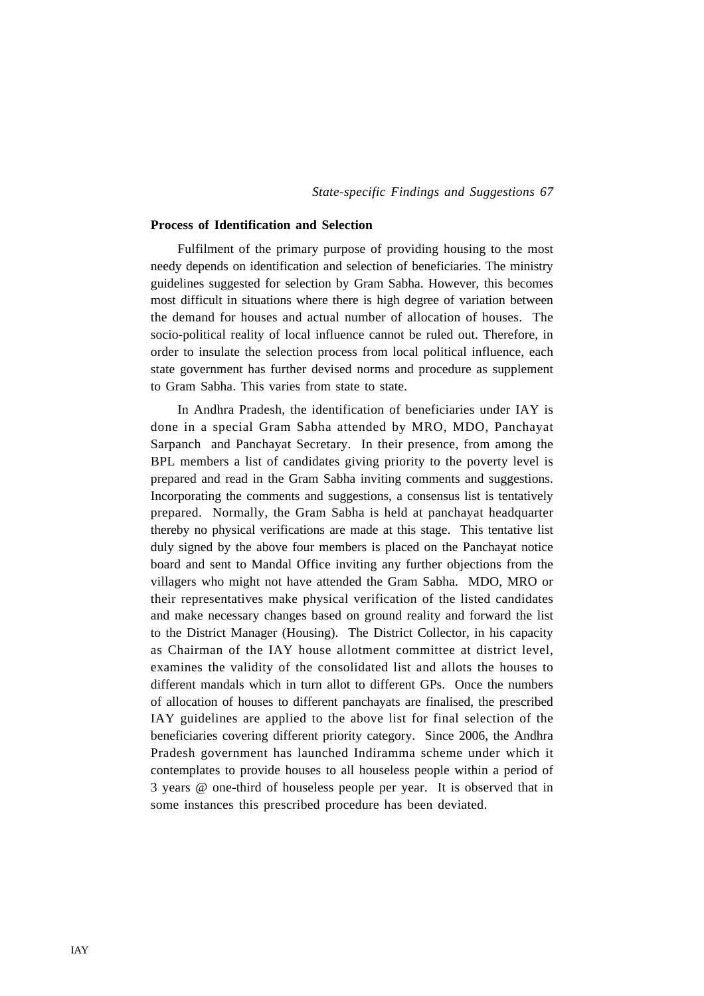### **Process of Identification and Selection**

Fulfilment of the primary purpose of providing housing to the most needy depends on identification and selection of beneficiaries. The ministry guidelines suggested for selection by Gram Sabha. However, this becomes most difficult in situations where there is high degree of variation between the demand for houses and actual number of allocation of houses. The socio-political reality of local influence cannot be ruled out. Therefore, in order to insulate the selection process from local political influence, each state government has further devised norms and procedure as supplement to Gram Sabha. This varies from state to state.

In Andhra Pradesh, the identification of beneficiaries under IAY is done in a special Gram Sabha attended by MRO, MDO, Panchayat Sarpanch and Panchayat Secretary. In their presence, from among the BPL members a list of candidates giving priority to the poverty level is prepared and read in the Gram Sabha inviting comments and suggestions. Incorporating the comments and suggestions, a consensus list is tentatively prepared. Normally, the Gram Sabha is held at panchayat headquarter thereby no physical verifications are made at this stage. This tentative list duly signed by the above four members is placed on the Panchayat notice board and sent to Mandal Office inviting any further objections from the villagers who might not have attended the Gram Sabha. MDO, MRO or their representatives make physical verification of the listed candidates and make necessary changes based on ground reality and forward the list to the District Manager (Housing). The District Collector, in his capacity as Chairman of the IAY house allotment committee at district level, examines the validity of the consolidated list and allots the houses to different mandals which in turn allot to different GPs. Once the numbers of allocation of houses to different panchayats are finalised, the prescribed IAY guidelines are applied to the above list for final selection of the beneficiaries covering different priority category. Since 2006, the Andhra Pradesh government has launched Indiramma scheme under which it contemplates to provide houses to all houseless people within a period of 3 years @ one-third of houseless people per year. It is observed that in some instances this prescribed procedure has been deviated.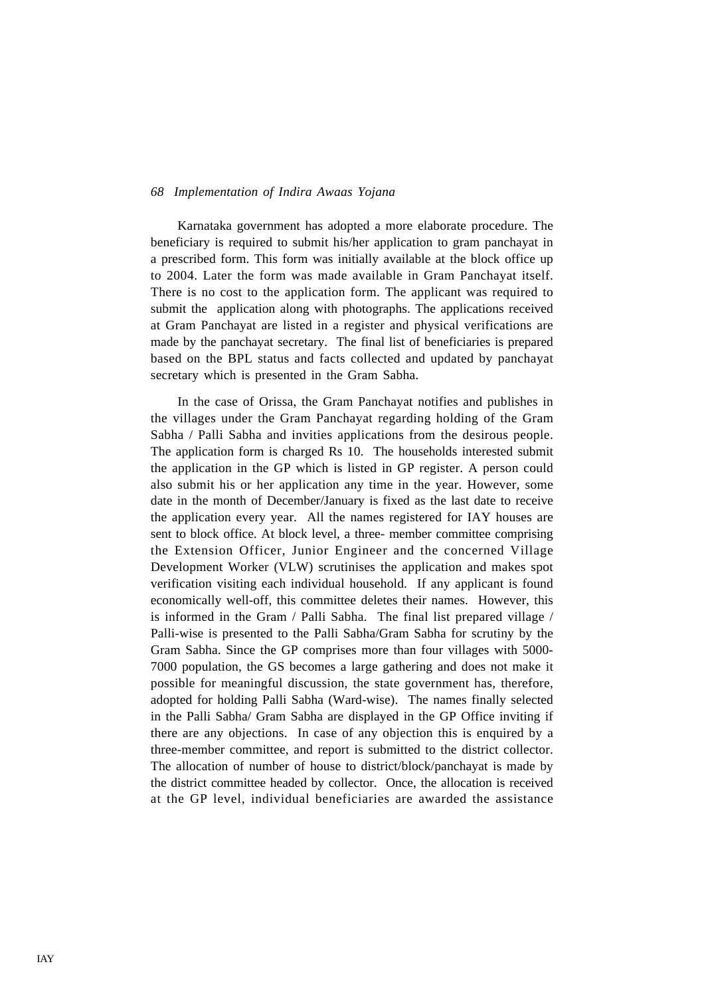Karnataka government has adopted a more elaborate procedure. The beneficiary is required to submit his/her application to gram panchayat in a prescribed form. This form was initially available at the block office up to 2004. Later the form was made available in Gram Panchayat itself. There is no cost to the application form. The applicant was required to submit the application along with photographs. The applications received at Gram Panchayat are listed in a register and physical verifications are made by the panchayat secretary. The final list of beneficiaries is prepared based on the BPL status and facts collected and updated by panchayat secretary which is presented in the Gram Sabha.

In the case of Orissa, the Gram Panchayat notifies and publishes in the villages under the Gram Panchayat regarding holding of the Gram Sabha / Palli Sabha and invities applications from the desirous people. The application form is charged Rs 10. The households interested submit the application in the GP which is listed in GP register. A person could also submit his or her application any time in the year. However, some date in the month of December/January is fixed as the last date to receive the application every year. All the names registered for IAY houses are sent to block office. At block level, a three- member committee comprising the Extension Officer, Junior Engineer and the concerned Village Development Worker (VLW) scrutinises the application and makes spot verification visiting each individual household. If any applicant is found economically well-off, this committee deletes their names. However, this is informed in the Gram / Palli Sabha. The final list prepared village / Palli-wise is presented to the Palli Sabha/Gram Sabha for scrutiny by the Gram Sabha. Since the GP comprises more than four villages with 5000- 7000 population, the GS becomes a large gathering and does not make it possible for meaningful discussion, the state government has, therefore, adopted for holding Palli Sabha (Ward-wise). The names finally selected in the Palli Sabha/ Gram Sabha are displayed in the GP Office inviting if there are any objections. In case of any objection this is enquired by a three-member committee, and report is submitted to the district collector. The allocation of number of house to district/block/panchayat is made by the district committee headed by collector. Once, the allocation is received at the GP level, individual beneficiaries are awarded the assistance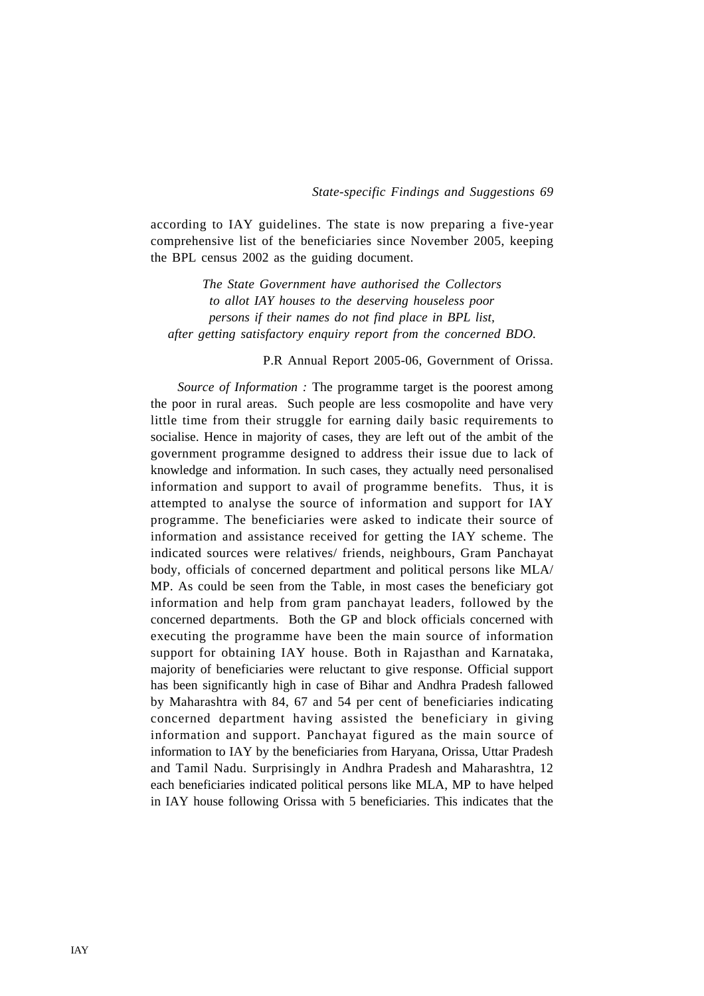according to IAY guidelines. The state is now preparing a five-year comprehensive list of the beneficiaries since November 2005, keeping the BPL census 2002 as the guiding document.

*The State Government have authorised the Collectors to allot IAY houses to the deserving houseless poor persons if their names do not find place in BPL list, after getting satisfactory enquiry report from the concerned BDO.*

### P.R Annual Report 2005-06, Government of Orissa.

*Source of Information :* The programme target is the poorest among the poor in rural areas. Such people are less cosmopolite and have very little time from their struggle for earning daily basic requirements to socialise. Hence in majority of cases, they are left out of the ambit of the government programme designed to address their issue due to lack of knowledge and information. In such cases, they actually need personalised information and support to avail of programme benefits. Thus, it is attempted to analyse the source of information and support for IAY programme. The beneficiaries were asked to indicate their source of information and assistance received for getting the IAY scheme. The indicated sources were relatives/ friends, neighbours, Gram Panchayat body, officials of concerned department and political persons like MLA/ MP. As could be seen from the Table, in most cases the beneficiary got information and help from gram panchayat leaders, followed by the concerned departments. Both the GP and block officials concerned with executing the programme have been the main source of information support for obtaining IAY house. Both in Rajasthan and Karnataka, majority of beneficiaries were reluctant to give response. Official support has been significantly high in case of Bihar and Andhra Pradesh fallowed by Maharashtra with 84, 67 and 54 per cent of beneficiaries indicating concerned department having assisted the beneficiary in giving information and support. Panchayat figured as the main source of information to IAY by the beneficiaries from Haryana, Orissa, Uttar Pradesh and Tamil Nadu. Surprisingly in Andhra Pradesh and Maharashtra, 12 each beneficiaries indicated political persons like MLA, MP to have helped in IAY house following Orissa with 5 beneficiaries. This indicates that the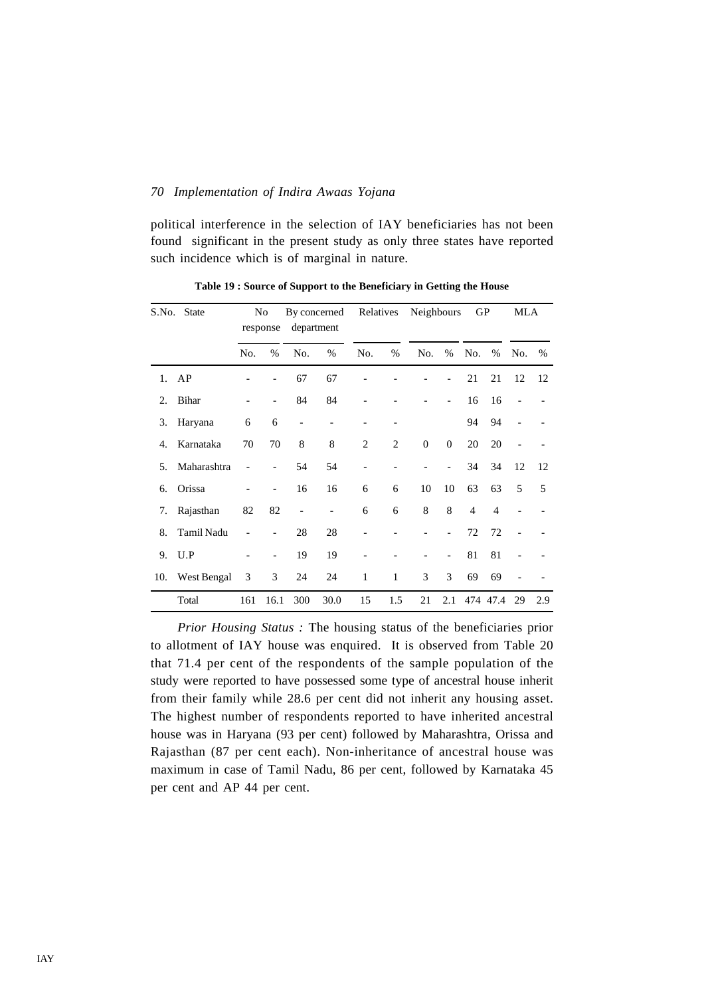political interference in the selection of IAY beneficiaries has not been found significant in the present study as only three states have reported such incidence which is of marginal in nature.

| S.No. | <b>State</b> |     | No<br>response           | department               | By concerned | Relatives      |                | Neighbours |                          | GP             |                | MLA            |      |
|-------|--------------|-----|--------------------------|--------------------------|--------------|----------------|----------------|------------|--------------------------|----------------|----------------|----------------|------|
|       |              | No. | $\%$                     | No.                      | $\%$         | No.            | $\%$           | No.        | $\%$                     | No.            | $\%$           | No.            | $\%$ |
| 1.    | AP           |     |                          | 67                       | 67           |                |                |            |                          | 21             | 21             | 12             | 12   |
| 2.    | Bihar        |     | $\overline{\phantom{a}}$ | 84                       | 84           |                |                |            | $\overline{\phantom{a}}$ | 16             | 16             | $\overline{a}$ |      |
| 3.    | Haryana      | 6   | 6                        | $\overline{\phantom{0}}$ |              |                |                |            |                          | 94             | 94             |                |      |
| 4.    | Karnataka    | 70  | 70                       | 8                        | 8            | 2              | $\overline{c}$ | $\theta$   | $\mathbf{0}$             | 20             | 20             |                |      |
| 5.    | Maharashtra  |     |                          | 54                       | 54           | $\overline{a}$ |                |            | $\overline{\phantom{a}}$ | 34             | 34             | 12             | 12   |
| 6.    | Orissa       |     | $\overline{\phantom{a}}$ | 16                       | 16           | 6              | 6              | 10         | 10                       | 63             | 63             | 5              | 5    |
| 7.    | Rajasthan    | 82  | 82                       | $\qquad \qquad -$        |              | 6              | 6              | 8          | 8                        | $\overline{4}$ | $\overline{4}$ |                |      |
| 8.    | Tamil Nadu   |     | $\overline{\phantom{a}}$ | 28                       | 28           | $\overline{a}$ |                |            | $\overline{\phantom{a}}$ | 72             | 72             |                |      |
| 9.    | U.P          |     | $\overline{\phantom{0}}$ | 19                       | 19           |                |                |            |                          | 81             | 81             |                |      |
| 10.   | West Bengal  | 3   | 3                        | 24                       | 24           | 1              | $\mathbf{1}$   | 3          | 3                        | 69             | 69             |                |      |
|       | Total        | 161 | 16.1                     | 300                      | 30.0         | 15             | 1.5            | 21         | 2.1                      |                | 474 47.4       | 29             | 2.9  |

**Table 19 : Source of Support to the Beneficiary in Getting the House**

*Prior Housing Status :* The housing status of the beneficiaries prior to allotment of IAY house was enquired. It is observed from Table 20 that 71.4 per cent of the respondents of the sample population of the study were reported to have possessed some type of ancestral house inherit from their family while 28.6 per cent did not inherit any housing asset. The highest number of respondents reported to have inherited ancestral house was in Haryana (93 per cent) followed by Maharashtra, Orissa and Rajasthan (87 per cent each). Non-inheritance of ancestral house was maximum in case of Tamil Nadu, 86 per cent, followed by Karnataka 45 per cent and AP 44 per cent.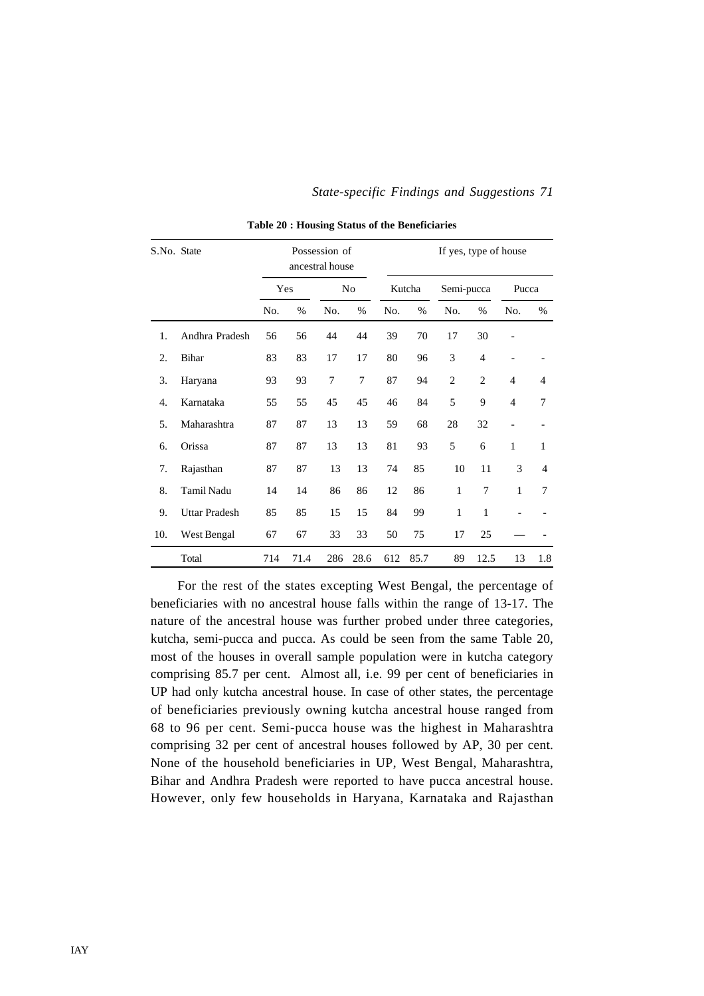| S.No. State |                      |     |      | Possession of<br>ancestral house |      | If yes, type of house |        |                |                |                          |              |  |
|-------------|----------------------|-----|------|----------------------------------|------|-----------------------|--------|----------------|----------------|--------------------------|--------------|--|
|             |                      |     | Yes  |                                  | No   |                       | Kutcha | Semi-pucca     |                | Pucca                    |              |  |
|             |                      | No. | %    | No.                              | $\%$ | No.                   | %      | No.            | %              | No.                      | $\%$         |  |
| 1.          | Andhra Pradesh       | 56  | 56   | 44                               | 44   | 39                    | 70     | 17             | 30             |                          |              |  |
| 2.          | <b>Bihar</b>         | 83  | 83   | 17                               | 17   | 80                    | 96     | 3              | $\overline{4}$ |                          |              |  |
| 3.          | Haryana              | 93  | 93   | 7                                | 7    | 87                    | 94     | $\overline{c}$ | $\overline{c}$ | $\overline{4}$           | 4            |  |
| 4.          | Karnataka            | 55  | 55   | 45                               | 45   | 46                    | 84     | 5              | 9              | $\overline{4}$           | 7            |  |
| 5.          | Maharashtra          | 87  | 87   | 13                               | 13   | 59                    | 68     | 28             | 32             | $\overline{\phantom{a}}$ |              |  |
| 6.          | Orissa               | 87  | 87   | 13                               | 13   | 81                    | 93     | 5              | 6              | $\mathbf{1}$             | $\mathbf{1}$ |  |
| 7.          | Rajasthan            | 87  | 87   | 13                               | 13   | 74                    | 85     | 10             | 11             | 3                        | 4            |  |
| 8.          | Tamil Nadu           | 14  | 14   | 86                               | 86   | 12                    | 86     | $\mathbf{1}$   | 7              | 1                        | 7            |  |
| 9.          | <b>Uttar Pradesh</b> | 85  | 85   | 15                               | 15   | 84                    | 99     | $\mathbf{1}$   | 1              |                          |              |  |
| 10.         | West Bengal          | 67  | 67   | 33                               | 33   | 50                    | 75     | 17             | 25             |                          |              |  |
|             | Total                | 714 | 71.4 | 286                              | 28.6 | 612                   | 85.7   | 89             | 12.5           | 13                       | 1.8          |  |

**Table 20 : Housing Status of the Beneficiaries**

For the rest of the states excepting West Bengal, the percentage of beneficiaries with no ancestral house falls within the range of 13-17. The nature of the ancestral house was further probed under three categories, kutcha, semi-pucca and pucca. As could be seen from the same Table 20, most of the houses in overall sample population were in kutcha category comprising 85.7 per cent. Almost all, i.e. 99 per cent of beneficiaries in UP had only kutcha ancestral house. In case of other states, the percentage of beneficiaries previously owning kutcha ancestral house ranged from 68 to 96 per cent. Semi-pucca house was the highest in Maharashtra comprising 32 per cent of ancestral houses followed by AP, 30 per cent. None of the household beneficiaries in UP, West Bengal, Maharashtra, Bihar and Andhra Pradesh were reported to have pucca ancestral house. However, only few households in Haryana, Karnataka and Rajasthan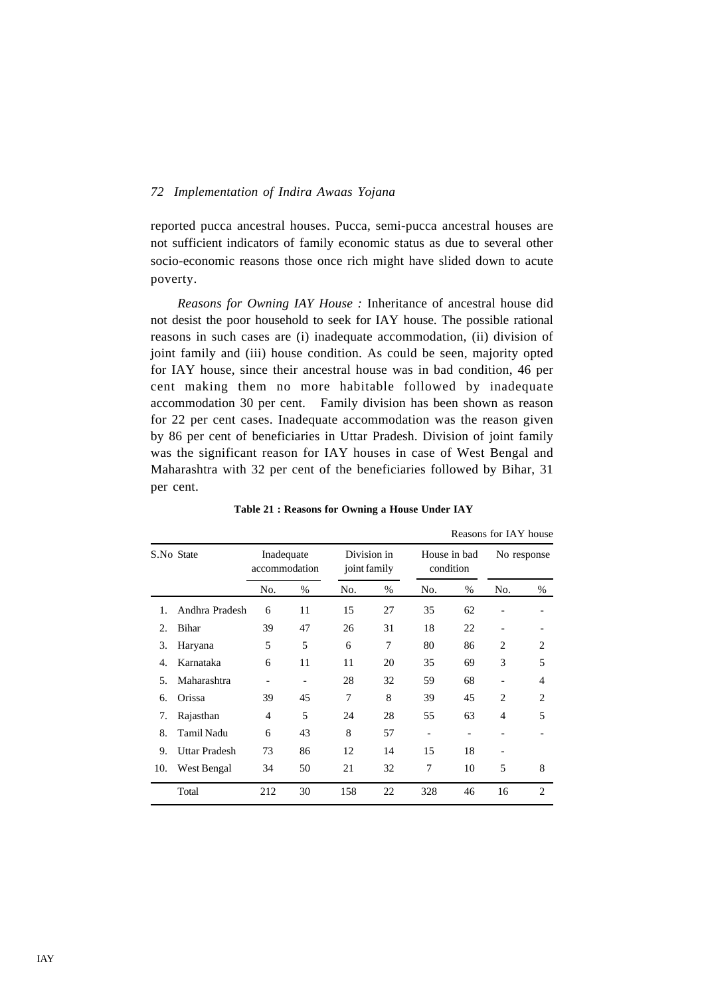reported pucca ancestral houses. Pucca, semi-pucca ancestral houses are not sufficient indicators of family economic status as due to several other socio-economic reasons those once rich might have slided down to acute poverty.

*Reasons for Owning IAY House :* Inheritance of ancestral house did not desist the poor household to seek for IAY house. The possible rational reasons in such cases are (i) inadequate accommodation, (ii) division of joint family and (iii) house condition. As could be seen, majority opted for IAY house, since their ancestral house was in bad condition, 46 per cent making them no more habitable followed by inadequate accommodation 30 per cent. Family division has been shown as reason for 22 per cent cases. Inadequate accommodation was the reason given by 86 per cent of beneficiaries in Uttar Pradesh. Division of joint family was the significant reason for IAY houses in case of West Bengal and Maharashtra with 32 per cent of the beneficiaries followed by Bihar, 31 per cent.

| Reasons for IAY house |                      |                             |      |              |             |                           |      |                |                |  |  |
|-----------------------|----------------------|-----------------------------|------|--------------|-------------|---------------------------|------|----------------|----------------|--|--|
|                       | S.No State           | Inadequate<br>accommodation |      | joint family | Division in | House in bad<br>condition |      | No response    |                |  |  |
|                       |                      | No.                         | $\%$ | No.          | $\%$        | No.                       | $\%$ | No.            | %              |  |  |
| 1.                    | Andhra Pradesh       | 6                           | 11   | 15           | 27          | 35                        | 62   |                |                |  |  |
| 2.                    | Bihar                | 39                          | 47   | 26           | 31          | 18                        | 22   |                |                |  |  |
| 3.                    | Haryana              | 5                           | 5    | 6            | 7           | 80                        | 86   | $\overline{c}$ | 2              |  |  |
| 4.                    | Karnataka            | 6                           | 11   | 11           | 20          | 35                        | 69   | 3              | 5              |  |  |
| 5.                    | Maharashtra          |                             |      | 28           | 32          | 59                        | 68   |                | 4              |  |  |
| 6.                    | Orissa               | 39                          | 45   | 7            | 8           | 39                        | 45   | $\overline{c}$ | $\overline{c}$ |  |  |
| 7.                    | Rajasthan            | $\overline{4}$              | 5    | 24           | 28          | 55                        | 63   | 4              | 5              |  |  |
| 8.                    | Tamil Nadu           | 6                           | 43   | 8            | 57          | $\overline{\phantom{a}}$  | -    |                |                |  |  |
| 9.                    | <b>Uttar Pradesh</b> | 73                          | 86   | 12           | 14          | 15                        | 18   |                |                |  |  |
| 10.                   | West Bengal          | 34                          | 50   | 21           | 32          | 7                         | 10   | 5              | 8              |  |  |
|                       | Total                | 212                         | 30   | 158          | 22          | 328                       | 46   | 16             | 2              |  |  |

 **Table 21 : Reasons for Owning a House Under IAY**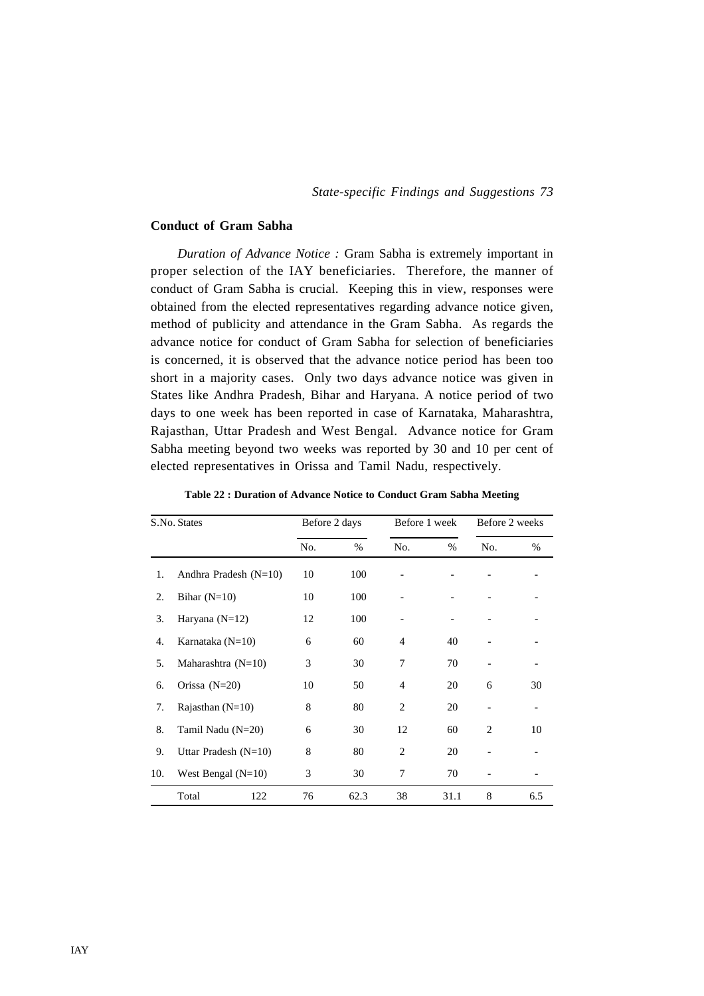### **Conduct of Gram Sabha**

*Duration of Advance Notice :* Gram Sabha is extremely important in proper selection of the IAY beneficiaries. Therefore, the manner of conduct of Gram Sabha is crucial. Keeping this in view, responses were obtained from the elected representatives regarding advance notice given, method of publicity and attendance in the Gram Sabha. As regards the advance notice for conduct of Gram Sabha for selection of beneficiaries is concerned, it is observed that the advance notice period has been too short in a majority cases. Only two days advance notice was given in States like Andhra Pradesh, Bihar and Haryana. A notice period of two days to one week has been reported in case of Karnataka, Maharashtra, Rajasthan, Uttar Pradesh and West Bengal. Advance notice for Gram Sabha meeting beyond two weeks was reported by 30 and 10 per cent of elected representatives in Orissa and Tamil Nadu, respectively.

|     | S.No. States            |     | Before 2 days |                | Before 1 week | Before 2 weeks |      |
|-----|-------------------------|-----|---------------|----------------|---------------|----------------|------|
|     |                         | No. | %             | No.            | $\%$          | No.            | $\%$ |
| 1.  | Andhra Pradesh $(N=10)$ | 10  | 100           |                |               |                |      |
| 2.  | Bihar $(N=10)$          | 10  | 100           |                |               |                |      |
| 3.  | Haryana $(N=12)$        | 12  | 100           |                |               |                |      |
| 4.  | Karnataka ( $N=10$ )    | 6   | 60            | $\overline{4}$ | 40            |                |      |
| 5.  | Maharashtra $(N=10)$    | 3   | 30            | 7              | 70            |                |      |
| 6.  | Orissa $(N=20)$         | 10  | 50            | $\overline{4}$ | 20            | 6              | 30   |
| 7.  | Rajasthan $(N=10)$      | 8   | 80            | $\overline{2}$ | 20            |                |      |
| 8.  | Tamil Nadu (N=20)       | 6   | 30            | 12             | 60            | $\overline{2}$ | 10   |
| 9.  | Uttar Pradesh $(N=10)$  | 8   | 80            | 2              | 20            |                |      |
| 10. | West Bengal $(N=10)$    | 3   | 30            | 7              | 70            |                |      |
|     | Total<br>122            | 76  | 62.3          | 38             | 31.1          | 8              | 6.5  |

**Table 22 : Duration of Advance Notice to Conduct Gram Sabha Meeting**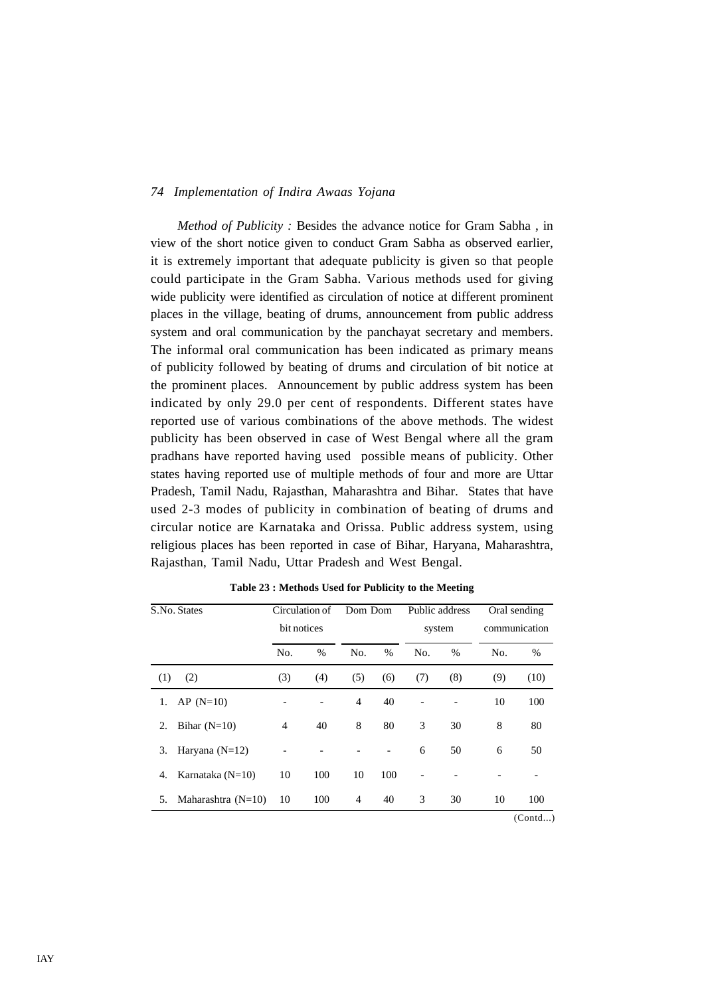*Method of Publicity :* Besides the advance notice for Gram Sabha , in view of the short notice given to conduct Gram Sabha as observed earlier, it is extremely important that adequate publicity is given so that people could participate in the Gram Sabha. Various methods used for giving wide publicity were identified as circulation of notice at different prominent places in the village, beating of drums, announcement from public address system and oral communication by the panchayat secretary and members. The informal oral communication has been indicated as primary means of publicity followed by beating of drums and circulation of bit notice at the prominent places. Announcement by public address system has been indicated by only 29.0 per cent of respondents. Different states have reported use of various combinations of the above methods. The widest publicity has been observed in case of West Bengal where all the gram pradhans have reported having used possible means of publicity. Other states having reported use of multiple methods of four and more are Uttar Pradesh, Tamil Nadu, Rajasthan, Maharashtra and Bihar. States that have used 2-3 modes of publicity in combination of beating of drums and circular notice are Karnataka and Orissa. Public address system, using religious places has been reported in case of Bihar, Haryana, Maharashtra, Rajasthan, Tamil Nadu, Uttar Pradesh and West Bengal.

| S.No. States               |             | Circulation of | Dom Dom        |      |     | Public address |     | Oral sending  |
|----------------------------|-------------|----------------|----------------|------|-----|----------------|-----|---------------|
|                            | bit notices |                |                |      |     | system         |     | communication |
|                            | No.         | $\%$           | No.            | $\%$ | No. | $\%$           | No. | $\%$          |
| (2)<br>(1)                 | (3)         | (4)            | (5)            | (6)  | (7) | (8)            | (9) | (10)          |
| $AP(N=10)$<br>1.           |             |                | $\overline{4}$ | 40   |     |                | 10  | 100           |
| Bihar $(N=10)$<br>2.       | 4           | 40             | 8              | 80   | 3   | 30             | 8   | 80            |
| Haryana $(N=12)$<br>3.     |             |                |                |      | 6   | 50             | 6   | 50            |
| Karnataka $(N=10)$<br>4.   | 10          | 100            | 10             | 100  |     |                |     |               |
| Maharashtra $(N=10)$<br>5. | 10          | 100            | $\overline{4}$ | 40   | 3   | 30             | 10  | 100           |
|                            |             |                |                |      |     |                |     | (Contd)       |

**Table 23 : Methods Used for Publicity to the Meeting**

IAY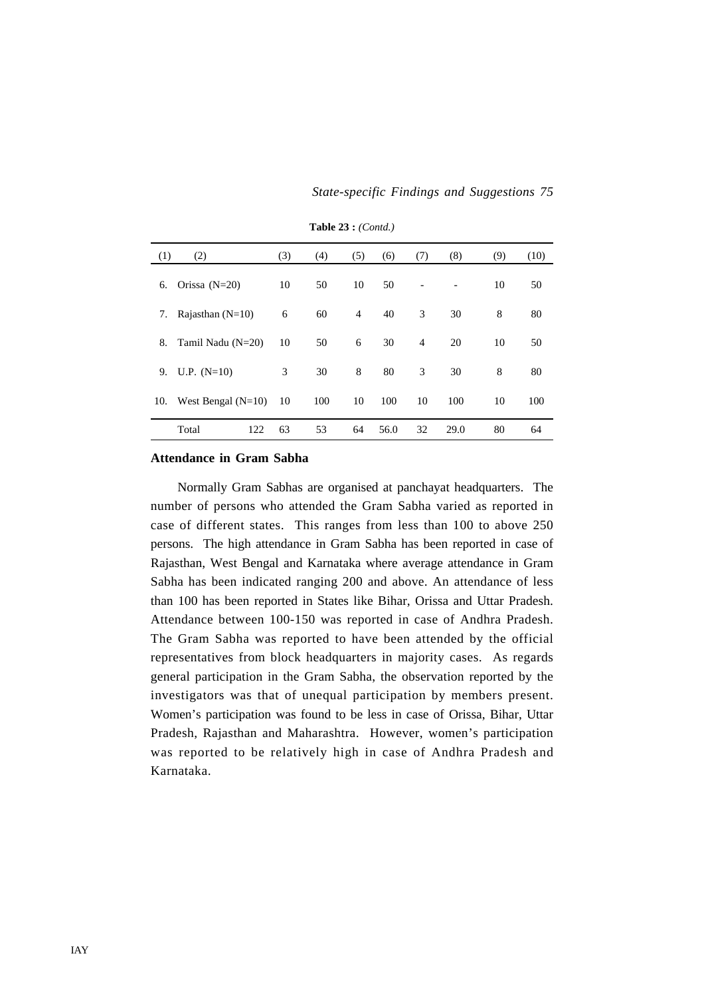*State-specific Findings and Suggestions 75*

| (1) | (2)                  | (3) | (4) | (5)            | (6)  | (7) | (8)  | (9) | (10) |
|-----|----------------------|-----|-----|----------------|------|-----|------|-----|------|
| 6.  | Orissa $(N=20)$      | 10  | 50  | 10             | 50   |     | -    | 10  | 50   |
| 7.  | Rajasthan $(N=10)$   | 6   | 60  | $\overline{4}$ | 40   | 3   | 30   | 8   | 80   |
| 8.  | Tamil Nadu (N=20)    | 10  | 50  | 6              | 30   | 4   | 20   | 10  | 50   |
| 9.  | U.P. $(N=10)$        | 3   | 30  | 8              | 80   | 3   | 30   | 8   | 80   |
| 10. | West Bengal $(N=10)$ | 10  | 100 | 10             | 100  | 10  | 100  | 10  | 100  |
|     | 122<br>Total         | 63  | 53  | 64             | 56.0 | 32  | 29.0 | 80  | 64   |

**Table 23 :** *(Contd.)*

### **Attendance in Gram Sabha**

Normally Gram Sabhas are organised at panchayat headquarters. The number of persons who attended the Gram Sabha varied as reported in case of different states. This ranges from less than 100 to above 250 persons. The high attendance in Gram Sabha has been reported in case of Rajasthan, West Bengal and Karnataka where average attendance in Gram Sabha has been indicated ranging 200 and above. An attendance of less than 100 has been reported in States like Bihar, Orissa and Uttar Pradesh. Attendance between 100-150 was reported in case of Andhra Pradesh. The Gram Sabha was reported to have been attended by the official representatives from block headquarters in majority cases. As regards general participation in the Gram Sabha, the observation reported by the investigators was that of unequal participation by members present. Women's participation was found to be less in case of Orissa, Bihar, Uttar Pradesh, Rajasthan and Maharashtra. However, women's participation was reported to be relatively high in case of Andhra Pradesh and Karnataka.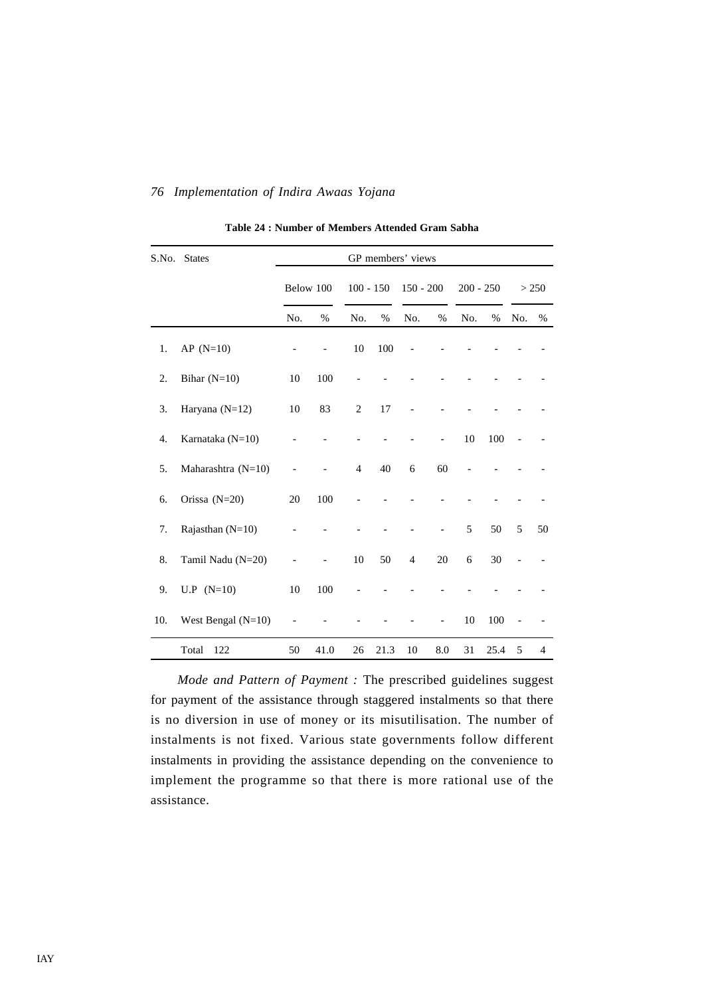|     | S.No. States         |     |           |                |      | GP members' views |     |             |      |     |                |
|-----|----------------------|-----|-----------|----------------|------|-------------------|-----|-------------|------|-----|----------------|
|     |                      |     | Below 100 | $100 - 150$    |      | $150 - 200$       |     | $200 - 250$ |      |     | > 250          |
|     |                      | No. | %         | No.            | $\%$ | No.               | %   | No.         | %    | No. | %              |
| 1.  | $AP (N=10)$          |     |           | 10             | 100  |                   |     |             |      |     |                |
| 2.  | Bihar $(N=10)$       | 10  | 100       |                |      |                   |     |             |      |     |                |
| 3.  | Haryana $(N=12)$     | 10  | 83        | $\overline{2}$ | 17   |                   |     |             |      |     |                |
| 4.  | Karnataka (N=10)     |     |           |                |      |                   |     | 10          | 100  |     |                |
| 5.  | Maharashtra (N=10)   |     |           | $\overline{4}$ | 40   | 6                 | 60  |             |      |     |                |
| 6.  | Orissa (N=20)        | 20  | 100       |                |      |                   |     |             |      |     |                |
| 7.  | Rajasthan (N=10)     |     |           |                |      |                   |     | 5           | 50   | 5   | 50             |
| 8.  | Tamil Nadu (N=20)    |     |           | $10\,$         | 50   | $\overline{4}$    | 20  | 6           | 30   |     |                |
| 9.  | $U.P (N=10)$         | 10  | 100       |                |      |                   |     |             |      |     |                |
| 10. | West Bengal $(N=10)$ |     |           |                |      |                   |     | 10          | 100  |     |                |
|     | Total<br>122         | 50  | 41.0      | 26             | 21.3 | 10                | 8.0 | 31          | 25.4 | 5   | $\overline{4}$ |

**Table 24 : Number of Members Attended Gram Sabha**

*Mode and Pattern of Payment :* The prescribed guidelines suggest for payment of the assistance through staggered instalments so that there is no diversion in use of money or its misutilisation. The number of instalments is not fixed. Various state governments follow different instalments in providing the assistance depending on the convenience to implement the programme so that there is more rational use of the assistance.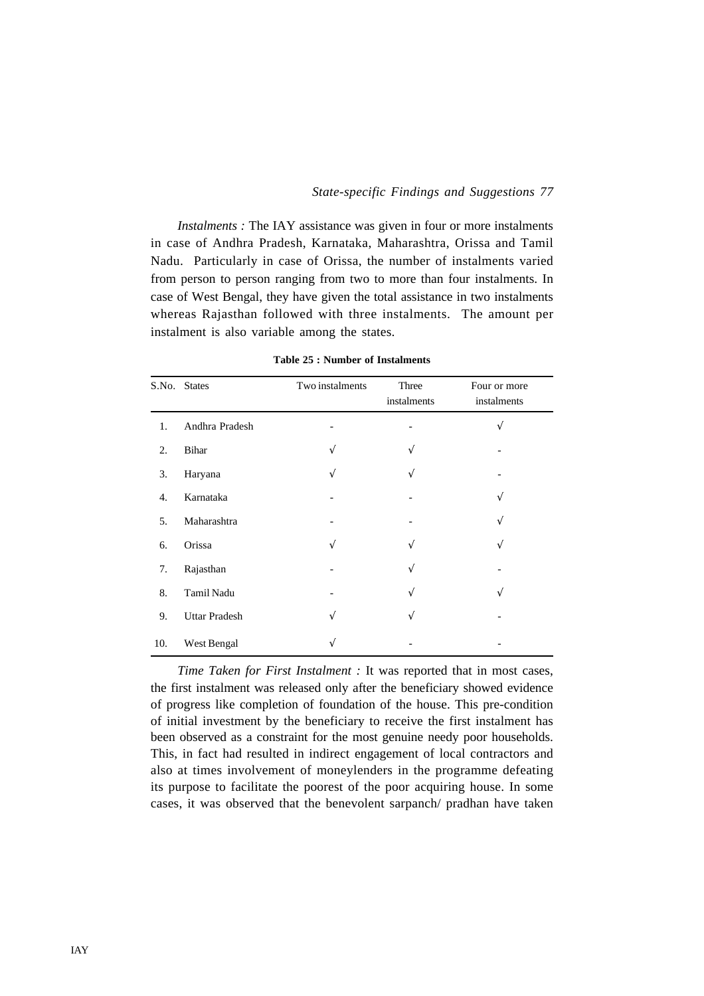*Instalments :* The IAY assistance was given in four or more instalments in case of Andhra Pradesh, Karnataka, Maharashtra, Orissa and Tamil Nadu. Particularly in case of Orissa, the number of instalments varied from person to person ranging from two to more than four instalments. In case of West Bengal, they have given the total assistance in two instalments whereas Rajasthan followed with three instalments. The amount per instalment is also variable among the states.

|     | S.No. States         | Two instalments | Three<br>instalments | Four or more<br>instalments |
|-----|----------------------|-----------------|----------------------|-----------------------------|
| 1.  | Andhra Pradesh       |                 |                      | V                           |
| 2.  | Bihar                |                 | $\sqrt{ }$           |                             |
| 3.  | Haryana              |                 | $\sqrt{ }$           |                             |
| 4.  | Karnataka            |                 |                      | V                           |
| 5.  | Maharashtra          |                 |                      | V                           |
| 6.  | Orissa               |                 | N                    | V                           |
| 7.  | Rajasthan            |                 | V                    |                             |
| 8.  | Tamil Nadu           |                 | V                    | V                           |
| 9.  | <b>Uttar Pradesh</b> |                 | V                    |                             |
| 10. | West Bengal          |                 |                      |                             |

**Table 25 : Number of Instalments**

*Time Taken for First Instalment :* It was reported that in most cases, the first instalment was released only after the beneficiary showed evidence of progress like completion of foundation of the house. This pre-condition of initial investment by the beneficiary to receive the first instalment has been observed as a constraint for the most genuine needy poor households. This, in fact had resulted in indirect engagement of local contractors and also at times involvement of moneylenders in the programme defeating its purpose to facilitate the poorest of the poor acquiring house. In some cases, it was observed that the benevolent sarpanch/ pradhan have taken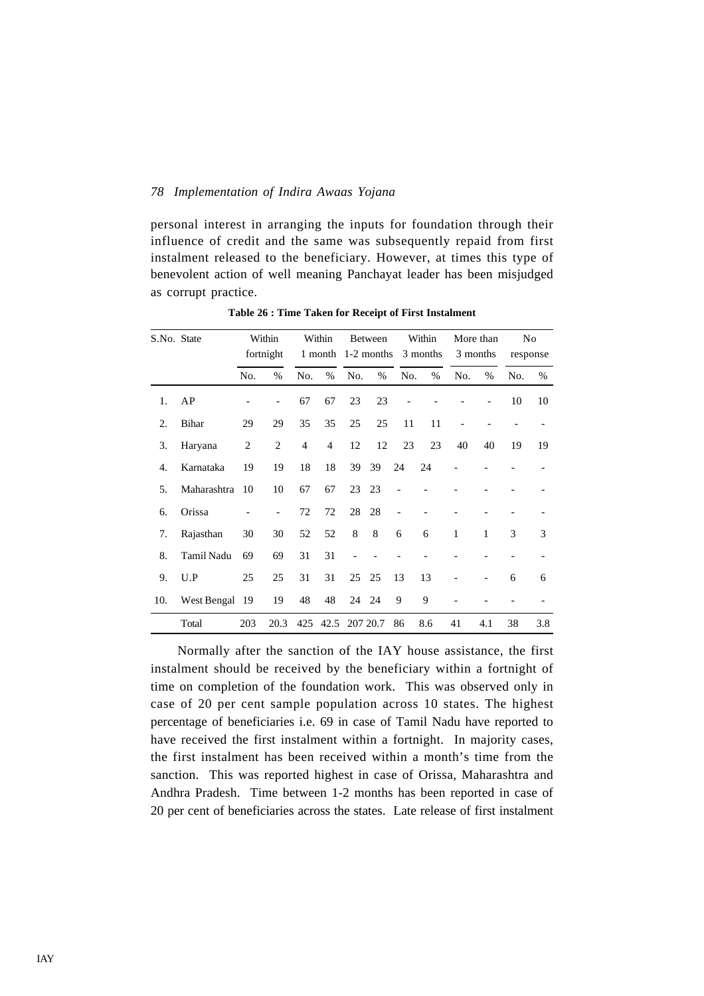personal interest in arranging the inputs for foundation through their influence of credit and the same was subsequently repaid from first instalment released to the beneficiary. However, at times this type of benevolent action of well meaning Panchayat leader has been misjudged as corrupt practice.

| S.No. State |             |                | Within<br>fortnight |                | Within<br>1 month |     | <b>Between</b> |     | Within<br>1-2 months 3 months |              | More than<br>3 months |     | N <sub>0</sub><br>response |
|-------------|-------------|----------------|---------------------|----------------|-------------------|-----|----------------|-----|-------------------------------|--------------|-----------------------|-----|----------------------------|
|             |             | No.            | $\%$                | No.            | $\%$              | No. | $\%$           | No. | $\%$                          | No.          | $\%$                  | No. | %                          |
| 1.          | AP          |                |                     | 67             | 67                | 23  | 23             |     |                               |              |                       | 10  | 10                         |
| 2.          | Bihar       | 29             | 29                  | 35             | 35                | 25  | 25             | 11  | 11                            |              |                       |     |                            |
| 3.          | Haryana     | $\overline{c}$ | $\overline{c}$      | $\overline{4}$ | $\overline{4}$    | 12  | 12             | 23  | 23                            | 40           | 40                    | 19  | 19                         |
| 4.          | Karnataka   | 19             | 19                  | 18             | 18                | 39  | 39             | 24  | 24                            |              |                       |     |                            |
| 5.          | Maharashtra | 10             | 10                  | 67             | 67                | 23  | 23             |     |                               |              |                       |     |                            |
| 6.          | Orissa      |                |                     | 72             | 72                | 28  | 28             |     |                               |              |                       |     |                            |
| 7.          | Rajasthan   | 30             | 30                  | 52             | 52                | 8   | 8              | 6   | 6                             | $\mathbf{1}$ | 1                     | 3   | 3                          |
| 8.          | Tamil Nadu  | 69             | 69                  | 31             | 31                |     |                |     |                               |              |                       |     |                            |
| 9.          | U.P         | 25             | 25                  | 31             | 31                | 25  | 25             | 13  | 13                            |              |                       | 6   | 6                          |
| 10.         | West Bengal | 19             | 19                  | 48             | 48                | 24  | 24             | 9   | 9                             |              |                       |     |                            |
|             | Total       | 203            | 20.3                | 425            | 42.5              |     | 207 20.7       | 86  | 8.6                           | 41           | 4.1                   | 38  | 3.8                        |

**Table 26 : Time Taken for Receipt of First Instalment**

Normally after the sanction of the IAY house assistance, the first instalment should be received by the beneficiary within a fortnight of time on completion of the foundation work. This was observed only in case of 20 per cent sample population across 10 states. The highest percentage of beneficiaries i.e. 69 in case of Tamil Nadu have reported to have received the first instalment within a fortnight. In majority cases, the first instalment has been received within a month's time from the sanction. This was reported highest in case of Orissa, Maharashtra and Andhra Pradesh. Time between 1-2 months has been reported in case of 20 per cent of beneficiaries across the states. Late release of first instalment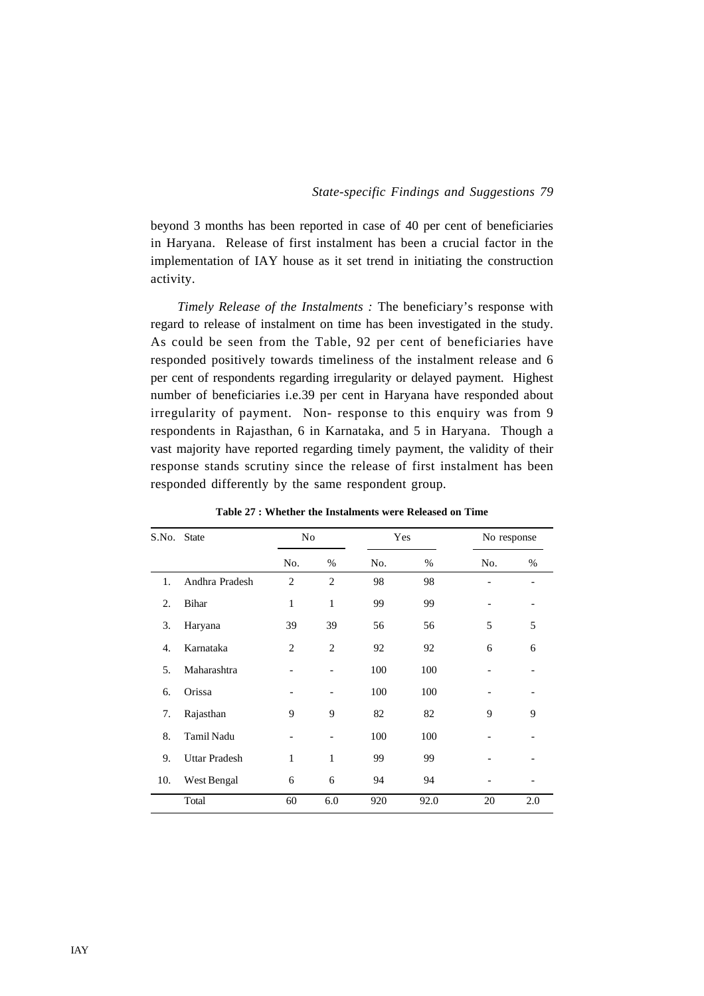beyond 3 months has been reported in case of 40 per cent of beneficiaries in Haryana. Release of first instalment has been a crucial factor in the implementation of IAY house as it set trend in initiating the construction activity.

*Timely Release of the Instalments :* The beneficiary's response with regard to release of instalment on time has been investigated in the study. As could be seen from the Table, 92 per cent of beneficiaries have responded positively towards timeliness of the instalment release and 6 per cent of respondents regarding irregularity or delayed payment. Highest number of beneficiaries i.e.39 per cent in Haryana have responded about irregularity of payment. Non- response to this enquiry was from 9 respondents in Rajasthan, 6 in Karnataka, and 5 in Haryana. Though a vast majority have reported regarding timely payment, the validity of their response stands scrutiny since the release of first instalment has been responded differently by the same respondent group.

| S.No. | <b>State</b>         | No                       |                | Yes |      | No response |                              |
|-------|----------------------|--------------------------|----------------|-----|------|-------------|------------------------------|
|       |                      | No.                      | %              | No. | %    | No.         | %                            |
| 1.    | Andhra Pradesh       | $\overline{c}$           | $\overline{c}$ | 98  | 98   |             | $\qquad \qquad \blacksquare$ |
| 2.    | Bihar                | 1                        | 1              | 99  | 99   |             |                              |
| 3.    | Haryana              | 39                       | 39             | 56  | 56   | 5           | 5                            |
| 4.    | Karnataka            | $\overline{2}$           | $\overline{2}$ | 92  | 92   | 6           | 6                            |
| 5.    | Maharashtra          |                          |                | 100 | 100  |             |                              |
| 6.    | Orissa               | $\overline{\phantom{a}}$ |                | 100 | 100  |             |                              |
| 7.    | Rajasthan            | 9                        | 9              | 82  | 82   | 9           | 9                            |
| 8.    | <b>Tamil Nadu</b>    |                          |                | 100 | 100  |             |                              |
| 9.    | <b>Uttar Pradesh</b> | 1                        | 1              | 99  | 99   |             |                              |
| 10.   | West Bengal          | 6                        | 6              | 94  | 94   |             |                              |
|       | Total                | 60                       | 6.0            | 920 | 92.0 | 20          | 2.0                          |

**Table 27 : Whether the Instalments were Released on Time**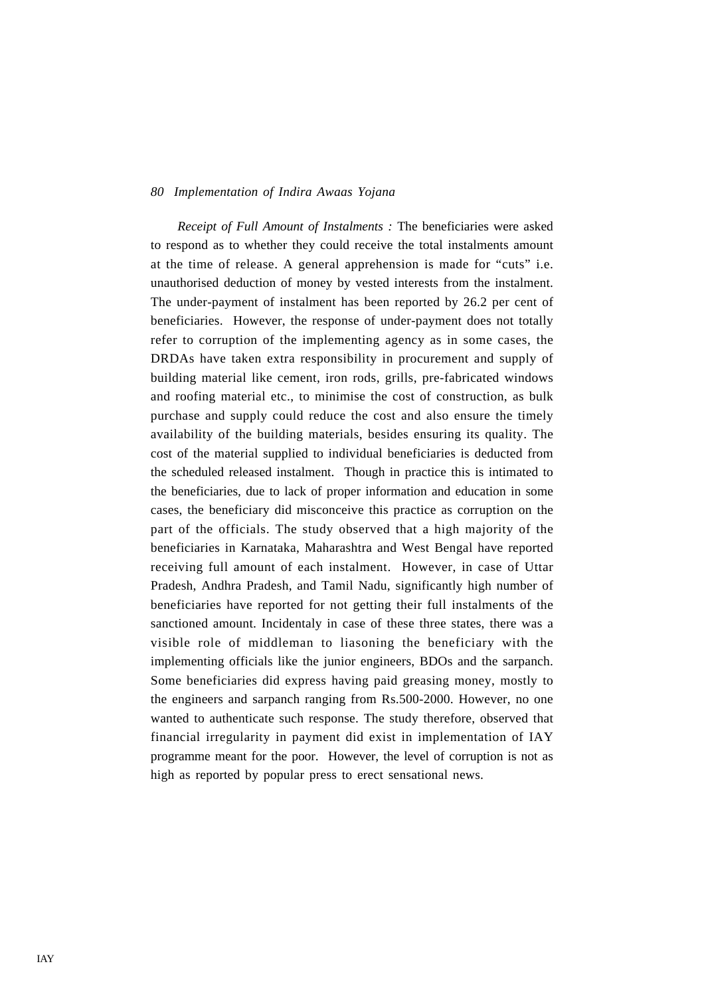*Receipt of Full Amount of Instalments :* The beneficiaries were asked to respond as to whether they could receive the total instalments amount at the time of release. A general apprehension is made for "cuts" i.e. unauthorised deduction of money by vested interests from the instalment. The under-payment of instalment has been reported by 26.2 per cent of beneficiaries. However, the response of under-payment does not totally refer to corruption of the implementing agency as in some cases, the DRDAs have taken extra responsibility in procurement and supply of building material like cement, iron rods, grills, pre-fabricated windows and roofing material etc., to minimise the cost of construction, as bulk purchase and supply could reduce the cost and also ensure the timely availability of the building materials, besides ensuring its quality. The cost of the material supplied to individual beneficiaries is deducted from the scheduled released instalment. Though in practice this is intimated to the beneficiaries, due to lack of proper information and education in some cases, the beneficiary did misconceive this practice as corruption on the part of the officials. The study observed that a high majority of the beneficiaries in Karnataka, Maharashtra and West Bengal have reported receiving full amount of each instalment. However, in case of Uttar Pradesh, Andhra Pradesh, and Tamil Nadu, significantly high number of beneficiaries have reported for not getting their full instalments of the sanctioned amount. Incidentaly in case of these three states, there was a visible role of middleman to liasoning the beneficiary with the implementing officials like the junior engineers, BDOs and the sarpanch. Some beneficiaries did express having paid greasing money, mostly to the engineers and sarpanch ranging from Rs.500-2000. However, no one wanted to authenticate such response. The study therefore, observed that financial irregularity in payment did exist in implementation of IAY programme meant for the poor. However, the level of corruption is not as high as reported by popular press to erect sensational news.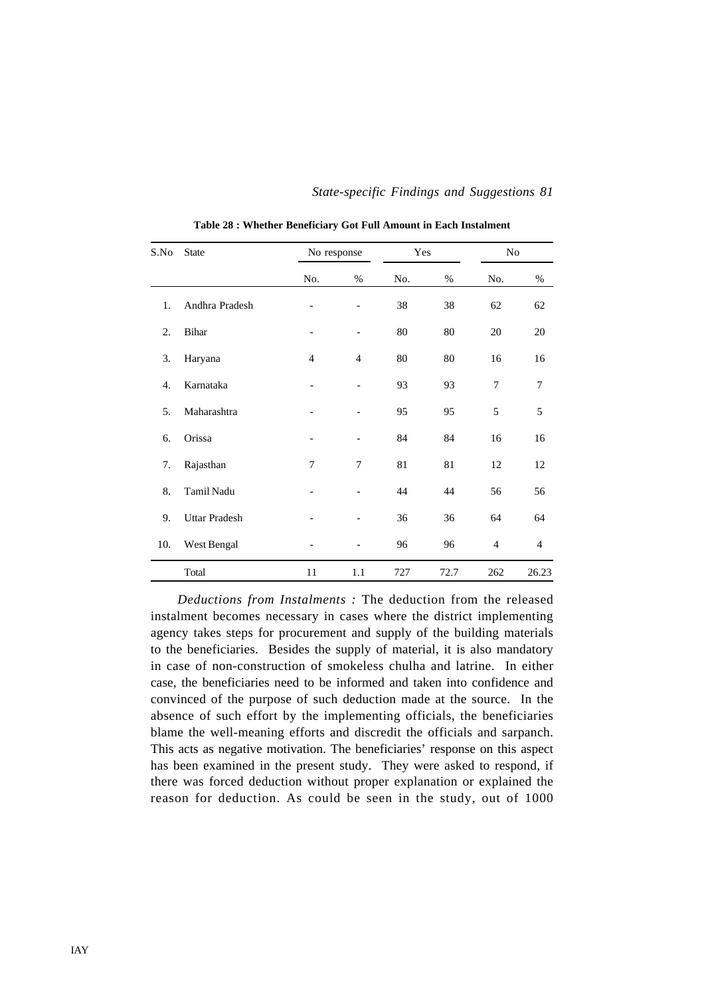| S.No | <b>State</b>         | No response    |                          | Yes |      | No               |                |
|------|----------------------|----------------|--------------------------|-----|------|------------------|----------------|
|      |                      | No.            | %                        | No. | %    | No.              | $\%$           |
| 1.   | Andhra Pradesh       |                | $\overline{\phantom{a}}$ | 38  | 38   | 62               | 62             |
| 2.   | Bihar                |                |                          | 80  | 80   | 20               | 20             |
| 3.   | Haryana              | $\overline{4}$ | $\overline{4}$           | 80  | 80   | 16               | 16             |
| 4.   | Karnataka            |                |                          | 93  | 93   | $\boldsymbol{7}$ | 7              |
| 5.   | Maharashtra          |                | $\overline{a}$           | 95  | 95   | 5                | 5              |
| 6.   | Orissa               |                | -                        | 84  | 84   | 16               | 16             |
| 7.   | Rajasthan            | 7              | 7                        | 81  | 81   | 12               | 12             |
| 8.   | Tamil Nadu           |                |                          | 44  | 44   | 56               | 56             |
| 9.   | <b>Uttar Pradesh</b> |                |                          | 36  | 36   | 64               | 64             |
| 10.  | West Bengal          |                |                          | 96  | 96   | $\overline{4}$   | $\overline{4}$ |
|      | Total                | 11             | 1.1                      | 727 | 72.7 | 262              | 26.23          |

**Table 28 : Whether Beneficiary Got Full Amount in Each Instalment**

*Deductions from Instalments :* The deduction from the released instalment becomes necessary in cases where the district implementing agency takes steps for procurement and supply of the building materials to the beneficiaries. Besides the supply of material, it is also mandatory in case of non-construction of smokeless chulha and latrine. In either case, the beneficiaries need to be informed and taken into confidence and convinced of the purpose of such deduction made at the source. In the absence of such effort by the implementing officials, the beneficiaries blame the well-meaning efforts and discredit the officials and sarpanch. This acts as negative motivation. The beneficiaries' response on this aspect has been examined in the present study. They were asked to respond, if there was forced deduction without proper explanation or explained the reason for deduction. As could be seen in the study, out of 1000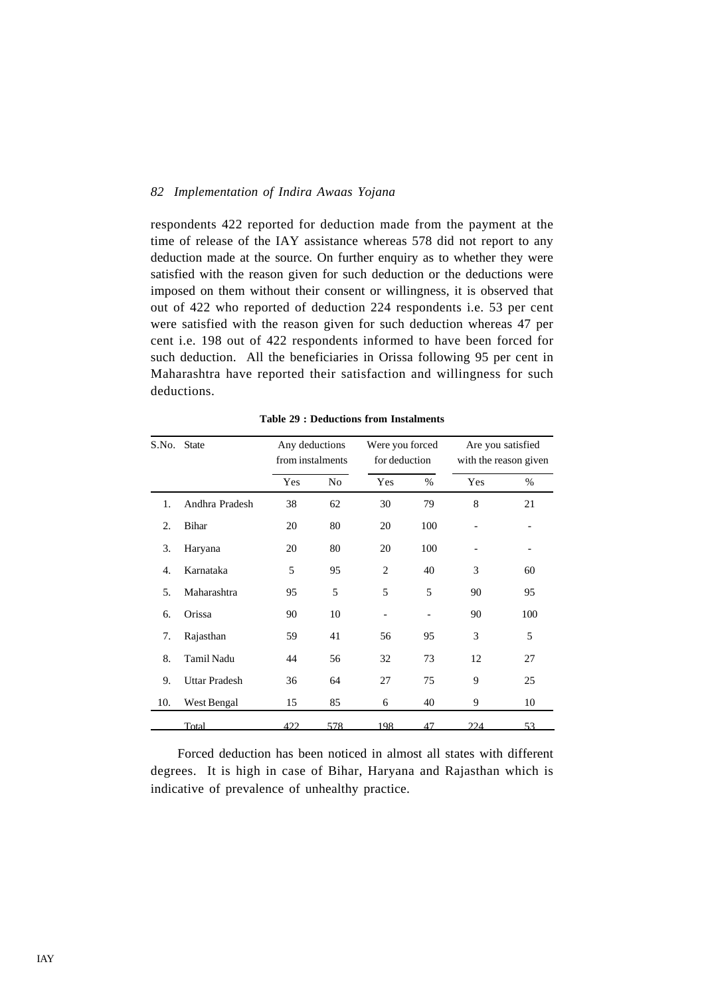respondents 422 reported for deduction made from the payment at the time of release of the IAY assistance whereas 578 did not report to any deduction made at the source. On further enquiry as to whether they were satisfied with the reason given for such deduction or the deductions were imposed on them without their consent or willingness, it is observed that out of 422 who reported of deduction 224 respondents i.e. 53 per cent were satisfied with the reason given for such deduction whereas 47 per cent i.e. 198 out of 422 respondents informed to have been forced for such deduction. All the beneficiaries in Orissa following 95 per cent in Maharashtra have reported their satisfaction and willingness for such deductions.

| S.No. | <b>State</b>         | Any deductions<br>from instalments |                | Were you forced<br>for deduction |      |     | Are you satisfied<br>with the reason given |
|-------|----------------------|------------------------------------|----------------|----------------------------------|------|-----|--------------------------------------------|
|       |                      | Yes                                | N <sub>o</sub> | Yes                              | $\%$ | Yes | %                                          |
| 1.    | Andhra Pradesh       | 38                                 | 62             | 30                               | 79   | 8   | 21                                         |
| 2.    | Bihar                | 20                                 | 80             | 20                               | 100  |     |                                            |
| 3.    | Haryana              | 20                                 | 80             | 20                               | 100  |     |                                            |
| 4.    | Karnataka            | 5                                  | 95             | $\overline{2}$                   | 40   | 3   | 60                                         |
| 5.    | Maharashtra          | 95                                 | 5              | 5                                | 5    | 90  | 95                                         |
| 6.    | Orissa               | 90                                 | 10             |                                  |      | 90  | 100                                        |
| 7.    | Rajasthan            | 59                                 | 41             | 56                               | 95   | 3   | 5                                          |
| 8.    | Tamil Nadu           | 44                                 | 56             | 32                               | 73   | 12  | 27                                         |
| 9.    | <b>Uttar Pradesh</b> | 36                                 | 64             | 27                               | 75   | 9   | 25                                         |
| 10.   | West Bengal          | 15                                 | 85             | 6                                | 40   | 9   | 10                                         |
|       | Total                | 422                                | 578            | 198                              | 47   | 224 | 53                                         |

**Table 29 : Deductions from Instalments**

Forced deduction has been noticed in almost all states with different degrees. It is high in case of Bihar, Haryana and Rajasthan which is indicative of prevalence of unhealthy practice.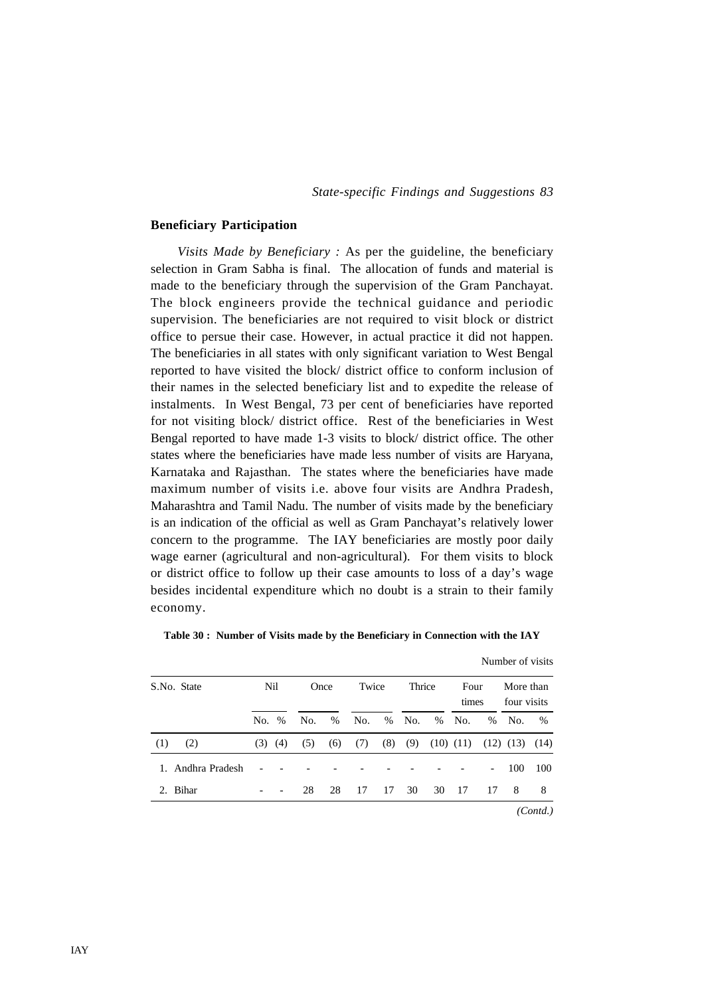#### **Beneficiary Participation**

*Visits Made by Beneficiary :* As per the guideline, the beneficiary selection in Gram Sabha is final. The allocation of funds and material is made to the beneficiary through the supervision of the Gram Panchayat. The block engineers provide the technical guidance and periodic supervision. The beneficiaries are not required to visit block or district office to persue their case. However, in actual practice it did not happen. The beneficiaries in all states with only significant variation to West Bengal reported to have visited the block/ district office to conform inclusion of their names in the selected beneficiary list and to expedite the release of instalments. In West Bengal, 73 per cent of beneficiaries have reported for not visiting block/ district office. Rest of the beneficiaries in West Bengal reported to have made 1-3 visits to block/ district office. The other states where the beneficiaries have made less number of visits are Haryana, Karnataka and Rajasthan. The states where the beneficiaries have made maximum number of visits i.e. above four visits are Andhra Pradesh, Maharashtra and Tamil Nadu. The number of visits made by the beneficiary is an indication of the official as well as Gram Panchayat's relatively lower concern to the programme. The IAY beneficiaries are mostly poor daily wage earner (agricultural and non-agricultural). For them visits to block or district office to follow up their case amounts to loss of a day's wage besides incidental expenditure which no doubt is a strain to their family economy.

| S.No. State       |     | Nil<br>Twice<br>Once |     |      | Thrice |     | Four<br>times |      | More than<br>four visits |                          |               |      |
|-------------------|-----|----------------------|-----|------|--------|-----|---------------|------|--------------------------|--------------------------|---------------|------|
|                   | No. | $\%$                 | No. | $\%$ | No.    | %   | No.           | $\%$ | No.                      | $\%$                     | No.           | $\%$ |
| (1)<br>(2)        | (3) | (4)                  | (5) | (6)  | (7)    | (8) | (9)           |      | $(10)$ $(11)$            |                          | $(12)$ $(13)$ | (14) |
| 1. Andhra Pradesh |     |                      |     |      |        |     |               |      |                          | $\overline{\phantom{a}}$ | 100           | 100  |
| 2. Bihar          |     |                      | 28  | 28   | 17     | 17  | 30            | 30   | -17                      | 17                       | 8             | 8    |

**Table 30 : Number of Visits made by the Beneficiary in Connection with the IAY**

Number of visits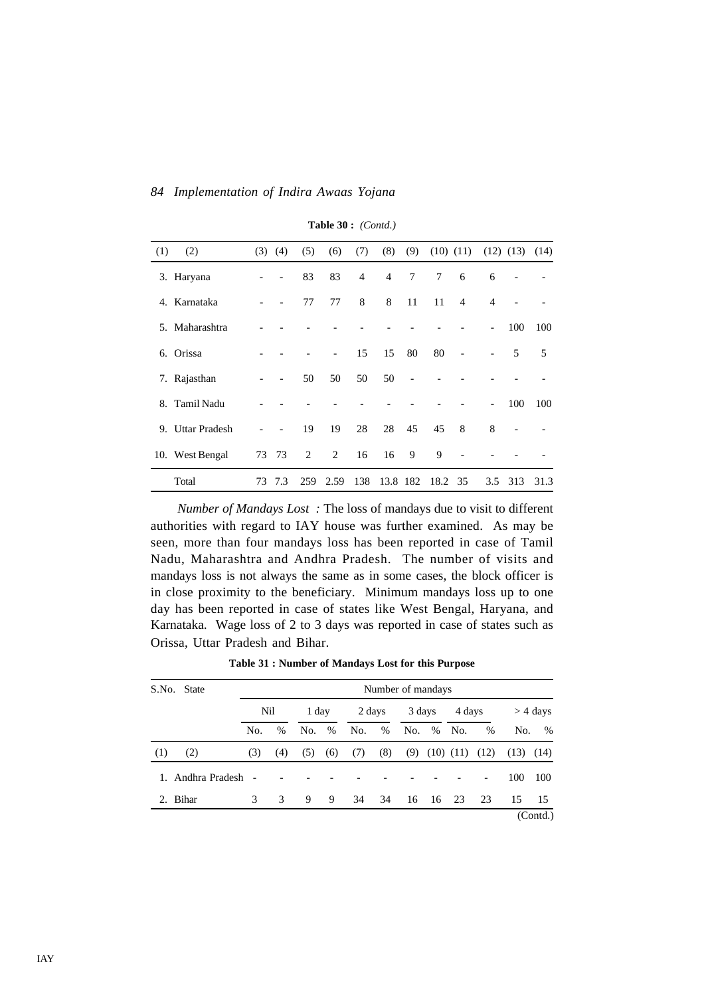| (1) | (2)              | (3) | (4)                      | (5) | (6)  | (7)            | (8)            | (9)      | $(10)$ $(11)$ |                |                          | $(12)$ $(13)$            | (14) |
|-----|------------------|-----|--------------------------|-----|------|----------------|----------------|----------|---------------|----------------|--------------------------|--------------------------|------|
|     | 3. Haryana       |     |                          | 83  | 83   | $\overline{4}$ | $\overline{4}$ | $\tau$   | 7             | 6              | 6                        | $\overline{\phantom{a}}$ |      |
| 4.  | Karnataka        |     |                          | 77  | 77   | 8              | 8              | 11       | 11            | $\overline{4}$ | $\overline{4}$           |                          |      |
| 5.  | Maharashtra      |     |                          |     |      |                |                |          |               |                | $\overline{\phantom{a}}$ | 100                      | 100  |
| 6.  | Orissa           |     |                          |     |      | 15             | 15             | 80       | 80            |                |                          | 5                        | 5    |
|     | 7. Rajasthan     |     | $\overline{\phantom{a}}$ | 50  | 50   | 50             | 50             |          |               |                |                          |                          |      |
| 8.  | Tamil Nadu       |     |                          |     |      |                |                |          |               |                | $\overline{a}$           | 100                      | 100  |
|     | 9. Uttar Pradesh |     |                          | 19  | 19   | 28             | 28             | 45       | 45            | 8              | 8                        |                          |      |
|     | 10. West Bengal  | 73  | 73                       | 2   | 2    | 16             | 16             | 9        | 9             |                |                          |                          |      |
|     | Total            | 73  | 7.3                      | 259 | 2.59 | 138            |                | 13.8 182 | 18.2          | 35             | 3.5                      | 313                      | 31.3 |

**Table 30 :** *(Contd.)*

*Number of Mandays Lost :* The loss of mandays due to visit to different authorities with regard to IAY house was further examined. As may be seen, more than four mandays loss has been reported in case of Tamil Nadu, Maharashtra and Andhra Pradesh. The number of visits and mandays loss is not always the same as in some cases, the block officer is in close proximity to the beneficiary. Minimum mandays loss up to one day has been reported in case of states like West Bengal, Haryana, and Karnataka. Wage loss of 2 to 3 days was reported in case of states such as Orissa, Uttar Pradesh and Bihar.

| Table 31 : Number of Mandays Lost for this Purpose |  |  |  |  |  |
|----------------------------------------------------|--|--|--|--|--|
|----------------------------------------------------|--|--|--|--|--|

| S.No.   | <b>State</b>   | Number of mandays |      |     |               |     |        |     |          |                      |               |      |            |  |
|---------|----------------|-------------------|------|-----|---------------|-----|--------|-----|----------|----------------------|---------------|------|------------|--|
|         |                | Nil               |      |     | 1 day         |     | 2 days |     | 3 days   |                      | 4 days        |      | $>$ 4 days |  |
|         |                | No.               | $\%$ | No. | $\frac{0}{0}$ | No. | $\%$   | No. |          | % No.                | $\frac{0}{0}$ | No.  | $\%$       |  |
| (1)     | (2)            | (3)               | (4)  | (5) | (6)           | (7) | (8)    | (9) |          | $(10)$ $(11)$ $(12)$ |               | (13) | (14)       |  |
| $1_{-}$ | Andhra Pradesh |                   |      |     |               |     |        |     |          |                      |               | 100  | 100        |  |
|         | 2. Bihar       | 3                 | 3    | 9   | 9             | 34  | 34     |     | 16 16 23 |                      | -23           | 15   | 15         |  |
|         |                |                   |      |     |               |     |        |     |          |                      |               |      | (Contd.)   |  |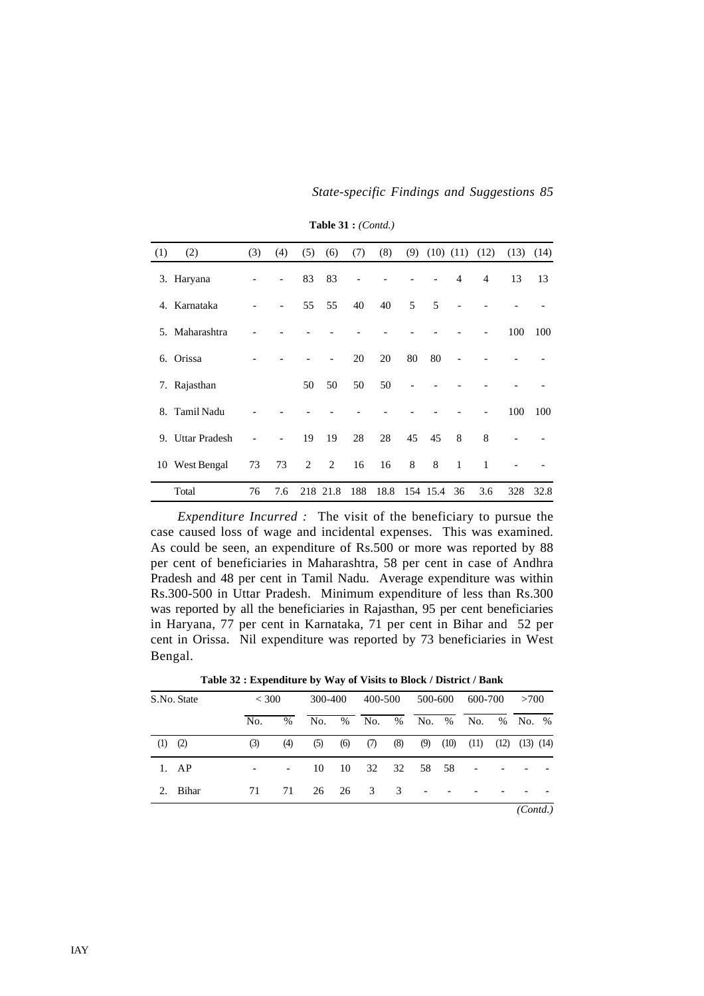*State-specific Findings and Suggestions 85*

| (1) | (2)              | (3) | (4)                          | (5) | (6)            | (7) | (8)  | (9) |          | $(10)$ $(11)$ $(12)$ |                | (13) | (14) |
|-----|------------------|-----|------------------------------|-----|----------------|-----|------|-----|----------|----------------------|----------------|------|------|
|     | 3. Haryana       |     | $\overline{\phantom{a}}$     | 83  | 83             |     |      |     |          | $\overline{4}$       | $\overline{4}$ | 13   | 13   |
|     | 4. Karnataka     |     | $\qquad \qquad \blacksquare$ | 55  | 55             | 40  | 40   | 5   | 5        |                      |                |      |      |
|     | 5. Maharashtra   |     |                              |     |                |     |      |     |          |                      |                | 100  | 100  |
| 6.  | Orissa           |     |                              |     | $\overline{a}$ | 20  | 20   | 80  | 80       |                      |                |      |      |
|     | 7. Rajasthan     |     |                              | 50  | 50             | 50  | 50   |     |          |                      |                |      |      |
|     | 8. Tamil Nadu    |     |                              |     |                |     |      |     |          |                      |                | 100  | 100  |
|     | 9. Uttar Pradesh |     |                              | 19  | 19             | 28  | 28   | 45  | 45       | 8                    | 8              |      |      |
|     | 10 West Bengal   | 73  | 73                           | 2   | 2              | 16  | 16   | 8   | 8        | 1                    | 1              |      |      |
|     | Total            | 76  | 7.6                          |     | 218 21.8       | 188 | 18.8 |     | 154 15.4 | 36                   | 3.6            | 328  | 32.8 |

**Table 31 :** *(Contd.)*

*Expenditure Incurred :* The visit of the beneficiary to pursue the case caused loss of wage and incidental expenses. This was examined. As could be seen, an expenditure of Rs.500 or more was reported by 88 per cent of beneficiaries in Maharashtra, 58 per cent in case of Andhra Pradesh and 48 per cent in Tamil Nadu. Average expenditure was within Rs.300-500 in Uttar Pradesh. Minimum expenditure of less than Rs.300 was reported by all the beneficiaries in Rajasthan, 95 per cent beneficiaries in Haryana, 77 per cent in Karnataka, 71 per cent in Bihar and 52 per cent in Orissa. Nil expenditure was reported by 73 beneficiaries in West Bengal.

**Table 32 : Expenditure by Way of Visits to Block / District / Bank**

|     | S.No. State   |     | < 300      | 300-400 |      | 400-500 |      | 500-600                  |      | 600-700                  |  | >700                 |  |
|-----|---------------|-----|------------|---------|------|---------|------|--------------------------|------|--------------------------|--|----------------------|--|
|     |               | No. | $\%$       | No.     | $\%$ | No.     | $\%$ | No. %                    |      | No.                      |  | % No. %              |  |
| (1) | (2)           | (3) | (4)        | (5)     | (6)  | (7)     | (8)  | (9)                      | (10) | (11)                     |  | $(12)$ $(13)$ $(14)$ |  |
|     | $1. \quad AP$ |     | $\sim 100$ | 10      | 10   | 32      |      | 32 58 58                 |      | $\overline{\phantom{a}}$ |  |                      |  |
|     | 2. Bihar      | 71  | 71         | 26      | 26   | 3       | 3    | $\overline{\phantom{a}}$ |      |                          |  |                      |  |
|     |               |     |            |         |      |         |      |                          |      |                          |  | (Contd.)             |  |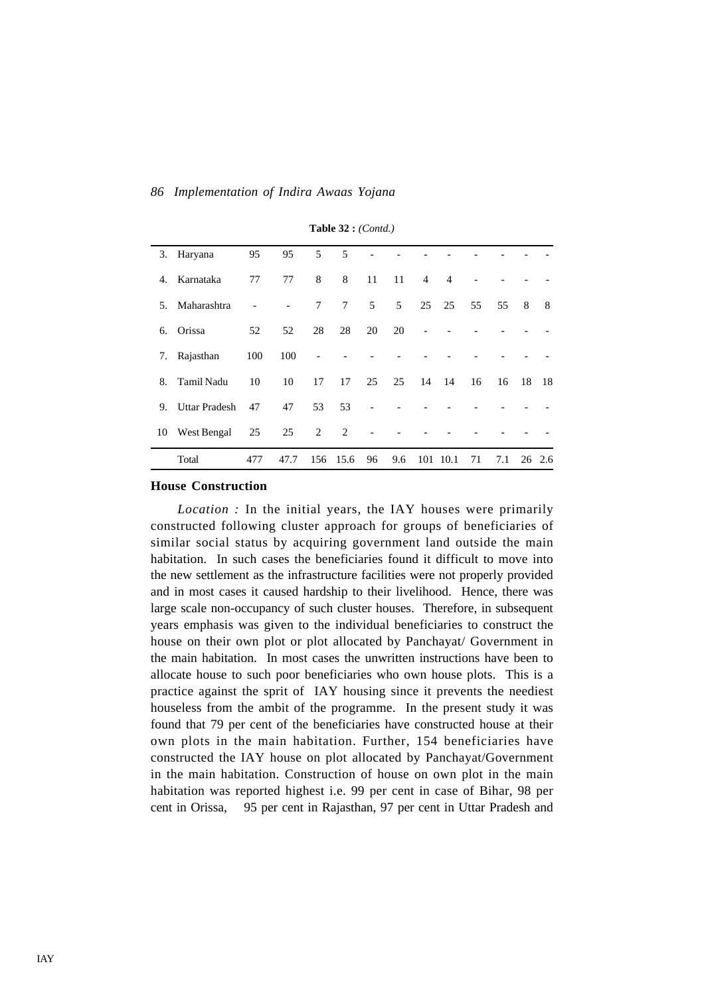|    | 3. Haryana    | 95  | 95                       | 5 <sup>5</sup> | 5          |                |                |                |                |    |     |    |        |
|----|---------------|-----|--------------------------|----------------|------------|----------------|----------------|----------------|----------------|----|-----|----|--------|
| 4. | Karnataka     | 77  | 77                       | 8              | 8          | 11             | 11             | $\overline{4}$ | $\overline{4}$ |    |     |    |        |
| 5. | Maharashtra   |     | $\overline{\phantom{a}}$ | $\tau$         | $7\degree$ | 5 <sup>5</sup> | 5 <sup>5</sup> |                | 25 25          | 55 | 55  | 8  | 8      |
| 6. | Orissa        | 52  | 52                       | 28             | 28         | 20             | 20             |                |                |    |     |    |        |
| 7. | Rajasthan     | 100 | 100                      |                |            |                |                |                |                |    |     |    |        |
| 8. | Tamil Nadu    | 10  | 10                       | 17             | 17         | 25             | 25             | 14             | 14             | 16 | 16  | 18 | 18     |
| 9. | Uttar Pradesh | 47  | 47                       | 53             | 53         |                |                |                |                |    |     |    |        |
| 10 | West Bengal   | 25  | 25                       | 2              | 2          | $\overline{a}$ |                |                |                |    |     |    |        |
|    | Total         | 477 | 47.7                     | 156            | 15.6       | 96             | 9.6            | 101            | 10.1           | 71 | 7.1 |    | 26 2.6 |

**Table 32 :** *(Contd.)*

### **House Construction**

*Location :* In the initial years, the IAY houses were primarily constructed following cluster approach for groups of beneficiaries of similar social status by acquiring government land outside the main habitation. In such cases the beneficiaries found it difficult to move into the new settlement as the infrastructure facilities were not properly provided and in most cases it caused hardship to their livelihood. Hence, there was large scale non-occupancy of such cluster houses. Therefore, in subsequent years emphasis was given to the individual beneficiaries to construct the house on their own plot or plot allocated by Panchayat/ Government in the main habitation. In most cases the unwritten instructions have been to allocate house to such poor beneficiaries who own house plots. This is a practice against the sprit of IAY housing since it prevents the neediest houseless from the ambit of the programme. In the present study it was found that 79 per cent of the beneficiaries have constructed house at their own plots in the main habitation. Further, 154 beneficiaries have constructed the IAY house on plot allocated by Panchayat/Government in the main habitation. Construction of house on own plot in the main habitation was reported highest i.e. 99 per cent in case of Bihar, 98 per cent in Orissa, 95 per cent in Rajasthan, 97 per cent in Uttar Pradesh and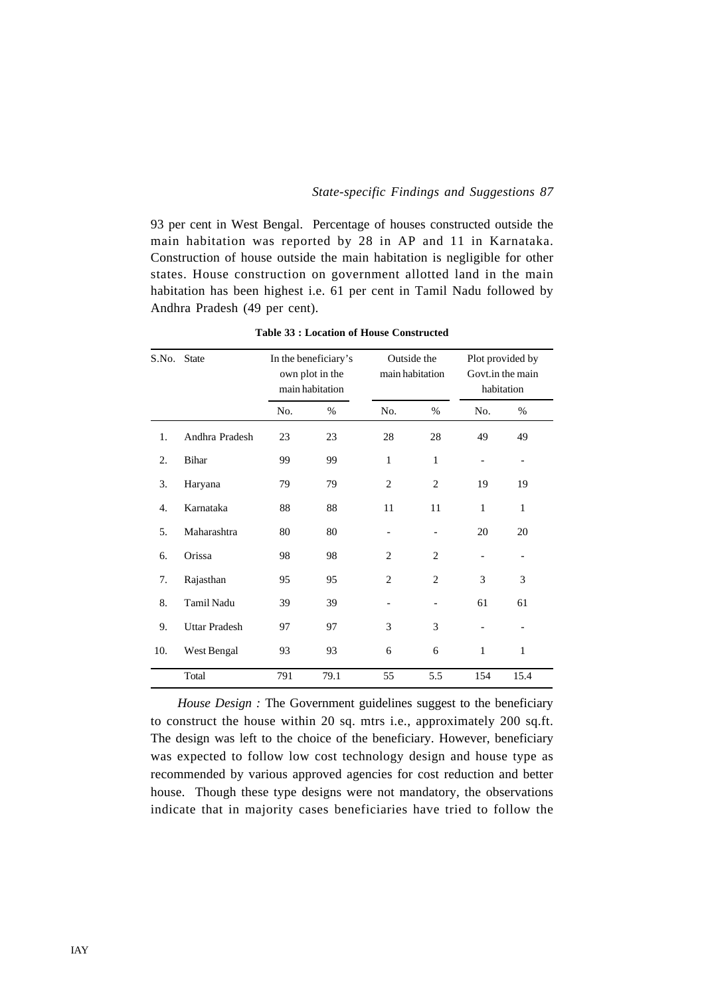93 per cent in West Bengal. Percentage of houses constructed outside the main habitation was reported by 28 in AP and 11 in Karnataka. Construction of house outside the main habitation is negligible for other states. House construction on government allotted land in the main habitation has been highest i.e. 61 per cent in Tamil Nadu followed by Andhra Pradesh (49 per cent).

| S.No. | <b>State</b>         | In the beneficiary's<br>own plot in the<br>main habitation |      | Outside the<br>main habitation |                          | Plot provided by<br>Govt.in the main<br>habitation |                          |  |
|-------|----------------------|------------------------------------------------------------|------|--------------------------------|--------------------------|----------------------------------------------------|--------------------------|--|
|       |                      | No.                                                        | $\%$ | No.                            | $\%$                     | No.                                                | %                        |  |
| 1.    | Andhra Pradesh       | 23                                                         | 23   | 28                             | 28                       | 49                                                 | 49                       |  |
| 2.    | <b>Bihar</b>         | 99                                                         | 99   | $\mathbf{1}$                   | 1                        | $\overline{\phantom{a}}$                           | $\overline{\phantom{0}}$ |  |
| 3.    | Haryana              | 79                                                         | 79   | $\overline{c}$                 | $\overline{c}$           | 19                                                 | 19                       |  |
| 4.    | Karnataka            | 88                                                         | 88   | 11                             | 11                       | 1                                                  | 1                        |  |
| 5.    | Maharashtra          | 80                                                         | 80   | $\overline{\phantom{a}}$       | $\overline{\phantom{a}}$ | 20                                                 | 20                       |  |
| 6.    | Orissa               | 98                                                         | 98   | $\overline{2}$                 | $\overline{2}$           | $\overline{\phantom{a}}$                           |                          |  |
| 7.    | Rajasthan            | 95                                                         | 95   | $\overline{2}$                 | 2                        | 3                                                  | 3                        |  |
| 8.    | Tamil Nadu           | 39                                                         | 39   | $\overline{\phantom{a}}$       |                          | 61                                                 | 61                       |  |
| 9.    | <b>Uttar Pradesh</b> | 97                                                         | 97   | 3                              | 3                        |                                                    |                          |  |
| 10.   | West Bengal          | 93                                                         | 93   | 6                              | 6                        | 1                                                  | $\mathbf{1}$             |  |
|       | Total                | 791                                                        | 79.1 | 55                             | 5.5                      | 154                                                | 15.4                     |  |

**Table 33 : Location of House Constructed**

*House Design :* The Government guidelines suggest to the beneficiary to construct the house within 20 sq. mtrs i.e., approximately 200 sq.ft. The design was left to the choice of the beneficiary. However, beneficiary was expected to follow low cost technology design and house type as recommended by various approved agencies for cost reduction and better house. Though these type designs were not mandatory, the observations indicate that in majority cases beneficiaries have tried to follow the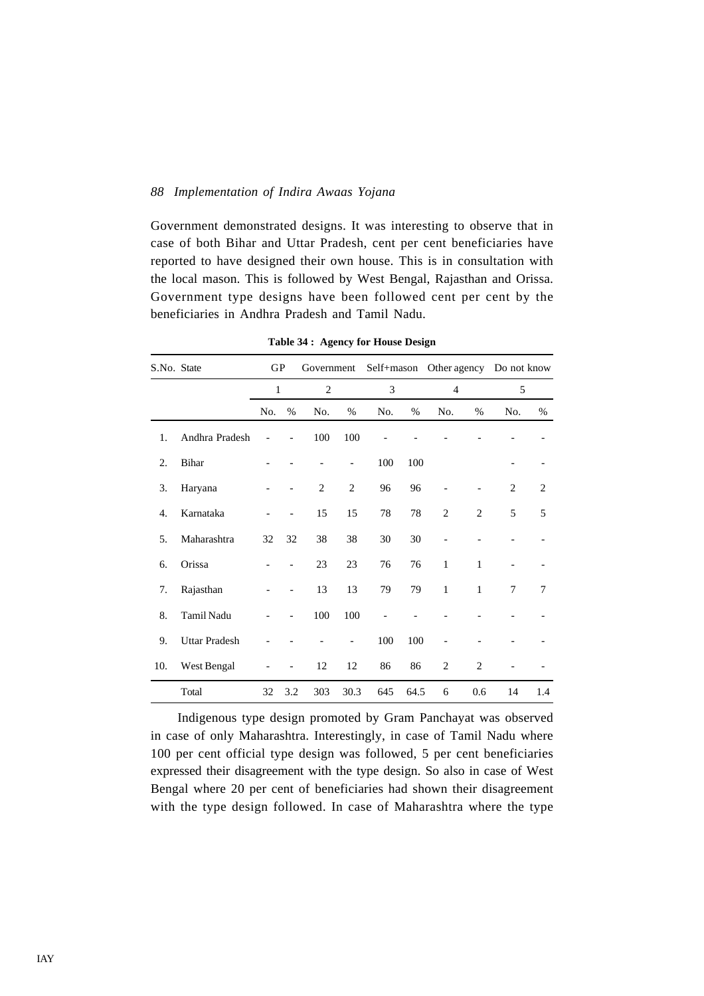Government demonstrated designs. It was interesting to observe that in case of both Bihar and Uttar Pradesh, cent per cent beneficiaries have reported to have designed their own house. This is in consultation with the local mason. This is followed by West Bengal, Rajasthan and Orissa. Government type designs have been followed cent per cent by the beneficiaries in Andhra Pradesh and Tamil Nadu.

| S.No. State |                      | <b>GP</b>    |      | Government     |                          | Self+mason Other agency |      |                |                | Do not know    |                |
|-------------|----------------------|--------------|------|----------------|--------------------------|-------------------------|------|----------------|----------------|----------------|----------------|
|             |                      | $\mathbf{1}$ |      | $\mathfrak{2}$ |                          | 3                       |      | $\overline{4}$ |                | 5              |                |
|             |                      | No.          | $\%$ | No.            | $\%$                     | No.                     | $\%$ | No.            | %              | No.            | $\%$           |
| 1.          | Andhra Pradesh       |              |      | 100            | 100                      |                         |      |                |                |                |                |
| 2.          | <b>Bihar</b>         |              |      |                |                          | 100                     | 100  |                |                |                |                |
| 3.          | Haryana              |              |      | $\overline{c}$ | $\overline{2}$           | 96                      | 96   |                |                | $\overline{2}$ | $\overline{2}$ |
| 4.          | Karnataka            |              |      | 15             | 15                       | 78                      | 78   | $\overline{2}$ | $\overline{2}$ | 5              | 5              |
| 5.          | Maharashtra          | 32           | 32   | 38             | 38                       | 30                      | 30   |                |                |                |                |
| 6.          | Orissa               |              |      | 23             | 23                       | 76                      | 76   | $\mathbf{1}$   | 1              |                |                |
| 7.          | Rajasthan            |              |      | 13             | 13                       | 79                      | 79   | $\mathbf{1}$   | $\mathbf{1}$   | 7              | 7              |
| 8.          | Tamil Nadu           |              |      | 100            | 100                      |                         |      |                |                |                |                |
| 9.          | <b>Uttar Pradesh</b> |              |      |                | $\overline{\phantom{0}}$ | 100                     | 100  |                |                |                |                |
| 10.         | West Bengal          |              |      | 12             | 12                       | 86                      | 86   | $\overline{c}$ | $\overline{2}$ |                |                |
|             | Total                | 32           | 3.2  | 303            | 30.3                     | 645                     | 64.5 | 6              | 0.6            | 14             | 1.4            |

**Table 34 : Agency for House Design**

Indigenous type design promoted by Gram Panchayat was observed in case of only Maharashtra. Interestingly, in case of Tamil Nadu where 100 per cent official type design was followed, 5 per cent beneficiaries expressed their disagreement with the type design. So also in case of West Bengal where 20 per cent of beneficiaries had shown their disagreement with the type design followed. In case of Maharashtra where the type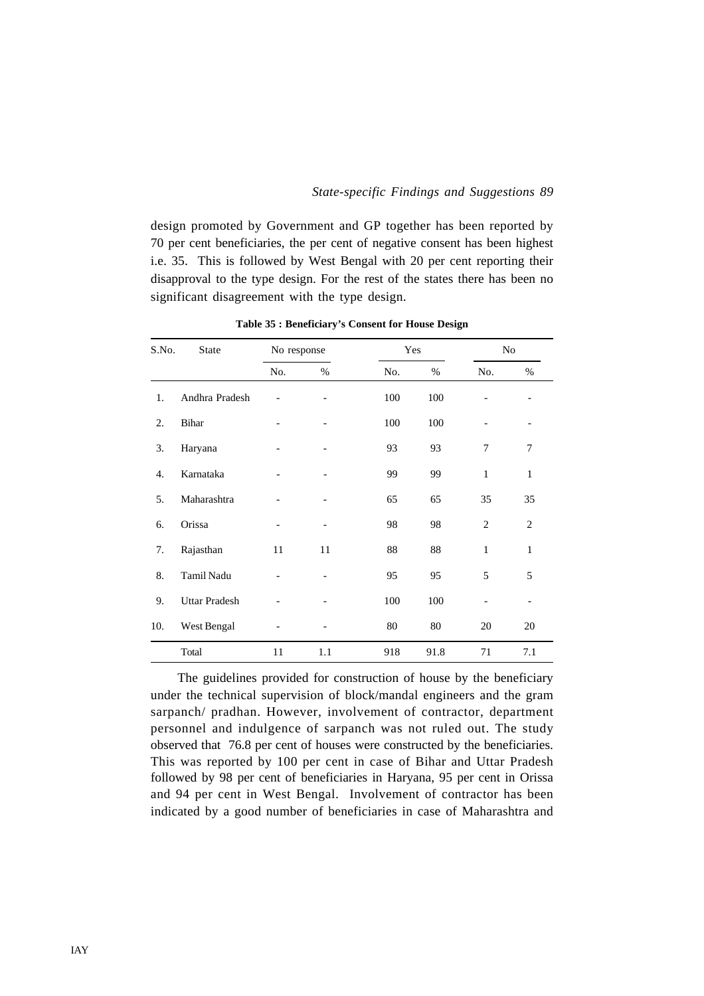design promoted by Government and GP together has been reported by 70 per cent beneficiaries, the per cent of negative consent has been highest i.e. 35. This is followed by West Bengal with 20 per cent reporting their disapproval to the type design. For the rest of the states there has been no significant disagreement with the type design.

| S.No. | <b>State</b>         | No response |      | Yes |      |                | No             |
|-------|----------------------|-------------|------|-----|------|----------------|----------------|
|       |                      | No.         | $\%$ | No. | $\%$ | No.            | %              |
| 1.    | Andhra Pradesh       |             |      | 100 | 100  |                |                |
| 2.    | Bihar                |             |      | 100 | 100  |                |                |
| 3.    | Haryana              |             |      | 93  | 93   | 7              | 7              |
| 4.    | Karnataka            |             |      | 99  | 99   | $\mathbf{1}$   | $\mathbf{1}$   |
| 5.    | Maharashtra          |             |      | 65  | 65   | 35             | 35             |
| 6.    | Orissa               |             |      | 98  | 98   | $\overline{2}$ | $\overline{2}$ |
| 7.    | Rajasthan            | 11          | 11   | 88  | 88   | $\mathbf{1}$   | 1              |
| 8.    | Tamil Nadu           |             |      | 95  | 95   | 5              | 5              |
| 9.    | <b>Uttar Pradesh</b> |             |      | 100 | 100  |                |                |
| 10.   | West Bengal          |             |      | 80  | 80   | 20             | 20             |
|       | Total                | 11          | 1.1  | 918 | 91.8 | 71             | 7.1            |

**Table 35 : Beneficiary's Consent for House Design**

The guidelines provided for construction of house by the beneficiary under the technical supervision of block/mandal engineers and the gram sarpanch/ pradhan. However, involvement of contractor, department personnel and indulgence of sarpanch was not ruled out. The study observed that 76.8 per cent of houses were constructed by the beneficiaries. This was reported by 100 per cent in case of Bihar and Uttar Pradesh followed by 98 per cent of beneficiaries in Haryana, 95 per cent in Orissa and 94 per cent in West Bengal. Involvement of contractor has been indicated by a good number of beneficiaries in case of Maharashtra and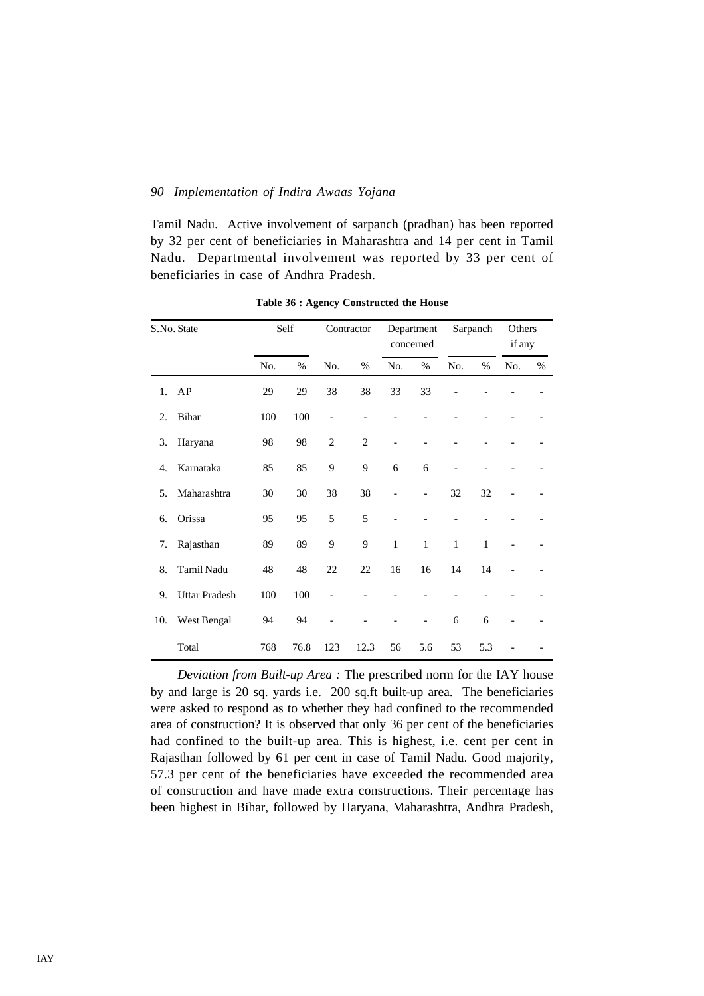Tamil Nadu. Active involvement of sarpanch (pradhan) has been reported by 32 per cent of beneficiaries in Maharashtra and 14 per cent in Tamil Nadu. Departmental involvement was reported by 33 per cent of beneficiaries in case of Andhra Pradesh.

| S.No. State |                      |     | Self | Contractor     |                | Department<br>concerned |              | Sarpanch     |              | Others<br>if any |      |
|-------------|----------------------|-----|------|----------------|----------------|-------------------------|--------------|--------------|--------------|------------------|------|
|             |                      | No. | $\%$ | No.            | $\%$           | No.                     | $\%$         | No.          | $\%$         | No.              | $\%$ |
| $1_{\cdot}$ | AP                   | 29  | 29   | 38             | 38             | 33                      | 33           |              |              |                  |      |
| 2.          | Bihar                | 100 | 100  |                |                |                         |              |              |              |                  |      |
| 3.          | Haryana              | 98  | 98   | $\overline{c}$ | $\overline{2}$ |                         |              |              |              |                  |      |
| 4.          | Karnataka            | 85  | 85   | 9              | 9              | 6                       | 6            |              |              |                  |      |
| 5.          | Maharashtra          | 30  | 30   | 38             | 38             |                         |              | 32           | 32           |                  |      |
| 6.          | Orissa               | 95  | 95   | 5              | 5              |                         |              |              |              |                  |      |
| 7.          | Rajasthan            | 89  | 89   | 9              | 9              | $\mathbf{1}$            | $\mathbf{1}$ | $\mathbf{1}$ | $\mathbf{1}$ |                  |      |
| 8.          | Tamil Nadu           | 48  | 48   | 22             | 22             | 16                      | 16           | 14           | 14           |                  |      |
| 9.          | <b>Uttar Pradesh</b> | 100 | 100  |                |                |                         |              |              |              |                  |      |
| 10.         | West Bengal          | 94  | 94   |                |                |                         |              | 6            | 6            |                  |      |
|             | Total                | 768 | 76.8 | 123            | 12.3           | 56                      | 5.6          | 53           | 5.3          | $\overline{a}$   |      |

**Table 36 : Agency Constructed the House**

*Deviation from Built-up Area :* The prescribed norm for the IAY house by and large is 20 sq. yards i.e. 200 sq.ft built-up area. The beneficiaries were asked to respond as to whether they had confined to the recommended area of construction? It is observed that only 36 per cent of the beneficiaries had confined to the built-up area. This is highest, i.e. cent per cent in Rajasthan followed by 61 per cent in case of Tamil Nadu. Good majority, 57.3 per cent of the beneficiaries have exceeded the recommended area of construction and have made extra constructions. Their percentage has been highest in Bihar, followed by Haryana, Maharashtra, Andhra Pradesh,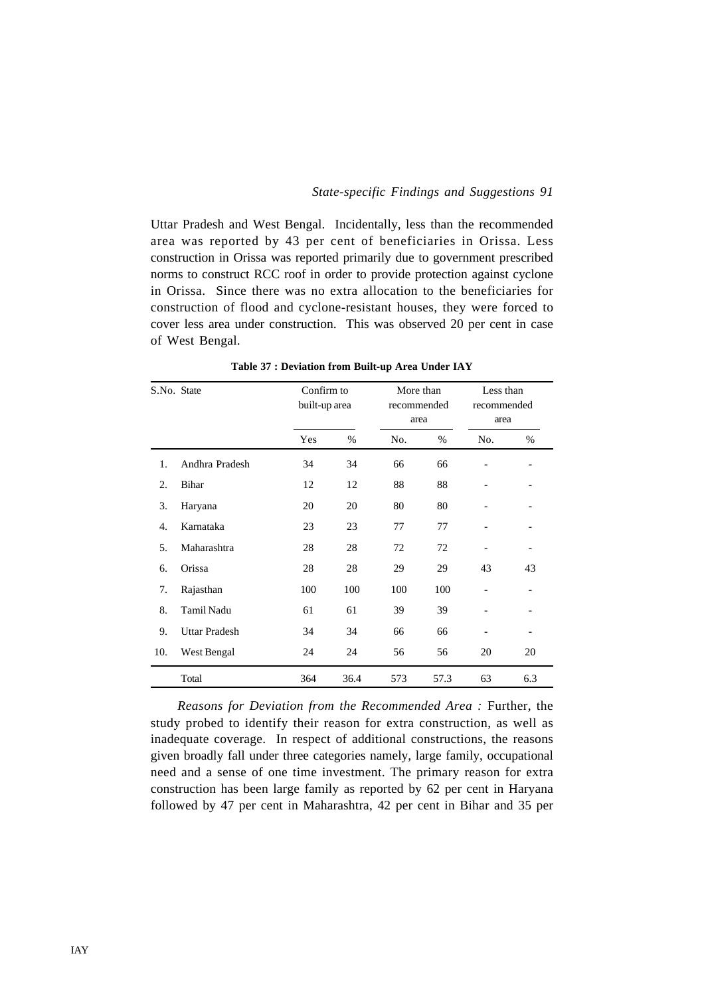Uttar Pradesh and West Bengal. Incidentally, less than the recommended area was reported by 43 per cent of beneficiaries in Orissa. Less construction in Orissa was reported primarily due to government prescribed norms to construct RCC roof in order to provide protection against cyclone in Orissa. Since there was no extra allocation to the beneficiaries for construction of flood and cyclone-resistant houses, they were forced to cover less area under construction. This was observed 20 per cent in case of West Bengal.

| S.No. State |                      |     | Confirm to<br>built-up area |     | More than<br>recommended<br>area | Less than<br>recommended<br>area |     |
|-------------|----------------------|-----|-----------------------------|-----|----------------------------------|----------------------------------|-----|
|             |                      | Yes | %                           | No. | %                                | No.                              | %   |
| 1.          | Andhra Pradesh       | 34  | 34                          | 66  | 66                               | $\overline{\phantom{a}}$         |     |
| 2.          | Bihar                | 12  | 12                          | 88  | 88                               |                                  |     |
| 3.          | Haryana              | 20  | 20                          | 80  | 80                               | -                                |     |
| 4.          | Karnataka            | 23  | 23                          | 77  | 77                               |                                  |     |
| 5.          | Maharashtra          | 28  | 28                          | 72  | 72                               |                                  |     |
| 6.          | Orissa               | 28  | 28                          | 29  | 29                               | 43                               | 43  |
| 7.          | Rajasthan            | 100 | 100                         | 100 | 100                              |                                  |     |
| 8.          | Tamil Nadu           | 61  | 61                          | 39  | 39                               |                                  |     |
| 9.          | <b>Uttar Pradesh</b> | 34  | 34                          | 66  | 66                               |                                  |     |
| 10.         | West Bengal          | 24  | 24                          | 56  | 56                               | 20                               | 20  |
|             | Total                | 364 | 36.4                        | 573 | 57.3                             | 63                               | 6.3 |

**Table 37 : Deviation from Built-up Area Under IAY**

*Reasons for Deviation from the Recommended Area :* Further, the study probed to identify their reason for extra construction, as well as inadequate coverage. In respect of additional constructions, the reasons given broadly fall under three categories namely, large family, occupational need and a sense of one time investment. The primary reason for extra construction has been large family as reported by 62 per cent in Haryana followed by 47 per cent in Maharashtra, 42 per cent in Bihar and 35 per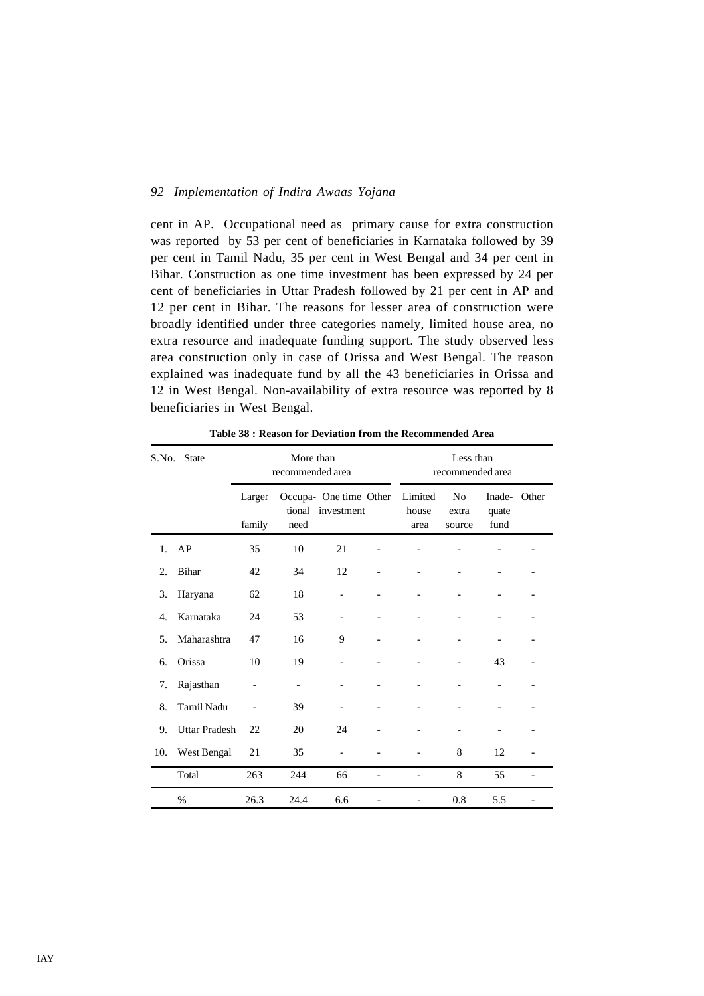cent in AP. Occupational need as primary cause for extra construction was reported by 53 per cent of beneficiaries in Karnataka followed by 39 per cent in Tamil Nadu, 35 per cent in West Bengal and 34 per cent in Bihar. Construction as one time investment has been expressed by 24 per cent of beneficiaries in Uttar Pradesh followed by 21 per cent in AP and 12 per cent in Bihar. The reasons for lesser area of construction were broadly identified under three categories namely, limited house area, no extra resource and inadequate funding support. The study observed less area construction only in case of Orissa and West Bengal. The reason explained was inadequate fund by all the 43 beneficiaries in Orissa and 12 in West Bengal. Non-availability of extra resource was reported by 8 beneficiaries in West Bengal.

| S.No. State |                      |                  | More than<br>recommended area |                                      |                          | Less than<br>recommended area |                                   |                         |       |  |  |
|-------------|----------------------|------------------|-------------------------------|--------------------------------------|--------------------------|-------------------------------|-----------------------------------|-------------------------|-------|--|--|
|             |                      | Larger<br>family | tional<br>need                | Occupa- One time Other<br>investment |                          | Limited<br>house<br>area      | N <sub>0</sub><br>extra<br>source | Inade-<br>quate<br>fund | Other |  |  |
| 1.          | AP                   | 35               | 10                            | 21                                   |                          |                               |                                   |                         |       |  |  |
| 2.          | <b>Bihar</b>         | 42               | 34                            | 12                                   |                          |                               |                                   |                         |       |  |  |
| 3.          | Haryana              | 62               | 18                            | $\overline{\phantom{0}}$             | $\overline{\phantom{0}}$ |                               | $\overline{\phantom{0}}$          |                         |       |  |  |
| 4.          | Karnataka            | 24               | 53                            | $\overline{\phantom{0}}$             |                          |                               |                                   |                         |       |  |  |
| 5.          | Maharashtra          | 47               | 16                            | 9                                    |                          |                               |                                   |                         |       |  |  |
| 6.          | Orissa               | 10               | 19                            | $\overline{\phantom{0}}$             | -                        |                               | $\overline{\phantom{a}}$          | 43                      |       |  |  |
| 7.          | Rajasthan            |                  |                               |                                      |                          |                               |                                   |                         |       |  |  |
| 8.          | <b>Tamil Nadu</b>    |                  | 39                            | $\overline{\phantom{0}}$             |                          |                               |                                   |                         |       |  |  |
| 9.          | <b>Uttar Pradesh</b> | 22               | 20                            | 24                                   |                          |                               | $\overline{\phantom{a}}$          |                         |       |  |  |
| 10.         | West Bengal          | 21               | 35                            |                                      |                          |                               | 8                                 | 12                      |       |  |  |
|             | Total                | 263              | 244                           | 66                                   |                          |                               | 8                                 | 55                      |       |  |  |
|             | $\%$                 | 26.3             | 24.4                          | 6.6                                  |                          |                               | 0.8                               | 5.5                     |       |  |  |

**Table 38 : Reason for Deviation from the Recommended Area**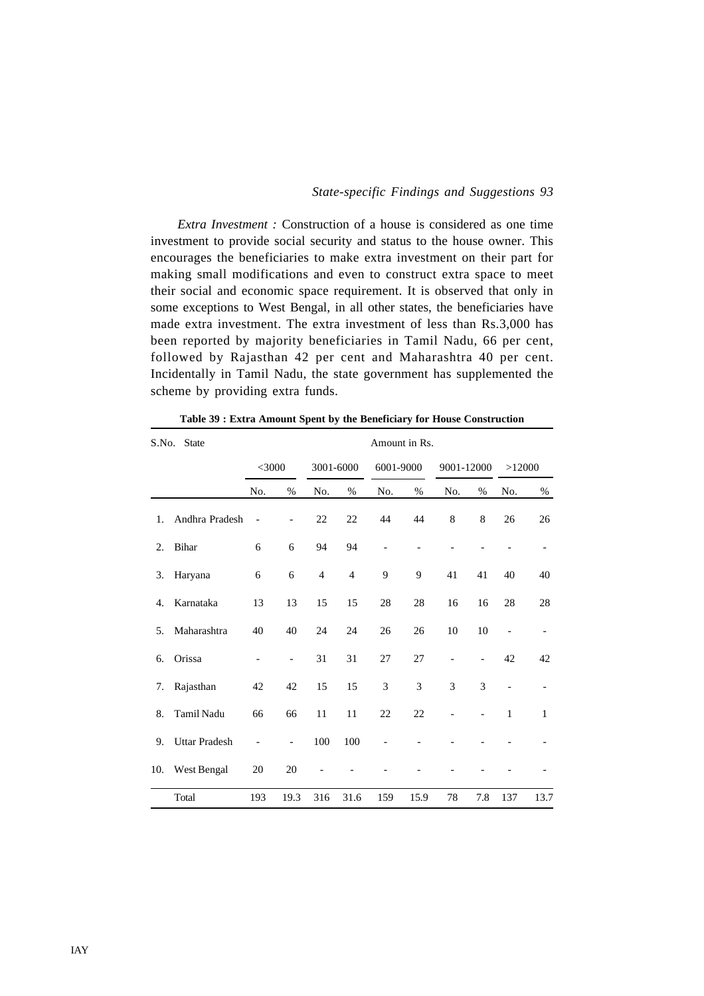*Extra Investment :* Construction of a house is considered as one time investment to provide social security and status to the house owner. This encourages the beneficiaries to make extra investment on their part for making small modifications and even to construct extra space to meet their social and economic space requirement. It is observed that only in some exceptions to West Bengal, in all other states, the beneficiaries have made extra investment. The extra investment of less than Rs.3,000 has been reported by majority beneficiaries in Tamil Nadu, 66 per cent, followed by Rajasthan 42 per cent and Maharashtra 40 per cent. Incidentally in Tamil Nadu, the state government has supplemented the scheme by providing extra funds.

| S.No. | <b>State</b>         | Amount in Rs.            |                          |                |                |                          |      |            |                |                |                          |  |  |
|-------|----------------------|--------------------------|--------------------------|----------------|----------------|--------------------------|------|------------|----------------|----------------|--------------------------|--|--|
|       |                      | $<$ 3000                 |                          | 3001-6000      |                | 6001-9000                |      | 9001-12000 |                | >12000         |                          |  |  |
|       |                      | No.                      | %                        | No.            | $\%$           | No.                      | %    | No.        | %              | No.            | $\%$                     |  |  |
| 1.    | Andhra Pradesh       | $\overline{\phantom{a}}$ |                          | 22             | 22             | 44                       | 44   | 8          | 8              | 26             | 26                       |  |  |
| 2.    | Bihar                | 6                        | 6                        | 94             | 94             | $\overline{\phantom{0}}$ |      |            |                |                | $\overline{\phantom{a}}$ |  |  |
| 3.    | Haryana              | 6                        | 6                        | $\overline{4}$ | $\overline{4}$ | 9                        | 9    | 41         | 41             | 40             | 40                       |  |  |
| 4.    | Karnataka            | 13                       | 13                       | 15             | 15             | 28                       | 28   | 16         | 16             | 28             | 28                       |  |  |
| 5.    | Maharashtra          | 40                       | 40                       | 24             | 24             | 26                       | 26   | 10         | 10             | $\overline{a}$ |                          |  |  |
| 6.    | Orissa               |                          | $\overline{a}$           | 31             | 31             | 27                       | 27   |            | $\overline{a}$ | 42             | 42                       |  |  |
| 7.    | Rajasthan            | 42                       | 42                       | 15             | 15             | 3                        | 3    | 3          | 3              | -              |                          |  |  |
| 8.    | <b>Tamil Nadu</b>    | 66                       | 66                       | 11             | 11             | 22                       | 22   |            |                | $\mathbf{1}$   | $\mathbf{1}$             |  |  |
| 9.    | <b>Uttar Pradesh</b> | $\overline{a}$           | $\overline{\phantom{0}}$ | 100            | 100            |                          |      |            |                |                |                          |  |  |
| 10.   | West Bengal          | 20                       | 20                       |                |                |                          |      |            |                |                |                          |  |  |
|       | Total                | 193                      | 19.3                     | 316            | 31.6           | 159                      | 15.9 | 78         | 7.8            | 137            | 13.7                     |  |  |

**Table 39 : Extra Amount Spent by the Beneficiary for House Construction**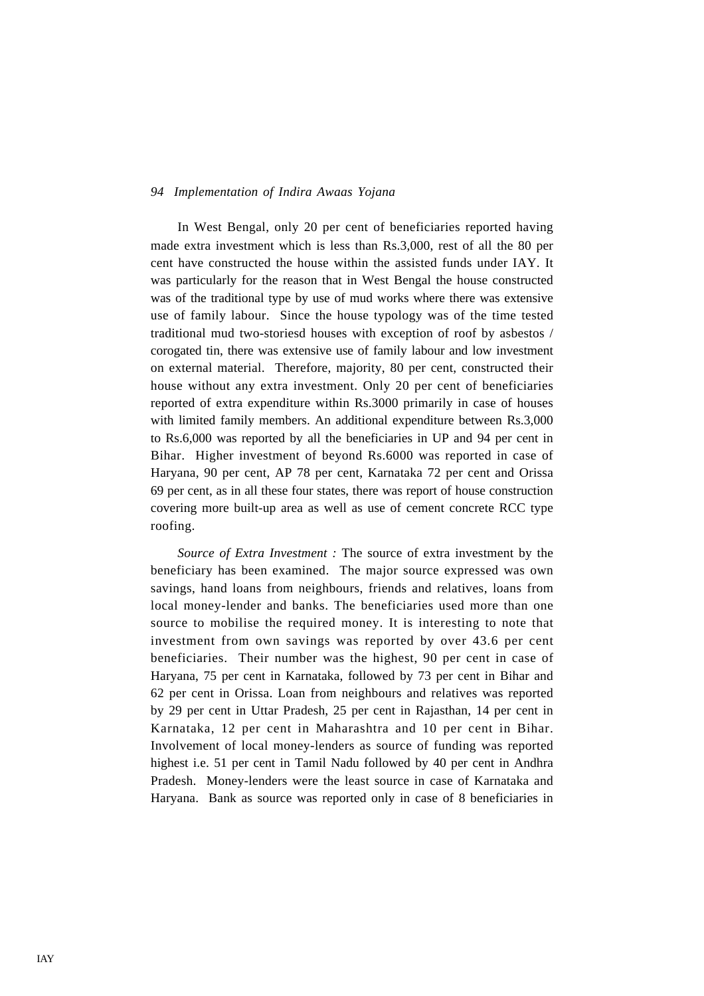In West Bengal, only 20 per cent of beneficiaries reported having made extra investment which is less than Rs.3,000, rest of all the 80 per cent have constructed the house within the assisted funds under IAY. It was particularly for the reason that in West Bengal the house constructed was of the traditional type by use of mud works where there was extensive use of family labour. Since the house typology was of the time tested traditional mud two-storiesd houses with exception of roof by asbestos / corogated tin, there was extensive use of family labour and low investment on external material. Therefore, majority, 80 per cent, constructed their house without any extra investment. Only 20 per cent of beneficiaries reported of extra expenditure within Rs.3000 primarily in case of houses with limited family members. An additional expenditure between Rs.3,000 to Rs.6,000 was reported by all the beneficiaries in UP and 94 per cent in Bihar. Higher investment of beyond Rs.6000 was reported in case of Haryana, 90 per cent, AP 78 per cent, Karnataka 72 per cent and Orissa 69 per cent, as in all these four states, there was report of house construction covering more built-up area as well as use of cement concrete RCC type roofing.

*Source of Extra Investment :* The source of extra investment by the beneficiary has been examined. The major source expressed was own savings, hand loans from neighbours, friends and relatives, loans from local money-lender and banks. The beneficiaries used more than one source to mobilise the required money. It is interesting to note that investment from own savings was reported by over 43.6 per cent beneficiaries. Their number was the highest, 90 per cent in case of Haryana, 75 per cent in Karnataka, followed by 73 per cent in Bihar and 62 per cent in Orissa. Loan from neighbours and relatives was reported by 29 per cent in Uttar Pradesh, 25 per cent in Rajasthan, 14 per cent in Karnataka, 12 per cent in Maharashtra and 10 per cent in Bihar. Involvement of local money-lenders as source of funding was reported highest i.e. 51 per cent in Tamil Nadu followed by 40 per cent in Andhra Pradesh. Money-lenders were the least source in case of Karnataka and Haryana. Bank as source was reported only in case of 8 beneficiaries in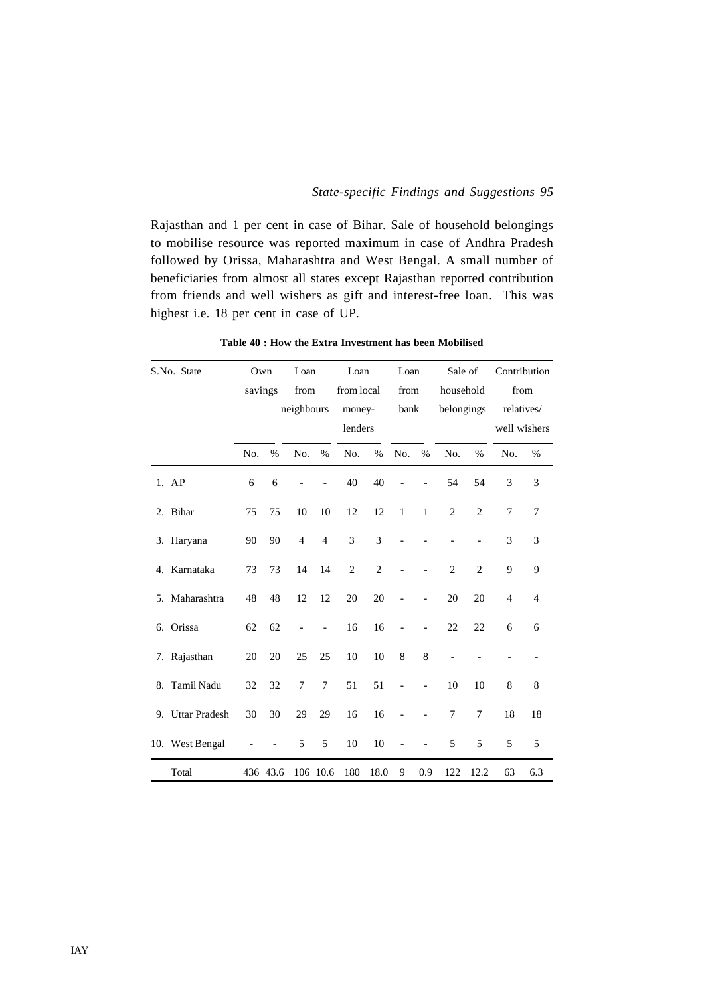Rajasthan and 1 per cent in case of Bihar. Sale of household belongings to mobilise resource was reported maximum in case of Andhra Pradesh followed by Orissa, Maharashtra and West Bengal. A small number of beneficiaries from almost all states except Rajasthan reported contribution from friends and well wishers as gift and interest-free loan. This was highest i.e. 18 per cent in case of UP.

| S.No. State      | Own     |          | Loan           |                | Loan           |                | Loan         |               | Sale of        |                |                | Contribution   |
|------------------|---------|----------|----------------|----------------|----------------|----------------|--------------|---------------|----------------|----------------|----------------|----------------|
|                  | savings |          | from           |                | from local     |                | from         |               | household      |                |                | from           |
|                  |         |          | neighbours     |                | money-         |                | bank         |               | belongings     |                |                | relatives/     |
|                  |         |          |                |                | lenders        |                |              |               |                |                |                | well wishers   |
|                  | No.     | $\%$     | No.            | $\%$           | No.            | $\%$           | No.          | $\frac{0}{0}$ | No.            | $\%$           | No.            | $\%$           |
| 1. AP            | 6       | 6        |                |                | 40             | 40             |              |               | 54             | 54             | 3              | 3              |
| 2. Bihar         | 75      | 75       | 10             | 10             | 12             | 12             | $\mathbf{1}$ | $\mathbf{1}$  | $\overline{c}$ | $\overline{2}$ | 7              | 7              |
| 3. Haryana       | 90      | 90       | $\overline{4}$ | $\overline{4}$ | 3              | 3              |              |               |                |                | 3              | 3              |
| 4. Karnataka     | 73      | 73       | 14             | 14             | $\overline{2}$ | $\overline{2}$ |              |               | $\overline{2}$ | $\overline{2}$ | 9              | 9              |
| 5. Maharashtra   | 48      | 48       | 12             | 12             | 20             | 20             |              |               | 20             | 20             | $\overline{4}$ | $\overline{4}$ |
| 6. Orissa        | 62      | 62       |                | $\overline{a}$ | 16             | 16             |              |               | 22             | 22             | 6              | 6              |
| 7. Rajasthan     | 20      | 20       | 25             | 25             | 10             | 10             | 8            | 8             |                |                |                |                |
| 8. Tamil Nadu    | 32      | 32       | 7              | 7              | 51             | 51             |              |               | 10             | 10             | 8              | 8              |
| 9. Uttar Pradesh | 30      | 30       | 29             | 29             | 16             | 16             |              |               | 7              | 7              | 18             | 18             |
| 10. West Bengal  |         |          | 5              | 5              | 10             | 10             |              |               | 5              | 5              | 5              | 5              |
| Total            |         | 436 43.6 |                | 106 10.6       | 180            | 18.0           | 9            | 0.9           | 122            | 12.2           | 63             | 6.3            |

**Table 40 : How the Extra Investment has been Mobilised**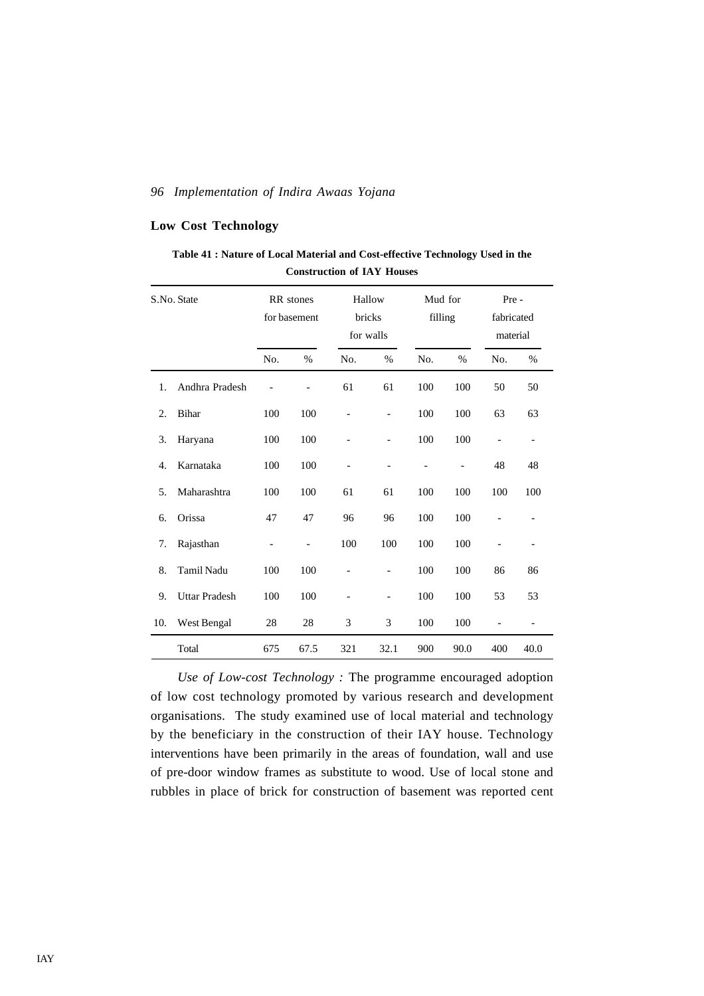# **Low Cost Technology**

| Table 41 : Nature of Local Material and Cost-effective Technology Used in the |  |
|-------------------------------------------------------------------------------|--|
| <b>Construction of IAY Houses</b>                                             |  |

|     | S.No. State          | RR stones<br>for basement    |                | bricks                   | Hallow<br>for walls          | Mud for<br>filling |                | Pre -<br>fabricated<br>material |                          |
|-----|----------------------|------------------------------|----------------|--------------------------|------------------------------|--------------------|----------------|---------------------------------|--------------------------|
|     |                      | No.                          | %              | No.                      | $\%$                         | No.                | %              | No.                             | %                        |
| 1.  | Andhra Pradesh       |                              | $\overline{a}$ | 61                       | 61                           | 100                | 100            | 50                              | 50                       |
| 2.  | <b>Bihar</b>         | 100                          | 100            |                          | $\qquad \qquad \blacksquare$ | 100                | 100            | 63                              | 63                       |
| 3.  | Haryana              | 100                          | 100            | $\overline{\phantom{0}}$ | $\qquad \qquad \blacksquare$ | 100                | 100            | $\overline{\phantom{0}}$        | $\overline{\phantom{0}}$ |
| 4.  | Karnataka            | 100                          | 100            |                          |                              |                    | $\overline{a}$ | 48                              | 48                       |
| 5.  | Maharashtra          | 100                          | 100            | 61                       | 61                           | 100                | 100            | 100                             | 100                      |
| 6.  | Orissa               | 47                           | 47             | 96                       | 96                           | 100                | 100            |                                 |                          |
| 7.  | Rajasthan            | $\qquad \qquad \blacksquare$ | $\overline{a}$ | 100                      | 100                          | 100                | 100            | $\overline{\phantom{0}}$        |                          |
| 8.  | <b>Tamil Nadu</b>    | 100                          | 100            |                          | $\overline{\phantom{0}}$     | 100                | 100            | 86                              | 86                       |
| 9.  | <b>Uttar Pradesh</b> | 100                          | 100            |                          | $\overline{a}$               | 100                | 100            | 53                              | 53                       |
| 10. | West Bengal          | 28                           | 28             | 3                        | 3                            | 100                | 100            |                                 |                          |
|     | Total                | 675                          | 67.5           | 321                      | 32.1                         | 900                | 90.0           | 400                             | 40.0                     |

*Use of Low-cost Technology :* The programme encouraged adoption of low cost technology promoted by various research and development organisations. The study examined use of local material and technology by the beneficiary in the construction of their IAY house. Technology interventions have been primarily in the areas of foundation, wall and use of pre-door window frames as substitute to wood. Use of local stone and rubbles in place of brick for construction of basement was reported cent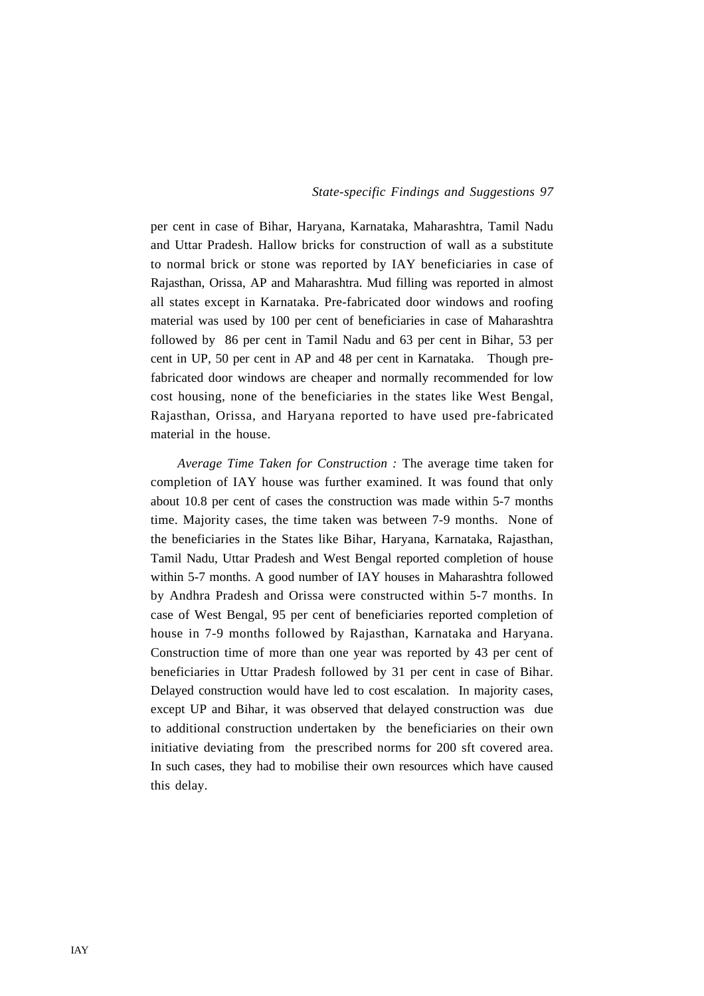per cent in case of Bihar, Haryana, Karnataka, Maharashtra, Tamil Nadu and Uttar Pradesh. Hallow bricks for construction of wall as a substitute to normal brick or stone was reported by IAY beneficiaries in case of Rajasthan, Orissa, AP and Maharashtra. Mud filling was reported in almost all states except in Karnataka. Pre-fabricated door windows and roofing material was used by 100 per cent of beneficiaries in case of Maharashtra followed by 86 per cent in Tamil Nadu and 63 per cent in Bihar, 53 per cent in UP, 50 per cent in AP and 48 per cent in Karnataka. Though prefabricated door windows are cheaper and normally recommended for low cost housing, none of the beneficiaries in the states like West Bengal, Rajasthan, Orissa, and Haryana reported to have used pre-fabricated material in the house.

*Average Time Taken for Construction :* The average time taken for completion of IAY house was further examined. It was found that only about 10.8 per cent of cases the construction was made within 5-7 months time. Majority cases, the time taken was between 7-9 months. None of the beneficiaries in the States like Bihar, Haryana, Karnataka, Rajasthan, Tamil Nadu, Uttar Pradesh and West Bengal reported completion of house within 5-7 months. A good number of IAY houses in Maharashtra followed by Andhra Pradesh and Orissa were constructed within 5-7 months. In case of West Bengal, 95 per cent of beneficiaries reported completion of house in 7-9 months followed by Rajasthan, Karnataka and Haryana. Construction time of more than one year was reported by 43 per cent of beneficiaries in Uttar Pradesh followed by 31 per cent in case of Bihar. Delayed construction would have led to cost escalation. In majority cases, except UP and Bihar, it was observed that delayed construction was due to additional construction undertaken by the beneficiaries on their own initiative deviating from the prescribed norms for 200 sft covered area. In such cases, they had to mobilise their own resources which have caused this delay.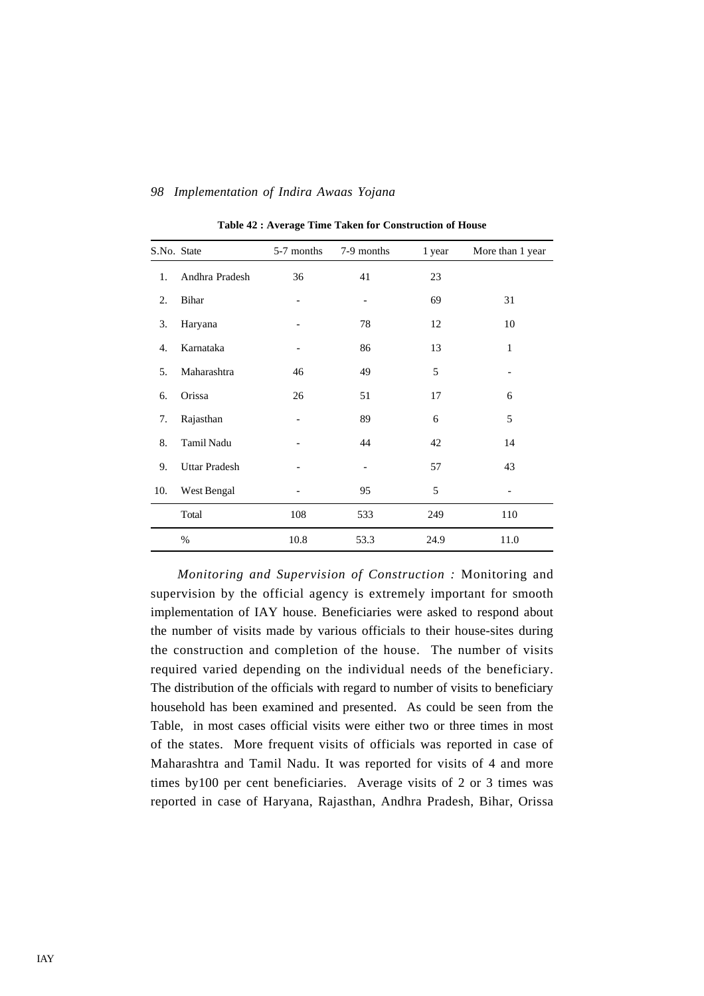| S.No. State |                      | 5-7 months | 7-9 months | 1 year | More than 1 year |
|-------------|----------------------|------------|------------|--------|------------------|
| 1.          | Andhra Pradesh       | 36         | 41         | 23     |                  |
| 2.          | Bihar                |            |            | 69     | 31               |
| 3.          | Haryana              |            | 78         | 12     | 10               |
| 4.          | Karnataka            |            | 86         | 13     | 1                |
| 5.          | Maharashtra          | 46         | 49         | 5      |                  |
| 6.          | Orissa               | 26         | 51         | 17     | 6                |
| 7.          | Rajasthan            |            | 89         | 6      | 5                |
| 8.          | Tamil Nadu           |            | 44         | 42     | 14               |
| 9.          | <b>Uttar Pradesh</b> |            |            | 57     | 43               |
| 10.         | West Bengal          |            | 95         | 5      |                  |
|             | Total                | 108        | 533        | 249    | 110              |
|             | $\%$                 | 10.8       | 53.3       | 24.9   | 11.0             |

**Table 42 : Average Time Taken for Construction of House**

*Monitoring and Supervision of Construction :* Monitoring and supervision by the official agency is extremely important for smooth implementation of IAY house. Beneficiaries were asked to respond about the number of visits made by various officials to their house-sites during the construction and completion of the house. The number of visits required varied depending on the individual needs of the beneficiary. The distribution of the officials with regard to number of visits to beneficiary household has been examined and presented. As could be seen from the Table, in most cases official visits were either two or three times in most of the states. More frequent visits of officials was reported in case of Maharashtra and Tamil Nadu. It was reported for visits of 4 and more times by100 per cent beneficiaries. Average visits of 2 or 3 times was reported in case of Haryana, Rajasthan, Andhra Pradesh, Bihar, Orissa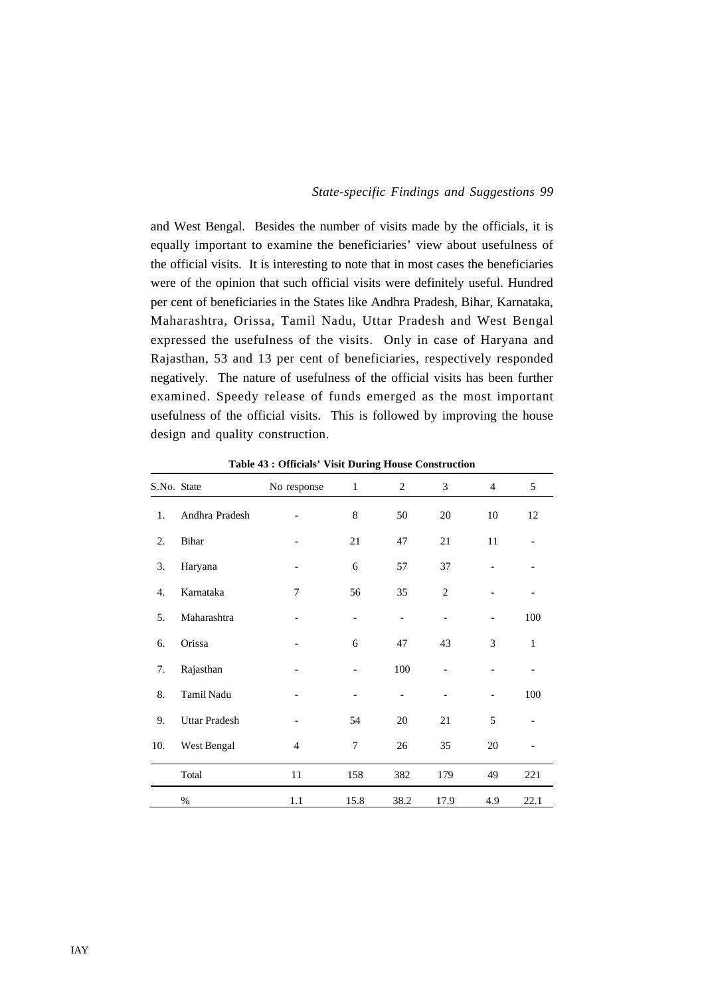and West Bengal. Besides the number of visits made by the officials, it is equally important to examine the beneficiaries' view about usefulness of the official visits. It is interesting to note that in most cases the beneficiaries were of the opinion that such official visits were definitely useful. Hundred per cent of beneficiaries in the States like Andhra Pradesh, Bihar, Karnataka, Maharashtra, Orissa, Tamil Nadu, Uttar Pradesh and West Bengal expressed the usefulness of the visits. Only in case of Haryana and Rajasthan, 53 and 13 per cent of beneficiaries, respectively responded negatively. The nature of usefulness of the official visits has been further examined. Speedy release of funds emerged as the most important usefulness of the official visits. This is followed by improving the house design and quality construction.

| S.No. State |                      | No response              | $\mathbf{1}$ | 2    | 3              | $\overline{4}$ | 5            |
|-------------|----------------------|--------------------------|--------------|------|----------------|----------------|--------------|
| 1.          | Andhra Pradesh       |                          | 8            | 50   | 20             | 10             | 12           |
| 2.          | Bihar                |                          | 21           | 47   | 21             | 11             |              |
| 3.          | Haryana              | $\overline{\phantom{a}}$ | 6            | 57   | 37             |                |              |
| 4.          | Karnataka            | 7                        | 56           | 35   | $\overline{2}$ |                |              |
| 5.          | Maharashtra          |                          |              |      |                |                | 100          |
| 6.          | Orissa               |                          | 6            | 47   | 43             | 3              | $\mathbf{1}$ |
| 7.          | Rajasthan            |                          |              | 100  |                |                |              |
| 8.          | Tamil Nadu           |                          |              |      |                |                | 100          |
| 9.          | <b>Uttar Pradesh</b> |                          | 54           | 20   | 21             | 5              |              |
| 10.         | West Bengal          | 4                        | 7            | 26   | 35             | 20             |              |
|             | Total                | 11                       | 158          | 382  | 179            | 49             | 221          |
|             | $\%$                 | 1.1                      | 15.8         | 38.2 | 17.9           | 4.9            | 22.1         |

**Table 43 : Officials' Visit During House Construction**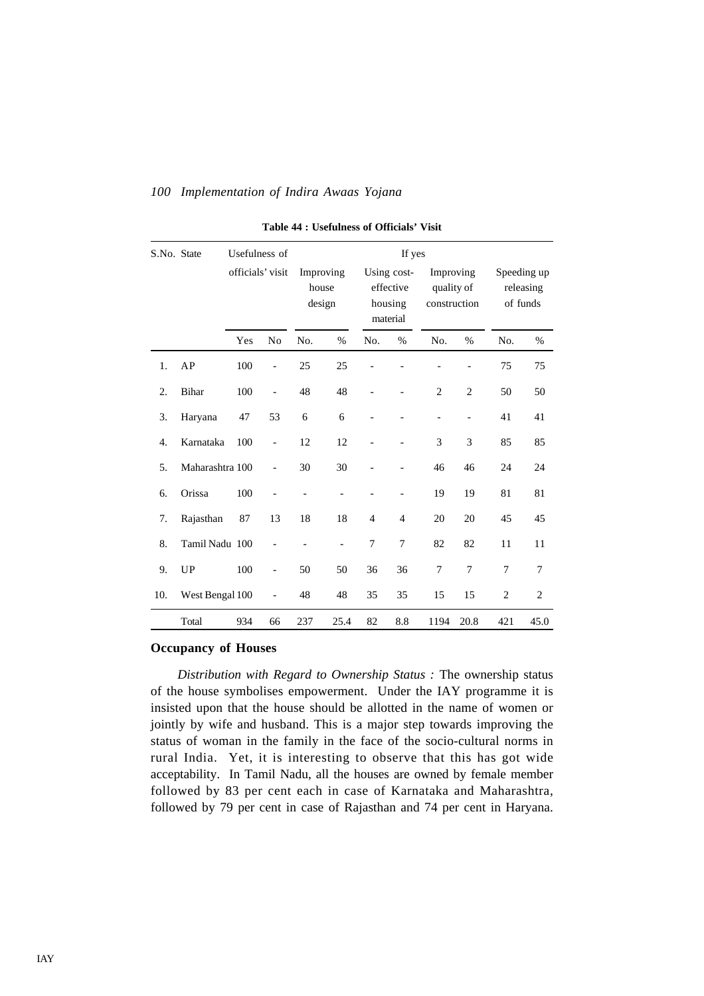| S.No. State |                 | Usefulness of    |                          |       |                          |                                                 |                |                                         |                          |                                      |                |
|-------------|-----------------|------------------|--------------------------|-------|--------------------------|-------------------------------------------------|----------------|-----------------------------------------|--------------------------|--------------------------------------|----------------|
|             |                 | officials' visit |                          | house | Improving<br>design      | Using cost-<br>effective<br>housing<br>material |                | Improving<br>quality of<br>construction |                          | Speeding up<br>releasing<br>of funds |                |
|             |                 | Yes              | N <sub>o</sub>           | No.   | $\%$                     | No.                                             | $\%$           | No.                                     | $\%$                     | No.                                  | $\%$           |
| 1.          | AP              | 100              | -                        | 25    | 25                       |                                                 |                |                                         | $\overline{\phantom{0}}$ | 75                                   | 75             |
| 2.          | <b>Bihar</b>    | 100              | $\overline{\phantom{0}}$ | 48    | 48                       |                                                 |                | $\overline{2}$                          | $\overline{2}$           | 50                                   | 50             |
| 3.          | Haryana         | 47               | 53                       | 6     | 6                        |                                                 |                | $\overline{\phantom{a}}$                | $\overline{\phantom{0}}$ | 41                                   | 41             |
| 4.          | Karnataka       | 100              | $\overline{\phantom{0}}$ | 12    | 12                       |                                                 |                | 3                                       | 3                        | 85                                   | 85             |
| 5.          | Maharashtra 100 |                  | $\overline{a}$           | 30    | 30                       |                                                 |                | 46                                      | 46                       | 24                                   | 24             |
| 6.          | Orissa          | 100              |                          |       |                          |                                                 |                | 19                                      | 19                       | 81                                   | 81             |
| 7.          | Rajasthan       | 87               | 13                       | 18    | 18                       | $\overline{4}$                                  | $\overline{4}$ | 20                                      | 20                       | 45                                   | 45             |
| 8.          | Tamil Nadu 100  |                  |                          |       | $\overline{\phantom{a}}$ | 7                                               | 7              | 82                                      | 82                       | 11                                   | 11             |
| 9.          | <b>UP</b>       | 100              | $\overline{\phantom{0}}$ | 50    | 50                       | 36                                              | 36             | 7                                       | 7                        | $\overline{7}$                       | 7              |
| 10.         | West Bengal 100 |                  |                          | 48    | 48                       | 35                                              | 35             | 15                                      | 15                       | $\overline{c}$                       | $\overline{c}$ |
|             | Total           | 934              | 66                       | 237   | 25.4                     | 82                                              | 8.8            | 1194                                    | 20.8                     | 421                                  | 45.0           |

**Table 44 : Usefulness of Officials' Visit**

# **Occupancy of Houses**

*Distribution with Regard to Ownership Status :* The ownership status of the house symbolises empowerment. Under the IAY programme it is insisted upon that the house should be allotted in the name of women or jointly by wife and husband. This is a major step towards improving the status of woman in the family in the face of the socio-cultural norms in rural India. Yet, it is interesting to observe that this has got wide acceptability. In Tamil Nadu, all the houses are owned by female member followed by 83 per cent each in case of Karnataka and Maharashtra, followed by 79 per cent in case of Rajasthan and 74 per cent in Haryana.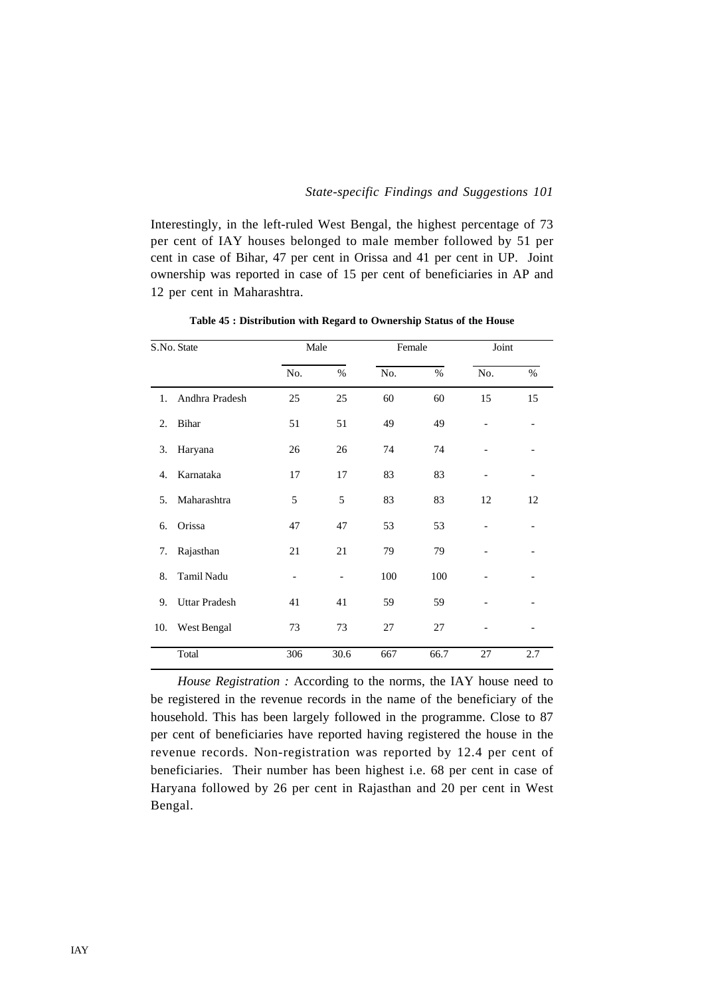Interestingly, in the left-ruled West Bengal, the highest percentage of 73 per cent of IAY houses belonged to male member followed by 51 per cent in case of Bihar, 47 per cent in Orissa and 41 per cent in UP. Joint ownership was reported in case of 15 per cent of beneficiaries in AP and 12 per cent in Maharashtra.

|                  | S.No. State          | Male |      | Female   |      | Joint          |      |
|------------------|----------------------|------|------|----------|------|----------------|------|
|                  |                      | No.  | $\%$ | No.      | $\%$ | No.            | $\%$ |
| 1.               | Andhra Pradesh       | 25   | 25   | 60       | 60   | 15             | 15   |
| $\overline{2}$ . | Bihar                | 51   | 51   | 49       | 49   | $\overline{a}$ |      |
| 3.               | Haryana              | 26   | 26   | 74       | 74   |                |      |
| 4.               | Karnataka            | 17   | 17   | 83       | 83   |                |      |
| 5 <sub>1</sub>   | Maharashtra          | 5    | 5    | 83       | 83   | 12             | 12   |
| 6.               | Orissa               | 47   | 47   | 53       | 53   |                |      |
| 7.               | Rajasthan            | 21   | 21   | 79       | 79   |                |      |
| 8.               | Tamil Nadu           |      |      | 100      | 100  |                |      |
| 9.               | <b>Uttar Pradesh</b> | 41   | 41   | 59<br>59 |      |                |      |
| 10.              | West Bengal          | 73   | 73   | 27       | 27   |                |      |
|                  | Total                | 306  | 30.6 | 667      | 66.7 | 27             | 2.7  |

**Table 45 : Distribution with Regard to Ownership Status of the House**

*House Registration :* According to the norms, the IAY house need to be registered in the revenue records in the name of the beneficiary of the household. This has been largely followed in the programme. Close to 87 per cent of beneficiaries have reported having registered the house in the revenue records. Non-registration was reported by 12.4 per cent of beneficiaries. Their number has been highest i.e. 68 per cent in case of Haryana followed by 26 per cent in Rajasthan and 20 per cent in West Bengal.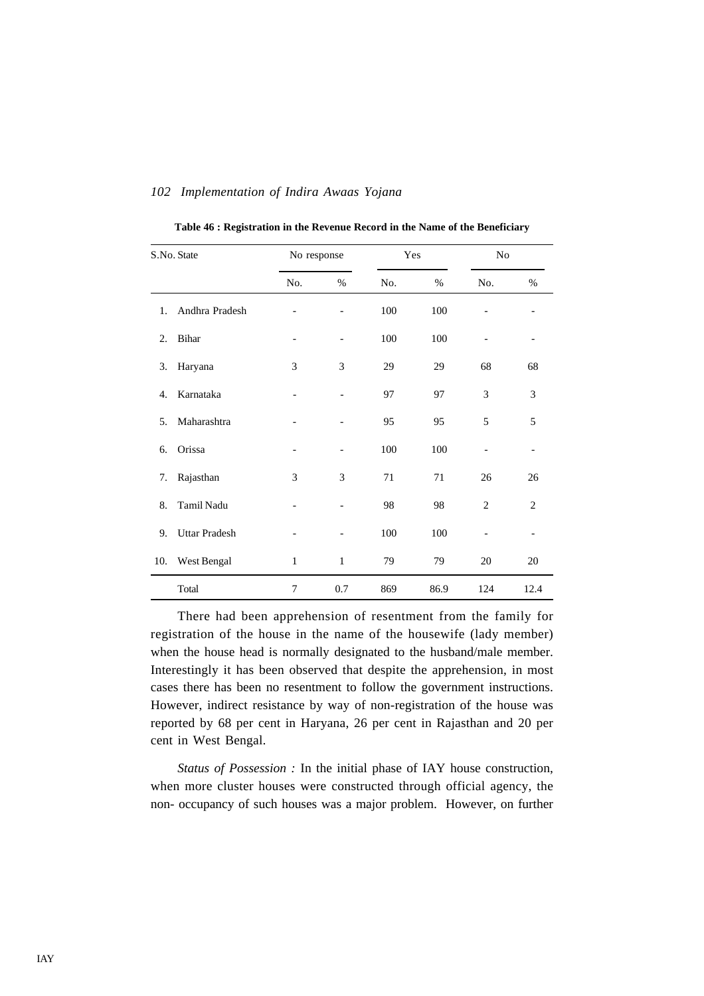|     | S.No. State          | No response              |              |     | Yes<br>N <sub>o</sub> |                |                |
|-----|----------------------|--------------------------|--------------|-----|-----------------------|----------------|----------------|
|     |                      | No.                      | %            | No. | %                     | No.            | $\%$           |
| 1.  | Andhra Pradesh       |                          | -            | 100 | 100                   |                |                |
| 2.  | Bihar                | $\overline{\phantom{a}}$ |              | 100 | 100                   |                |                |
| 3.  | Haryana              | 3                        | 3            | 29  | 29                    | 68             | 68             |
| 4.  | Karnataka            |                          |              | 97  | 97                    | 3              | 3              |
| 5.  | Maharashtra          |                          |              | 95  | 95                    | 5              | 5              |
| 6.  | Orissa               |                          |              | 100 | 100                   | -              | -              |
| 7.  | Rajasthan            | 3                        | 3            | 71  | 71                    | 26             | 26             |
| 8.  | Tamil Nadu           |                          |              | 98  | 98                    | $\mathfrak{2}$ | $\mathfrak{2}$ |
| 9.  | <b>Uttar Pradesh</b> |                          |              | 100 | 100                   |                |                |
| 10. | West Bengal          | $\,1$                    | $\mathbf{1}$ | 79  | 79                    | 20             | 20             |
|     | Total                | 7                        | 0.7          | 869 | 86.9                  | 124            | 12.4           |

**Table 46 : Registration in the Revenue Record in the Name of the Beneficiary**

There had been apprehension of resentment from the family for registration of the house in the name of the housewife (lady member) when the house head is normally designated to the husband/male member. Interestingly it has been observed that despite the apprehension, in most cases there has been no resentment to follow the government instructions. However, indirect resistance by way of non-registration of the house was reported by 68 per cent in Haryana, 26 per cent in Rajasthan and 20 per cent in West Bengal.

*Status of Possession :* In the initial phase of IAY house construction, when more cluster houses were constructed through official agency, the non- occupancy of such houses was a major problem. However, on further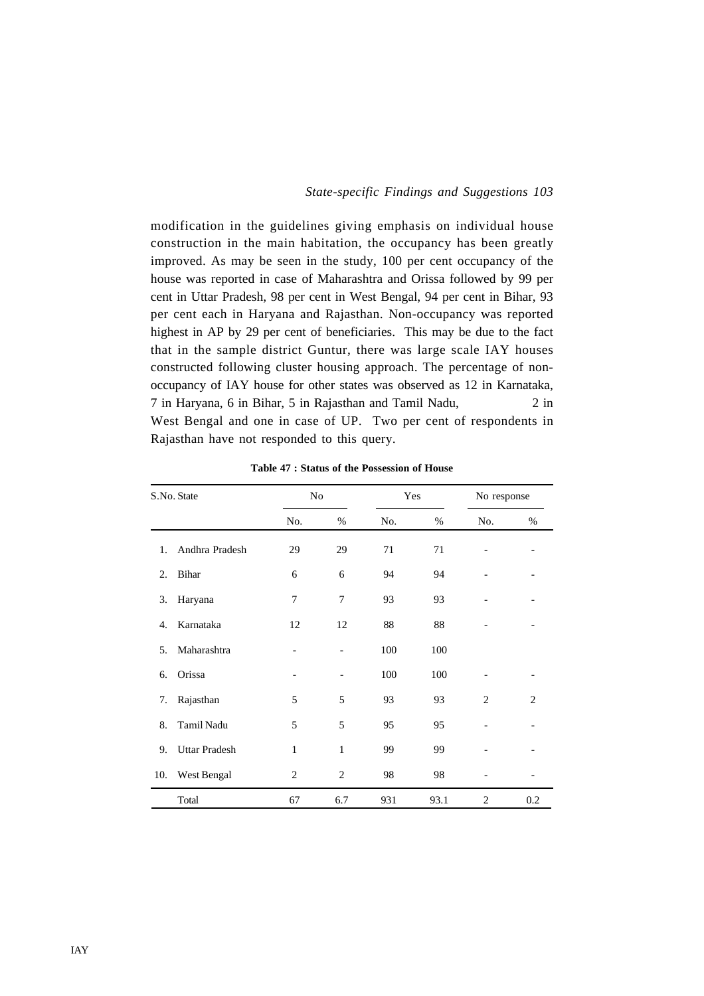modification in the guidelines giving emphasis on individual house construction in the main habitation, the occupancy has been greatly improved. As may be seen in the study, 100 per cent occupancy of the house was reported in case of Maharashtra and Orissa followed by 99 per cent in Uttar Pradesh, 98 per cent in West Bengal, 94 per cent in Bihar, 93 per cent each in Haryana and Rajasthan. Non-occupancy was reported highest in AP by 29 per cent of beneficiaries. This may be due to the fact that in the sample district Guntur, there was large scale IAY houses constructed following cluster housing approach. The percentage of nonoccupancy of IAY house for other states was observed as 12 in Karnataka, 7 in Haryana, 6 in Bihar, 5 in Rajasthan and Tamil Nadu, 2 in West Bengal and one in case of UP. Two per cent of respondents in Rajasthan have not responded to this query.

|     | S.No. State          | N <sub>o</sub>  |                          | Yes |      | No response |     |
|-----|----------------------|-----------------|--------------------------|-----|------|-------------|-----|
|     |                      | No.             | %                        | No. | $\%$ | No.         | %   |
| 1.  | Andhra Pradesh       | 29              | 29                       | 71  | 71   |             |     |
| 2.  | Bihar                | 6               | 6                        | 94  | 94   |             |     |
| 3.  | Haryana              | 7               | $\overline{7}$           | 93  | 93   |             |     |
| 4.  | Karnataka            | 12              | 12                       | 88  | 88   |             |     |
| 5.  | Maharashtra          |                 | $\overline{\phantom{a}}$ | 100 | 100  |             |     |
| 6.  | Orissa               | $\qquad \qquad$ |                          | 100 | 100  |             |     |
| 7.  | Rajasthan            | 5               | 5                        | 93  | 93   | 2           | 2   |
| 8.  | Tamil Nadu           | 5               | 5                        | 95  | 95   |             |     |
| 9.  | <b>Uttar Pradesh</b> | $\mathbf{1}$    | 1                        | 99  | 99   |             |     |
| 10. | West Bengal          | $\overline{2}$  | $\overline{2}$           | 98  | 98   |             |     |
|     | Total                | 67              | 6.7                      | 931 | 93.1 | 2           | 0.2 |

**Table 47 : Status of the Possession of House**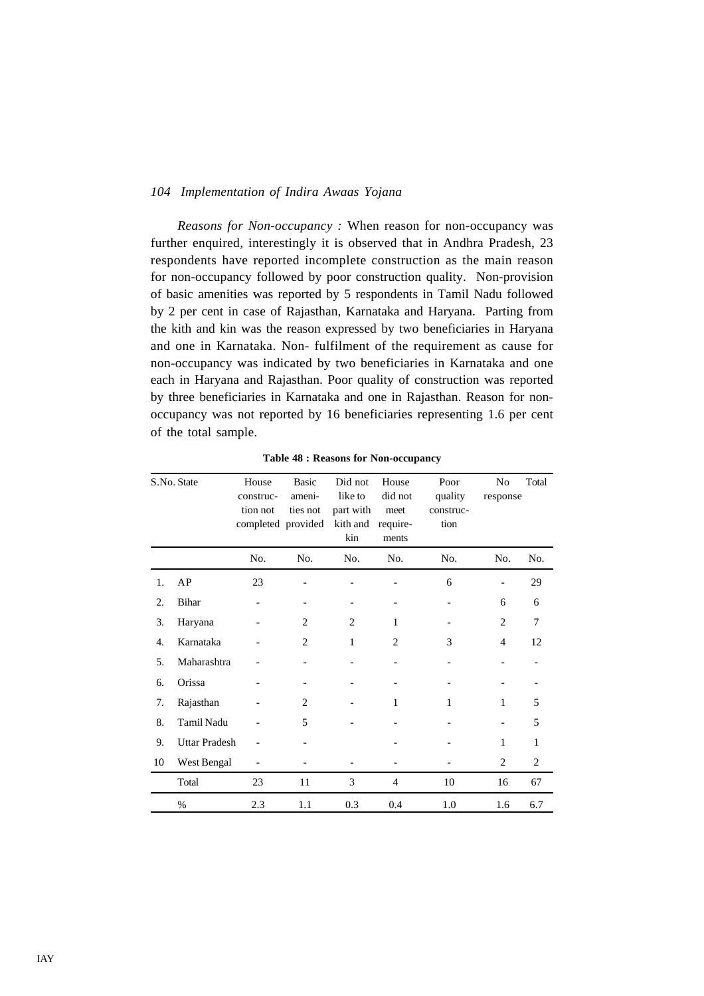*Reasons for Non-occupancy :* When reason for non-occupancy was further enquired, interestingly it is observed that in Andhra Pradesh, 23 respondents have reported incomplete construction as the main reason for non-occupancy followed by poor construction quality. Non-provision of basic amenities was reported by 5 respondents in Tamil Nadu followed by 2 per cent in case of Rajasthan, Karnataka and Haryana. Parting from the kith and kin was the reason expressed by two beneficiaries in Haryana and one in Karnataka. Non- fulfilment of the requirement as cause for non-occupancy was indicated by two beneficiaries in Karnataka and one each in Haryana and Rajasthan. Poor quality of construction was reported by three beneficiaries in Karnataka and one in Rajasthan. Reason for nonoccupancy was not reported by 16 beneficiaries representing 1.6 per cent of the total sample.

| S.No. State |                      | House<br>construc-<br>tion not<br>completed provided | <b>Basic</b><br>ameni-<br>ties not | Did not<br>like to<br>part with<br>kith and | House<br>did not<br>meet<br>require- | Poor<br>quality<br>construc-<br>tion | N <sub>o</sub><br>response | Total          |
|-------------|----------------------|------------------------------------------------------|------------------------------------|---------------------------------------------|--------------------------------------|--------------------------------------|----------------------------|----------------|
|             |                      | No.                                                  | No.                                | kin<br>No.                                  | ments<br>No.                         | No.                                  | No.                        | No.            |
| 1.          | AP                   | 23                                                   |                                    |                                             |                                      | 6                                    |                            | 29             |
| 2.          | Bihar                | -                                                    |                                    | $\overline{\phantom{a}}$                    |                                      | $\overline{\phantom{a}}$             | 6                          | 6              |
| 3.          | Haryana              |                                                      | 2                                  | 2                                           | 1                                    |                                      | $\overline{2}$             | 7              |
| 4.          | Karnataka            |                                                      | 2                                  | $\mathbf{1}$                                | $\overline{2}$                       | 3                                    | $\overline{4}$             | 12             |
| 5.          | Maharashtra          |                                                      |                                    |                                             |                                      |                                      |                            |                |
| 6.          | Orissa               |                                                      |                                    |                                             |                                      |                                      |                            |                |
| 7.          | Rajasthan            |                                                      | 2                                  |                                             | 1                                    | 1                                    | 1                          | 5              |
| 8.          | <b>Tamil Nadu</b>    |                                                      | 5                                  |                                             |                                      |                                      |                            | 5              |
| 9.          | <b>Uttar Pradesh</b> |                                                      |                                    |                                             |                                      |                                      | $\mathbf{1}$               | 1              |
| 10          | West Bengal          |                                                      |                                    |                                             |                                      |                                      | 2                          | $\overline{c}$ |
|             | Total                | 23                                                   | 11                                 | 3                                           | 4                                    | 10                                   | 16                         | 67             |
|             | $\%$                 | 2.3                                                  | 1.1                                | 0.3                                         | 0.4                                  | 1.0                                  | 1.6                        | 6.7            |

**Table 48 : Reasons for Non-occupancy**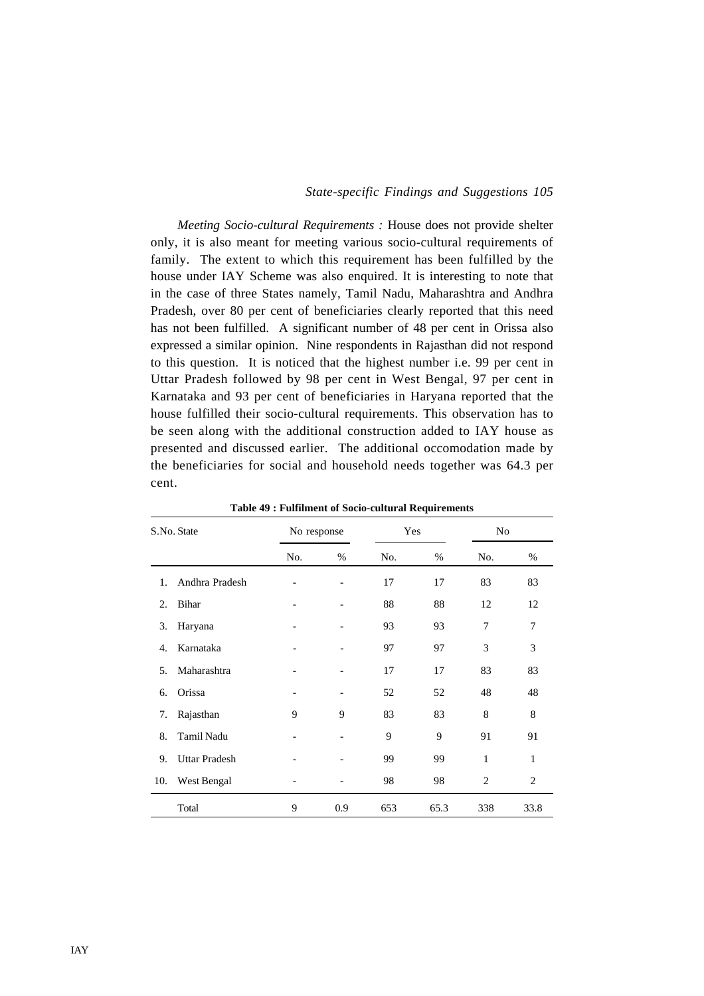*Meeting Socio-cultural Requirements :* House does not provide shelter only, it is also meant for meeting various socio-cultural requirements of family. The extent to which this requirement has been fulfilled by the house under IAY Scheme was also enquired. It is interesting to note that in the case of three States namely, Tamil Nadu, Maharashtra and Andhra Pradesh, over 80 per cent of beneficiaries clearly reported that this need has not been fulfilled. A significant number of 48 per cent in Orissa also expressed a similar opinion. Nine respondents in Rajasthan did not respond to this question. It is noticed that the highest number i.e. 99 per cent in Uttar Pradesh followed by 98 per cent in West Bengal, 97 per cent in Karnataka and 93 per cent of beneficiaries in Haryana reported that the house fulfilled their socio-cultural requirements. This observation has to be seen along with the additional construction added to IAY house as presented and discussed earlier. The additional occomodation made by the beneficiaries for social and household needs together was 64.3 per cent.

|     | S.No. State          | No response |     | Yes |      | No             |      |
|-----|----------------------|-------------|-----|-----|------|----------------|------|
|     |                      | No.         | %   | No. | $\%$ | No.            | %    |
| 1.  | Andhra Pradesh       |             |     | 17  | 17   | 83             | 83   |
| 2.  | Bihar                |             |     | 88  | 88   | 12             | 12   |
| 3.  | Haryana              |             |     | 93  | 93   | 7              | 7    |
| 4.  | Karnataka            |             |     | 97  | 97   | 3              | 3    |
| 5.  | Maharashtra          |             |     | 17  | 17   | 83             | 83   |
| 6.  | Orissa               |             |     | 52  | 52   | 48             | 48   |
| 7.  | Rajasthan            | 9           | 9   | 83  | 83   | 8              | 8    |
| 8.  | Tamil Nadu           |             |     | 9   | 9    | 91             | 91   |
| 9.  | <b>Uttar Pradesh</b> |             |     | 99  | 99   | 1              | 1    |
| 10. | West Bengal          |             |     | 98  | 98   | $\overline{2}$ | 2    |
|     | Total                | 9           | 0.9 | 653 | 65.3 | 338            | 33.8 |

**Table 49 : Fulfilment of Socio-cultural Requirements**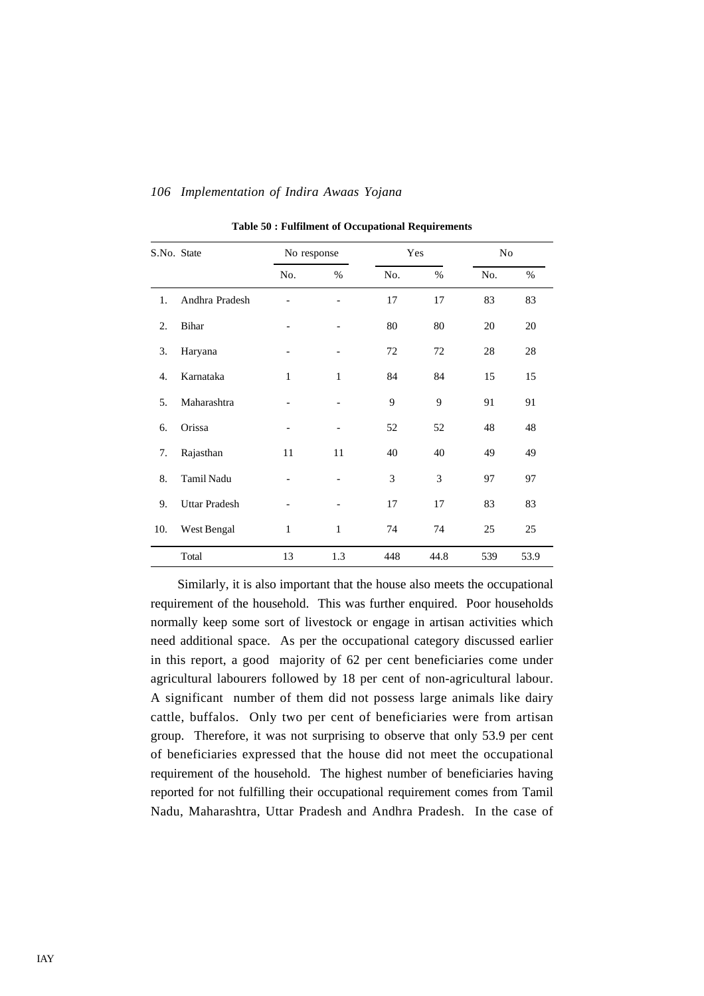| S.No. State |                      | No response  |                          |     | Yes  | N <sub>o</sub> |      |
|-------------|----------------------|--------------|--------------------------|-----|------|----------------|------|
|             |                      | No.          | %                        | No. | %    | No.            | $\%$ |
| 1.          | Andhra Pradesh       |              |                          | 17  | 17   | 83             | 83   |
| 2.          | Bihar                |              |                          | 80  | 80   | 20             | 20   |
| 3.          | Haryana              |              | $\overline{\phantom{0}}$ | 72  | 72   | 28             | 28   |
| 4.          | Karnataka            | 1            | $\mathbf{1}$             | 84  | 84   | 15             | 15   |
| 5.          | Maharashtra          |              |                          | 9   | 9    | 91             | 91   |
| 6.          | Orissa               |              | -                        | 52  | 52   | 48             | 48   |
| 7.          | Rajasthan            | 11           | 11                       | 40  | 40   | 49             | 49   |
| 8.          | Tamil Nadu           |              |                          | 3   | 3    | 97             | 97   |
| 9.          | <b>Uttar Pradesh</b> |              |                          | 17  | 17   | 83             | 83   |
| 10.         | West Bengal          | $\mathbf{1}$ | $\mathbf{1}$             | 74  | 74   | 25             | 25   |
|             | Total                | 13           | 1.3                      | 448 | 44.8 | 539            | 53.9 |

**Table 50 : Fulfilment of Occupational Requirements**

Similarly, it is also important that the house also meets the occupational requirement of the household. This was further enquired. Poor households normally keep some sort of livestock or engage in artisan activities which need additional space. As per the occupational category discussed earlier in this report, a good majority of 62 per cent beneficiaries come under agricultural labourers followed by 18 per cent of non-agricultural labour. A significant number of them did not possess large animals like dairy cattle, buffalos. Only two per cent of beneficiaries were from artisan group. Therefore, it was not surprising to observe that only 53.9 per cent of beneficiaries expressed that the house did not meet the occupational requirement of the household. The highest number of beneficiaries having reported for not fulfilling their occupational requirement comes from Tamil Nadu, Maharashtra, Uttar Pradesh and Andhra Pradesh. In the case of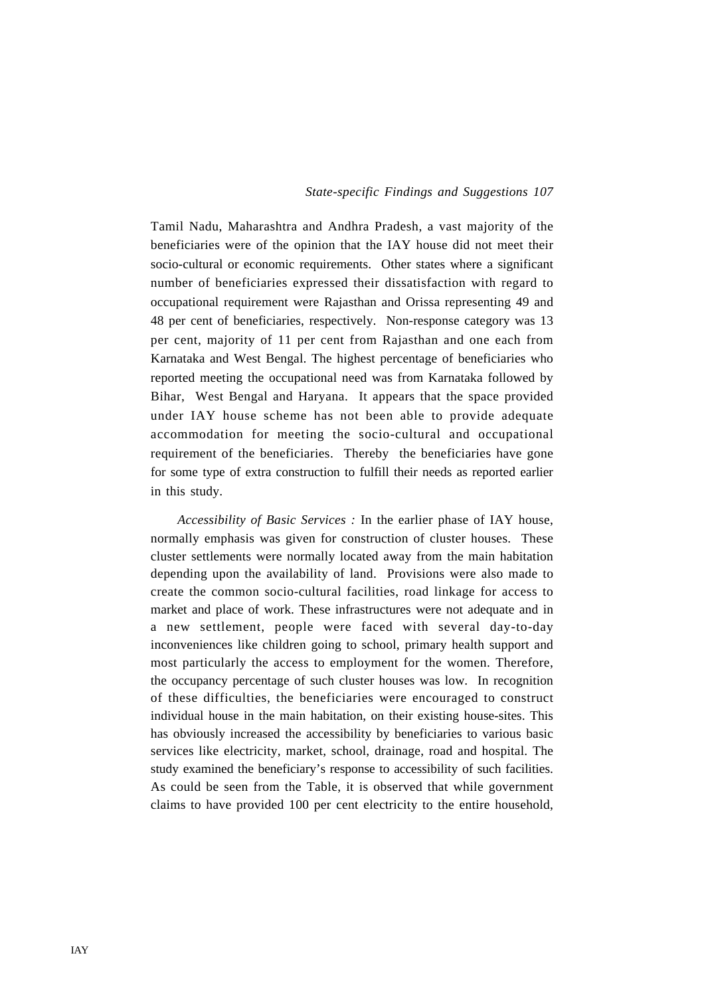Tamil Nadu, Maharashtra and Andhra Pradesh, a vast majority of the beneficiaries were of the opinion that the IAY house did not meet their socio-cultural or economic requirements. Other states where a significant number of beneficiaries expressed their dissatisfaction with regard to occupational requirement were Rajasthan and Orissa representing 49 and 48 per cent of beneficiaries, respectively. Non-response category was 13 per cent, majority of 11 per cent from Rajasthan and one each from Karnataka and West Bengal. The highest percentage of beneficiaries who reported meeting the occupational need was from Karnataka followed by Bihar, West Bengal and Haryana. It appears that the space provided under IAY house scheme has not been able to provide adequate accommodation for meeting the socio-cultural and occupational requirement of the beneficiaries. Thereby the beneficiaries have gone for some type of extra construction to fulfill their needs as reported earlier in this study.

*Accessibility of Basic Services :* In the earlier phase of IAY house, normally emphasis was given for construction of cluster houses. These cluster settlements were normally located away from the main habitation depending upon the availability of land. Provisions were also made to create the common socio-cultural facilities, road linkage for access to market and place of work. These infrastructures were not adequate and in a new settlement, people were faced with several day-to-day inconveniences like children going to school, primary health support and most particularly the access to employment for the women. Therefore, the occupancy percentage of such cluster houses was low. In recognition of these difficulties, the beneficiaries were encouraged to construct individual house in the main habitation, on their existing house-sites. This has obviously increased the accessibility by beneficiaries to various basic services like electricity, market, school, drainage, road and hospital. The study examined the beneficiary's response to accessibility of such facilities. As could be seen from the Table, it is observed that while government claims to have provided 100 per cent electricity to the entire household,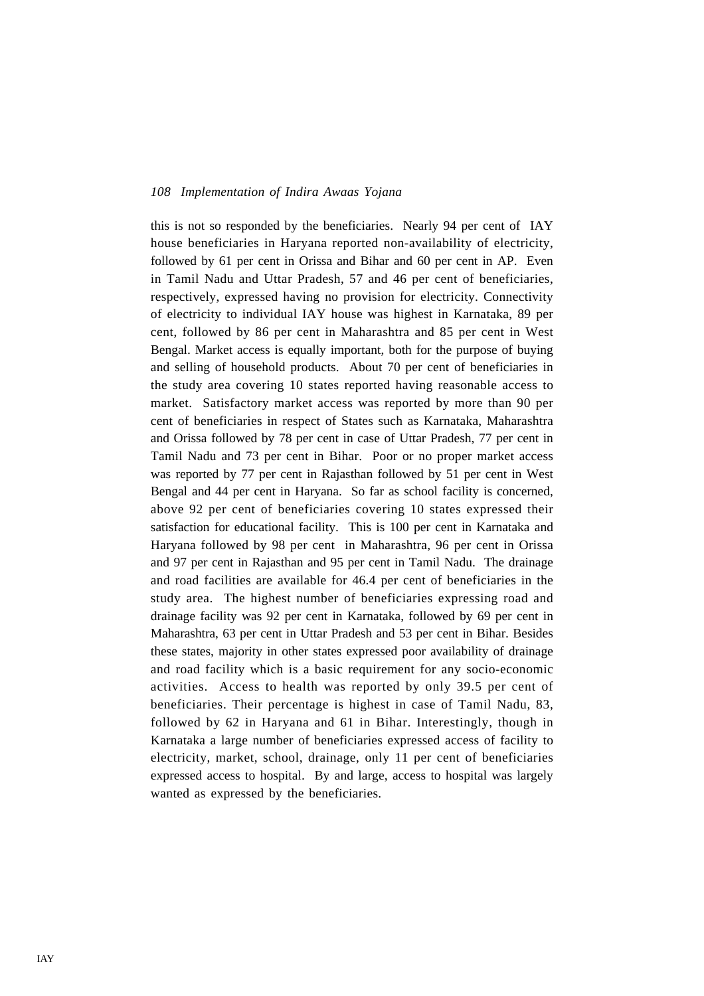this is not so responded by the beneficiaries. Nearly 94 per cent of IAY house beneficiaries in Haryana reported non-availability of electricity, followed by 61 per cent in Orissa and Bihar and 60 per cent in AP. Even in Tamil Nadu and Uttar Pradesh, 57 and 46 per cent of beneficiaries, respectively, expressed having no provision for electricity. Connectivity of electricity to individual IAY house was highest in Karnataka, 89 per cent, followed by 86 per cent in Maharashtra and 85 per cent in West Bengal. Market access is equally important, both for the purpose of buying and selling of household products. About 70 per cent of beneficiaries in the study area covering 10 states reported having reasonable access to market. Satisfactory market access was reported by more than 90 per cent of beneficiaries in respect of States such as Karnataka, Maharashtra and Orissa followed by 78 per cent in case of Uttar Pradesh, 77 per cent in Tamil Nadu and 73 per cent in Bihar. Poor or no proper market access was reported by 77 per cent in Rajasthan followed by 51 per cent in West Bengal and 44 per cent in Haryana. So far as school facility is concerned, above 92 per cent of beneficiaries covering 10 states expressed their satisfaction for educational facility. This is 100 per cent in Karnataka and Haryana followed by 98 per cent in Maharashtra, 96 per cent in Orissa and 97 per cent in Rajasthan and 95 per cent in Tamil Nadu. The drainage and road facilities are available for 46.4 per cent of beneficiaries in the study area. The highest number of beneficiaries expressing road and drainage facility was 92 per cent in Karnataka, followed by 69 per cent in Maharashtra, 63 per cent in Uttar Pradesh and 53 per cent in Bihar. Besides these states, majority in other states expressed poor availability of drainage and road facility which is a basic requirement for any socio-economic activities. Access to health was reported by only 39.5 per cent of beneficiaries. Their percentage is highest in case of Tamil Nadu, 83, followed by 62 in Haryana and 61 in Bihar. Interestingly, though in Karnataka a large number of beneficiaries expressed access of facility to electricity, market, school, drainage, only 11 per cent of beneficiaries expressed access to hospital. By and large, access to hospital was largely wanted as expressed by the beneficiaries.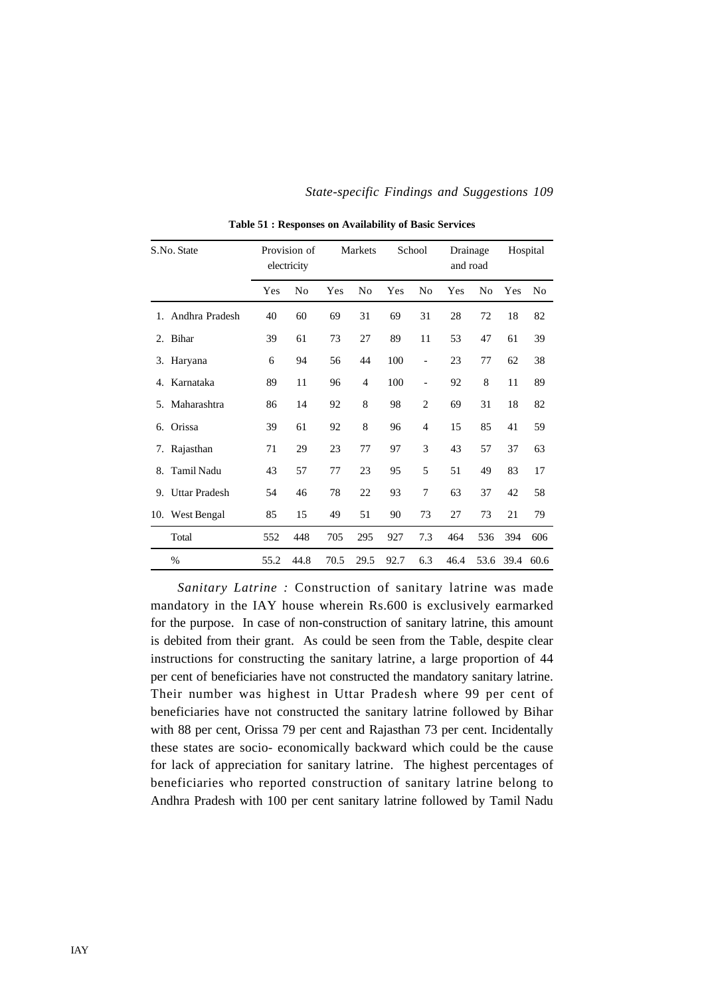|         | S.No. State          |      | Provision of<br>electricity |      | <b>Markets</b> |      | School                   |      | Drainage<br>and road |      | Hospital |  |
|---------|----------------------|------|-----------------------------|------|----------------|------|--------------------------|------|----------------------|------|----------|--|
|         |                      | Yes  | No                          | Yes  | No             | Yes  | No                       | Yes  | N <sub>0</sub>       | Yes  | No       |  |
| $1_{-}$ | Andhra Pradesh       | 40   | 60                          | 69   | 31             | 69   | 31                       | 28   | 72                   | 18   | 82       |  |
| 2.      | Bihar                | 39   | 61                          | 73   | 27             | 89   | 11                       | 53   | 47                   | 61   | 39       |  |
| 3.      | Haryana              | 6    | 94                          | 56   | 44             | 100  | $\overline{a}$           | 23   | 77                   | 62   | 38       |  |
| 4.      | Karnataka            | 89   | 11                          | 96   | 4              | 100  | $\overline{\phantom{0}}$ | 92   | 8                    | 11   | 89       |  |
| 5.      | Maharashtra          | 86   | 14                          | 92   | 8              | 98   | 2                        | 69   | 31                   | 18   | 82       |  |
| 6.      | Orissa               | 39   | 61                          | 92   | 8              | 96   | $\overline{4}$           | 15   | 85                   | 41   | 59       |  |
| 7.      | Rajasthan            | 71   | 29                          | 23   | 77             | 97   | 3                        | 43   | 57                   | 37   | 63       |  |
| 8.      | <b>Tamil Nadu</b>    | 43   | 57                          | 77   | 23             | 95   | 5                        | 51   | 49                   | 83   | 17       |  |
| 9.      | <b>Uttar Pradesh</b> | 54   | 46                          | 78   | 22             | 93   | 7                        | 63   | 37                   | 42   | 58       |  |
|         | 10. West Bengal      | 85   | 15                          | 49   | 51             | 90   | 73                       | 27   | 73                   | 21   | 79       |  |
|         | Total                | 552  | 448                         | 705  | 295            | 927  | 7.3                      | 464  | 536                  | 394  | 606      |  |
|         | $\%$                 | 55.2 | 44.8                        | 70.5 | 29.5           | 92.7 | 6.3                      | 46.4 | 53.6                 | 39.4 | 60.6     |  |

**Table 51 : Responses on Availability of Basic Services**

*Sanitary Latrine :* Construction of sanitary latrine was made mandatory in the IAY house wherein Rs.600 is exclusively earmarked for the purpose. In case of non-construction of sanitary latrine, this amount is debited from their grant. As could be seen from the Table, despite clear instructions for constructing the sanitary latrine, a large proportion of 44 per cent of beneficiaries have not constructed the mandatory sanitary latrine. Their number was highest in Uttar Pradesh where 99 per cent of beneficiaries have not constructed the sanitary latrine followed by Bihar with 88 per cent, Orissa 79 per cent and Rajasthan 73 per cent. Incidentally these states are socio- economically backward which could be the cause for lack of appreciation for sanitary latrine. The highest percentages of beneficiaries who reported construction of sanitary latrine belong to Andhra Pradesh with 100 per cent sanitary latrine followed by Tamil Nadu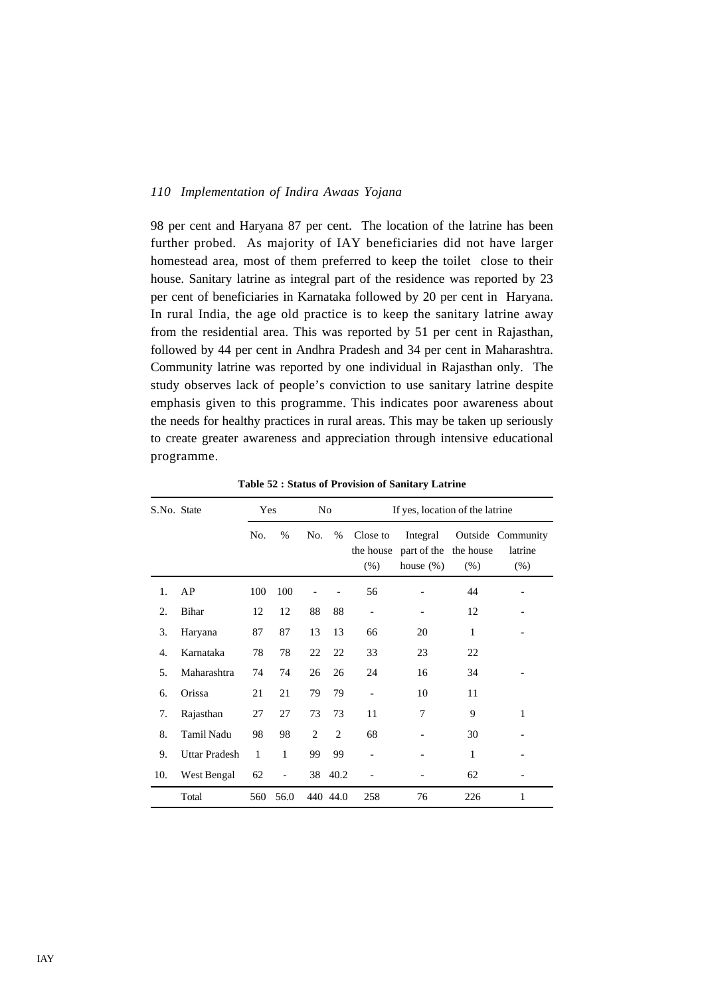98 per cent and Haryana 87 per cent. The location of the latrine has been further probed. As majority of IAY beneficiaries did not have larger homestead area, most of them preferred to keep the toilet close to their house. Sanitary latrine as integral part of the residence was reported by 23 per cent of beneficiaries in Karnataka followed by 20 per cent in Haryana. In rural India, the age old practice is to keep the sanitary latrine away from the residential area. This was reported by 51 per cent in Rajasthan, followed by 44 per cent in Andhra Pradesh and 34 per cent in Maharashtra. Community latrine was reported by one individual in Rajasthan only. The study observes lack of people's conviction to use sanitary latrine despite emphasis given to this programme. This indicates poor awareness about the needs for healthy practices in rural areas. This may be taken up seriously to create greater awareness and appreciation through intensive educational programme.

| S.No. State |                      | Yes          |                          | No             |                |                                 | If yes, location of the latrine         |                     |                                         |
|-------------|----------------------|--------------|--------------------------|----------------|----------------|---------------------------------|-----------------------------------------|---------------------|-----------------------------------------|
|             |                      | No.          | %                        | No.            | %              | Close to<br>the house<br>$(\%)$ | Integral<br>part of the<br>house $(\%)$ | the house<br>$(\%)$ | Outside Community<br>latrine<br>$(\% )$ |
| 1.          | AP                   | 100          | 100                      |                |                | 56                              |                                         | 44                  |                                         |
| 2.          | Bihar                | 12           | 12                       | 88             | 88             |                                 |                                         | 12                  |                                         |
| 3.          | Haryana              | 87           | 87                       | 13             | 13             | 66                              | 20                                      | 1                   |                                         |
| 4.          | Karnataka            | 78           | 78                       | 22             | 22             | 33                              | 23                                      | 22                  |                                         |
| 5.          | Maharashtra          | 74           | 74                       | 26             | 26             | 24                              | 16                                      | 34                  |                                         |
| 6.          | Orissa               | 21           | 21                       | 79             | 79             |                                 | 10                                      | 11                  |                                         |
| 7.          | Rajasthan            | 27           | 27                       | 73             | 73             | 11                              | $\overline{7}$                          | 9                   | 1                                       |
| 8.          | <b>Tamil Nadu</b>    | 98           | 98                       | $\overline{c}$ | $\mathfrak{D}$ | 68                              |                                         | 30                  |                                         |
| 9.          | <b>Uttar Pradesh</b> | $\mathbf{1}$ | 1                        | 99             | 99             |                                 |                                         | $\mathbf{1}$        |                                         |
| 10.         | West Bengal          | 62           | $\overline{\phantom{0}}$ | 38             | 40.2           |                                 |                                         | 62                  |                                         |
|             | Total                | 560          | 56.0                     |                | 440 44.0       | 258                             | 76                                      | 226                 | 1                                       |

**Table 52 : Status of Provision of Sanitary Latrine**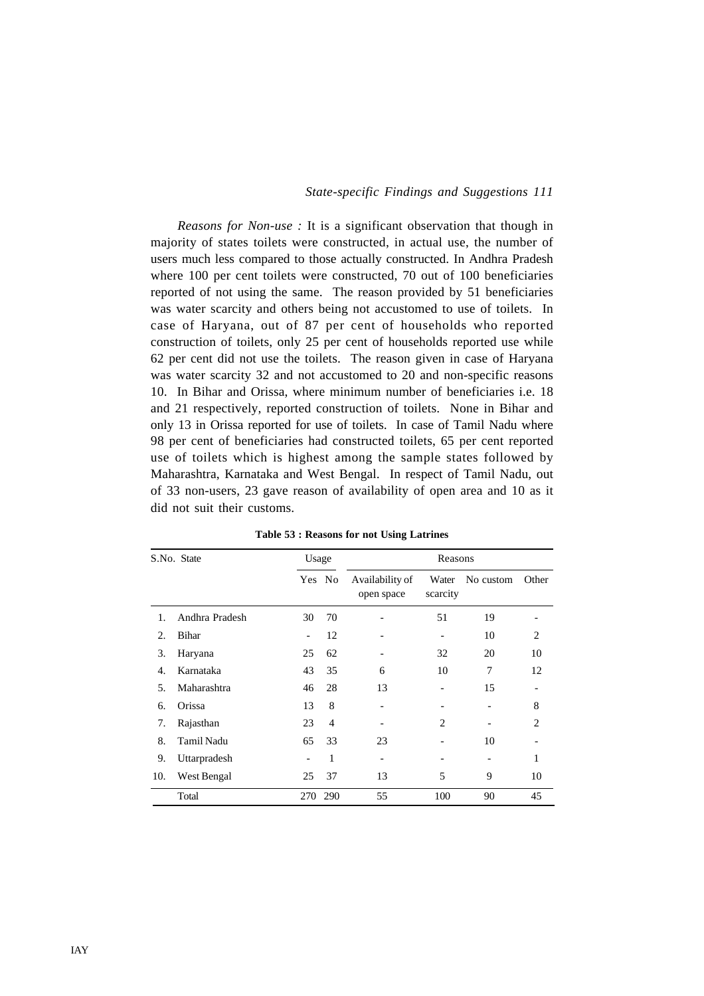*Reasons for Non-use :* It is a significant observation that though in majority of states toilets were constructed, in actual use, the number of users much less compared to those actually constructed. In Andhra Pradesh where 100 per cent toilets were constructed, 70 out of 100 beneficiaries reported of not using the same. The reason provided by 51 beneficiaries was water scarcity and others being not accustomed to use of toilets. In case of Haryana, out of 87 per cent of households who reported construction of toilets, only 25 per cent of households reported use while 62 per cent did not use the toilets. The reason given in case of Haryana was water scarcity 32 and not accustomed to 20 and non-specific reasons 10. In Bihar and Orissa, where minimum number of beneficiaries i.e. 18 and 21 respectively, reported construction of toilets. None in Bihar and only 13 in Orissa reported for use of toilets. In case of Tamil Nadu where 98 per cent of beneficiaries had constructed toilets, 65 per cent reported use of toilets which is highest among the sample states followed by Maharashtra, Karnataka and West Bengal. In respect of Tamil Nadu, out of 33 non-users, 23 gave reason of availability of open area and 10 as it did not suit their customs.

|     | S.No. State    | Usage           |                |                               | Reasons           |           |                             |
|-----|----------------|-----------------|----------------|-------------------------------|-------------------|-----------|-----------------------------|
|     |                |                 | Yes No         | Availability of<br>open space | Water<br>scarcity | No custom | Other                       |
| 1.  | Andhra Pradesh | 30              | 70             |                               | 51                | 19        |                             |
| 2.  | Bihar          | $\overline{a}$  | 12             |                               | -                 | 10        | 2                           |
| 3.  | Haryana        | 25              | 62             | $\qquad \qquad$               | 32                | 20        | 10                          |
| 4.  | Karnataka      | 43              | 35             | 6                             | 10                | 7         | 12                          |
| 5.  | Maharashtra    | 46              | 28             | 13                            |                   | 15        |                             |
| 6.  | Orissa         | 13              | 8              |                               |                   |           | 8                           |
| 7.  | Rajasthan      | 23              | $\overline{4}$ |                               | 2                 |           | $\mathcal{D}_{\mathcal{L}}$ |
| 8.  | Tamil Nadu     | 65              | 33             | 23                            |                   | 10        |                             |
| 9.  | Uttarpradesh   | $\qquad \qquad$ | 1              |                               |                   |           | 1                           |
| 10. | West Bengal    | 25              | 37             | 13                            | 5                 | 9         | 10                          |
|     | Total          | 270             | 290            | 55                            | 100               | 90        | 45                          |

**Table 53 : Reasons for not Using Latrines**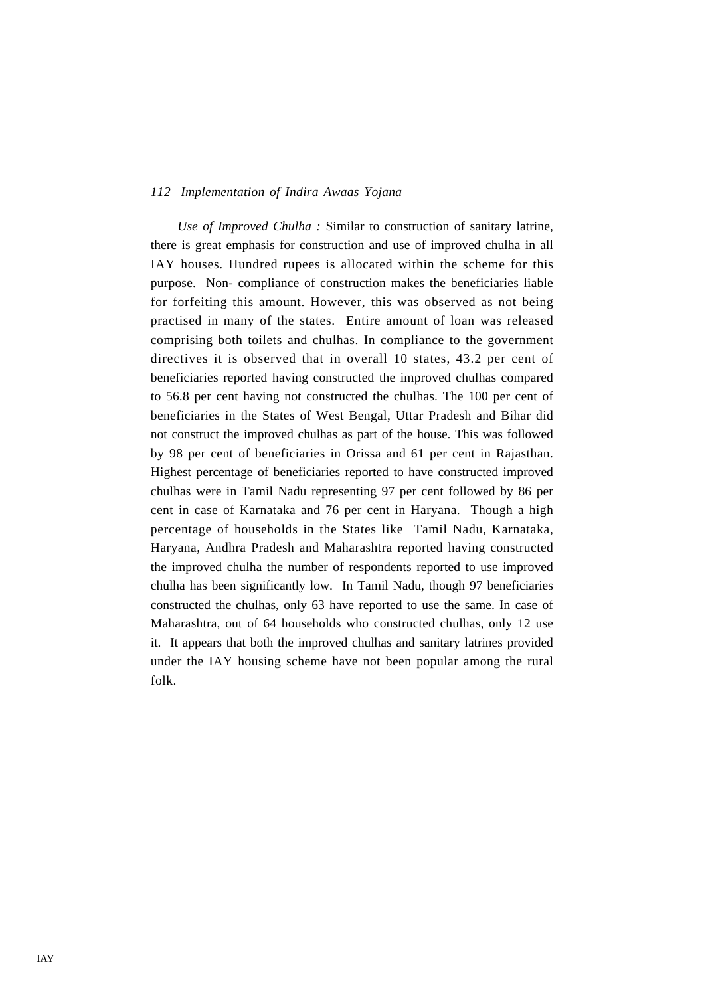*Use of Improved Chulha :* Similar to construction of sanitary latrine, there is great emphasis for construction and use of improved chulha in all IAY houses. Hundred rupees is allocated within the scheme for this purpose. Non- compliance of construction makes the beneficiaries liable for forfeiting this amount. However, this was observed as not being practised in many of the states. Entire amount of loan was released comprising both toilets and chulhas. In compliance to the government directives it is observed that in overall 10 states, 43.2 per cent of beneficiaries reported having constructed the improved chulhas compared to 56.8 per cent having not constructed the chulhas. The 100 per cent of beneficiaries in the States of West Bengal, Uttar Pradesh and Bihar did not construct the improved chulhas as part of the house. This was followed by 98 per cent of beneficiaries in Orissa and 61 per cent in Rajasthan. Highest percentage of beneficiaries reported to have constructed improved chulhas were in Tamil Nadu representing 97 per cent followed by 86 per cent in case of Karnataka and 76 per cent in Haryana. Though a high percentage of households in the States like Tamil Nadu, Karnataka, Haryana, Andhra Pradesh and Maharashtra reported having constructed the improved chulha the number of respondents reported to use improved chulha has been significantly low. In Tamil Nadu, though 97 beneficiaries constructed the chulhas, only 63 have reported to use the same. In case of Maharashtra, out of 64 households who constructed chulhas, only 12 use it. It appears that both the improved chulhas and sanitary latrines provided under the IAY housing scheme have not been popular among the rural folk.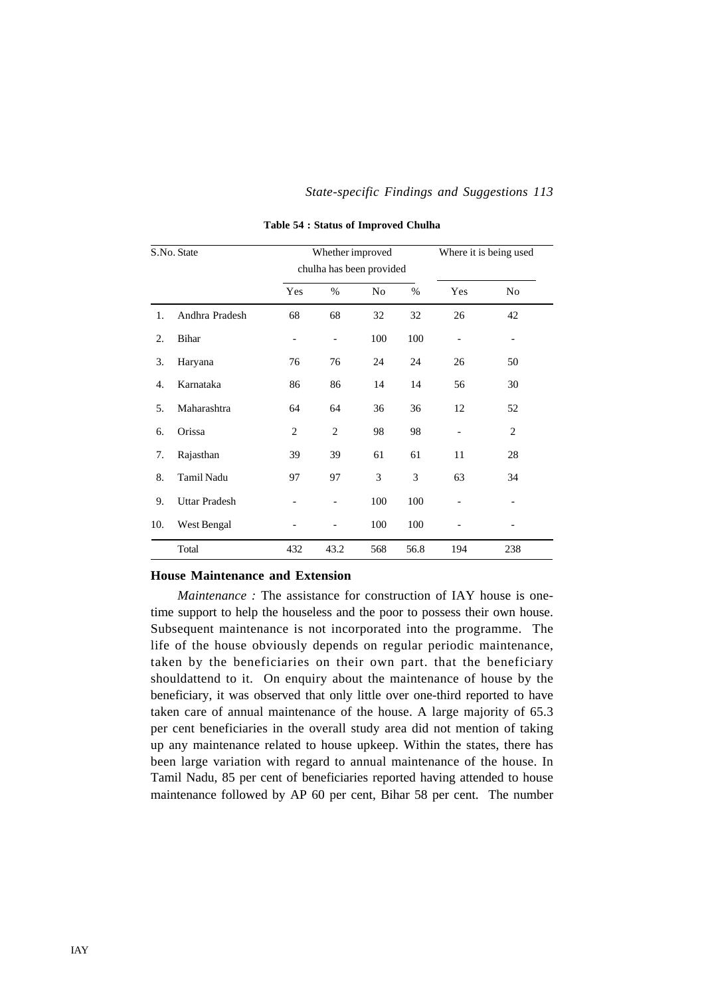|     | S.No. State          |                 | Whether improved<br>chulha has been provided |                |      |                | Where it is being used |
|-----|----------------------|-----------------|----------------------------------------------|----------------|------|----------------|------------------------|
|     |                      | Yes             | %                                            | N <sub>0</sub> | $\%$ | Yes            | N <sub>0</sub>         |
| 1.  | Andhra Pradesh       | 68              | 68                                           | 32             | 32   | 26             | 42                     |
| 2.  | Bihar                | $\qquad \qquad$ | $\overline{\phantom{0}}$                     | 100            | 100  | $\overline{a}$ |                        |
| 3.  | Haryana              | 76              | 76                                           | 24             | 24   | 26             | 50                     |
| 4.  | Karnataka            | 86              | 86                                           | 14             | 14   | 56             | 30                     |
| 5.  | Maharashtra          | 64              | 64                                           | 36             | 36   | 12             | 52                     |
| 6.  | Orissa               | $\overline{c}$  | 2                                            | 98             | 98   | $\overline{a}$ | 2                      |
| 7.  | Rajasthan            | 39              | 39                                           | 61             | 61   | 11             | 28                     |
| 8.  | Tamil Nadu           | 97              | 97                                           | 3              | 3    | 63             | 34                     |
| 9.  | <b>Uttar Pradesh</b> |                 |                                              | 100            | 100  |                |                        |
| 10. | West Bengal          |                 |                                              | 100            | 100  |                |                        |
|     | Total                | 432             | 43.2                                         | 568            | 56.8 | 194            | 238                    |

**Table 54 : Status of Improved Chulha**

#### **House Maintenance and Extension**

*Maintenance* : The assistance for construction of IAY house is onetime support to help the houseless and the poor to possess their own house. Subsequent maintenance is not incorporated into the programme. The life of the house obviously depends on regular periodic maintenance, taken by the beneficiaries on their own part. that the beneficiary shouldattend to it. On enquiry about the maintenance of house by the beneficiary, it was observed that only little over one-third reported to have taken care of annual maintenance of the house. A large majority of 65.3 per cent beneficiaries in the overall study area did not mention of taking up any maintenance related to house upkeep. Within the states, there has been large variation with regard to annual maintenance of the house. In Tamil Nadu, 85 per cent of beneficiaries reported having attended to house maintenance followed by AP 60 per cent, Bihar 58 per cent. The number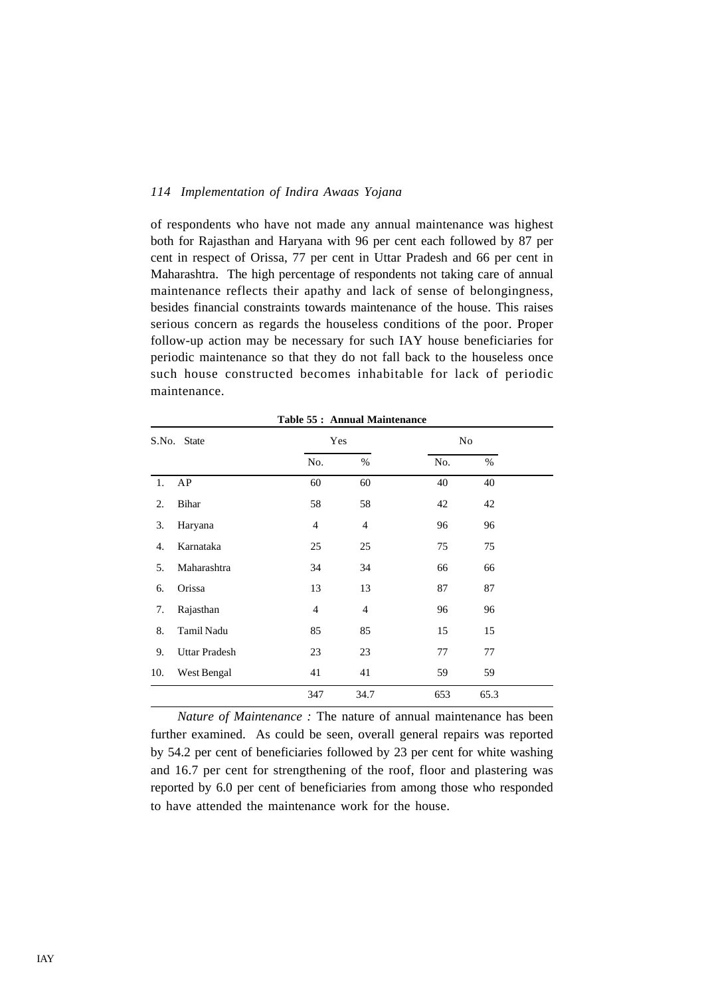of respondents who have not made any annual maintenance was highest both for Rajasthan and Haryana with 96 per cent each followed by 87 per cent in respect of Orissa, 77 per cent in Uttar Pradesh and 66 per cent in Maharashtra. The high percentage of respondents not taking care of annual maintenance reflects their apathy and lack of sense of belongingness, besides financial constraints towards maintenance of the house. This raises serious concern as regards the houseless conditions of the poor. Proper follow-up action may be necessary for such IAY house beneficiaries for periodic maintenance so that they do not fall back to the houseless once such house constructed becomes inhabitable for lack of periodic maintenance.

**Table 55 : Annual Maintenance**

|     | S.No. State          |                | Yes            |     | No   |  |
|-----|----------------------|----------------|----------------|-----|------|--|
|     |                      | No.            | $\%$           | No. | $\%$ |  |
| 1.  | AP                   | 60             | 60             | 40  | 40   |  |
| 2.  | Bihar                | 58             | 58             | 42  | 42   |  |
| 3.  | Haryana              | $\overline{4}$ | $\overline{4}$ | 96  | 96   |  |
| 4.  | Karnataka            | 25             | 25             | 75  | 75   |  |
| 5.  | Maharashtra          | 34             | 34             | 66  | 66   |  |
| 6.  | Orissa               | 13             | 13             | 87  | 87   |  |
| 7.  | Rajasthan            | $\overline{4}$ | $\overline{4}$ | 96  | 96   |  |
| 8.  | Tamil Nadu           | 85             | 85             | 15  | 15   |  |
| 9.  | <b>Uttar Pradesh</b> | 23             | 23             | 77  | 77   |  |
| 10. | West Bengal          | 41             | 41             | 59  | 59   |  |
|     |                      | 347            | 34.7           | 653 | 65.3 |  |

*Nature of Maintenance :* The nature of annual maintenance has been further examined. As could be seen, overall general repairs was reported by 54.2 per cent of beneficiaries followed by 23 per cent for white washing and 16.7 per cent for strengthening of the roof, floor and plastering was reported by 6.0 per cent of beneficiaries from among those who responded to have attended the maintenance work for the house.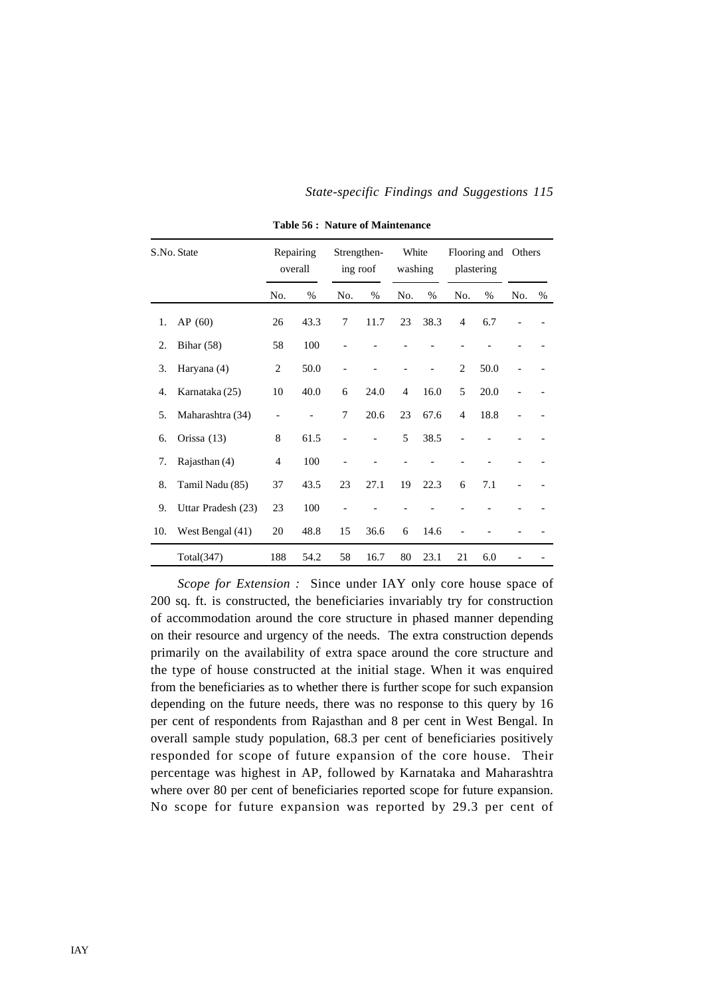|     | S.No. State        |                | Repairing<br>overall |     | Strengthen-<br>ing roof | White<br>washing |      |                | Flooring and<br>plastering | Others |      |
|-----|--------------------|----------------|----------------------|-----|-------------------------|------------------|------|----------------|----------------------------|--------|------|
|     |                    | No.            | %                    | No. | $\%$                    | No.              | $\%$ | No.            | $\%$                       | No.    | $\%$ |
| 1.  | AP(60)             | 26             | 43.3                 | 7   | 11.7                    | 23               | 38.3 | 4              | 6.7                        |        |      |
| 2.  | Bihar $(58)$       | 58             | 100                  |     |                         |                  |      |                |                            |        |      |
| 3.  | Haryana (4)        | $\overline{c}$ | 50.0                 |     |                         |                  |      | $\overline{c}$ | 50.0                       |        |      |
| 4.  | Karnataka (25)     | 10             | 40.0                 | 6   | 24.0                    | $\overline{4}$   | 16.0 | 5              | 20.0                       |        |      |
| 5.  | Maharashtra (34)   |                |                      | 7   | 20.6                    | 23               | 67.6 | $\overline{4}$ | 18.8                       |        |      |
| 6.  | Orissa (13)        | 8              | 61.5                 |     |                         | 5                | 38.5 |                |                            |        |      |
| 7.  | Rajasthan (4)      | $\overline{4}$ | 100                  |     |                         |                  |      |                |                            |        |      |
| 8.  | Tamil Nadu (85)    | 37             | 43.5                 | 23  | 27.1                    | 19               | 22.3 | 6              | 7.1                        |        |      |
| 9.  | Uttar Pradesh (23) | 23             | 100                  |     |                         |                  |      |                |                            |        |      |
| 10. | West Bengal (41)   | 20             | 48.8                 | 15  | 36.6                    | 6                | 14.6 |                |                            |        |      |
|     | Total(347)         | 188            | 54.2                 | 58  | 16.7                    | 80               | 23.1 | 21             | 6.0                        |        |      |

**Table 56 : Nature of Maintenance**

*Scope for Extension :* Since under IAY only core house space of 200 sq. ft. is constructed, the beneficiaries invariably try for construction of accommodation around the core structure in phased manner depending on their resource and urgency of the needs. The extra construction depends primarily on the availability of extra space around the core structure and the type of house constructed at the initial stage. When it was enquired from the beneficiaries as to whether there is further scope for such expansion depending on the future needs, there was no response to this query by 16 per cent of respondents from Rajasthan and 8 per cent in West Bengal. In overall sample study population, 68.3 per cent of beneficiaries positively responded for scope of future expansion of the core house. Their percentage was highest in AP, followed by Karnataka and Maharashtra where over 80 per cent of beneficiaries reported scope for future expansion. No scope for future expansion was reported by 29.3 per cent of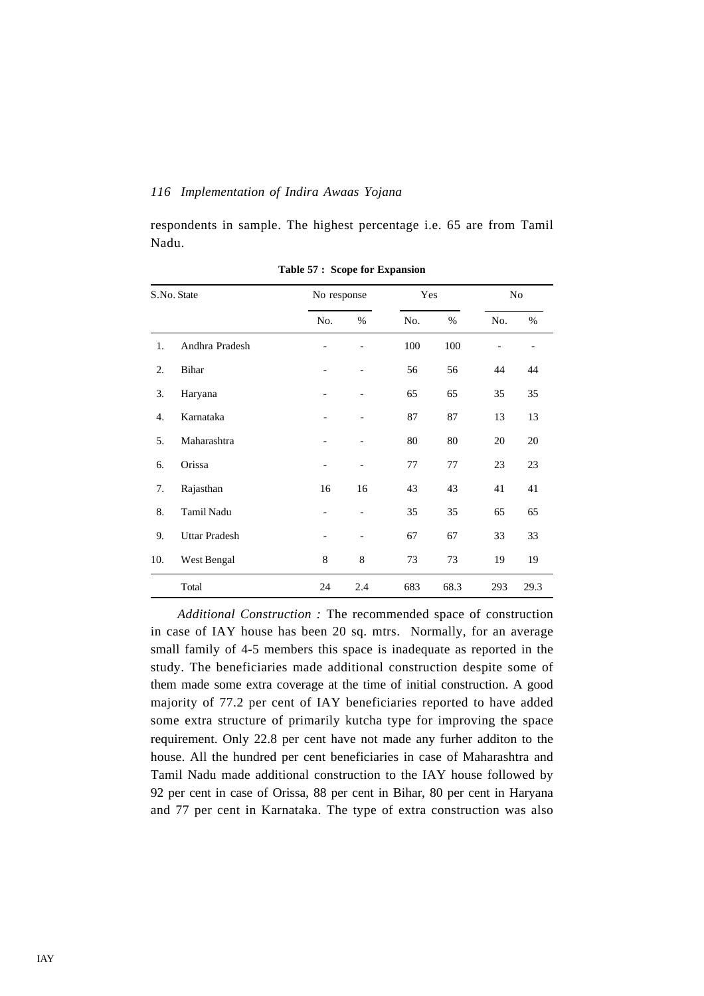respondents in sample. The highest percentage i.e. 65 are from Tamil Nadu.

|     | S.No. State          | No response              |                              | Yes |      |     | No   |
|-----|----------------------|--------------------------|------------------------------|-----|------|-----|------|
|     |                      | No.                      | $\%$                         | No. | $\%$ | No. | $\%$ |
| 1.  | Andhra Pradesh       |                          | $\overline{a}$               | 100 | 100  |     |      |
| 2.  | Bihar                | -                        | $\overline{a}$               | 56  | 56   | 44  | 44   |
| 3.  | Haryana              |                          | $\overline{\phantom{a}}$     | 65  | 65   | 35  | 35   |
| 4.  | Karnataka            |                          | $\overline{\phantom{0}}$     | 87  | 87   | 13  | 13   |
| 5.  | Maharashtra          | $\overline{a}$           | $\overline{a}$               | 80  | 80   | 20  | 20   |
| 6.  | Orissa               |                          | $\qquad \qquad \blacksquare$ | 77  | 77   | 23  | 23   |
| 7.  | Rajasthan            | 16                       | 16                           | 43  | 43   | 41  | 41   |
| 8.  | Tamil Nadu           | $\overline{\phantom{0}}$ | $\qquad \qquad -$            | 35  | 35   | 65  | 65   |
| 9.  | <b>Uttar Pradesh</b> |                          |                              | 67  | 67   | 33  | 33   |
| 10. | West Bengal          | 8                        | 8                            | 73  | 73   | 19  | 19   |
|     | Total                | 24                       | 2.4                          | 683 | 68.3 | 293 | 29.3 |

**Table 57 : Scope for Expansion**

*Additional Construction :* The recommended space of construction in case of IAY house has been 20 sq. mtrs. Normally, for an average small family of 4-5 members this space is inadequate as reported in the study. The beneficiaries made additional construction despite some of them made some extra coverage at the time of initial construction. A good majority of 77.2 per cent of IAY beneficiaries reported to have added some extra structure of primarily kutcha type for improving the space requirement. Only 22.8 per cent have not made any furher additon to the house. All the hundred per cent beneficiaries in case of Maharashtra and Tamil Nadu made additional construction to the IAY house followed by 92 per cent in case of Orissa, 88 per cent in Bihar, 80 per cent in Haryana and 77 per cent in Karnataka. The type of extra construction was also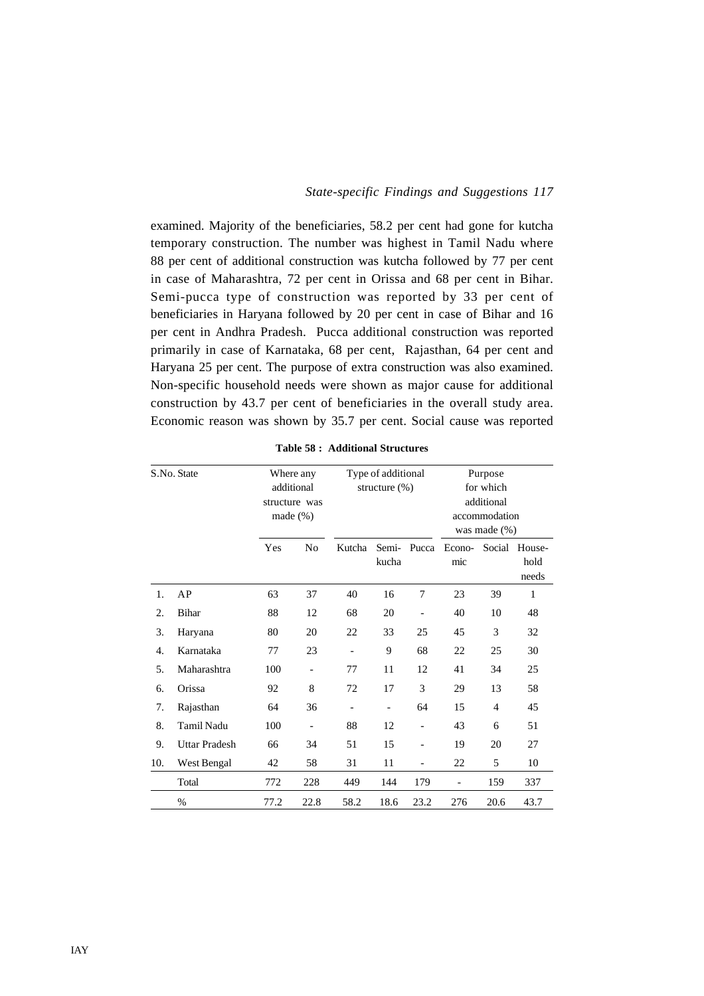examined. Majority of the beneficiaries, 58.2 per cent had gone for kutcha temporary construction. The number was highest in Tamil Nadu where 88 per cent of additional construction was kutcha followed by 77 per cent in case of Maharashtra, 72 per cent in Orissa and 68 per cent in Bihar. Semi-pucca type of construction was reported by 33 per cent of beneficiaries in Haryana followed by 20 per cent in case of Bihar and 16 per cent in Andhra Pradesh. Pucca additional construction was reported primarily in case of Karnataka, 68 per cent, Rajasthan, 64 per cent and Haryana 25 per cent. The purpose of extra construction was also examined. Non-specific household needs were shown as major cause for additional construction by 43.7 per cent of beneficiaries in the overall study area. Economic reason was shown by 35.7 per cent. Social cause was reported

|     | S.No. State          |      | Where any<br>additional<br>structure was<br>made $(\%)$ |                          | Type of additional<br>structure $(\%)$ |                          | Purpose<br>for which<br>additional<br>accommodation<br>was made $(\% )$ |        |                         |  |
|-----|----------------------|------|---------------------------------------------------------|--------------------------|----------------------------------------|--------------------------|-------------------------------------------------------------------------|--------|-------------------------|--|
|     |                      | Yes  | No                                                      | Kutcha                   | Semi-<br>kucha                         | Pucca                    | Econo-<br>mic                                                           | Social | House-<br>hold<br>needs |  |
| 1.  | AP                   | 63   | 37                                                      | 40                       | 16                                     | 7                        | 23                                                                      | 39     | 1                       |  |
| 2.  | Bihar                | 88   | 12                                                      | 68                       | 20                                     |                          | 40                                                                      | 10     | 48                      |  |
| 3.  | Haryana              | 80   | 20                                                      | 22                       | 33                                     | 25                       | 45                                                                      | 3      | 32                      |  |
| 4.  | Karnataka            | 77   | 23                                                      | $\overline{a}$           | 9                                      | 68                       | 22                                                                      | 25     | 30                      |  |
| 5.  | Maharashtra          | 100  |                                                         | 77                       | 11                                     | 12                       | 41                                                                      | 34     | 25                      |  |
| 6.  | Orissa               | 92   | 8                                                       | 72                       | 17                                     | 3                        | 29                                                                      | 13     | 58                      |  |
| 7.  | Rajasthan            | 64   | 36                                                      | $\overline{\phantom{a}}$ | $\qquad \qquad -$                      | 64                       | 15                                                                      | 4      | 45                      |  |
| 8.  | <b>Tamil Nadu</b>    | 100  | $\overline{\phantom{a}}$                                | 88                       | 12                                     | $\overline{\phantom{0}}$ | 43                                                                      | 6      | 51                      |  |
| 9.  | <b>Uttar Pradesh</b> | 66   | 34                                                      | 51                       | 15                                     | $\overline{a}$           | 19                                                                      | 20     | 27                      |  |
| 10. | West Bengal          | 42   | 58                                                      | 31                       | 11                                     | $\overline{a}$           | 22                                                                      | 5      | 10                      |  |
|     | Total                | 772  | 228                                                     | 449                      | 144                                    | 179                      | $\overline{a}$                                                          | 159    | 337                     |  |
|     | %                    | 77.2 | 22.8                                                    | 58.2                     | 18.6                                   | 23.2                     | 276                                                                     | 20.6   | 43.7                    |  |

**Table 58 : Additional Structures**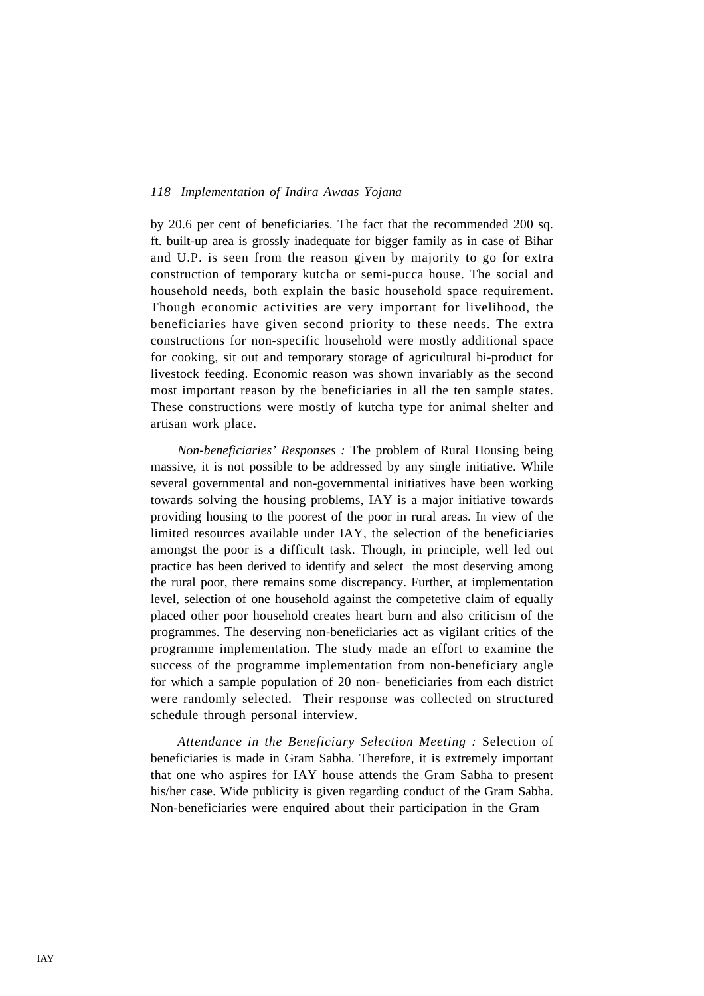by 20.6 per cent of beneficiaries. The fact that the recommended 200 sq. ft. built-up area is grossly inadequate for bigger family as in case of Bihar and U.P. is seen from the reason given by majority to go for extra construction of temporary kutcha or semi-pucca house. The social and household needs, both explain the basic household space requirement. Though economic activities are very important for livelihood, the beneficiaries have given second priority to these needs. The extra constructions for non-specific household were mostly additional space for cooking, sit out and temporary storage of agricultural bi-product for livestock feeding. Economic reason was shown invariably as the second most important reason by the beneficiaries in all the ten sample states. These constructions were mostly of kutcha type for animal shelter and artisan work place.

*Non-beneficiaries' Responses :* The problem of Rural Housing being massive, it is not possible to be addressed by any single initiative. While several governmental and non-governmental initiatives have been working towards solving the housing problems, IAY is a major initiative towards providing housing to the poorest of the poor in rural areas. In view of the limited resources available under IAY, the selection of the beneficiaries amongst the poor is a difficult task. Though, in principle, well led out practice has been derived to identify and select the most deserving among the rural poor, there remains some discrepancy. Further, at implementation level, selection of one household against the competetive claim of equally placed other poor household creates heart burn and also criticism of the programmes. The deserving non-beneficiaries act as vigilant critics of the programme implementation. The study made an effort to examine the success of the programme implementation from non-beneficiary angle for which a sample population of 20 non- beneficiaries from each district were randomly selected. Their response was collected on structured schedule through personal interview.

*Attendance in the Beneficiary Selection Meeting :* Selection of beneficiaries is made in Gram Sabha. Therefore, it is extremely important that one who aspires for IAY house attends the Gram Sabha to present his/her case. Wide publicity is given regarding conduct of the Gram Sabha. Non-beneficiaries were enquired about their participation in the Gram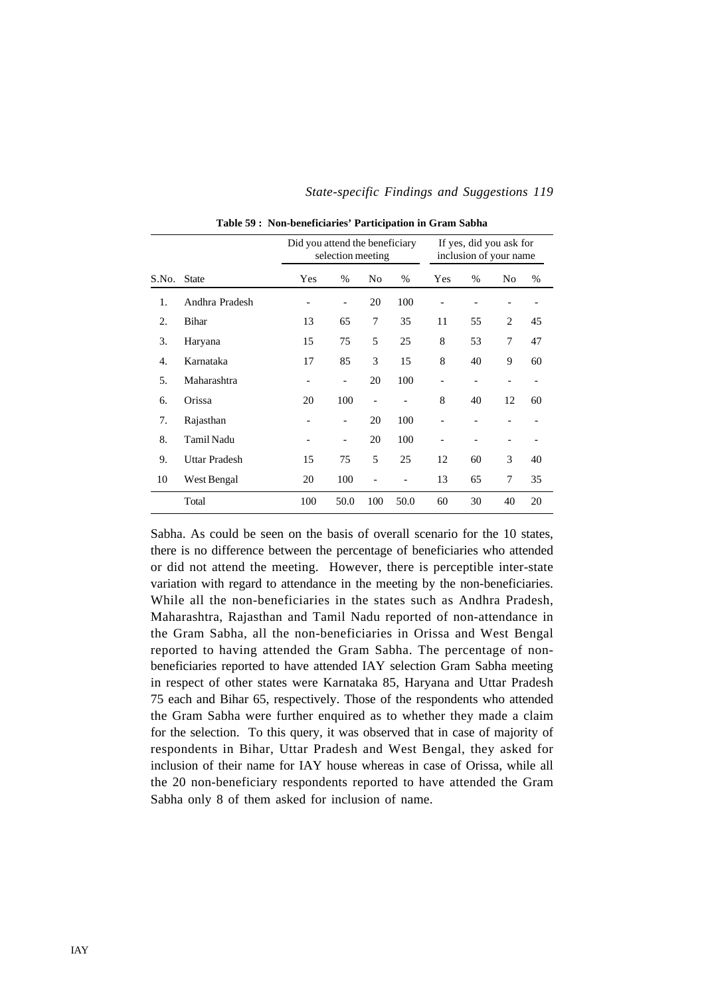|       |                      | Did you attend the beneficiary        | selection meeting        |                |      | If yes, did you ask for<br>inclusion of your name |      |                |    |
|-------|----------------------|---------------------------------------|--------------------------|----------------|------|---------------------------------------------------|------|----------------|----|
| S.No. | <b>State</b>         | Yes                                   | $\%$                     | No             | $\%$ | Yes                                               | $\%$ | N <sub>0</sub> | %  |
| 1.    | Andhra Pradesh       |                                       | $\qquad \qquad -$        | 20             | 100  |                                                   |      |                |    |
| 2.    | Bihar                | 13                                    | 65                       | 7              | 35   | 11                                                | 55   | 2              | 45 |
| 3.    | Haryana              | 15                                    | 8                        | 53             | 7    | 47                                                |      |                |    |
| 4.    | Karnataka            | 17                                    | 85                       | 3              | 15   | 8                                                 | 40   | 9              | 60 |
| 5.    | Maharashtra          | -                                     | $\overline{\phantom{a}}$ | 20             | 100  | $\qquad \qquad \blacksquare$                      |      |                |    |
| 6.    | Orissa               | 20                                    | 100                      | $\overline{a}$ |      | 8                                                 | 40   | 12             | 60 |
| 7.    | Rajasthan            | -                                     | $\qquad \qquad -$        | 20             | 100  |                                                   |      |                |    |
| 8.    | Tamil Nadu           | $\qquad \qquad$                       | $\overline{\phantom{a}}$ | 20             | 100  | $\overline{\phantom{a}}$                          |      |                |    |
| 9.    | <b>Uttar Pradesh</b> | 5<br>15<br>75                         |                          | 25             | 12   | 60                                                | 3    | 40             |    |
| 10    | West Bengal          | 20<br>100<br>$\overline{\phantom{a}}$ |                          |                |      | 13                                                | 65   | 7              | 35 |
|       | Total                | 100                                   | 60                       | 30             | 40   | 20                                                |      |                |    |

**Table 59 : Non-beneficiaries' Participation in Gram Sabha**

Sabha. As could be seen on the basis of overall scenario for the 10 states, there is no difference between the percentage of beneficiaries who attended or did not attend the meeting. However, there is perceptible inter-state variation with regard to attendance in the meeting by the non-beneficiaries. While all the non-beneficiaries in the states such as Andhra Pradesh, Maharashtra, Rajasthan and Tamil Nadu reported of non-attendance in the Gram Sabha, all the non-beneficiaries in Orissa and West Bengal reported to having attended the Gram Sabha. The percentage of nonbeneficiaries reported to have attended IAY selection Gram Sabha meeting in respect of other states were Karnataka 85, Haryana and Uttar Pradesh 75 each and Bihar 65, respectively. Those of the respondents who attended the Gram Sabha were further enquired as to whether they made a claim for the selection. To this query, it was observed that in case of majority of respondents in Bihar, Uttar Pradesh and West Bengal, they asked for inclusion of their name for IAY house whereas in case of Orissa, while all the 20 non-beneficiary respondents reported to have attended the Gram Sabha only 8 of them asked for inclusion of name.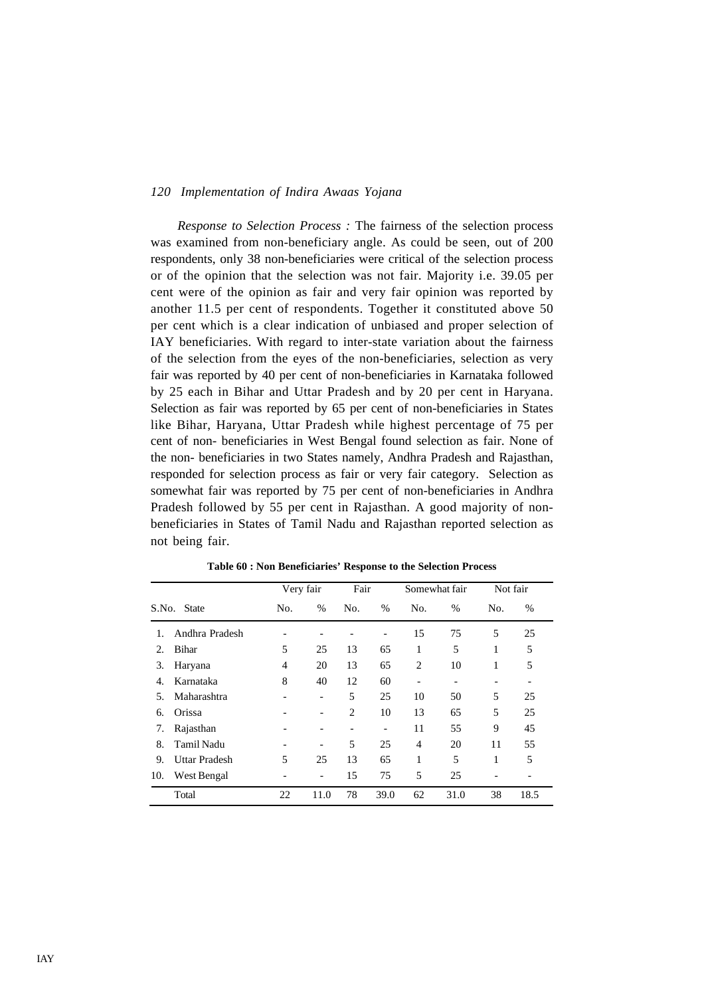*Response to Selection Process :* The fairness of the selection process was examined from non-beneficiary angle. As could be seen, out of 200 respondents, only 38 non-beneficiaries were critical of the selection process or of the opinion that the selection was not fair. Majority i.e. 39.05 per cent were of the opinion as fair and very fair opinion was reported by another 11.5 per cent of respondents. Together it constituted above 50 per cent which is a clear indication of unbiased and proper selection of IAY beneficiaries. With regard to inter-state variation about the fairness of the selection from the eyes of the non-beneficiaries, selection as very fair was reported by 40 per cent of non-beneficiaries in Karnataka followed by 25 each in Bihar and Uttar Pradesh and by 20 per cent in Haryana. Selection as fair was reported by 65 per cent of non-beneficiaries in States like Bihar, Haryana, Uttar Pradesh while highest percentage of 75 per cent of non- beneficiaries in West Bengal found selection as fair. None of the non- beneficiaries in two States namely, Andhra Pradesh and Rajasthan, responded for selection process as fair or very fair category. Selection as somewhat fair was reported by 75 per cent of non-beneficiaries in Andhra Pradesh followed by 55 per cent in Rajasthan. A good majority of nonbeneficiaries in States of Tamil Nadu and Rajasthan reported selection as not being fair.

|       |                      | Very fair      |                              | Fair |                              | Somewhat fair                |      | Not fair |      |
|-------|----------------------|----------------|------------------------------|------|------------------------------|------------------------------|------|----------|------|
| S.No. | <b>State</b>         | No.            | $\%$                         | No.  | $\%$                         | No.                          | $\%$ | No.      | $\%$ |
|       | Andhra Pradesh       |                |                              |      |                              | 15                           | 75   | 5        | 25   |
| 2.    | <b>Bihar</b>         | 5              | 25                           | 13   | 65                           | 1                            | 5    | 1        | 5    |
| 3.    | Haryana              | 4              | 20                           | 13   | 65                           | $\overline{2}$               | 10   | 1        | 5    |
| 4.    | Karnataka            | 8              | 40                           | 12   | 60                           | $\qquad \qquad \blacksquare$ | -    |          |      |
| 5.    | Maharashtra          |                | $\qquad \qquad \blacksquare$ | 5    | 25                           | 10                           | 50   | 5        | 25   |
| 6.    | Orissa               |                | $\overline{\phantom{a}}$     | 2    | 10                           | 13                           | 65   | 5        | 25   |
| 7.    | Rajasthan            |                | $\qquad \qquad \blacksquare$ | -    | $\qquad \qquad \blacksquare$ | 11                           | 55   | 9        | 45   |
| 8.    | Tamil Nadu           | $\overline{a}$ | $\overline{\phantom{a}}$     | 5    | 25                           | $\overline{4}$               | 20   | 11       | 55   |
| 9.    | <b>Uttar Pradesh</b> | 5              | 25                           | 13   | 65                           | 1                            | 5    | 1        | 5    |
| 10.   | West Bengal          |                | $\overline{\phantom{a}}$     | 15   | 75                           | 5                            | 25   |          |      |
|       | Total                | 22             | 11.0                         | 78   | 39.0                         | 62                           | 31.0 | 38       | 18.5 |

**Table 60 : Non Beneficiaries' Response to the Selection Process**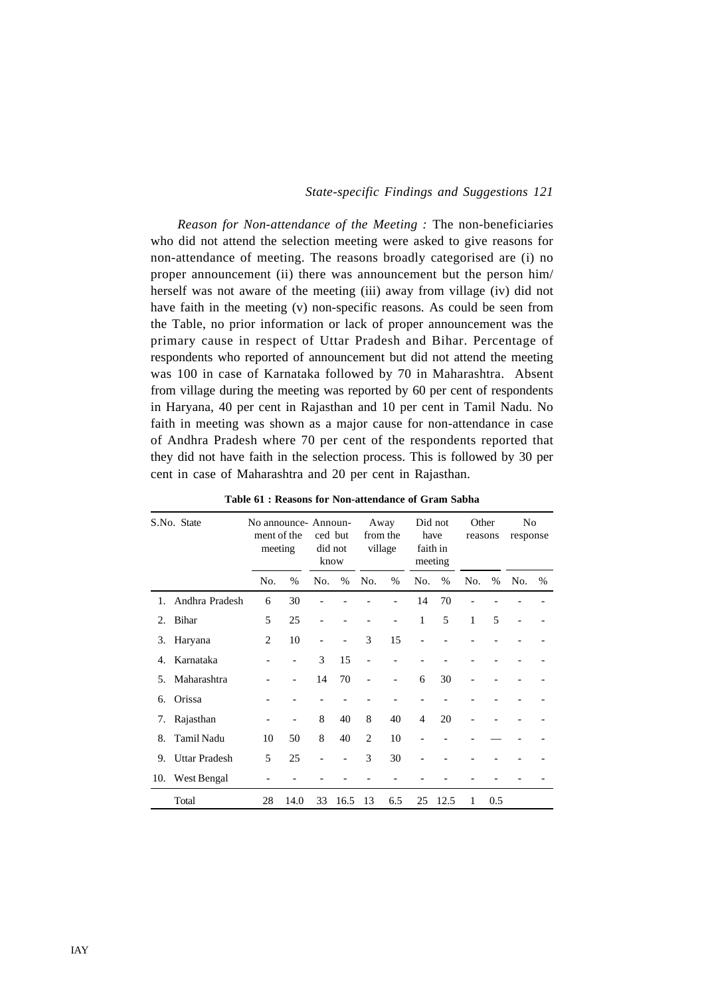*Reason for Non-attendance of the Meeting :* The non-beneficiaries who did not attend the selection meeting were asked to give reasons for non-attendance of meeting. The reasons broadly categorised are (i) no proper announcement (ii) there was announcement but the person him/ herself was not aware of the meeting (iii) away from village (iv) did not have faith in the meeting (v) non-specific reasons. As could be seen from the Table, no prior information or lack of proper announcement was the primary cause in respect of Uttar Pradesh and Bihar. Percentage of respondents who reported of announcement but did not attend the meeting was 100 in case of Karnataka followed by 70 in Maharashtra. Absent from village during the meeting was reported by 60 per cent of respondents in Haryana, 40 per cent in Rajasthan and 10 per cent in Tamil Nadu. No faith in meeting was shown as a major cause for non-attendance in case of Andhra Pradesh where 70 per cent of the respondents reported that they did not have faith in the selection process. This is followed by 30 per cent in case of Maharashtra and 20 per cent in Rajasthan.

|                | S.No. State          | No announce- Announ-<br>ment of the<br>meeting |      |                   | ced but<br>did not<br>know |                | Away<br>from the<br>village | Did not<br>have<br>faith in<br>meeting |      | Other<br>reasons |      | No<br>response |   |
|----------------|----------------------|------------------------------------------------|------|-------------------|----------------------------|----------------|-----------------------------|----------------------------------------|------|------------------|------|----------------|---|
|                |                      | No.                                            | $\%$ | No.               | $\%$                       | No.            | $\%$                        | No.                                    | $\%$ | No.              | $\%$ | No.            | % |
| $\mathbf{1}$ . | Andhra Pradesh       | 6                                              | 30   |                   |                            |                |                             | 14                                     | 70   |                  |      |                |   |
| 2.             | Bihar                | 5                                              | 25   | $\qquad \qquad -$ |                            |                | $\overline{\phantom{0}}$    | $\mathbf{1}$                           | 5    | 1                | 5    |                |   |
| 3.             | Haryana              | 2                                              | 10   | $\qquad \qquad -$ | $\overline{\phantom{a}}$   | 3              | 15                          | $\overline{\phantom{0}}$               |      |                  |      |                |   |
| 4.             | Karnataka            |                                                |      | 3                 | 15                         | ÷              |                             |                                        |      |                  |      |                |   |
| .5.            | Maharashtra          |                                                |      | 14                | 70                         |                | $\overline{\phantom{0}}$    | 6                                      | 30   |                  |      |                |   |
| б.             | Orissa               |                                                |      |                   |                            |                |                             |                                        |      |                  |      |                |   |
| 7.             | Rajasthan            |                                                |      | 8                 | 40                         | 8              | 40                          | $\overline{4}$                         | 20   |                  |      |                |   |
| 8.             | <b>Tamil Nadu</b>    | 10                                             | 50   | 8                 | 40                         | $\overline{c}$ | 10                          |                                        |      |                  |      |                |   |
| 9.             | <b>Uttar Pradesh</b> | 5                                              | 25   |                   | $\overline{\phantom{a}}$   | 3              | 30                          |                                        |      |                  |      |                |   |
| 10.            | West Bengal          |                                                |      |                   |                            |                |                             |                                        |      |                  |      |                |   |
|                | Total                | 28                                             | 14.0 | 33                | 16.5                       | 13             | 6.5                         | 25                                     | 12.5 | 1                | 0.5  |                |   |

**Table 61 : Reasons for Non-attendance of Gram Sabha**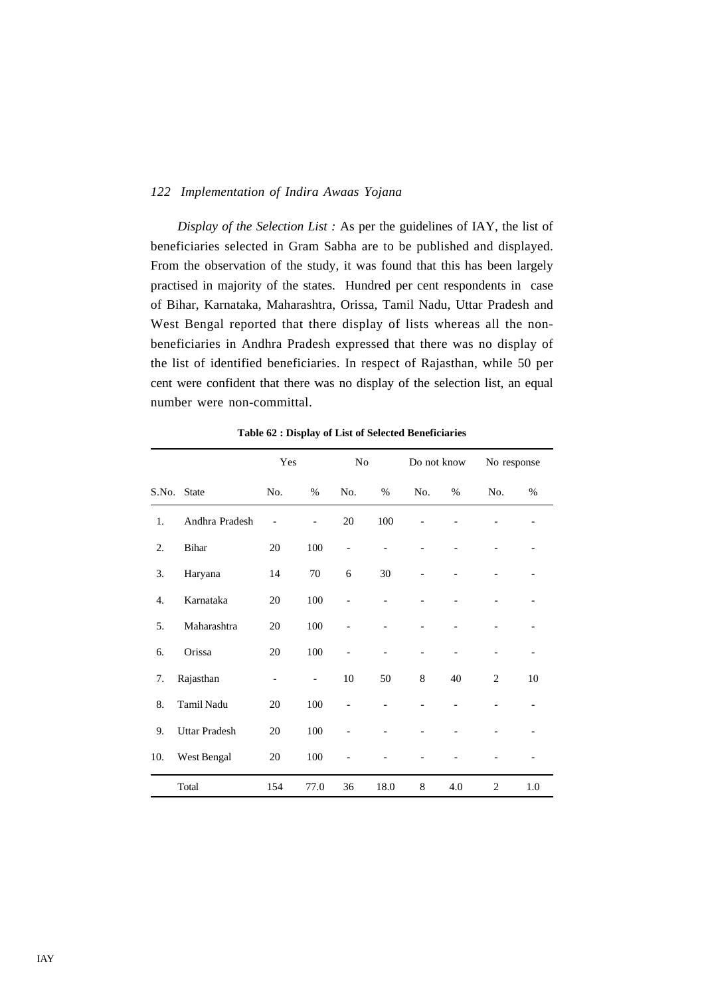*Display of the Selection List :* As per the guidelines of IAY, the list of beneficiaries selected in Gram Sabha are to be published and displayed. From the observation of the study, it was found that this has been largely practised in majority of the states. Hundred per cent respondents in case of Bihar, Karnataka, Maharashtra, Orissa, Tamil Nadu, Uttar Pradesh and West Bengal reported that there display of lists whereas all the nonbeneficiaries in Andhra Pradesh expressed that there was no display of the list of identified beneficiaries. In respect of Rajasthan, while 50 per cent were confident that there was no display of the selection list, an equal number were non-committal.

|       |                      | Yes                      |                          | N <sub>0</sub> |      | Do not know |     | No response    |         |
|-------|----------------------|--------------------------|--------------------------|----------------|------|-------------|-----|----------------|---------|
| S.No. | <b>State</b>         | No.                      | %                        | No.            | $\%$ | No.         | %   | No.            | %       |
| 1.    | Andhra Pradesh       |                          | $\overline{\phantom{0}}$ | $20\,$         | 100  |             |     |                |         |
| 2.    | Bihar                | 20                       | 100                      | $\overline{a}$ |      |             |     |                |         |
| 3.    | Haryana              | 14                       | 70                       | 6              | 30   |             |     |                |         |
| 4.    | Karnataka            | 20                       | 100                      | $\overline{a}$ |      |             |     |                |         |
| 5.    | Maharashtra          | 20                       | 100                      |                |      |             |     |                |         |
| 6.    | Orissa               | 20                       | 100                      | $\overline{a}$ |      |             |     |                |         |
| 7.    | Rajasthan            | $\overline{\phantom{0}}$ | $\overline{\phantom{a}}$ | 10             | 50   | 8           | 40  | $\overline{2}$ | 10      |
| 8.    | Tamil Nadu           | 20                       | 100                      |                |      |             |     |                |         |
| 9.    | <b>Uttar Pradesh</b> | 20                       | 100                      |                |      |             |     |                |         |
| 10.   | West Bengal          | 20                       | 100                      |                |      |             |     |                |         |
|       | Total                | 154                      | 77.0                     | 36             | 18.0 | 8           | 4.0 | $\overline{2}$ | $1.0\,$ |

**Table 62 : Display of List of Selected Beneficiaries**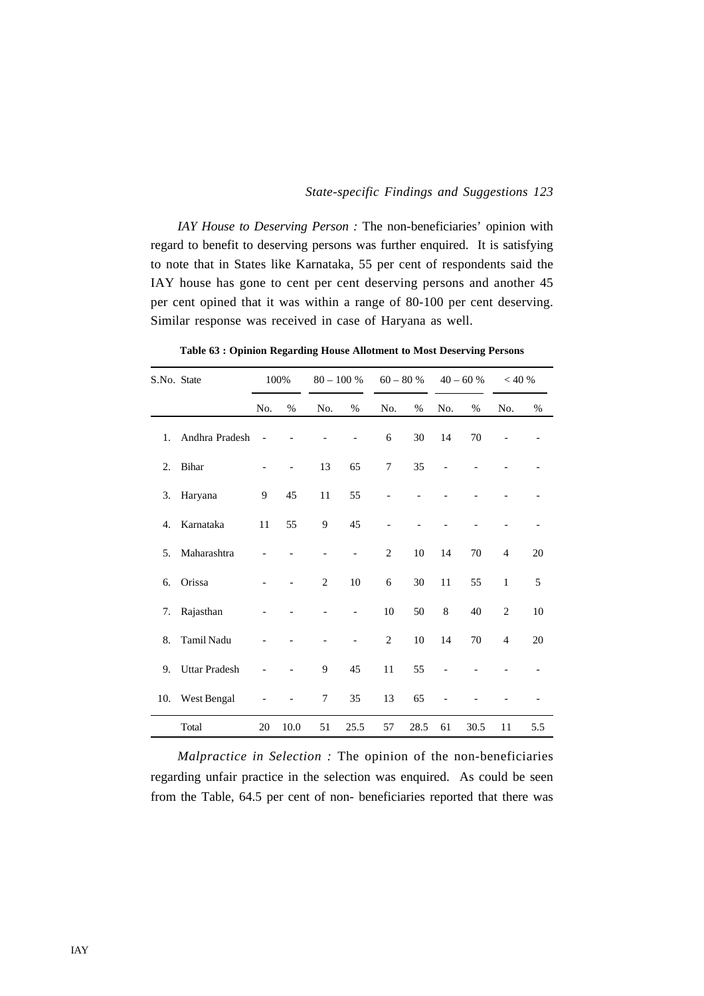*IAY House to Deserving Person* : The non-beneficiaries' opinion with regard to benefit to deserving persons was further enquired. It is satisfying to note that in States like Karnataka, 55 per cent of respondents said the IAY house has gone to cent per cent deserving persons and another 45 per cent opined that it was within a range of 80-100 per cent deserving. Similar response was received in case of Haryana as well.

| S.No. State |                      |     | 100% |              | $80 - 100 %$ |                | $60-80%$ |       | $40 - 60 %$ | < 40 %         |     |
|-------------|----------------------|-----|------|--------------|--------------|----------------|----------|-------|-------------|----------------|-----|
|             |                      | No. | %    | No.          | %            | No.            | %        | No.   | $\%$        | No.            | %   |
| 1.          | Andhra Pradesh       |     |      |              |              | 6              | 30       | 14    | 70          |                |     |
| 2.          | <b>Bihar</b>         |     |      | 13           | 65           | 7              | 35       |       |             |                |     |
| 3.          | Haryana              | 9   | 45   | 11           | 55           |                |          |       |             |                |     |
| 4.          | Karnataka            | 11  | 55   | 9            | 45           |                |          |       |             |                |     |
| 5.          | Maharashtra          |     |      |              |              | $\mathfrak{2}$ | 10       | 14    | 70          | $\overline{4}$ | 20  |
| 6.          | Orissa               |     |      | $\mathbf{2}$ | $10\,$       | 6              | 30       | 11    | 55          | $\mathbf{1}$   | 5   |
| 7.          | Rajasthan            |     |      |              |              | 10             | 50       | $\,8$ | 40          | $\mathfrak{2}$ | 10  |
| 8.          | Tamil Nadu           |     |      |              |              | $\mathfrak{2}$ | $10\,$   | 14    | $70\,$      | $\overline{4}$ | 20  |
| 9.          | <b>Uttar Pradesh</b> |     |      | 9            | 45           | 11             | 55       |       |             |                |     |
| 10.         | West Bengal          |     |      | 7            | 35           | 13             | 65       |       |             |                |     |
|             | Total                | 20  | 10.0 | 51           | 25.5         | 57             | 28.5     | 61    | 30.5        | 11             | 5.5 |

**Table 63 : Opinion Regarding House Allotment to Most Deserving Persons**

*Malpractice in Selection :* The opinion of the non-beneficiaries regarding unfair practice in the selection was enquired. As could be seen from the Table, 64.5 per cent of non- beneficiaries reported that there was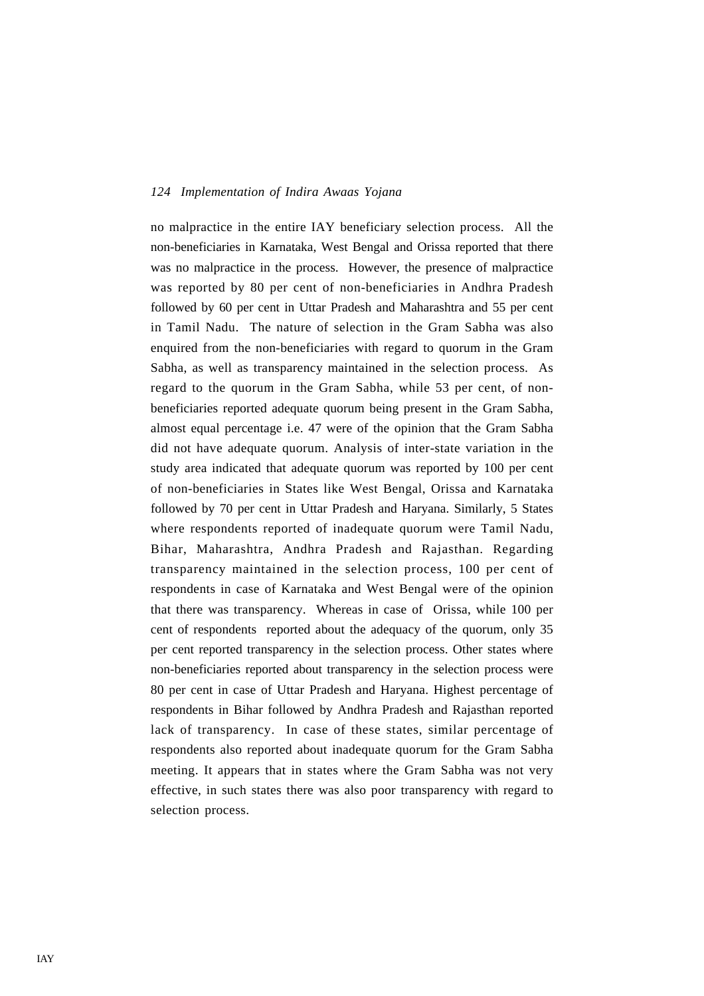no malpractice in the entire IAY beneficiary selection process. All the non-beneficiaries in Karnataka, West Bengal and Orissa reported that there was no malpractice in the process. However, the presence of malpractice was reported by 80 per cent of non-beneficiaries in Andhra Pradesh followed by 60 per cent in Uttar Pradesh and Maharashtra and 55 per cent in Tamil Nadu. The nature of selection in the Gram Sabha was also enquired from the non-beneficiaries with regard to quorum in the Gram Sabha, as well as transparency maintained in the selection process. As regard to the quorum in the Gram Sabha, while 53 per cent, of nonbeneficiaries reported adequate quorum being present in the Gram Sabha, almost equal percentage i.e. 47 were of the opinion that the Gram Sabha did not have adequate quorum. Analysis of inter-state variation in the study area indicated that adequate quorum was reported by 100 per cent of non-beneficiaries in States like West Bengal, Orissa and Karnataka followed by 70 per cent in Uttar Pradesh and Haryana. Similarly, 5 States where respondents reported of inadequate quorum were Tamil Nadu, Bihar, Maharashtra, Andhra Pradesh and Rajasthan. Regarding transparency maintained in the selection process, 100 per cent of respondents in case of Karnataka and West Bengal were of the opinion that there was transparency. Whereas in case of Orissa, while 100 per cent of respondents reported about the adequacy of the quorum, only 35 per cent reported transparency in the selection process. Other states where non-beneficiaries reported about transparency in the selection process were 80 per cent in case of Uttar Pradesh and Haryana. Highest percentage of respondents in Bihar followed by Andhra Pradesh and Rajasthan reported lack of transparency. In case of these states, similar percentage of respondents also reported about inadequate quorum for the Gram Sabha meeting. It appears that in states where the Gram Sabha was not very effective, in such states there was also poor transparency with regard to selection process.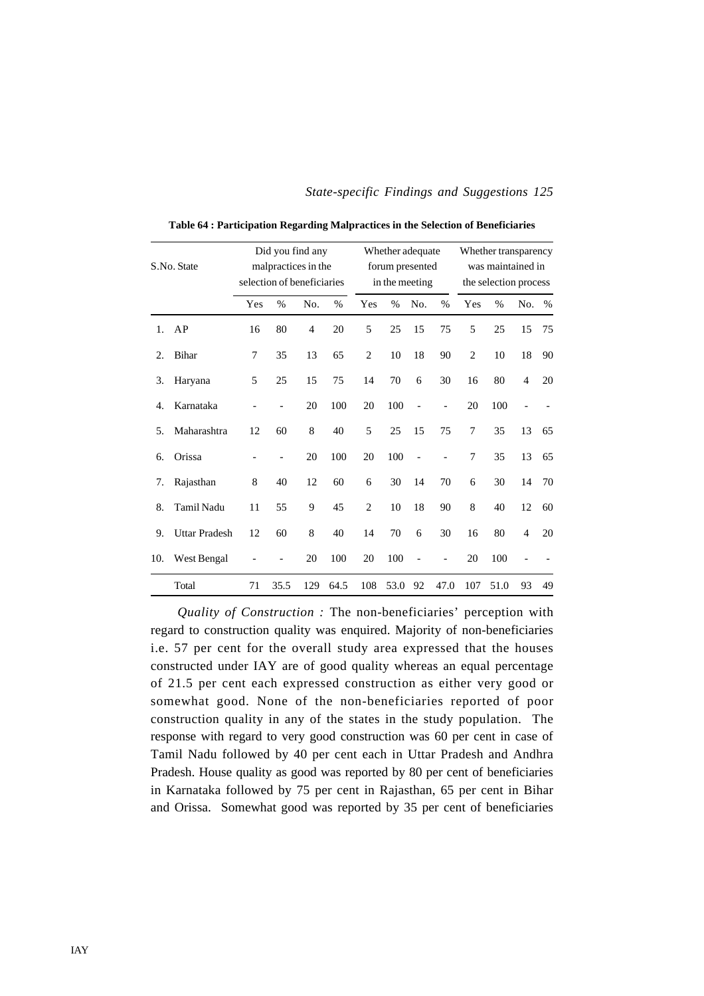| S.No. State |                      |     | Did you find any<br>malpractices in the<br>selection of beneficiaries |     |      |                | Whether adequate<br>forum presented<br>in the meeting |                |                | Whether transparency<br>was maintained in<br>the selection process |      |                |      |  |
|-------------|----------------------|-----|-----------------------------------------------------------------------|-----|------|----------------|-------------------------------------------------------|----------------|----------------|--------------------------------------------------------------------|------|----------------|------|--|
|             |                      | Yes | $\%$                                                                  | No. | $\%$ | Yes            | $\%$                                                  | No.            | $\%$           | Yes                                                                | $\%$ | No.            | $\%$ |  |
| 1.          | AP                   | 16  | 80                                                                    | 4   | 20   | 5              | 25                                                    | 15             | 75             | 5                                                                  | 25   | 15             | 75   |  |
| 2.          | Bihar                | 7   | 35                                                                    | 13  | 65   | $\overline{2}$ | 10                                                    | 18             | 90             | $\overline{2}$                                                     | 10   | 18             | 90   |  |
| 3.          | Haryana              | 5   | 25                                                                    | 15  | 75   | 14             | 70                                                    | 6              | 30             | 16                                                                 | 80   | $\overline{4}$ | 20   |  |
| 4.          | Karnataka            |     |                                                                       | 20  | 100  | 20             | 100                                                   | $\overline{a}$ | $\overline{a}$ | 20                                                                 | 100  |                |      |  |
| 5.          | Maharashtra          | 12  | 60                                                                    | 8   | 40   | 5              | 25                                                    | 15             | 75             | 7                                                                  | 35   | 13             | 65   |  |
| 6.          | Orissa               |     |                                                                       | 20  | 100  | 20             | 100                                                   | $\overline{a}$ |                | 7                                                                  | 35   | 13             | 65   |  |
| 7.          | Rajasthan            | 8   | 40                                                                    | 12  | 60   | 6              | 30                                                    | 14             | 70             | 6                                                                  | 30   | 14             | 70   |  |
| 8.          | Tamil Nadu           | 11  | 55                                                                    | 9   | 45   | $\overline{2}$ | 10                                                    | 18             | 90             | 8                                                                  | 40   | 12             | 60   |  |
| 9.          | <b>Uttar Pradesh</b> | 12  | 60                                                                    | 8   | 40   | 14             | 70                                                    | 6              | 30             | 16                                                                 | 80   | $\overline{4}$ | 20   |  |
| 10.         | West Bengal          |     |                                                                       | 20  | 100  | 20             | 100                                                   |                |                | 20                                                                 | 100  |                |      |  |
|             | Total                | 71  | 35.5                                                                  | 129 | 64.5 | 108            | 53.0                                                  | 92             | 47.0           | 107                                                                | 51.0 | 93             | 49   |  |

**Table 64 : Participation Regarding Malpractices in the Selection of Beneficiaries**

*Quality of Construction :* The non-beneficiaries' perception with regard to construction quality was enquired. Majority of non-beneficiaries i.e. 57 per cent for the overall study area expressed that the houses constructed under IAY are of good quality whereas an equal percentage of 21.5 per cent each expressed construction as either very good or somewhat good. None of the non-beneficiaries reported of poor construction quality in any of the states in the study population. The response with regard to very good construction was 60 per cent in case of Tamil Nadu followed by 40 per cent each in Uttar Pradesh and Andhra Pradesh. House quality as good was reported by 80 per cent of beneficiaries in Karnataka followed by 75 per cent in Rajasthan, 65 per cent in Bihar and Orissa. Somewhat good was reported by 35 per cent of beneficiaries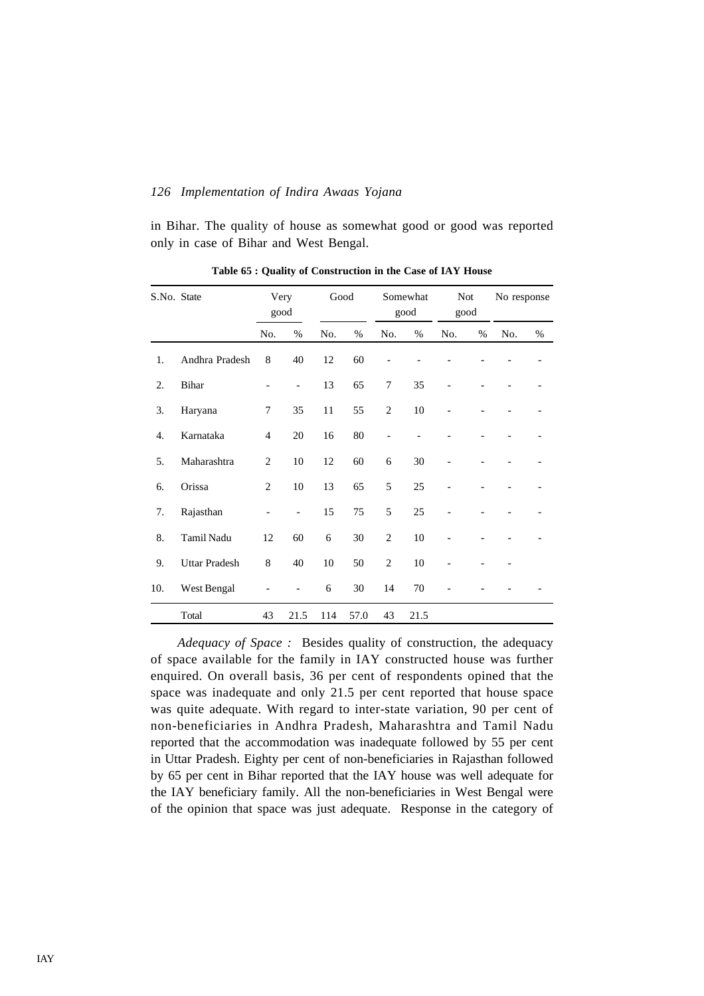in Bihar. The quality of house as somewhat good or good was reported only in case of Bihar and West Bengal.

| S.No. State |                      | Very<br>good   |                | Good |      | Somewhat<br>good |      | <b>Not</b><br>good |   | No response |   |  |
|-------------|----------------------|----------------|----------------|------|------|------------------|------|--------------------|---|-------------|---|--|
|             |                      | No.            | %              | No.  | %    | No.              | $\%$ | No.                | % | No.         | % |  |
| 1.          | Andhra Pradesh       | 8              | 40             | 12   | 60   |                  |      |                    |   |             |   |  |
| 2.          | Bihar                |                | $\overline{a}$ | 13   | 65   | 7                | 35   |                    |   |             |   |  |
| 3.          | Haryana              | 7              | 35             | 11   | 55   | $\overline{c}$   | 10   |                    |   |             |   |  |
| 4.          | Karnataka            | $\overline{4}$ | 20             | 16   | 80   |                  |      |                    |   |             |   |  |
| 5.          | Maharashtra          | $\overline{2}$ | 10             | 12   | 60   | 6                | 30   |                    |   |             |   |  |
| 6.          | Orissa               | $\overline{2}$ | 10             | 13   | 65   | 5                | 25   |                    |   |             |   |  |
| 7.          | Rajasthan            |                | $\overline{a}$ | 15   | 75   | 5                | 25   |                    |   |             |   |  |
| 8.          | Tamil Nadu           | 12             | 60             | 6    | 30   | $\overline{2}$   | 10   |                    |   |             |   |  |
| 9.          | <b>Uttar Pradesh</b> | $\,8$          | 40             | 10   | 50   | $\mathfrak{2}$   | 10   |                    |   |             |   |  |
| 10.         | West Bengal          |                |                | 6    | 30   | 14               | 70   |                    |   |             |   |  |
|             | Total                | 43             | 21.5           | 114  | 57.0 | 43               | 21.5 |                    |   |             |   |  |

**Table 65 : Quality of Construction in the Case of IAY House**

*Adequacy of Space :* Besides quality of construction, the adequacy of space available for the family in IAY constructed house was further enquired. On overall basis, 36 per cent of respondents opined that the space was inadequate and only 21.5 per cent reported that house space was quite adequate. With regard to inter-state variation, 90 per cent of non-beneficiaries in Andhra Pradesh, Maharashtra and Tamil Nadu reported that the accommodation was inadequate followed by 55 per cent in Uttar Pradesh. Eighty per cent of non-beneficiaries in Rajasthan followed by 65 per cent in Bihar reported that the IAY house was well adequate for the IAY beneficiary family. All the non-beneficiaries in West Bengal were of the opinion that space was just adequate. Response in the category of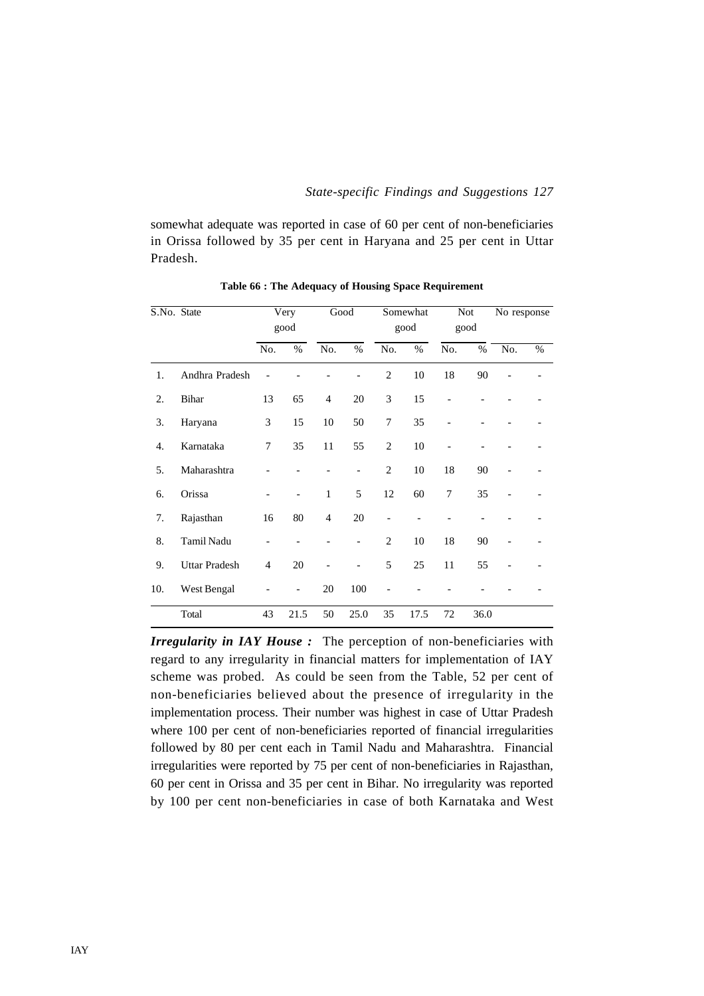somewhat adequate was reported in case of 60 per cent of non-beneficiaries in Orissa followed by 35 per cent in Haryana and 25 per cent in Uttar Pradesh.

| S.No. State |                      | Very<br>good   |                          | Good           |      | Somewhat<br>good |      | <b>Not</b><br>good |      | No response |   |
|-------------|----------------------|----------------|--------------------------|----------------|------|------------------|------|--------------------|------|-------------|---|
|             |                      |                |                          |                |      |                  |      |                    |      |             |   |
|             |                      | No.            | $\%$                     | No.            | $\%$ | No.              | $\%$ | No.                | $\%$ | No.         | % |
| 1.          | Andhra Pradesh       |                |                          |                |      | $\overline{2}$   | 10   | 18                 | 90   |             |   |
| 2.          | <b>Bihar</b>         | 13             | 65                       | $\overline{4}$ | 20   | 3                | 15   | $\overline{a}$     |      |             |   |
| 3.          | Haryana              | 3              | 15                       | 10             | 50   | 7                | 35   |                    |      |             |   |
| 4.          | Karnataka            | 7              | 35                       | 11             | 55   | $\overline{2}$   | 10   | $\overline{a}$     |      |             |   |
| 5.          | Maharashtra          |                |                          |                |      | $\overline{2}$   | 10   | 18                 | 90   |             |   |
| 6.          | Orissa               |                | $\overline{\phantom{0}}$ | $\mathbf{1}$   | 5    | 12               | 60   | $\overline{7}$     | 35   |             |   |
| 7.          | Rajasthan            | 16             | 80                       | $\overline{4}$ | 20   |                  |      |                    |      |             |   |
| 8.          | Tamil Nadu           | -              |                          |                |      | $\overline{2}$   | 10   | 18                 | 90   |             |   |
| 9.          | <b>Uttar Pradesh</b> | $\overline{4}$ | 20                       |                |      | 5                | 25   | 11                 | 55   |             |   |
| 10.         | West Bengal          |                | $\overline{a}$           | 20             | 100  |                  |      |                    |      |             |   |
|             | Total                | 43             | 21.5                     | 50             | 25.0 | 35               | 17.5 | 72                 | 36.0 |             |   |

**Table 66 : The Adequacy of Housing Space Requirement**

*Irregularity in IAY House :* The perception of non-beneficiaries with regard to any irregularity in financial matters for implementation of IAY scheme was probed. As could be seen from the Table, 52 per cent of non-beneficiaries believed about the presence of irregularity in the implementation process. Their number was highest in case of Uttar Pradesh where 100 per cent of non-beneficiaries reported of financial irregularities followed by 80 per cent each in Tamil Nadu and Maharashtra. Financial irregularities were reported by 75 per cent of non-beneficiaries in Rajasthan, 60 per cent in Orissa and 35 per cent in Bihar. No irregularity was reported by 100 per cent non-beneficiaries in case of both Karnataka and West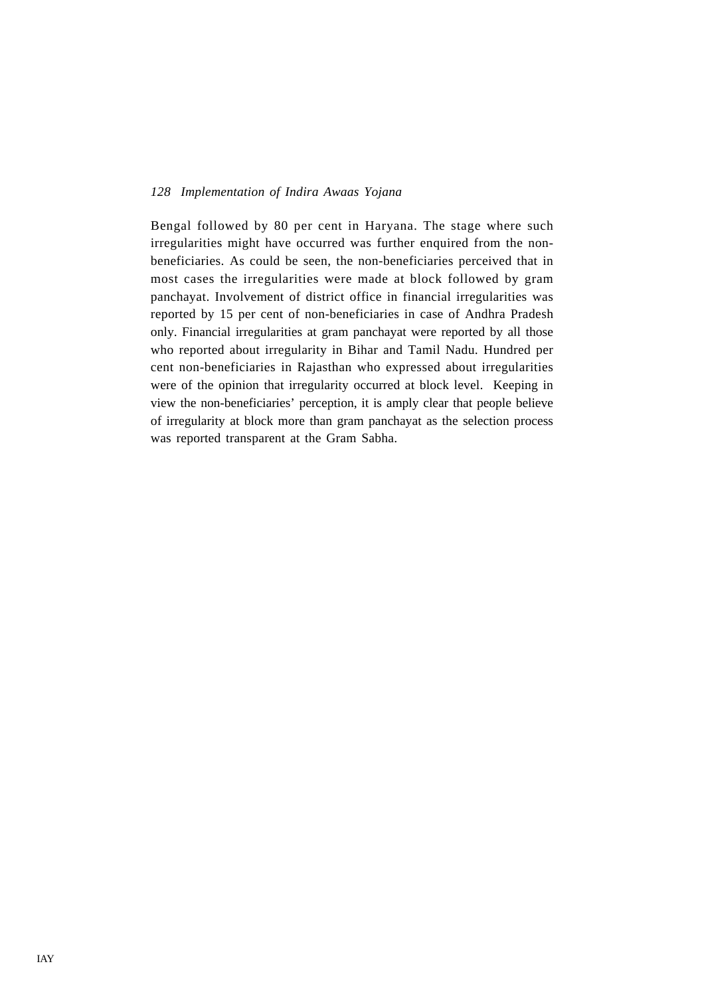Bengal followed by 80 per cent in Haryana. The stage where such irregularities might have occurred was further enquired from the nonbeneficiaries. As could be seen, the non-beneficiaries perceived that in most cases the irregularities were made at block followed by gram panchayat. Involvement of district office in financial irregularities was reported by 15 per cent of non-beneficiaries in case of Andhra Pradesh only. Financial irregularities at gram panchayat were reported by all those who reported about irregularity in Bihar and Tamil Nadu. Hundred per cent non-beneficiaries in Rajasthan who expressed about irregularities were of the opinion that irregularity occurred at block level. Keeping in view the non-beneficiaries' perception, it is amply clear that people believe of irregularity at block more than gram panchayat as the selection process was reported transparent at the Gram Sabha.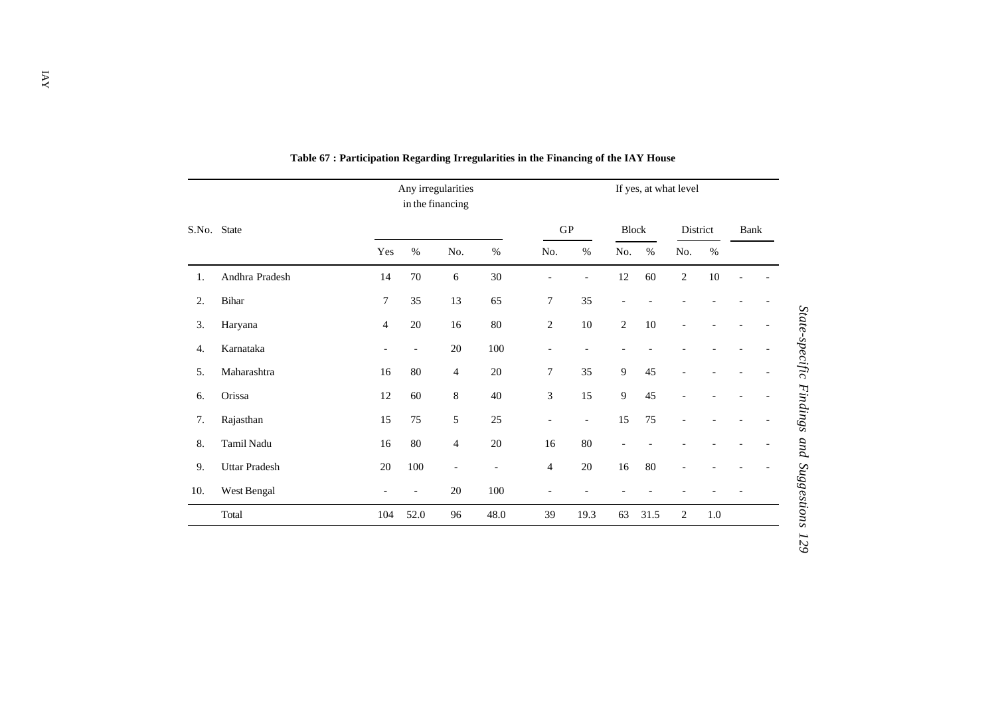| S.No. |                      |                          | in the financing | Any irregularities       |                          |                                  |                          | If yes, at what level    |          |                |         |      |  |  |
|-------|----------------------|--------------------------|------------------|--------------------------|--------------------------|----------------------------------|--------------------------|--------------------------|----------|----------------|---------|------|--|--|
|       | State                |                          |                  |                          |                          | ${\bf G}{\bf P}$<br><b>Block</b> |                          |                          | District |                |         | Bank |  |  |
|       |                      | Yes                      | $\%$             | No.                      | $\%$                     | No.                              | $\%$                     | No.                      | $\%$     | No.            | $\%$    |      |  |  |
| 1.    | Andhra Pradesh       | 14                       | 70               | 6                        | 30                       | $\overline{\phantom{0}}$         | $\overline{\phantom{a}}$ | $12\,$                   | 60       | $\overline{c}$ | $10\,$  |      |  |  |
| 2.    | Bihar                | $\boldsymbol{7}$         | 35               | 13                       | 65                       | $\boldsymbol{7}$                 | 35                       | $\overline{\phantom{a}}$ |          |                |         |      |  |  |
| 3.    | Haryana              | $\overline{4}$           | 20               | 16                       | $80\,$                   | $\sqrt{2}$                       | $10\,$                   | $\sqrt{2}$               | $10\,$   | $\overline{a}$ |         |      |  |  |
| 4.    | Karnataka            | $\overline{\phantom{a}}$ | $\overline{a}$   | $20\,$                   | 100                      | $\overline{\phantom{a}}$         | $\overline{\phantom{a}}$ |                          |          |                |         |      |  |  |
| 5.    | Maharashtra          | 16                       | 80               | 4                        | 20                       | $\overline{7}$                   | 35                       | $\overline{9}$           | 45       |                |         |      |  |  |
| 6.    | Orissa               | 12                       | 60               | 8                        | $40\,$                   | $\mathfrak{Z}$                   | 15                       | $\overline{9}$           | 45       |                |         |      |  |  |
| 7.    | Rajasthan            | 15                       | 75               | 5                        | 25                       | $\overline{\phantom{a}}$         | $\overline{\phantom{a}}$ | 15                       | 75       |                |         |      |  |  |
| 8.    | Tamil Nadu           | 16                       | 80               | $\overline{4}$           | 20                       | 16                               | 80                       | $\overline{a}$           |          |                |         |      |  |  |
| 9.    | <b>Uttar Pradesh</b> | $20\,$                   | 100              | $\overline{\phantom{a}}$ | $\overline{\phantom{a}}$ | $\overline{4}$                   | $20\,$                   | 16                       | 80       |                |         |      |  |  |
| 10.   | West Bengal          |                          | $\overline{a}$   | 20                       | 100                      | $\overline{\phantom{a}}$         |                          |                          |          |                |         |      |  |  |
|       | Total                | 104                      | 52.0             | 96                       | 48.0                     | 39                               | 19.3                     | 63                       | 31.5     | $\sqrt{2}$     | $1.0\,$ |      |  |  |

**Table 67 : Participation Regarding Irregularities in the Financing of the IAY House**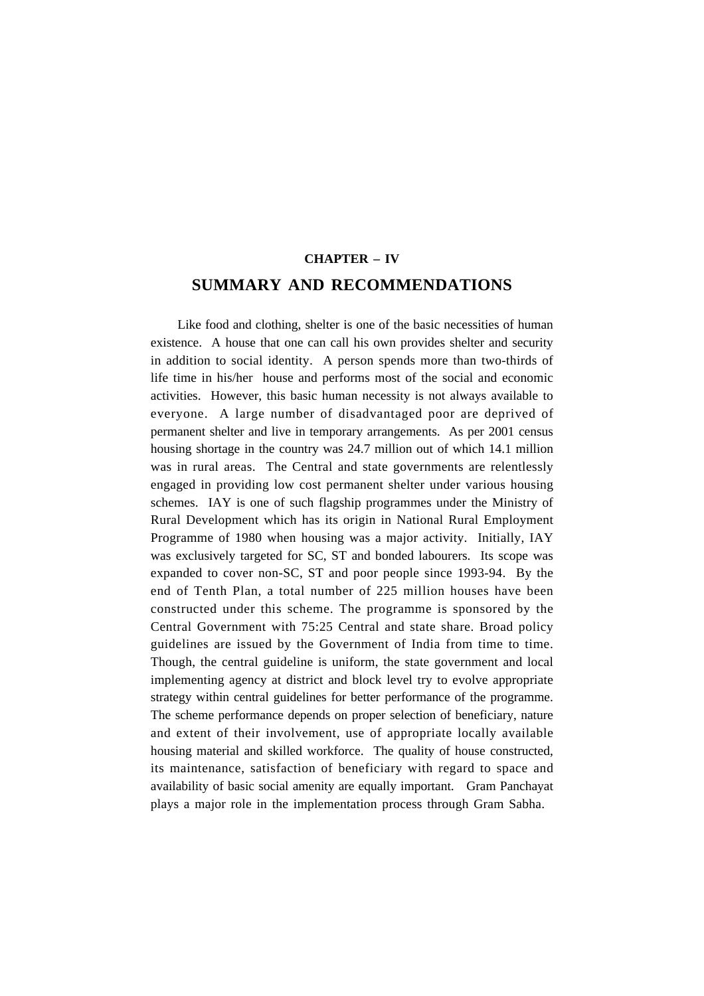# **CHAPTER – IV SUMMARY AND RECOMMENDATIONS**

Like food and clothing, shelter is one of the basic necessities of human existence. A house that one can call his own provides shelter and security in addition to social identity. A person spends more than two-thirds of life time in his/her house and performs most of the social and economic activities. However, this basic human necessity is not always available to everyone. A large number of disadvantaged poor are deprived of permanent shelter and live in temporary arrangements. As per 2001 census housing shortage in the country was 24.7 million out of which 14.1 million was in rural areas. The Central and state governments are relentlessly engaged in providing low cost permanent shelter under various housing schemes. IAY is one of such flagship programmes under the Ministry of Rural Development which has its origin in National Rural Employment Programme of 1980 when housing was a major activity. Initially, IAY was exclusively targeted for SC, ST and bonded labourers. Its scope was expanded to cover non-SC, ST and poor people since 1993-94. By the end of Tenth Plan, a total number of 225 million houses have been constructed under this scheme. The programme is sponsored by the Central Government with 75:25 Central and state share. Broad policy guidelines are issued by the Government of India from time to time. Though, the central guideline is uniform, the state government and local implementing agency at district and block level try to evolve appropriate strategy within central guidelines for better performance of the programme. The scheme performance depends on proper selection of beneficiary, nature and extent of their involvement, use of appropriate locally available housing material and skilled workforce. The quality of house constructed, its maintenance, satisfaction of beneficiary with regard to space and availability of basic social amenity are equally important. Gram Panchayat plays a major role in the implementation process through Gram Sabha.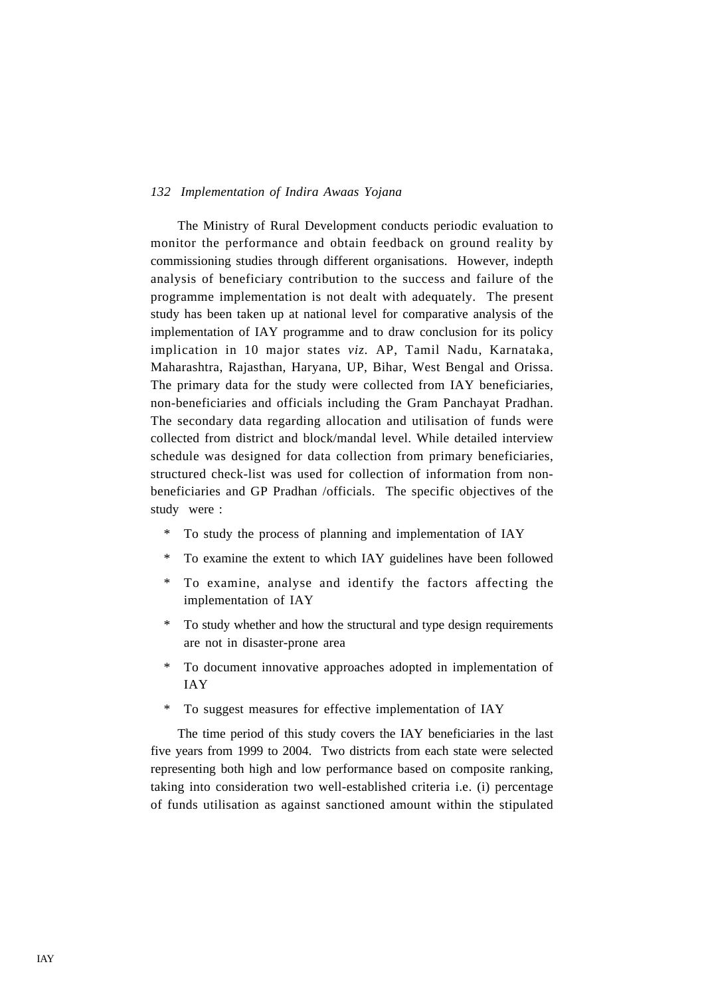The Ministry of Rural Development conducts periodic evaluation to monitor the performance and obtain feedback on ground reality by commissioning studies through different organisations. However, indepth analysis of beneficiary contribution to the success and failure of the programme implementation is not dealt with adequately. The present study has been taken up at national level for comparative analysis of the implementation of IAY programme and to draw conclusion for its policy implication in 10 major states *viz.* AP, Tamil Nadu, Karnataka, Maharashtra, Rajasthan, Haryana, UP, Bihar, West Bengal and Orissa. The primary data for the study were collected from IAY beneficiaries, non-beneficiaries and officials including the Gram Panchayat Pradhan. The secondary data regarding allocation and utilisation of funds were collected from district and block/mandal level. While detailed interview schedule was designed for data collection from primary beneficiaries, structured check-list was used for collection of information from nonbeneficiaries and GP Pradhan /officials. The specific objectives of the study were :

- \* To study the process of planning and implementation of IAY
- \* To examine the extent to which IAY guidelines have been followed
- \* To examine, analyse and identify the factors affecting the implementation of IAY
- \* To study whether and how the structural and type design requirements are not in disaster-prone area
- \* To document innovative approaches adopted in implementation of IAY
- \* To suggest measures for effective implementation of IAY

The time period of this study covers the IAY beneficiaries in the last five years from 1999 to 2004. Two districts from each state were selected representing both high and low performance based on composite ranking, taking into consideration two well-established criteria i.e. (i) percentage of funds utilisation as against sanctioned amount within the stipulated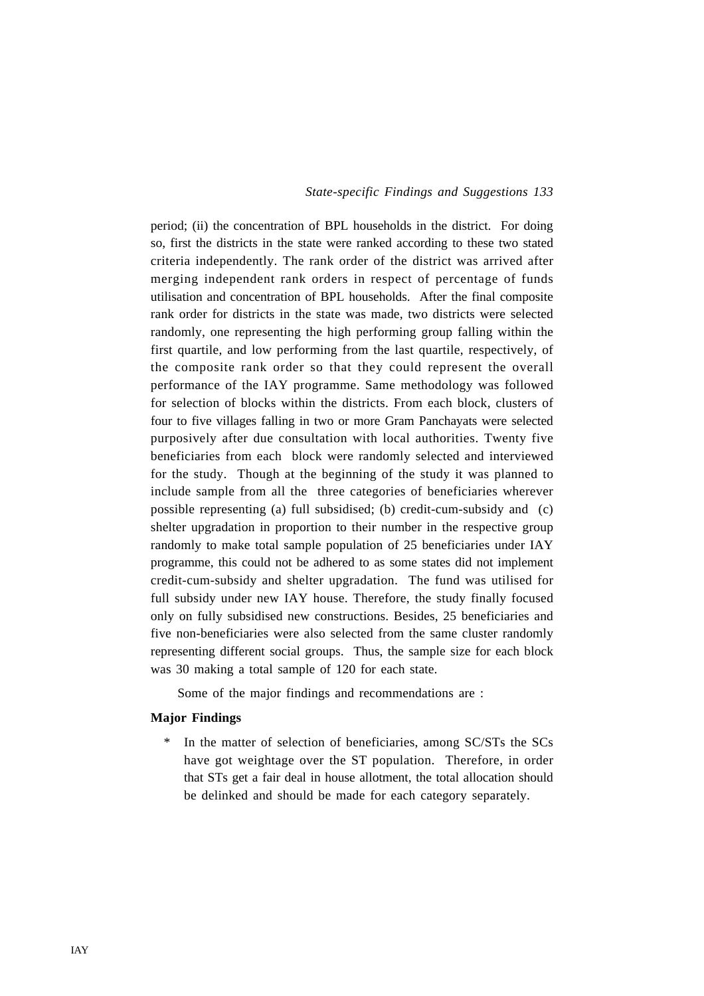period; (ii) the concentration of BPL households in the district. For doing so, first the districts in the state were ranked according to these two stated criteria independently. The rank order of the district was arrived after merging independent rank orders in respect of percentage of funds utilisation and concentration of BPL households. After the final composite rank order for districts in the state was made, two districts were selected randomly, one representing the high performing group falling within the first quartile, and low performing from the last quartile, respectively, of the composite rank order so that they could represent the overall performance of the IAY programme. Same methodology was followed for selection of blocks within the districts. From each block, clusters of four to five villages falling in two or more Gram Panchayats were selected purposively after due consultation with local authorities. Twenty five beneficiaries from each block were randomly selected and interviewed for the study. Though at the beginning of the study it was planned to include sample from all the three categories of beneficiaries wherever possible representing (a) full subsidised; (b) credit-cum-subsidy and (c) shelter upgradation in proportion to their number in the respective group randomly to make total sample population of 25 beneficiaries under IAY programme, this could not be adhered to as some states did not implement credit-cum-subsidy and shelter upgradation. The fund was utilised for full subsidy under new IAY house. Therefore, the study finally focused only on fully subsidised new constructions. Besides, 25 beneficiaries and five non-beneficiaries were also selected from the same cluster randomly representing different social groups. Thus, the sample size for each block was 30 making a total sample of 120 for each state.

Some of the major findings and recommendations are :

## **Major Findings**

In the matter of selection of beneficiaries, among SC/STs the SCs have got weightage over the ST population. Therefore, in order that STs get a fair deal in house allotment, the total allocation should be delinked and should be made for each category separately.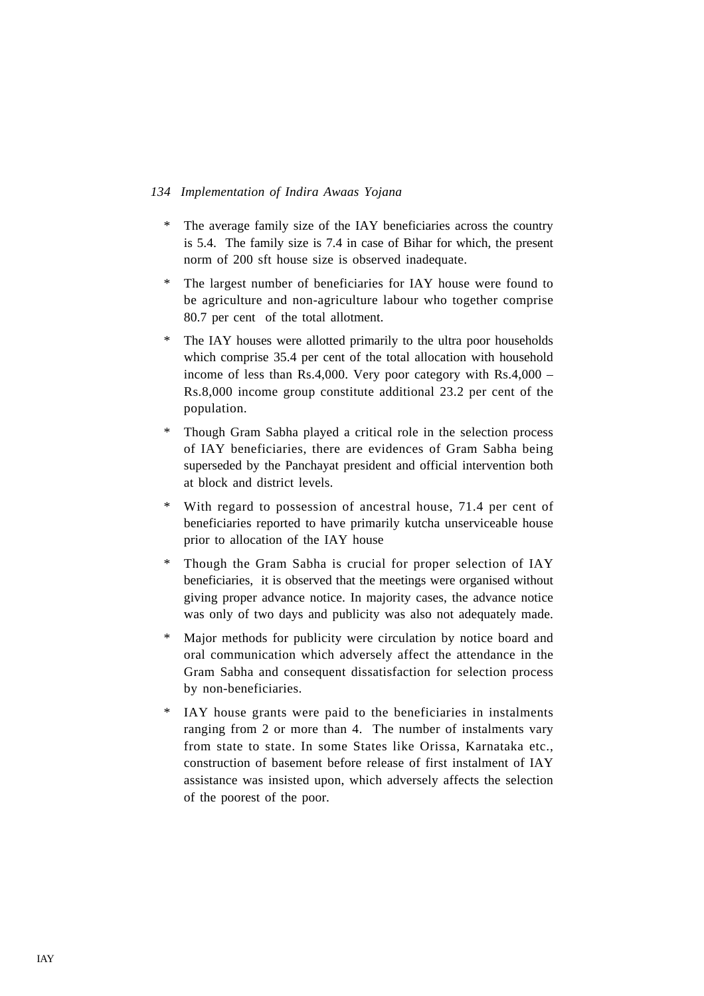- \* The average family size of the IAY beneficiaries across the country is 5.4. The family size is 7.4 in case of Bihar for which, the present norm of 200 sft house size is observed inadequate.
- \* The largest number of beneficiaries for IAY house were found to be agriculture and non-agriculture labour who together comprise 80.7 per cent of the total allotment.
- \* The IAY houses were allotted primarily to the ultra poor households which comprise 35.4 per cent of the total allocation with household income of less than Rs.4,000. Very poor category with Rs.4,000 – Rs.8,000 income group constitute additional 23.2 per cent of the population.
- \* Though Gram Sabha played a critical role in the selection process of IAY beneficiaries, there are evidences of Gram Sabha being superseded by the Panchayat president and official intervention both at block and district levels.
- With regard to possession of ancestral house, 71.4 per cent of beneficiaries reported to have primarily kutcha unserviceable house prior to allocation of the IAY house
- \* Though the Gram Sabha is crucial for proper selection of IAY beneficiaries, it is observed that the meetings were organised without giving proper advance notice. In majority cases, the advance notice was only of two days and publicity was also not adequately made.
- \* Major methods for publicity were circulation by notice board and oral communication which adversely affect the attendance in the Gram Sabha and consequent dissatisfaction for selection process by non-beneficiaries.
- \* IAY house grants were paid to the beneficiaries in instalments ranging from 2 or more than 4. The number of instalments vary from state to state. In some States like Orissa, Karnataka etc., construction of basement before release of first instalment of IAY assistance was insisted upon, which adversely affects the selection of the poorest of the poor.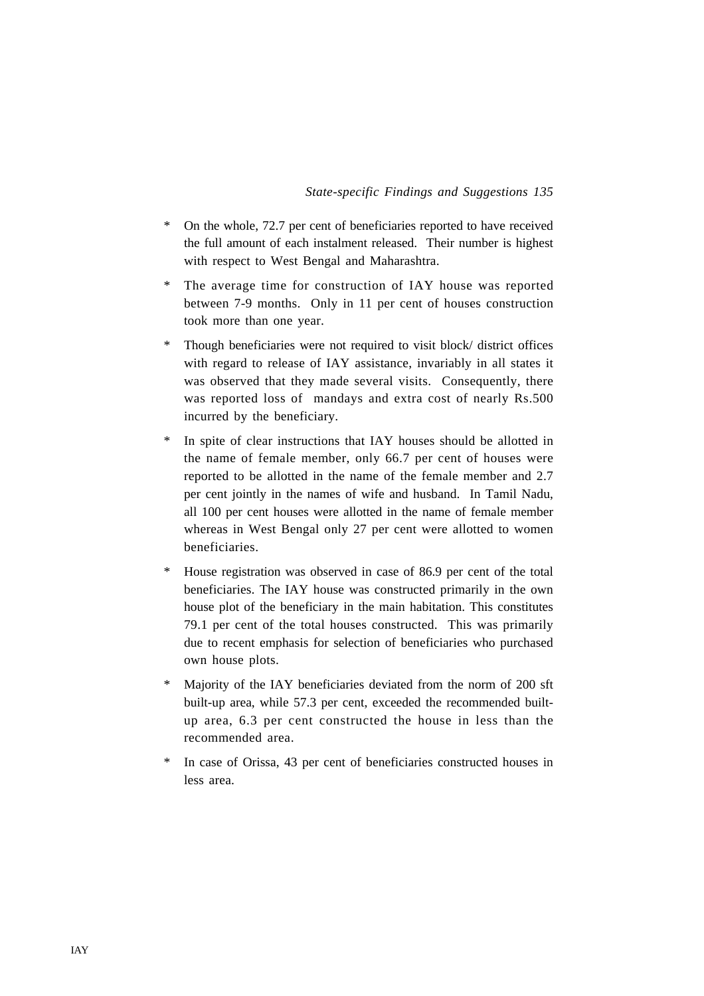- \* On the whole, 72.7 per cent of beneficiaries reported to have received the full amount of each instalment released. Their number is highest with respect to West Bengal and Maharashtra.
- \* The average time for construction of IAY house was reported between 7-9 months. Only in 11 per cent of houses construction took more than one year.
- \* Though beneficiaries were not required to visit block/ district offices with regard to release of IAY assistance, invariably in all states it was observed that they made several visits. Consequently, there was reported loss of mandays and extra cost of nearly Rs.500 incurred by the beneficiary.
- \* In spite of clear instructions that IAY houses should be allotted in the name of female member, only 66.7 per cent of houses were reported to be allotted in the name of the female member and 2.7 per cent jointly in the names of wife and husband. In Tamil Nadu, all 100 per cent houses were allotted in the name of female member whereas in West Bengal only 27 per cent were allotted to women beneficiaries.
- \* House registration was observed in case of 86.9 per cent of the total beneficiaries. The IAY house was constructed primarily in the own house plot of the beneficiary in the main habitation. This constitutes 79.1 per cent of the total houses constructed. This was primarily due to recent emphasis for selection of beneficiaries who purchased own house plots.
- \* Majority of the IAY beneficiaries deviated from the norm of 200 sft built-up area, while 57.3 per cent, exceeded the recommended builtup area, 6.3 per cent constructed the house in less than the recommended area.
- \* In case of Orissa, 43 per cent of beneficiaries constructed houses in less area.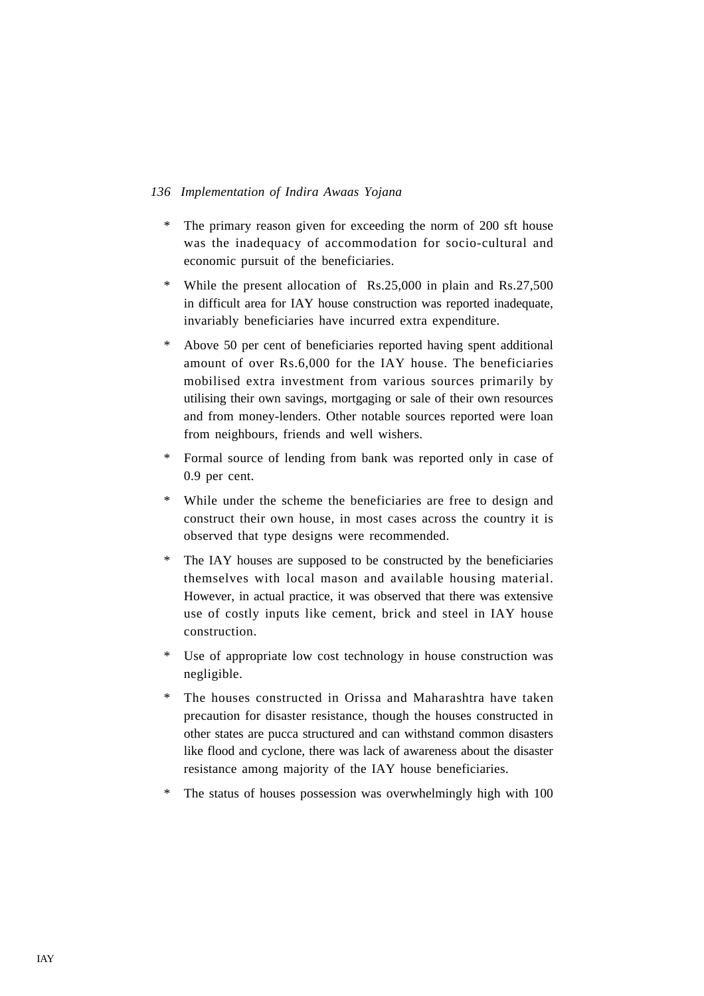- \* The primary reason given for exceeding the norm of 200 sft house was the inadequacy of accommodation for socio-cultural and economic pursuit of the beneficiaries.
- \* While the present allocation of Rs.25,000 in plain and Rs.27,500 in difficult area for IAY house construction was reported inadequate, invariably beneficiaries have incurred extra expenditure.
- \* Above 50 per cent of beneficiaries reported having spent additional amount of over Rs.6,000 for the IAY house. The beneficiaries mobilised extra investment from various sources primarily by utilising their own savings, mortgaging or sale of their own resources and from money-lenders. Other notable sources reported were loan from neighbours, friends and well wishers.
- \* Formal source of lending from bank was reported only in case of 0.9 per cent.
- \* While under the scheme the beneficiaries are free to design and construct their own house, in most cases across the country it is observed that type designs were recommended.
- \* The IAY houses are supposed to be constructed by the beneficiaries themselves with local mason and available housing material. However, in actual practice, it was observed that there was extensive use of costly inputs like cement, brick and steel in IAY house construction.
- \* Use of appropriate low cost technology in house construction was negligible.
- \* The houses constructed in Orissa and Maharashtra have taken precaution for disaster resistance, though the houses constructed in other states are pucca structured and can withstand common disasters like flood and cyclone, there was lack of awareness about the disaster resistance among majority of the IAY house beneficiaries.
- \* The status of houses possession was overwhelmingly high with 100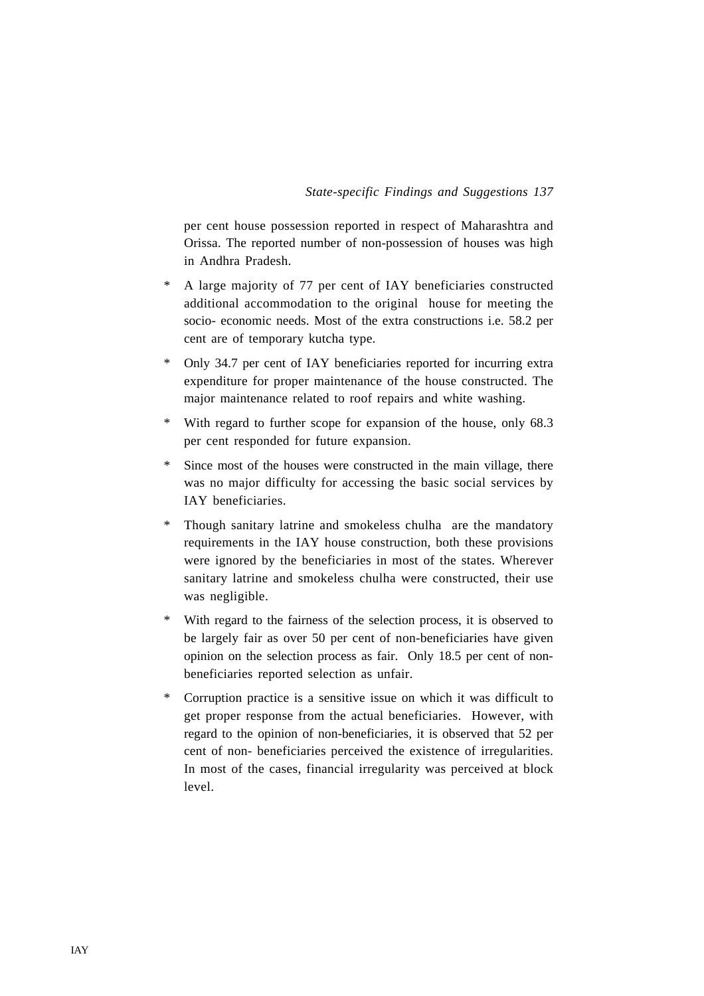per cent house possession reported in respect of Maharashtra and Orissa. The reported number of non-possession of houses was high in Andhra Pradesh.

- \* A large majority of 77 per cent of IAY beneficiaries constructed additional accommodation to the original house for meeting the socio- economic needs. Most of the extra constructions i.e. 58.2 per cent are of temporary kutcha type.
- \* Only 34.7 per cent of IAY beneficiaries reported for incurring extra expenditure for proper maintenance of the house constructed. The major maintenance related to roof repairs and white washing.
- With regard to further scope for expansion of the house, only 68.3 per cent responded for future expansion.
- \* Since most of the houses were constructed in the main village, there was no major difficulty for accessing the basic social services by IAY beneficiaries.
- \* Though sanitary latrine and smokeless chulha are the mandatory requirements in the IAY house construction, both these provisions were ignored by the beneficiaries in most of the states. Wherever sanitary latrine and smokeless chulha were constructed, their use was negligible.
- \* With regard to the fairness of the selection process, it is observed to be largely fair as over 50 per cent of non-beneficiaries have given opinion on the selection process as fair. Only 18.5 per cent of nonbeneficiaries reported selection as unfair.
- \* Corruption practice is a sensitive issue on which it was difficult to get proper response from the actual beneficiaries. However, with regard to the opinion of non-beneficiaries, it is observed that 52 per cent of non- beneficiaries perceived the existence of irregularities. In most of the cases, financial irregularity was perceived at block level.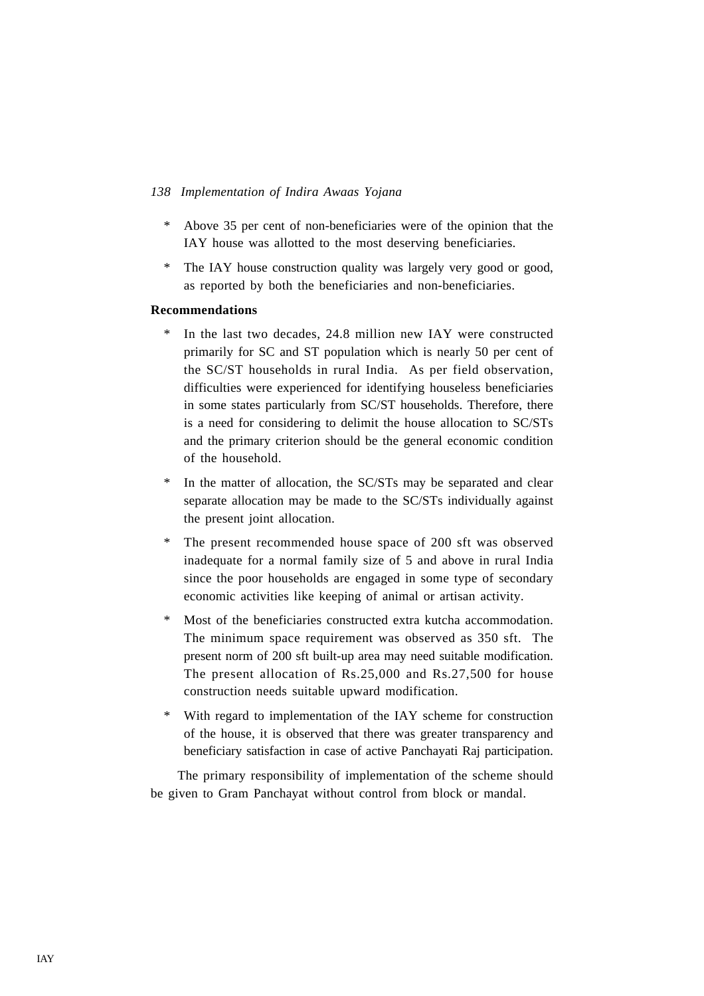- \* Above 35 per cent of non-beneficiaries were of the opinion that the IAY house was allotted to the most deserving beneficiaries.
- \* The IAY house construction quality was largely very good or good, as reported by both the beneficiaries and non-beneficiaries.

## **Recommendations**

- \* In the last two decades, 24.8 million new IAY were constructed primarily for SC and ST population which is nearly 50 per cent of the SC/ST households in rural India. As per field observation, difficulties were experienced for identifying houseless beneficiaries in some states particularly from SC/ST households. Therefore, there is a need for considering to delimit the house allocation to SC/STs and the primary criterion should be the general economic condition of the household.
- \* In the matter of allocation, the SC/STs may be separated and clear separate allocation may be made to the SC/STs individually against the present joint allocation.
- The present recommended house space of 200 sft was observed inadequate for a normal family size of 5 and above in rural India since the poor households are engaged in some type of secondary economic activities like keeping of animal or artisan activity.
- \* Most of the beneficiaries constructed extra kutcha accommodation. The minimum space requirement was observed as 350 sft. The present norm of 200 sft built-up area may need suitable modification. The present allocation of Rs.25,000 and Rs.27,500 for house construction needs suitable upward modification.
- \* With regard to implementation of the IAY scheme for construction of the house, it is observed that there was greater transparency and beneficiary satisfaction in case of active Panchayati Raj participation.

The primary responsibility of implementation of the scheme should be given to Gram Panchayat without control from block or mandal.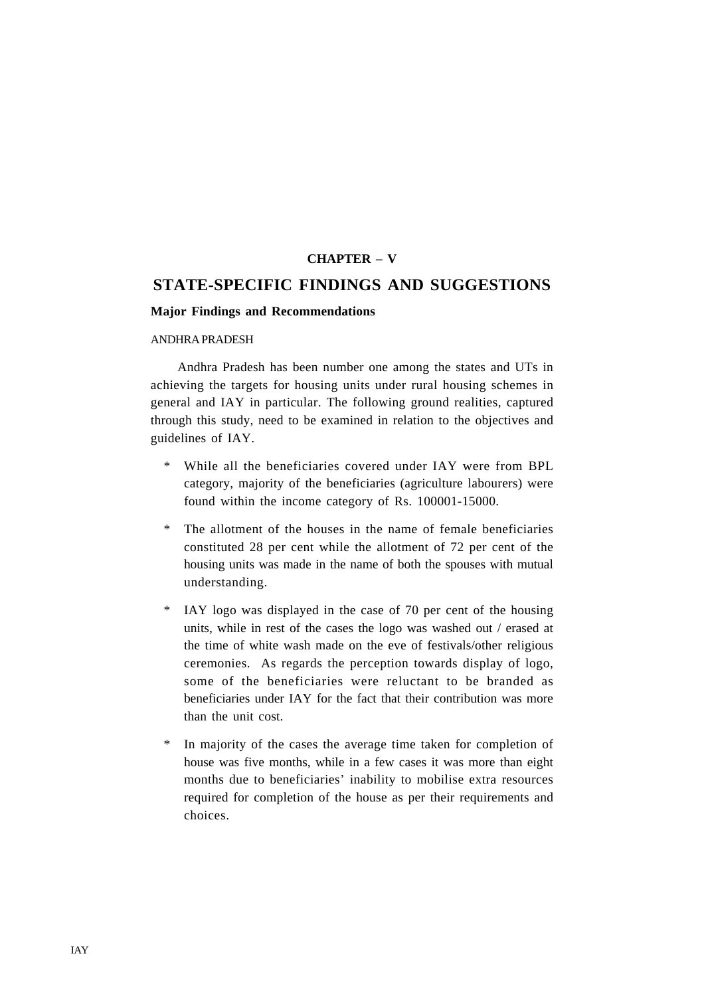## **CHAPTER – V**

## **STATE-SPECIFIC FINDINGS AND SUGGESTIONS**

#### **Major Findings and Recommendations**

#### ANDHRA PRADESH

Andhra Pradesh has been number one among the states and UTs in achieving the targets for housing units under rural housing schemes in general and IAY in particular. The following ground realities, captured through this study, need to be examined in relation to the objectives and guidelines of IAY.

- \* While all the beneficiaries covered under IAY were from BPL category, majority of the beneficiaries (agriculture labourers) were found within the income category of Rs. 100001-15000.
- \* The allotment of the houses in the name of female beneficiaries constituted 28 per cent while the allotment of 72 per cent of the housing units was made in the name of both the spouses with mutual understanding.
- \* IAY logo was displayed in the case of 70 per cent of the housing units, while in rest of the cases the logo was washed out / erased at the time of white wash made on the eve of festivals/other religious ceremonies. As regards the perception towards display of logo, some of the beneficiaries were reluctant to be branded as beneficiaries under IAY for the fact that their contribution was more than the unit cost.
- \* In majority of the cases the average time taken for completion of house was five months, while in a few cases it was more than eight months due to beneficiaries' inability to mobilise extra resources required for completion of the house as per their requirements and choices.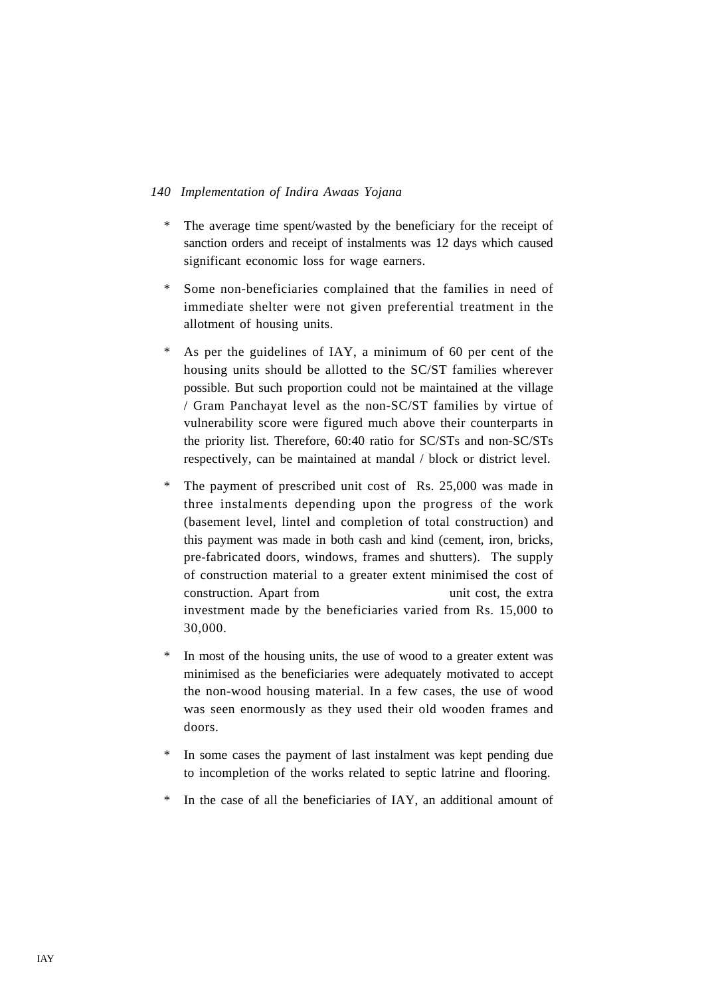- \* The average time spent/wasted by the beneficiary for the receipt of sanction orders and receipt of instalments was 12 days which caused significant economic loss for wage earners.
- \* Some non-beneficiaries complained that the families in need of immediate shelter were not given preferential treatment in the allotment of housing units.
- \* As per the guidelines of IAY, a minimum of 60 per cent of the housing units should be allotted to the SC/ST families wherever possible. But such proportion could not be maintained at the village / Gram Panchayat level as the non-SC/ST families by virtue of vulnerability score were figured much above their counterparts in the priority list. Therefore, 60:40 ratio for SC/STs and non-SC/STs respectively, can be maintained at mandal / block or district level.
- \* The payment of prescribed unit cost of Rs. 25,000 was made in three instalments depending upon the progress of the work (basement level, lintel and completion of total construction) and this payment was made in both cash and kind (cement, iron, bricks, pre-fabricated doors, windows, frames and shutters). The supply of construction material to a greater extent minimised the cost of construction. Apart from unit cost, the extra investment made by the beneficiaries varied from Rs. 15,000 to 30,000.
- \* In most of the housing units, the use of wood to a greater extent was minimised as the beneficiaries were adequately motivated to accept the non-wood housing material. In a few cases, the use of wood was seen enormously as they used their old wooden frames and doors.
- In some cases the payment of last instalment was kept pending due to incompletion of the works related to septic latrine and flooring.
- \* In the case of all the beneficiaries of IAY, an additional amount of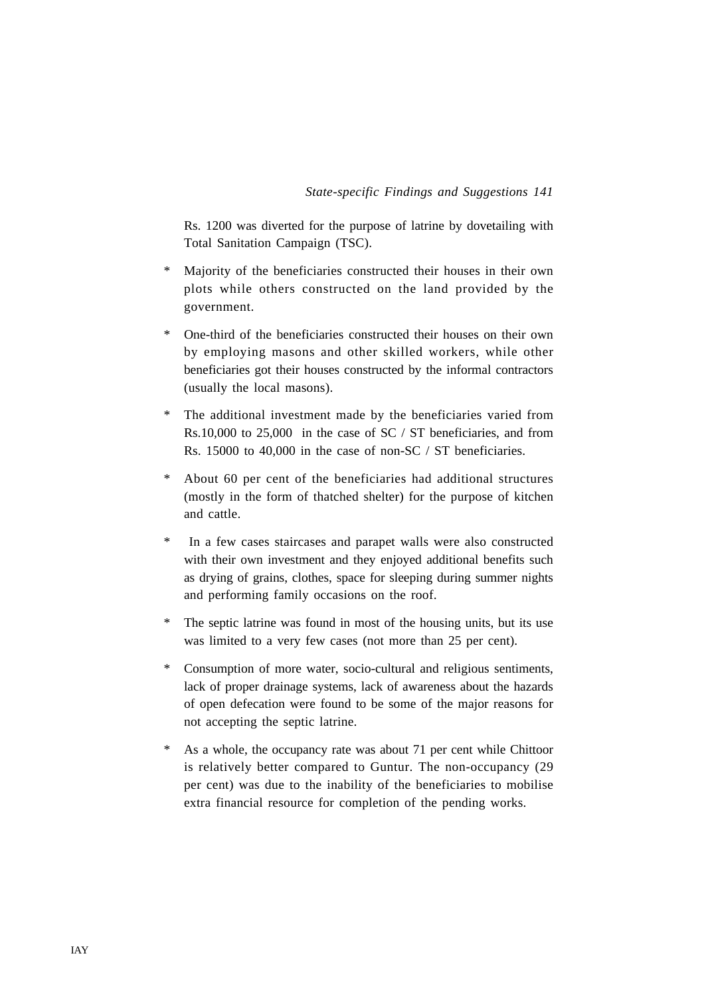Rs. 1200 was diverted for the purpose of latrine by dovetailing with Total Sanitation Campaign (TSC).

- \* Majority of the beneficiaries constructed their houses in their own plots while others constructed on the land provided by the government.
- One-third of the beneficiaries constructed their houses on their own by employing masons and other skilled workers, while other beneficiaries got their houses constructed by the informal contractors (usually the local masons).
- \* The additional investment made by the beneficiaries varied from Rs.10,000 to 25,000 in the case of SC / ST beneficiaries, and from Rs. 15000 to 40,000 in the case of non-SC / ST beneficiaries.
- \* About 60 per cent of the beneficiaries had additional structures (mostly in the form of thatched shelter) for the purpose of kitchen and cattle.
- \* In a few cases staircases and parapet walls were also constructed with their own investment and they enjoyed additional benefits such as drying of grains, clothes, space for sleeping during summer nights and performing family occasions on the roof.
- \* The septic latrine was found in most of the housing units, but its use was limited to a very few cases (not more than 25 per cent).
- \* Consumption of more water, socio-cultural and religious sentiments, lack of proper drainage systems, lack of awareness about the hazards of open defecation were found to be some of the major reasons for not accepting the septic latrine.
- \* As a whole, the occupancy rate was about 71 per cent while Chittoor is relatively better compared to Guntur. The non-occupancy (29 per cent) was due to the inability of the beneficiaries to mobilise extra financial resource for completion of the pending works.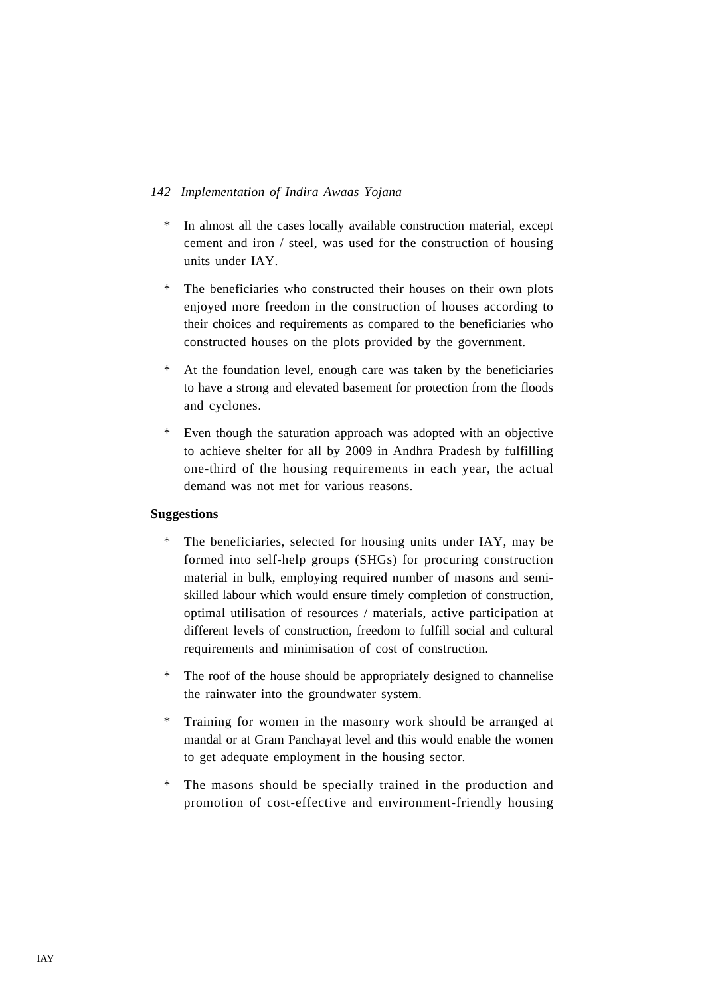- \* In almost all the cases locally available construction material, except cement and iron / steel, was used for the construction of housing units under IAY.
- \* The beneficiaries who constructed their houses on their own plots enjoyed more freedom in the construction of houses according to their choices and requirements as compared to the beneficiaries who constructed houses on the plots provided by the government.
- At the foundation level, enough care was taken by the beneficiaries to have a strong and elevated basement for protection from the floods and cyclones.
- \* Even though the saturation approach was adopted with an objective to achieve shelter for all by 2009 in Andhra Pradesh by fulfilling one-third of the housing requirements in each year, the actual demand was not met for various reasons.

## **Suggestions**

- \* The beneficiaries, selected for housing units under IAY, may be formed into self-help groups (SHGs) for procuring construction material in bulk, employing required number of masons and semiskilled labour which would ensure timely completion of construction, optimal utilisation of resources / materials, active participation at different levels of construction, freedom to fulfill social and cultural requirements and minimisation of cost of construction.
- \* The roof of the house should be appropriately designed to channelise the rainwater into the groundwater system.
- \* Training for women in the masonry work should be arranged at mandal or at Gram Panchayat level and this would enable the women to get adequate employment in the housing sector.
- The masons should be specially trained in the production and promotion of cost-effective and environment-friendly housing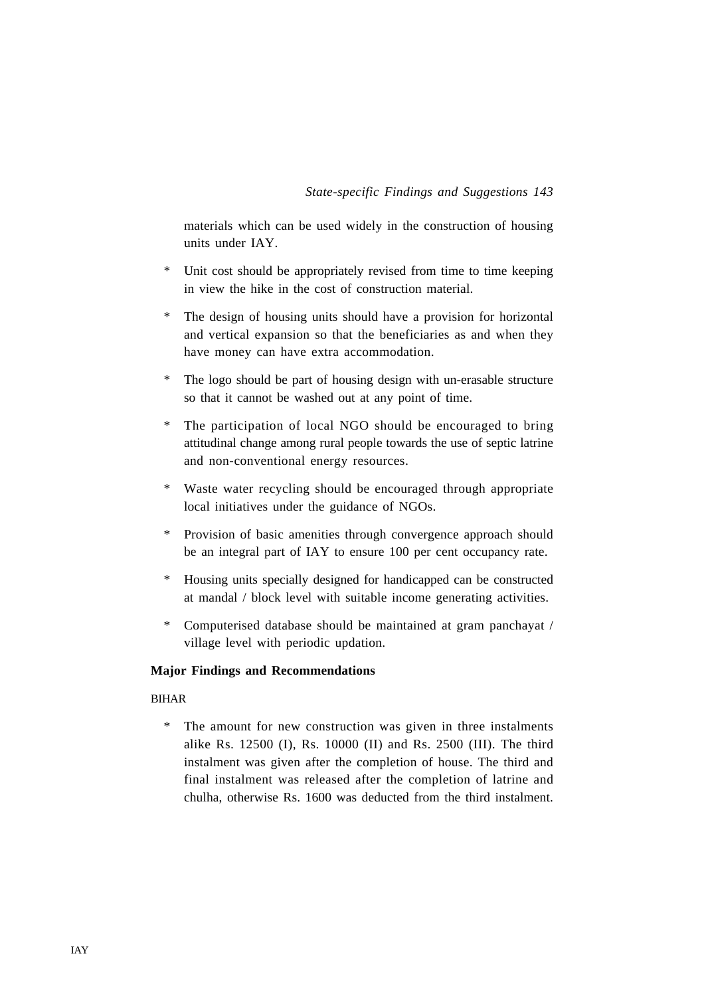materials which can be used widely in the construction of housing units under IAY.

- \* Unit cost should be appropriately revised from time to time keeping in view the hike in the cost of construction material.
- \* The design of housing units should have a provision for horizontal and vertical expansion so that the beneficiaries as and when they have money can have extra accommodation.
- \* The logo should be part of housing design with un-erasable structure so that it cannot be washed out at any point of time.
- \* The participation of local NGO should be encouraged to bring attitudinal change among rural people towards the use of septic latrine and non-conventional energy resources.
- \* Waste water recycling should be encouraged through appropriate local initiatives under the guidance of NGOs.
- \* Provision of basic amenities through convergence approach should be an integral part of IAY to ensure 100 per cent occupancy rate.
- \* Housing units specially designed for handicapped can be constructed at mandal / block level with suitable income generating activities.
- \* Computerised database should be maintained at gram panchayat / village level with periodic updation.

## **Major Findings and Recommendations**

## BIHAR

\* The amount for new construction was given in three instalments alike Rs. 12500 (I), Rs. 10000 (II) and Rs. 2500 (III). The third instalment was given after the completion of house. The third and final instalment was released after the completion of latrine and chulha, otherwise Rs. 1600 was deducted from the third instalment.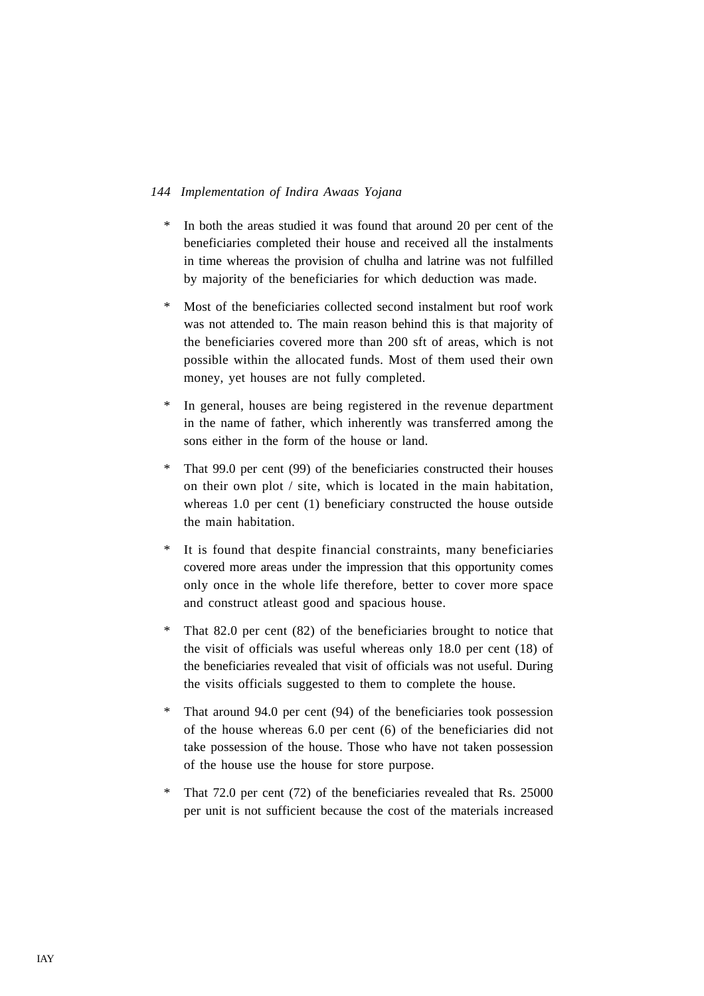- \* In both the areas studied it was found that around 20 per cent of the beneficiaries completed their house and received all the instalments in time whereas the provision of chulha and latrine was not fulfilled by majority of the beneficiaries for which deduction was made.
- \* Most of the beneficiaries collected second instalment but roof work was not attended to. The main reason behind this is that majority of the beneficiaries covered more than 200 sft of areas, which is not possible within the allocated funds. Most of them used their own money, yet houses are not fully completed.
- \* In general, houses are being registered in the revenue department in the name of father, which inherently was transferred among the sons either in the form of the house or land.
- \* That 99.0 per cent (99) of the beneficiaries constructed their houses on their own plot / site, which is located in the main habitation, whereas 1.0 per cent (1) beneficiary constructed the house outside the main habitation.
- It is found that despite financial constraints, many beneficiaries covered more areas under the impression that this opportunity comes only once in the whole life therefore, better to cover more space and construct atleast good and spacious house.
- \* That 82.0 per cent (82) of the beneficiaries brought to notice that the visit of officials was useful whereas only 18.0 per cent (18) of the beneficiaries revealed that visit of officials was not useful. During the visits officials suggested to them to complete the house.
- \* That around 94.0 per cent (94) of the beneficiaries took possession of the house whereas 6.0 per cent (6) of the beneficiaries did not take possession of the house. Those who have not taken possession of the house use the house for store purpose.
- \* That 72.0 per cent (72) of the beneficiaries revealed that Rs. 25000 per unit is not sufficient because the cost of the materials increased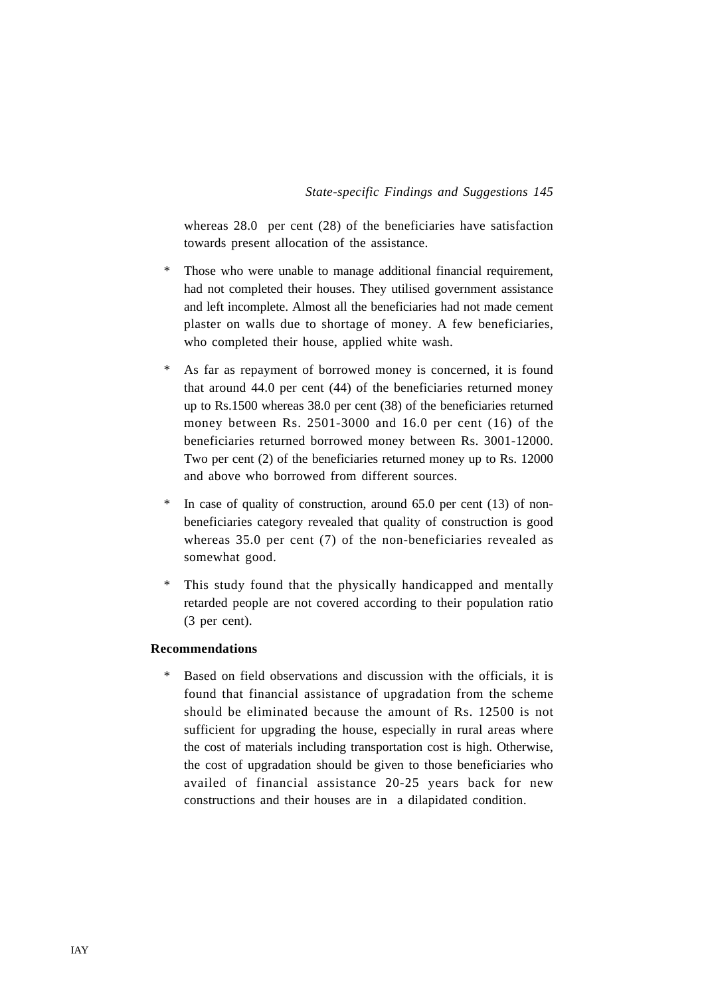whereas 28.0 per cent (28) of the beneficiaries have satisfaction towards present allocation of the assistance.

- \* Those who were unable to manage additional financial requirement, had not completed their houses. They utilised government assistance and left incomplete. Almost all the beneficiaries had not made cement plaster on walls due to shortage of money. A few beneficiaries, who completed their house, applied white wash.
- \* As far as repayment of borrowed money is concerned, it is found that around 44.0 per cent (44) of the beneficiaries returned money up to Rs.1500 whereas 38.0 per cent (38) of the beneficiaries returned money between Rs. 2501-3000 and 16.0 per cent (16) of the beneficiaries returned borrowed money between Rs. 3001-12000. Two per cent (2) of the beneficiaries returned money up to Rs. 12000 and above who borrowed from different sources.
- In case of quality of construction, around  $65.0$  per cent (13) of nonbeneficiaries category revealed that quality of construction is good whereas 35.0 per cent (7) of the non-beneficiaries revealed as somewhat good.
- This study found that the physically handicapped and mentally retarded people are not covered according to their population ratio (3 per cent).

## **Recommendations**

Based on field observations and discussion with the officials, it is found that financial assistance of upgradation from the scheme should be eliminated because the amount of Rs. 12500 is not sufficient for upgrading the house, especially in rural areas where the cost of materials including transportation cost is high. Otherwise, the cost of upgradation should be given to those beneficiaries who availed of financial assistance 20-25 years back for new constructions and their houses are in a dilapidated condition.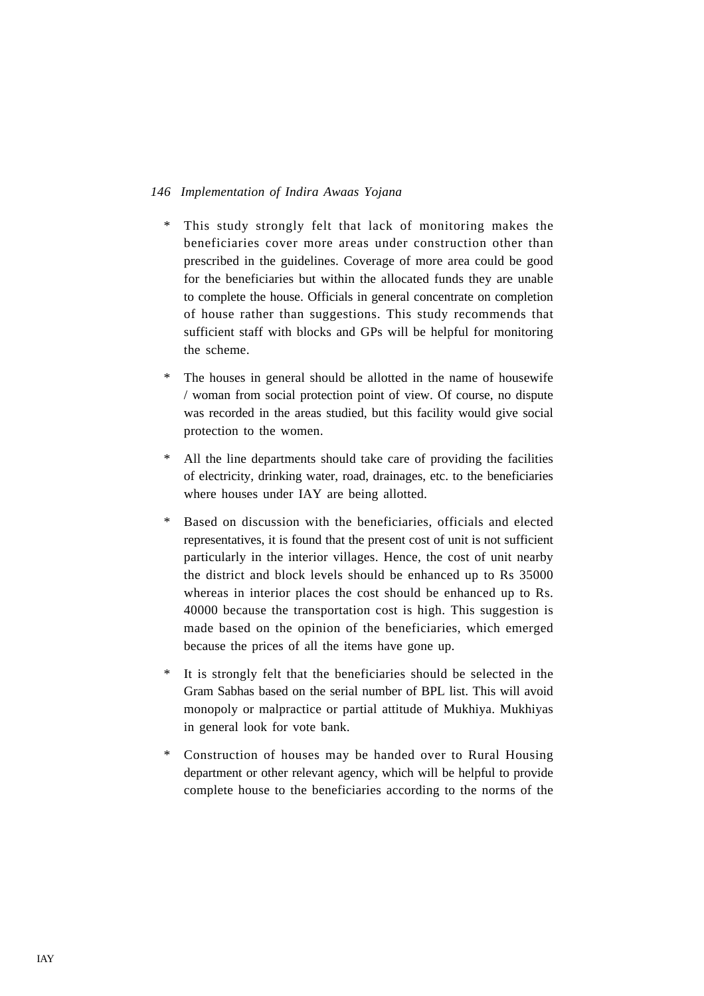- \* This study strongly felt that lack of monitoring makes the beneficiaries cover more areas under construction other than prescribed in the guidelines. Coverage of more area could be good for the beneficiaries but within the allocated funds they are unable to complete the house. Officials in general concentrate on completion of house rather than suggestions. This study recommends that sufficient staff with blocks and GPs will be helpful for monitoring the scheme.
- \* The houses in general should be allotted in the name of housewife / woman from social protection point of view. Of course, no dispute was recorded in the areas studied, but this facility would give social protection to the women.
- \* All the line departments should take care of providing the facilities of electricity, drinking water, road, drainages, etc. to the beneficiaries where houses under IAY are being allotted.
- \* Based on discussion with the beneficiaries, officials and elected representatives, it is found that the present cost of unit is not sufficient particularly in the interior villages. Hence, the cost of unit nearby the district and block levels should be enhanced up to Rs 35000 whereas in interior places the cost should be enhanced up to Rs. 40000 because the transportation cost is high. This suggestion is made based on the opinion of the beneficiaries, which emerged because the prices of all the items have gone up.
- \* It is strongly felt that the beneficiaries should be selected in the Gram Sabhas based on the serial number of BPL list. This will avoid monopoly or malpractice or partial attitude of Mukhiya. Mukhiyas in general look for vote bank.
- Construction of houses may be handed over to Rural Housing department or other relevant agency, which will be helpful to provide complete house to the beneficiaries according to the norms of the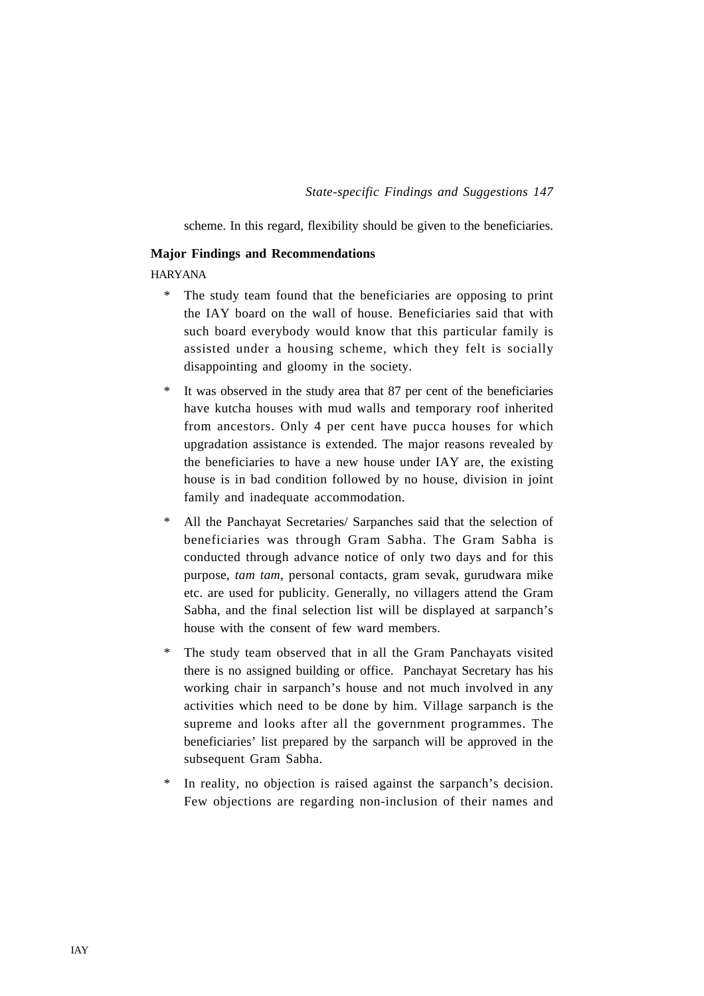scheme. In this regard, flexibility should be given to the beneficiaries.

### **Major Findings and Recommendations**

HARYANA

- \* The study team found that the beneficiaries are opposing to print the IAY board on the wall of house. Beneficiaries said that with such board everybody would know that this particular family is assisted under a housing scheme, which they felt is socially disappointing and gloomy in the society.
- \* It was observed in the study area that 87 per cent of the beneficiaries have kutcha houses with mud walls and temporary roof inherited from ancestors. Only 4 per cent have pucca houses for which upgradation assistance is extended. The major reasons revealed by the beneficiaries to have a new house under IAY are, the existing house is in bad condition followed by no house, division in joint family and inadequate accommodation.
- \* All the Panchayat Secretaries/ Sarpanches said that the selection of beneficiaries was through Gram Sabha. The Gram Sabha is conducted through advance notice of only two days and for this purpose, *tam tam*, personal contacts, gram sevak, gurudwara mike etc. are used for publicity. Generally, no villagers attend the Gram Sabha, and the final selection list will be displayed at sarpanch's house with the consent of few ward members.
- \* The study team observed that in all the Gram Panchayats visited there is no assigned building or office. Panchayat Secretary has his working chair in sarpanch's house and not much involved in any activities which need to be done by him. Village sarpanch is the supreme and looks after all the government programmes. The beneficiaries' list prepared by the sarpanch will be approved in the subsequent Gram Sabha.
- In reality, no objection is raised against the sarpanch's decision. Few objections are regarding non-inclusion of their names and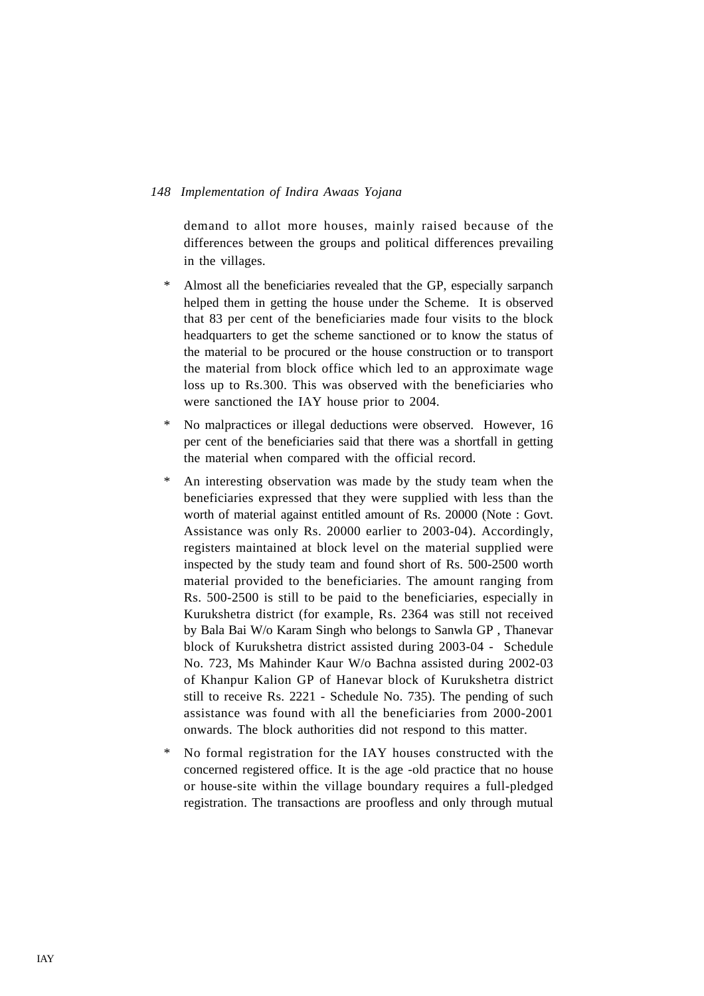demand to allot more houses, mainly raised because of the differences between the groups and political differences prevailing in the villages.

- \* Almost all the beneficiaries revealed that the GP, especially sarpanch helped them in getting the house under the Scheme. It is observed that 83 per cent of the beneficiaries made four visits to the block headquarters to get the scheme sanctioned or to know the status of the material to be procured or the house construction or to transport the material from block office which led to an approximate wage loss up to Rs.300. This was observed with the beneficiaries who were sanctioned the IAY house prior to 2004.
- \* No malpractices or illegal deductions were observed. However, 16 per cent of the beneficiaries said that there was a shortfall in getting the material when compared with the official record.
- \* An interesting observation was made by the study team when the beneficiaries expressed that they were supplied with less than the worth of material against entitled amount of Rs. 20000 (Note : Govt. Assistance was only Rs. 20000 earlier to 2003-04). Accordingly, registers maintained at block level on the material supplied were inspected by the study team and found short of Rs. 500-2500 worth material provided to the beneficiaries. The amount ranging from Rs. 500-2500 is still to be paid to the beneficiaries, especially in Kurukshetra district (for example, Rs. 2364 was still not received by Bala Bai W/o Karam Singh who belongs to Sanwla GP , Thanevar block of Kurukshetra district assisted during 2003-04 - Schedule No. 723, Ms Mahinder Kaur W/o Bachna assisted during 2002-03 of Khanpur Kalion GP of Hanevar block of Kurukshetra district still to receive Rs. 2221 - Schedule No. 735). The pending of such assistance was found with all the beneficiaries from 2000-2001 onwards. The block authorities did not respond to this matter.
- \* No formal registration for the IAY houses constructed with the concerned registered office. It is the age -old practice that no house or house-site within the village boundary requires a full-pledged registration. The transactions are proofless and only through mutual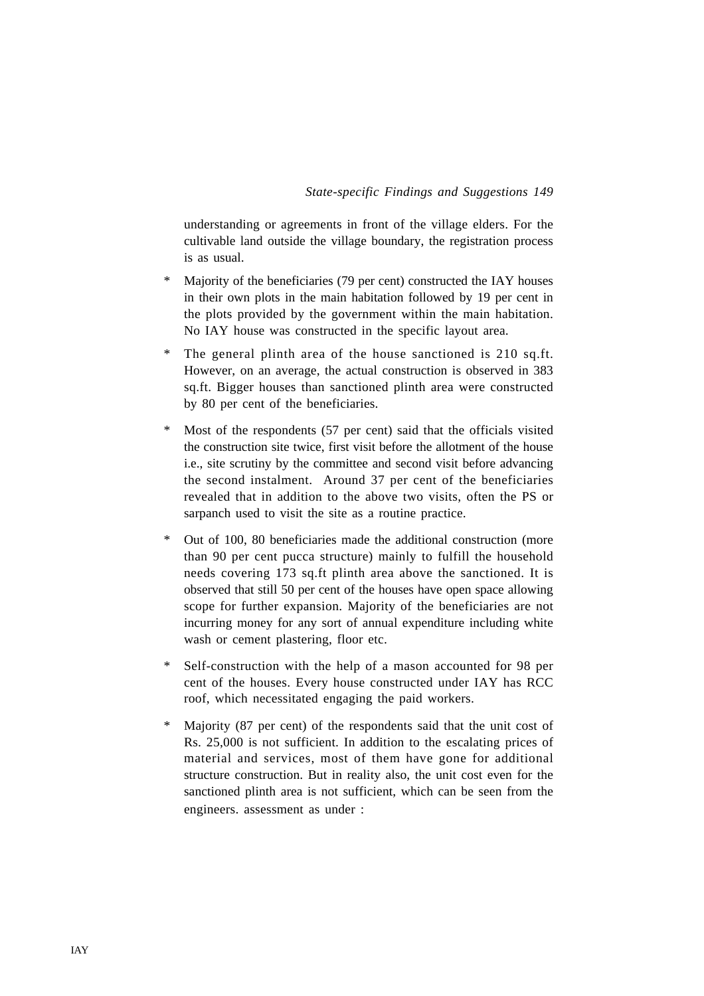understanding or agreements in front of the village elders. For the cultivable land outside the village boundary, the registration process is as usual.

- \* Majority of the beneficiaries (79 per cent) constructed the IAY houses in their own plots in the main habitation followed by 19 per cent in the plots provided by the government within the main habitation. No IAY house was constructed in the specific layout area.
- \* The general plinth area of the house sanctioned is 210 sq.ft. However, on an average, the actual construction is observed in 383 sq.ft. Bigger houses than sanctioned plinth area were constructed by 80 per cent of the beneficiaries.
- \* Most of the respondents (57 per cent) said that the officials visited the construction site twice, first visit before the allotment of the house i.e., site scrutiny by the committee and second visit before advancing the second instalment. Around 37 per cent of the beneficiaries revealed that in addition to the above two visits, often the PS or sarpanch used to visit the site as a routine practice.
- \* Out of 100, 80 beneficiaries made the additional construction (more than 90 per cent pucca structure) mainly to fulfill the household needs covering 173 sq.ft plinth area above the sanctioned. It is observed that still 50 per cent of the houses have open space allowing scope for further expansion. Majority of the beneficiaries are not incurring money for any sort of annual expenditure including white wash or cement plastering, floor etc.
- Self-construction with the help of a mason accounted for 98 per cent of the houses. Every house constructed under IAY has RCC roof, which necessitated engaging the paid workers.
- Majority (87 per cent) of the respondents said that the unit cost of Rs. 25,000 is not sufficient. In addition to the escalating prices of material and services, most of them have gone for additional structure construction. But in reality also, the unit cost even for the sanctioned plinth area is not sufficient, which can be seen from the engineers. assessment as under :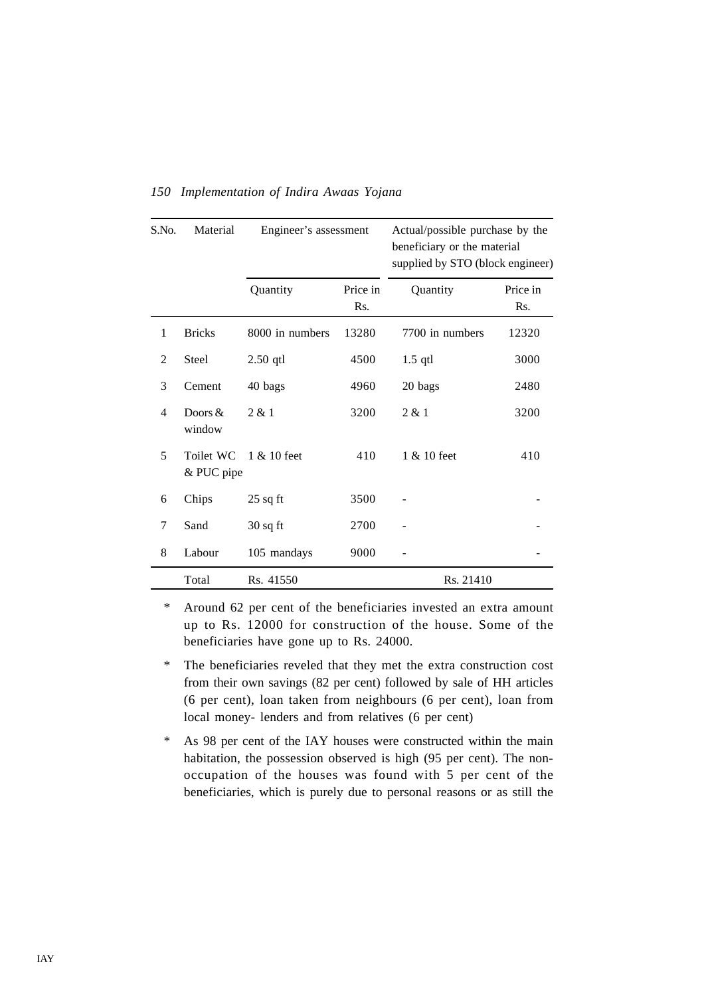| S.No.          | Material                | Engineer's assessment |                 | Actual/possible purchase by the<br>beneficiary or the material<br>supplied by STO (block engineer) |                 |
|----------------|-------------------------|-----------------------|-----------------|----------------------------------------------------------------------------------------------------|-----------------|
|                |                         | Quantity              | Price in<br>Rs. | Quantity                                                                                           | Price in<br>Rs. |
| 1              | <b>Bricks</b>           | 8000 in numbers       | 13280           | 7700 in numbers                                                                                    | 12320           |
| $\overline{2}$ | Steel                   | $2.50$ qtl            | 4500            | $1.5$ qtl                                                                                          | 3000            |
| 3              | Cement                  | 40 bags               | 4960            | 20 bags                                                                                            | 2480            |
| 4              | Doors $&$<br>window     | 2 & 1                 | 3200            | 2 & 1                                                                                              | 3200            |
| 5              | Toilet WC<br>& PUC pipe | $1 \& 10$ feet        | 410             | $1 \& 10$ feet                                                                                     | 410             |
| 6              | Chips                   | $25$ sq ft            | 3500            |                                                                                                    |                 |
| 7              | Sand                    | $30$ sq ft            | 2700            |                                                                                                    |                 |
| 8              | Labour                  | 105 mandays           | 9000            |                                                                                                    |                 |
|                | Total                   | Rs. 41550             |                 | Rs. 21410                                                                                          |                 |

\* Around 62 per cent of the beneficiaries invested an extra amount up to Rs. 12000 for construction of the house. Some of the beneficiaries have gone up to Rs. 24000.

\* The beneficiaries reveled that they met the extra construction cost from their own savings (82 per cent) followed by sale of HH articles (6 per cent), loan taken from neighbours (6 per cent), loan from local money- lenders and from relatives (6 per cent)

\* As 98 per cent of the IAY houses were constructed within the main habitation, the possession observed is high (95 per cent). The nonoccupation of the houses was found with 5 per cent of the beneficiaries, which is purely due to personal reasons or as still the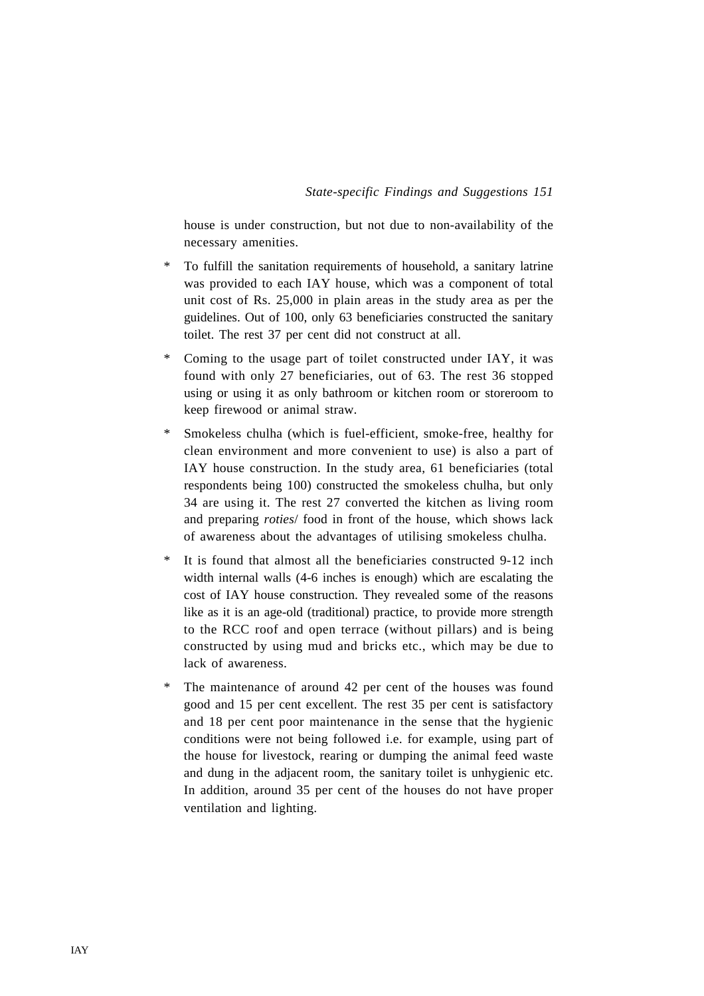house is under construction, but not due to non-availability of the necessary amenities.

- \* To fulfill the sanitation requirements of household, a sanitary latrine was provided to each IAY house, which was a component of total unit cost of Rs. 25,000 in plain areas in the study area as per the guidelines. Out of 100, only 63 beneficiaries constructed the sanitary toilet. The rest 37 per cent did not construct at all.
- \* Coming to the usage part of toilet constructed under IAY, it was found with only 27 beneficiaries, out of 63. The rest 36 stopped using or using it as only bathroom or kitchen room or storeroom to keep firewood or animal straw.
- \* Smokeless chulha (which is fuel-efficient, smoke-free, healthy for clean environment and more convenient to use) is also a part of IAY house construction. In the study area, 61 beneficiaries (total respondents being 100) constructed the smokeless chulha, but only 34 are using it. The rest 27 converted the kitchen as living room and preparing *roties*/ food in front of the house, which shows lack of awareness about the advantages of utilising smokeless chulha.
- \* It is found that almost all the beneficiaries constructed 9-12 inch width internal walls (4-6 inches is enough) which are escalating the cost of IAY house construction. They revealed some of the reasons like as it is an age-old (traditional) practice, to provide more strength to the RCC roof and open terrace (without pillars) and is being constructed by using mud and bricks etc., which may be due to lack of awareness.
- \* The maintenance of around 42 per cent of the houses was found good and 15 per cent excellent. The rest 35 per cent is satisfactory and 18 per cent poor maintenance in the sense that the hygienic conditions were not being followed i.e. for example, using part of the house for livestock, rearing or dumping the animal feed waste and dung in the adjacent room, the sanitary toilet is unhygienic etc. In addition, around 35 per cent of the houses do not have proper ventilation and lighting.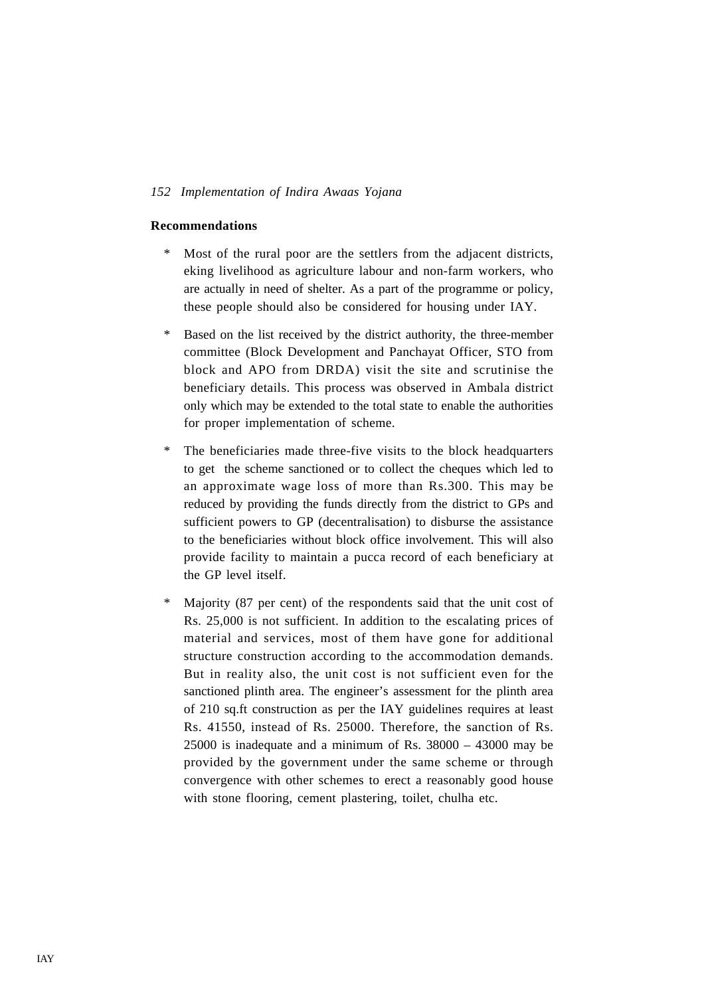#### **Recommendations**

- Most of the rural poor are the settlers from the adjacent districts, eking livelihood as agriculture labour and non-farm workers, who are actually in need of shelter. As a part of the programme or policy, these people should also be considered for housing under IAY.
- \* Based on the list received by the district authority, the three-member committee (Block Development and Panchayat Officer, STO from block and APO from DRDA) visit the site and scrutinise the beneficiary details. This process was observed in Ambala district only which may be extended to the total state to enable the authorities for proper implementation of scheme.
- \* The beneficiaries made three-five visits to the block headquarters to get the scheme sanctioned or to collect the cheques which led to an approximate wage loss of more than Rs.300. This may be reduced by providing the funds directly from the district to GPs and sufficient powers to GP (decentralisation) to disburse the assistance to the beneficiaries without block office involvement. This will also provide facility to maintain a pucca record of each beneficiary at the GP level itself.
- Majority (87 per cent) of the respondents said that the unit cost of Rs. 25,000 is not sufficient. In addition to the escalating prices of material and services, most of them have gone for additional structure construction according to the accommodation demands. But in reality also, the unit cost is not sufficient even for the sanctioned plinth area. The engineer's assessment for the plinth area of 210 sq.ft construction as per the IAY guidelines requires at least Rs. 41550, instead of Rs. 25000. Therefore, the sanction of Rs. 25000 is inadequate and a minimum of Rs. 38000 – 43000 may be provided by the government under the same scheme or through convergence with other schemes to erect a reasonably good house with stone flooring, cement plastering, toilet, chulha etc.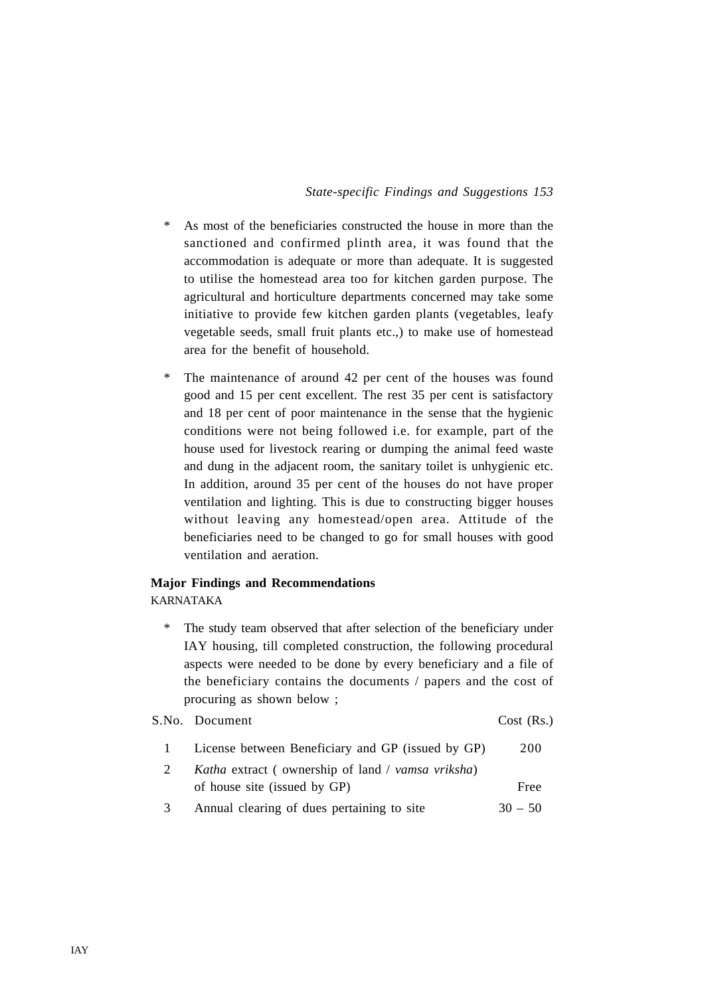- \* As most of the beneficiaries constructed the house in more than the sanctioned and confirmed plinth area, it was found that the accommodation is adequate or more than adequate. It is suggested to utilise the homestead area too for kitchen garden purpose. The agricultural and horticulture departments concerned may take some initiative to provide few kitchen garden plants (vegetables, leafy vegetable seeds, small fruit plants etc.,) to make use of homestead area for the benefit of household.
- \* The maintenance of around 42 per cent of the houses was found good and 15 per cent excellent. The rest 35 per cent is satisfactory and 18 per cent of poor maintenance in the sense that the hygienic conditions were not being followed i.e. for example, part of the house used for livestock rearing or dumping the animal feed waste and dung in the adjacent room, the sanitary toilet is unhygienic etc. In addition, around 35 per cent of the houses do not have proper ventilation and lighting. This is due to constructing bigger houses without leaving any homestead/open area. Attitude of the beneficiaries need to be changed to go for small houses with good ventilation and aeration.

# **Major Findings and Recommendations**

KARNATAKA

\* The study team observed that after selection of the beneficiary under IAY housing, till completed construction, the following procedural aspects were needed to be done by every beneficiary and a file of the beneficiary contains the documents / papers and the cost of procuring as shown below ;

S.No. Document Cost (Rs.)

| $\mathbf{1}$ | License between Beneficiary and GP (issued by GP)                | 200  |
|--------------|------------------------------------------------------------------|------|
|              | <i>Katha</i> extract (ownership of land / <i>vamsa vriksha</i> ) |      |
|              | of house site (issued by GP)                                     | Free |

3 Annual clearing of dues pertaining to site  $30 - 50$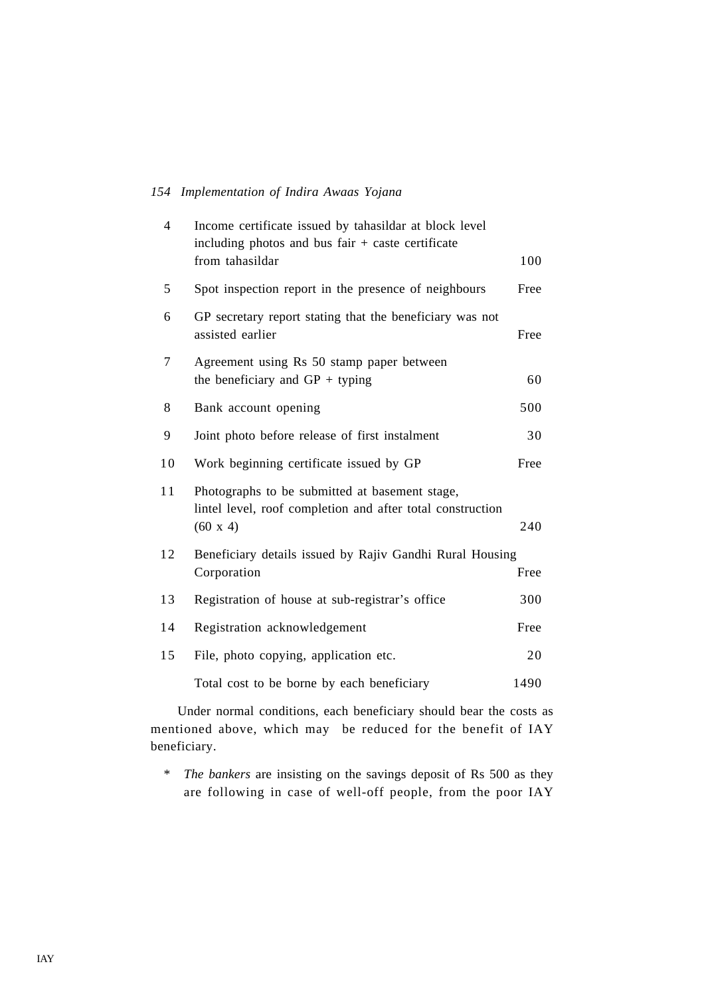| $\overline{4}$ | Income certificate issued by tahasildar at block level<br>including photos and bus fair $+$ caste certificate<br>from tahasildar | 100  |
|----------------|----------------------------------------------------------------------------------------------------------------------------------|------|
| 5              | Spot inspection report in the presence of neighbours                                                                             | Free |
| 6              | GP secretary report stating that the beneficiary was not<br>assisted earlier                                                     | Free |
| 7              | Agreement using Rs 50 stamp paper between<br>the beneficiary and $GP + typing$                                                   | 60   |
| 8              | Bank account opening                                                                                                             | 500  |
| 9              | Joint photo before release of first instalment                                                                                   | 30   |
| 10             | Work beginning certificate issued by GP                                                                                          | Free |
| 11             | Photographs to be submitted at basement stage,<br>lintel level, roof completion and after total construction<br>$(60 \times 4)$  | 240  |
| 12             | Beneficiary details issued by Rajiv Gandhi Rural Housing<br>Corporation                                                          | Free |
| 13             | Registration of house at sub-registrar's office                                                                                  | 300  |
| 14             | Registration acknowledgement                                                                                                     | Free |
| 15             | File, photo copying, application etc.                                                                                            | 20   |
|                | Total cost to be borne by each beneficiary                                                                                       | 1490 |

Under normal conditions, each beneficiary should bear the costs as mentioned above, which may be reduced for the benefit of IAY beneficiary.

\* *The bankers* are insisting on the savings deposit of Rs 500 as they are following in case of well-off people, from the poor IAY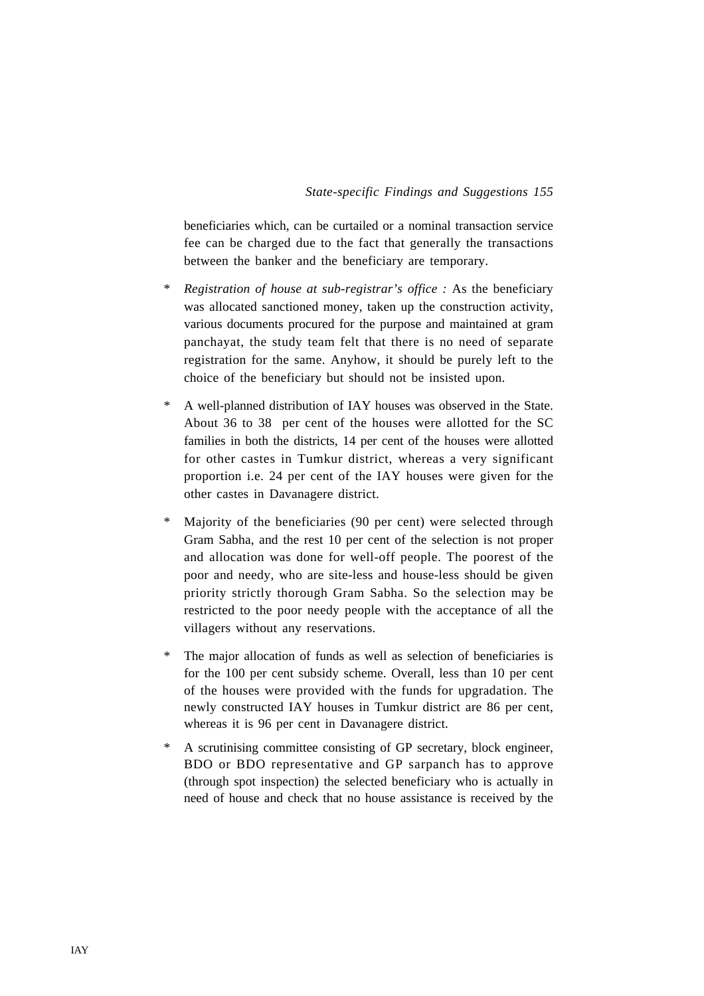beneficiaries which, can be curtailed or a nominal transaction service fee can be charged due to the fact that generally the transactions between the banker and the beneficiary are temporary.

- \* *Registration of house at sub-registrar's office :* As the beneficiary was allocated sanctioned money, taken up the construction activity, various documents procured for the purpose and maintained at gram panchayat, the study team felt that there is no need of separate registration for the same. Anyhow, it should be purely left to the choice of the beneficiary but should not be insisted upon.
- \* A well-planned distribution of IAY houses was observed in the State. About 36 to 38 per cent of the houses were allotted for the SC families in both the districts, 14 per cent of the houses were allotted for other castes in Tumkur district, whereas a very significant proportion i.e. 24 per cent of the IAY houses were given for the other castes in Davanagere district.
- \* Majority of the beneficiaries (90 per cent) were selected through Gram Sabha, and the rest 10 per cent of the selection is not proper and allocation was done for well-off people. The poorest of the poor and needy, who are site-less and house-less should be given priority strictly thorough Gram Sabha. So the selection may be restricted to the poor needy people with the acceptance of all the villagers without any reservations.
- The major allocation of funds as well as selection of beneficiaries is for the 100 per cent subsidy scheme. Overall, less than 10 per cent of the houses were provided with the funds for upgradation. The newly constructed IAY houses in Tumkur district are 86 per cent, whereas it is 96 per cent in Davanagere district.
- \* A scrutinising committee consisting of GP secretary, block engineer, BDO or BDO representative and GP sarpanch has to approve (through spot inspection) the selected beneficiary who is actually in need of house and check that no house assistance is received by the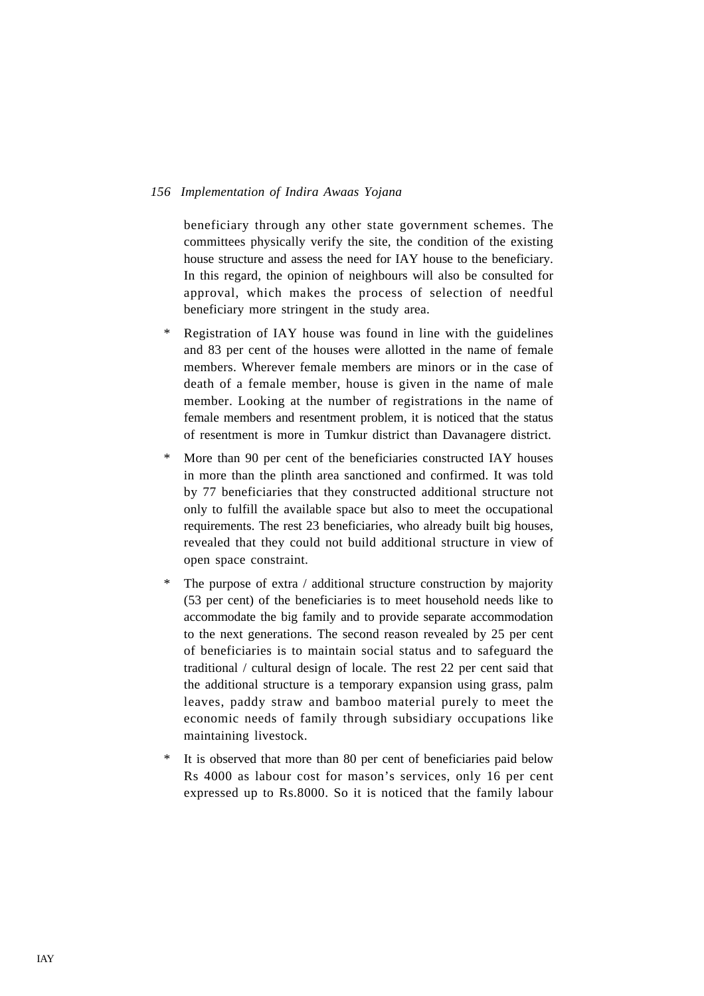beneficiary through any other state government schemes. The committees physically verify the site, the condition of the existing house structure and assess the need for IAY house to the beneficiary. In this regard, the opinion of neighbours will also be consulted for approval, which makes the process of selection of needful beneficiary more stringent in the study area.

- \* Registration of IAY house was found in line with the guidelines and 83 per cent of the houses were allotted in the name of female members. Wherever female members are minors or in the case of death of a female member, house is given in the name of male member. Looking at the number of registrations in the name of female members and resentment problem, it is noticed that the status of resentment is more in Tumkur district than Davanagere district.
- \* More than 90 per cent of the beneficiaries constructed IAY houses in more than the plinth area sanctioned and confirmed. It was told by 77 beneficiaries that they constructed additional structure not only to fulfill the available space but also to meet the occupational requirements. The rest 23 beneficiaries, who already built big houses, revealed that they could not build additional structure in view of open space constraint.
- \* The purpose of extra / additional structure construction by majority (53 per cent) of the beneficiaries is to meet household needs like to accommodate the big family and to provide separate accommodation to the next generations. The second reason revealed by 25 per cent of beneficiaries is to maintain social status and to safeguard the traditional / cultural design of locale. The rest 22 per cent said that the additional structure is a temporary expansion using grass, palm leaves, paddy straw and bamboo material purely to meet the economic needs of family through subsidiary occupations like maintaining livestock.
- \* It is observed that more than 80 per cent of beneficiaries paid below Rs 4000 as labour cost for mason's services, only 16 per cent expressed up to Rs.8000. So it is noticed that the family labour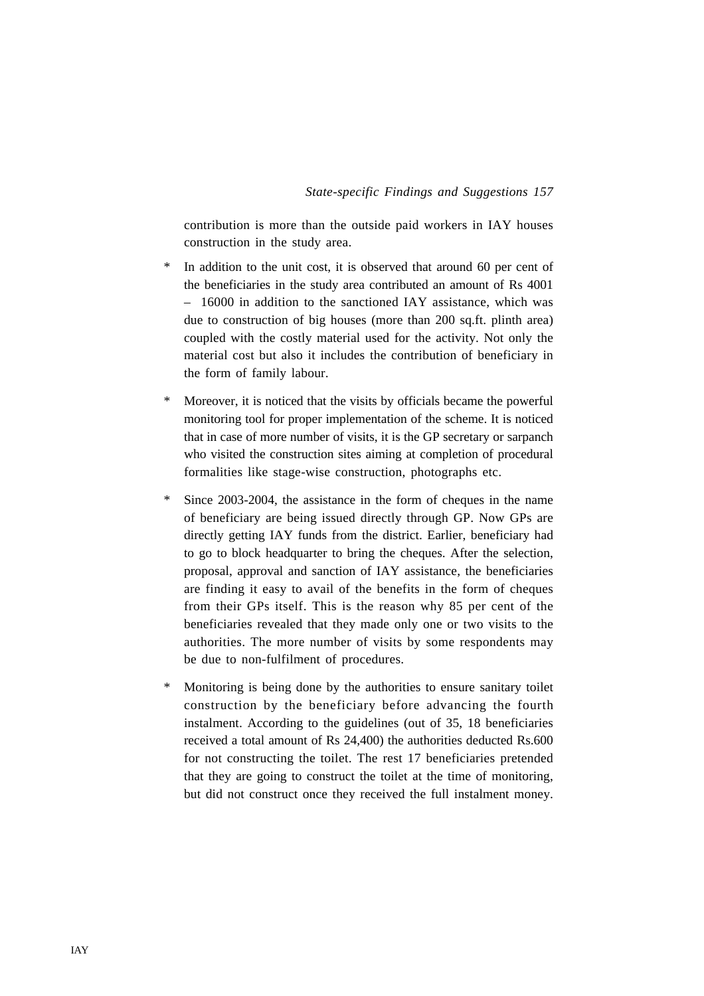contribution is more than the outside paid workers in IAY houses construction in the study area.

- In addition to the unit cost, it is observed that around 60 per cent of the beneficiaries in the study area contributed an amount of Rs 4001 – 16000 in addition to the sanctioned IAY assistance, which was due to construction of big houses (more than 200 sq.ft. plinth area) coupled with the costly material used for the activity. Not only the material cost but also it includes the contribution of beneficiary in the form of family labour.
- \* Moreover, it is noticed that the visits by officials became the powerful monitoring tool for proper implementation of the scheme. It is noticed that in case of more number of visits, it is the GP secretary or sarpanch who visited the construction sites aiming at completion of procedural formalities like stage-wise construction, photographs etc.
- \* Since 2003-2004, the assistance in the form of cheques in the name of beneficiary are being issued directly through GP. Now GPs are directly getting IAY funds from the district. Earlier, beneficiary had to go to block headquarter to bring the cheques. After the selection, proposal, approval and sanction of IAY assistance, the beneficiaries are finding it easy to avail of the benefits in the form of cheques from their GPs itself. This is the reason why 85 per cent of the beneficiaries revealed that they made only one or two visits to the authorities. The more number of visits by some respondents may be due to non-fulfilment of procedures.
- \* Monitoring is being done by the authorities to ensure sanitary toilet construction by the beneficiary before advancing the fourth instalment. According to the guidelines (out of 35, 18 beneficiaries received a total amount of Rs 24,400) the authorities deducted Rs.600 for not constructing the toilet. The rest 17 beneficiaries pretended that they are going to construct the toilet at the time of monitoring, but did not construct once they received the full instalment money.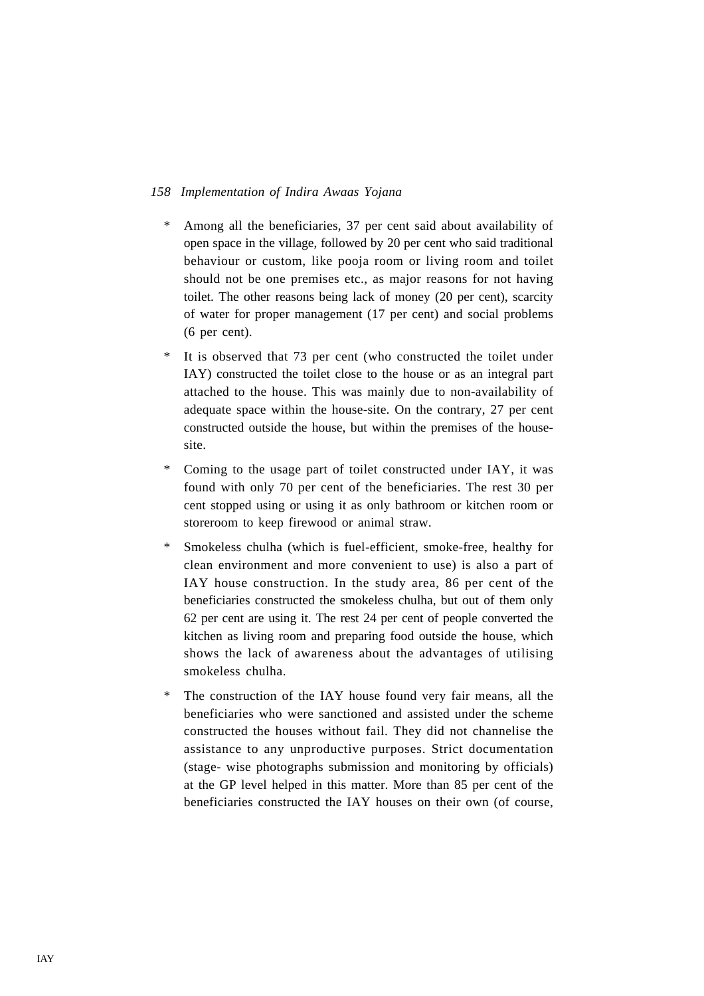- \* Among all the beneficiaries, 37 per cent said about availability of open space in the village, followed by 20 per cent who said traditional behaviour or custom, like pooja room or living room and toilet should not be one premises etc., as major reasons for not having toilet. The other reasons being lack of money (20 per cent), scarcity of water for proper management (17 per cent) and social problems (6 per cent).
- It is observed that 73 per cent (who constructed the toilet under IAY) constructed the toilet close to the house or as an integral part attached to the house. This was mainly due to non-availability of adequate space within the house-site. On the contrary, 27 per cent constructed outside the house, but within the premises of the housesite.
- \* Coming to the usage part of toilet constructed under IAY, it was found with only 70 per cent of the beneficiaries. The rest 30 per cent stopped using or using it as only bathroom or kitchen room or storeroom to keep firewood or animal straw.
- \* Smokeless chulha (which is fuel-efficient, smoke-free, healthy for clean environment and more convenient to use) is also a part of IAY house construction. In the study area, 86 per cent of the beneficiaries constructed the smokeless chulha, but out of them only 62 per cent are using it. The rest 24 per cent of people converted the kitchen as living room and preparing food outside the house, which shows the lack of awareness about the advantages of utilising smokeless chulha.
- \* The construction of the IAY house found very fair means, all the beneficiaries who were sanctioned and assisted under the scheme constructed the houses without fail. They did not channelise the assistance to any unproductive purposes. Strict documentation (stage- wise photographs submission and monitoring by officials) at the GP level helped in this matter. More than 85 per cent of the beneficiaries constructed the IAY houses on their own (of course,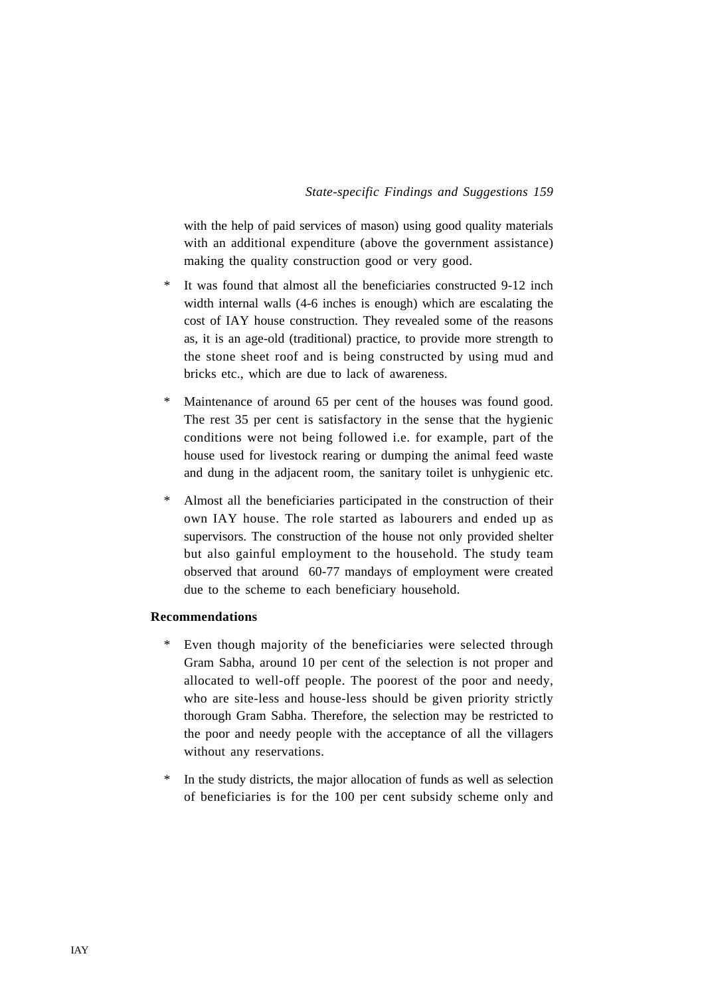with the help of paid services of mason) using good quality materials with an additional expenditure (above the government assistance) making the quality construction good or very good.

- \* It was found that almost all the beneficiaries constructed 9-12 inch width internal walls (4-6 inches is enough) which are escalating the cost of IAY house construction. They revealed some of the reasons as, it is an age-old (traditional) practice, to provide more strength to the stone sheet roof and is being constructed by using mud and bricks etc., which are due to lack of awareness.
- \* Maintenance of around 65 per cent of the houses was found good. The rest 35 per cent is satisfactory in the sense that the hygienic conditions were not being followed i.e. for example, part of the house used for livestock rearing or dumping the animal feed waste and dung in the adjacent room, the sanitary toilet is unhygienic etc.
- \* Almost all the beneficiaries participated in the construction of their own IAY house. The role started as labourers and ended up as supervisors. The construction of the house not only provided shelter but also gainful employment to the household. The study team observed that around 60-77 mandays of employment were created due to the scheme to each beneficiary household.

### **Recommendations**

- \* Even though majority of the beneficiaries were selected through Gram Sabha, around 10 per cent of the selection is not proper and allocated to well-off people. The poorest of the poor and needy, who are site-less and house-less should be given priority strictly thorough Gram Sabha. Therefore, the selection may be restricted to the poor and needy people with the acceptance of all the villagers without any reservations.
- \* In the study districts, the major allocation of funds as well as selection of beneficiaries is for the 100 per cent subsidy scheme only and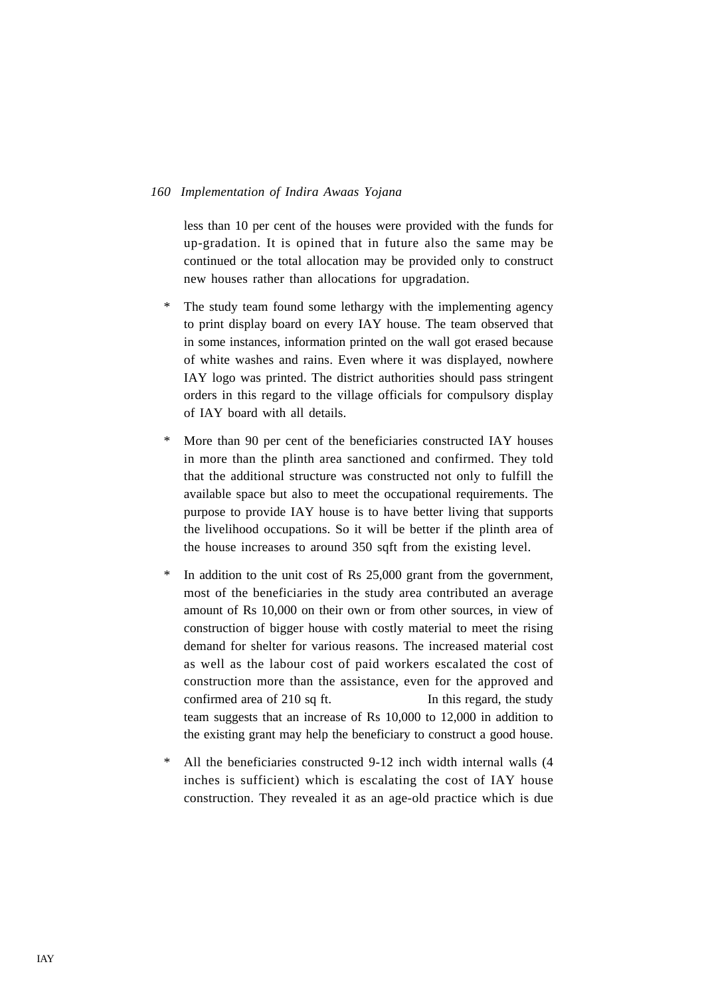less than 10 per cent of the houses were provided with the funds for up-gradation. It is opined that in future also the same may be continued or the total allocation may be provided only to construct new houses rather than allocations for upgradation.

- The study team found some lethargy with the implementing agency to print display board on every IAY house. The team observed that in some instances, information printed on the wall got erased because of white washes and rains. Even where it was displayed, nowhere IAY logo was printed. The district authorities should pass stringent orders in this regard to the village officials for compulsory display of IAY board with all details.
- \* More than 90 per cent of the beneficiaries constructed IAY houses in more than the plinth area sanctioned and confirmed. They told that the additional structure was constructed not only to fulfill the available space but also to meet the occupational requirements. The purpose to provide IAY house is to have better living that supports the livelihood occupations. So it will be better if the plinth area of the house increases to around 350 sqft from the existing level.
- \* In addition to the unit cost of Rs 25,000 grant from the government, most of the beneficiaries in the study area contributed an average amount of Rs 10,000 on their own or from other sources, in view of construction of bigger house with costly material to meet the rising demand for shelter for various reasons. The increased material cost as well as the labour cost of paid workers escalated the cost of construction more than the assistance, even for the approved and confirmed area of 210 sq ft. In this regard, the study team suggests that an increase of Rs 10,000 to 12,000 in addition to the existing grant may help the beneficiary to construct a good house.
- \* All the beneficiaries constructed 9-12 inch width internal walls (4 inches is sufficient) which is escalating the cost of IAY house construction. They revealed it as an age-old practice which is due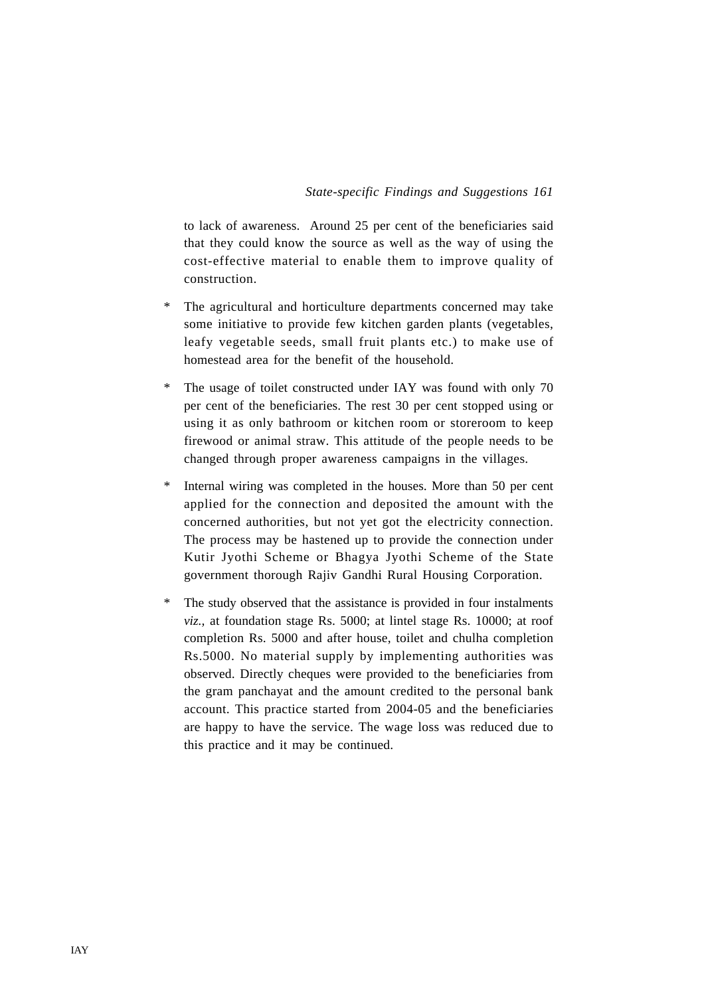to lack of awareness. Around 25 per cent of the beneficiaries said that they could know the source as well as the way of using the cost-effective material to enable them to improve quality of construction.

- \* The agricultural and horticulture departments concerned may take some initiative to provide few kitchen garden plants (vegetables, leafy vegetable seeds, small fruit plants etc.) to make use of homestead area for the benefit of the household.
- \* The usage of toilet constructed under IAY was found with only 70 per cent of the beneficiaries. The rest 30 per cent stopped using or using it as only bathroom or kitchen room or storeroom to keep firewood or animal straw. This attitude of the people needs to be changed through proper awareness campaigns in the villages.
- \* Internal wiring was completed in the houses. More than 50 per cent applied for the connection and deposited the amount with the concerned authorities, but not yet got the electricity connection. The process may be hastened up to provide the connection under Kutir Jyothi Scheme or Bhagya Jyothi Scheme of the State government thorough Rajiv Gandhi Rural Housing Corporation.
- \* The study observed that the assistance is provided in four instalments *viz.,* at foundation stage Rs. 5000; at lintel stage Rs. 10000; at roof completion Rs. 5000 and after house, toilet and chulha completion Rs.5000. No material supply by implementing authorities was observed. Directly cheques were provided to the beneficiaries from the gram panchayat and the amount credited to the personal bank account. This practice started from 2004-05 and the beneficiaries are happy to have the service. The wage loss was reduced due to this practice and it may be continued.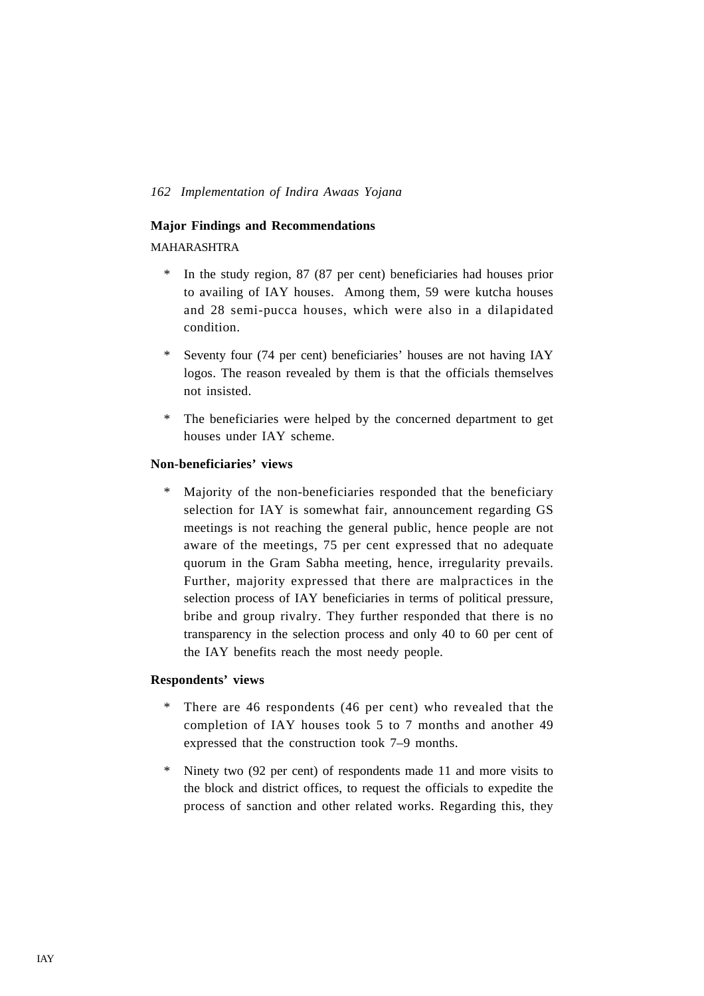### **Major Findings and Recommendations**

MAHARASHTRA

- \* In the study region, 87 (87 per cent) beneficiaries had houses prior to availing of IAY houses. Among them, 59 were kutcha houses and 28 semi-pucca houses, which were also in a dilapidated condition.
- \* Seventy four (74 per cent) beneficiaries' houses are not having IAY logos. The reason revealed by them is that the officials themselves not insisted.
- \* The beneficiaries were helped by the concerned department to get houses under IAY scheme.

# **Non-beneficiaries' views**

Majority of the non-beneficiaries responded that the beneficiary selection for IAY is somewhat fair, announcement regarding GS meetings is not reaching the general public, hence people are not aware of the meetings, 75 per cent expressed that no adequate quorum in the Gram Sabha meeting, hence, irregularity prevails. Further, majority expressed that there are malpractices in the selection process of IAY beneficiaries in terms of political pressure, bribe and group rivalry. They further responded that there is no transparency in the selection process and only 40 to 60 per cent of the IAY benefits reach the most needy people.

#### **Respondents' views**

- \* There are 46 respondents (46 per cent) who revealed that the completion of IAY houses took 5 to 7 months and another 49 expressed that the construction took 7–9 months.
- \* Ninety two (92 per cent) of respondents made 11 and more visits to the block and district offices, to request the officials to expedite the process of sanction and other related works. Regarding this, they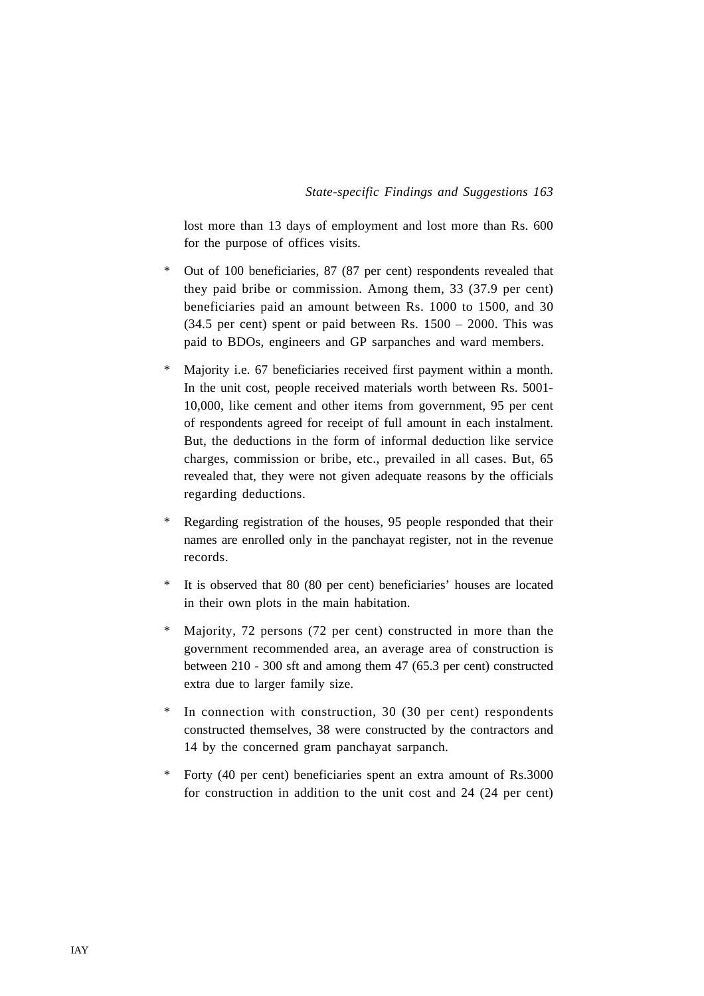lost more than 13 days of employment and lost more than Rs. 600 for the purpose of offices visits.

- \* Out of 100 beneficiaries, 87 (87 per cent) respondents revealed that they paid bribe or commission. Among them, 33 (37.9 per cent) beneficiaries paid an amount between Rs. 1000 to 1500, and 30  $(34.5 \text{ per cent})$  spent or paid between Rs.  $1500 - 2000$ . This was paid to BDOs, engineers and GP sarpanches and ward members.
- Majority i.e. 67 beneficiaries received first payment within a month. In the unit cost, people received materials worth between Rs. 5001- 10,000, like cement and other items from government, 95 per cent of respondents agreed for receipt of full amount in each instalment. But, the deductions in the form of informal deduction like service charges, commission or bribe, etc., prevailed in all cases. But, 65 revealed that, they were not given adequate reasons by the officials regarding deductions.
- \* Regarding registration of the houses, 95 people responded that their names are enrolled only in the panchayat register, not in the revenue records.
- It is observed that 80 (80 per cent) beneficiaries' houses are located in their own plots in the main habitation.
- \* Majority, 72 persons (72 per cent) constructed in more than the government recommended area, an average area of construction is between 210 - 300 sft and among them 47 (65.3 per cent) constructed extra due to larger family size.
- \* In connection with construction, 30 (30 per cent) respondents constructed themselves, 38 were constructed by the contractors and 14 by the concerned gram panchayat sarpanch.
- Forty (40 per cent) beneficiaries spent an extra amount of Rs.3000 for construction in addition to the unit cost and 24 (24 per cent)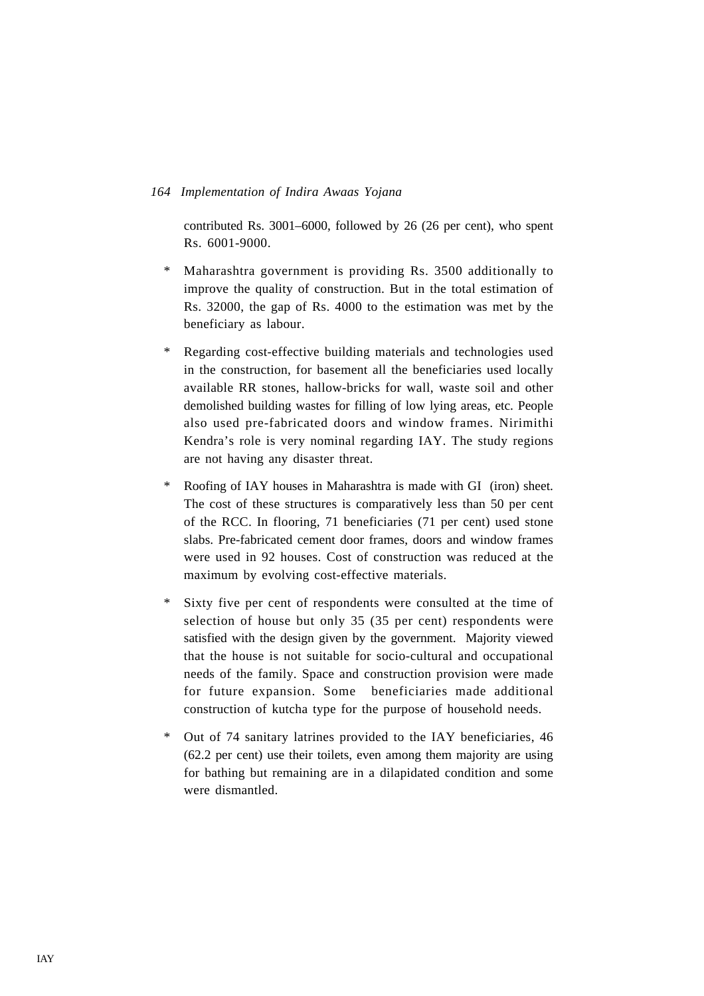contributed Rs. 3001–6000, followed by 26 (26 per cent), who spent Rs. 6001-9000.

- \* Maharashtra government is providing Rs. 3500 additionally to improve the quality of construction. But in the total estimation of Rs. 32000, the gap of Rs. 4000 to the estimation was met by the beneficiary as labour.
- \* Regarding cost-effective building materials and technologies used in the construction, for basement all the beneficiaries used locally available RR stones, hallow-bricks for wall, waste soil and other demolished building wastes for filling of low lying areas, etc. People also used pre-fabricated doors and window frames. Nirimithi Kendra's role is very nominal regarding IAY. The study regions are not having any disaster threat.
- \* Roofing of IAY houses in Maharashtra is made with GI (iron) sheet. The cost of these structures is comparatively less than 50 per cent of the RCC. In flooring, 71 beneficiaries (71 per cent) used stone slabs. Pre-fabricated cement door frames, doors and window frames were used in 92 houses. Cost of construction was reduced at the maximum by evolving cost-effective materials.
- \* Sixty five per cent of respondents were consulted at the time of selection of house but only 35 (35 per cent) respondents were satisfied with the design given by the government. Majority viewed that the house is not suitable for socio-cultural and occupational needs of the family. Space and construction provision were made for future expansion. Some beneficiaries made additional construction of kutcha type for the purpose of household needs.
- \* Out of 74 sanitary latrines provided to the IAY beneficiaries, 46 (62.2 per cent) use their toilets, even among them majority are using for bathing but remaining are in a dilapidated condition and some were dismantled.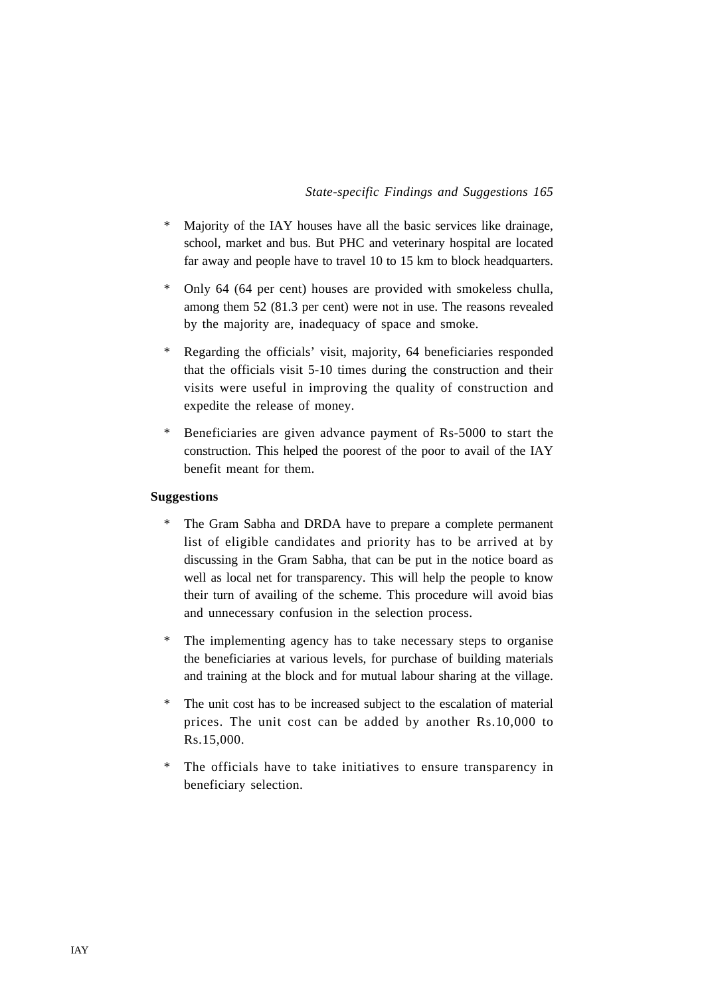- \* Majority of the IAY houses have all the basic services like drainage, school, market and bus. But PHC and veterinary hospital are located far away and people have to travel 10 to 15 km to block headquarters.
- \* Only 64 (64 per cent) houses are provided with smokeless chulla, among them 52 (81.3 per cent) were not in use. The reasons revealed by the majority are, inadequacy of space and smoke.
- \* Regarding the officials' visit, majority, 64 beneficiaries responded that the officials visit 5-10 times during the construction and their visits were useful in improving the quality of construction and expedite the release of money.
- \* Beneficiaries are given advance payment of Rs-5000 to start the construction. This helped the poorest of the poor to avail of the IAY benefit meant for them.

#### **Suggestions**

- \* The Gram Sabha and DRDA have to prepare a complete permanent list of eligible candidates and priority has to be arrived at by discussing in the Gram Sabha, that can be put in the notice board as well as local net for transparency. This will help the people to know their turn of availing of the scheme. This procedure will avoid bias and unnecessary confusion in the selection process.
- \* The implementing agency has to take necessary steps to organise the beneficiaries at various levels, for purchase of building materials and training at the block and for mutual labour sharing at the village.
- \* The unit cost has to be increased subject to the escalation of material prices. The unit cost can be added by another Rs.10,000 to Rs.15,000.
- \* The officials have to take initiatives to ensure transparency in beneficiary selection.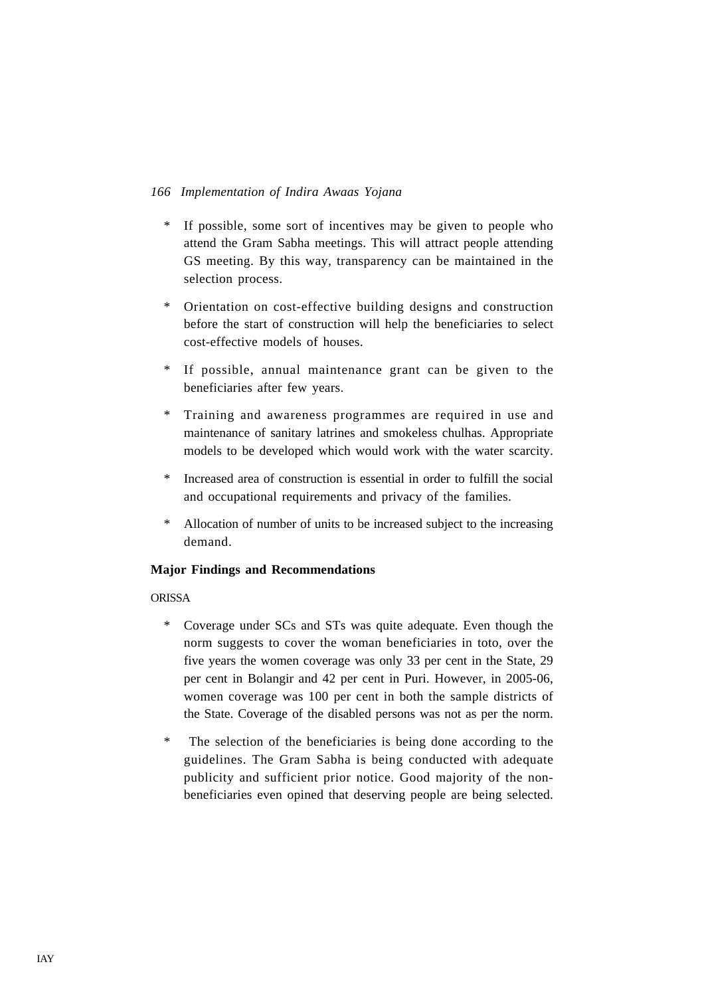- \* If possible, some sort of incentives may be given to people who attend the Gram Sabha meetings. This will attract people attending GS meeting. By this way, transparency can be maintained in the selection process.
- \* Orientation on cost-effective building designs and construction before the start of construction will help the beneficiaries to select cost-effective models of houses.
- If possible, annual maintenance grant can be given to the beneficiaries after few years.
- \* Training and awareness programmes are required in use and maintenance of sanitary latrines and smokeless chulhas. Appropriate models to be developed which would work with the water scarcity.
- \* Increased area of construction is essential in order to fulfill the social and occupational requirements and privacy of the families.
- \* Allocation of number of units to be increased subject to the increasing demand.

# **Major Findings and Recommendations**

# ORISSA

- \* Coverage under SCs and STs was quite adequate. Even though the norm suggests to cover the woman beneficiaries in toto, over the five years the women coverage was only 33 per cent in the State, 29 per cent in Bolangir and 42 per cent in Puri. However, in 2005-06, women coverage was 100 per cent in both the sample districts of the State. Coverage of the disabled persons was not as per the norm.
- \* The selection of the beneficiaries is being done according to the guidelines. The Gram Sabha is being conducted with adequate publicity and sufficient prior notice. Good majority of the nonbeneficiaries even opined that deserving people are being selected.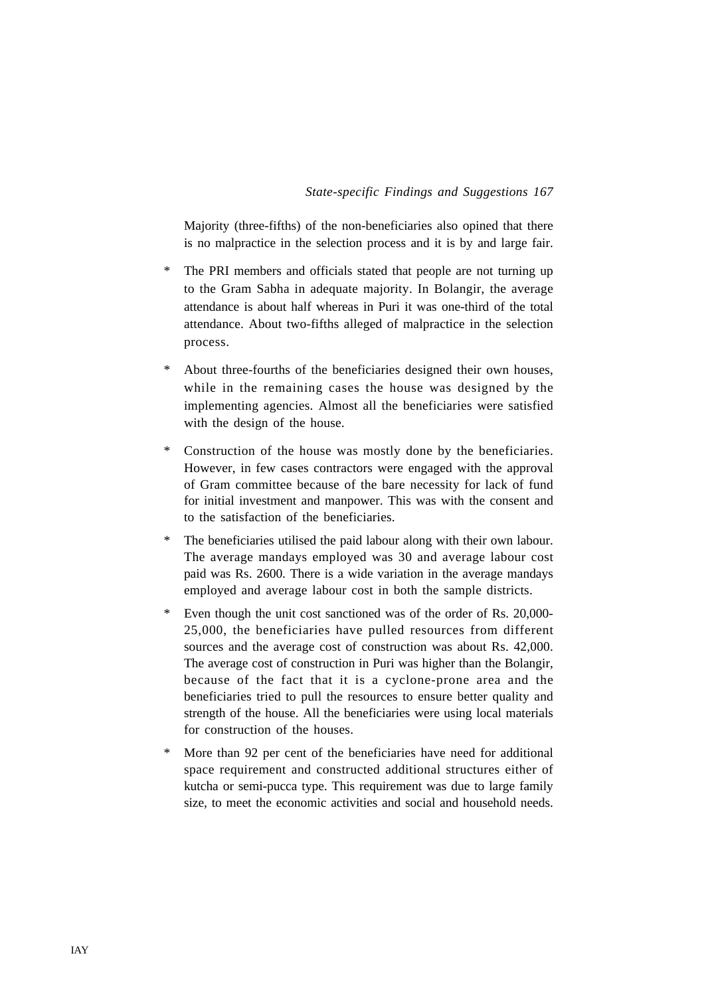Majority (three-fifths) of the non-beneficiaries also opined that there is no malpractice in the selection process and it is by and large fair.

- \* The PRI members and officials stated that people are not turning up to the Gram Sabha in adequate majority. In Bolangir, the average attendance is about half whereas in Puri it was one-third of the total attendance. About two-fifths alleged of malpractice in the selection process.
- About three-fourths of the beneficiaries designed their own houses, while in the remaining cases the house was designed by the implementing agencies. Almost all the beneficiaries were satisfied with the design of the house.
- \* Construction of the house was mostly done by the beneficiaries. However, in few cases contractors were engaged with the approval of Gram committee because of the bare necessity for lack of fund for initial investment and manpower. This was with the consent and to the satisfaction of the beneficiaries.
- \* The beneficiaries utilised the paid labour along with their own labour. The average mandays employed was 30 and average labour cost paid was Rs. 2600. There is a wide variation in the average mandays employed and average labour cost in both the sample districts.
- \* Even though the unit cost sanctioned was of the order of Rs. 20,000- 25,000, the beneficiaries have pulled resources from different sources and the average cost of construction was about Rs. 42,000. The average cost of construction in Puri was higher than the Bolangir, because of the fact that it is a cyclone-prone area and the beneficiaries tried to pull the resources to ensure better quality and strength of the house. All the beneficiaries were using local materials for construction of the houses.
- \* More than 92 per cent of the beneficiaries have need for additional space requirement and constructed additional structures either of kutcha or semi-pucca type. This requirement was due to large family size, to meet the economic activities and social and household needs.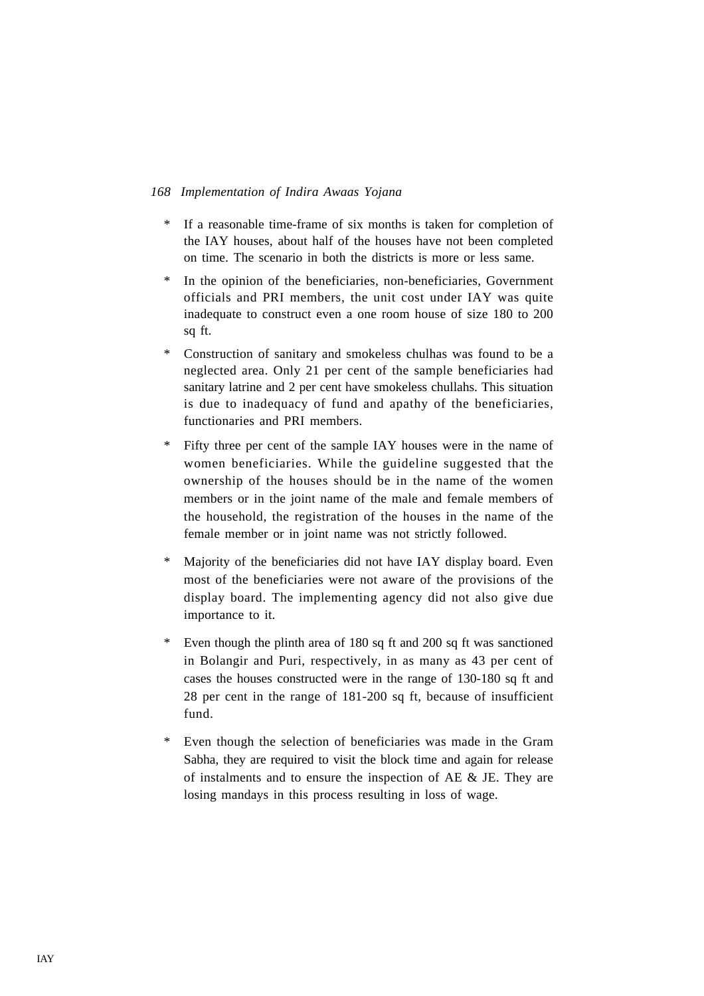- \* If a reasonable time-frame of six months is taken for completion of the IAY houses, about half of the houses have not been completed on time. The scenario in both the districts is more or less same.
- In the opinion of the beneficiaries, non-beneficiaries, Government officials and PRI members, the unit cost under IAY was quite inadequate to construct even a one room house of size 180 to 200 sq ft.
- \* Construction of sanitary and smokeless chulhas was found to be a neglected area. Only 21 per cent of the sample beneficiaries had sanitary latrine and 2 per cent have smokeless chullahs. This situation is due to inadequacy of fund and apathy of the beneficiaries, functionaries and PRI members.
- \* Fifty three per cent of the sample IAY houses were in the name of women beneficiaries. While the guideline suggested that the ownership of the houses should be in the name of the women members or in the joint name of the male and female members of the household, the registration of the houses in the name of the female member or in joint name was not strictly followed.
- \* Majority of the beneficiaries did not have IAY display board. Even most of the beneficiaries were not aware of the provisions of the display board. The implementing agency did not also give due importance to it.
- \* Even though the plinth area of 180 sq ft and 200 sq ft was sanctioned in Bolangir and Puri, respectively, in as many as 43 per cent of cases the houses constructed were in the range of 130-180 sq ft and 28 per cent in the range of 181-200 sq ft, because of insufficient fund.
- Even though the selection of beneficiaries was made in the Gram Sabha, they are required to visit the block time and again for release of instalments and to ensure the inspection of AE & JE. They are losing mandays in this process resulting in loss of wage.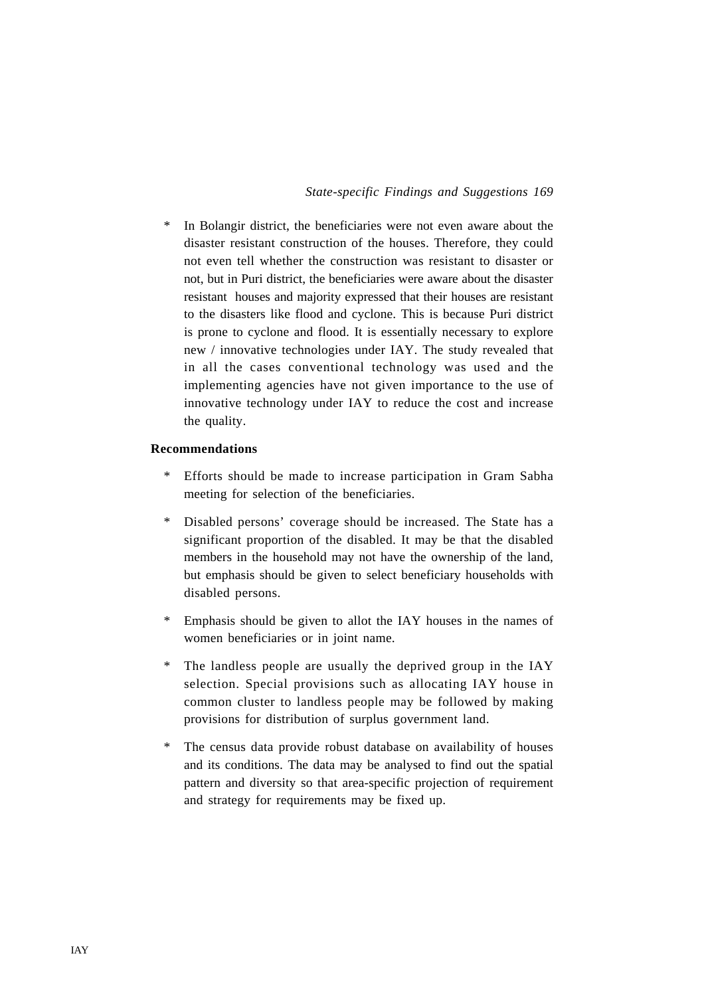\* In Bolangir district, the beneficiaries were not even aware about the disaster resistant construction of the houses. Therefore, they could not even tell whether the construction was resistant to disaster or not, but in Puri district, the beneficiaries were aware about the disaster resistant houses and majority expressed that their houses are resistant to the disasters like flood and cyclone. This is because Puri district is prone to cyclone and flood. It is essentially necessary to explore new / innovative technologies under IAY. The study revealed that in all the cases conventional technology was used and the implementing agencies have not given importance to the use of innovative technology under IAY to reduce the cost and increase the quality.

#### **Recommendations**

- Efforts should be made to increase participation in Gram Sabha meeting for selection of the beneficiaries.
- \* Disabled persons' coverage should be increased. The State has a significant proportion of the disabled. It may be that the disabled members in the household may not have the ownership of the land, but emphasis should be given to select beneficiary households with disabled persons.
- \* Emphasis should be given to allot the IAY houses in the names of women beneficiaries or in joint name.
- \* The landless people are usually the deprived group in the IAY selection. Special provisions such as allocating IAY house in common cluster to landless people may be followed by making provisions for distribution of surplus government land.
- \* The census data provide robust database on availability of houses and its conditions. The data may be analysed to find out the spatial pattern and diversity so that area-specific projection of requirement and strategy for requirements may be fixed up.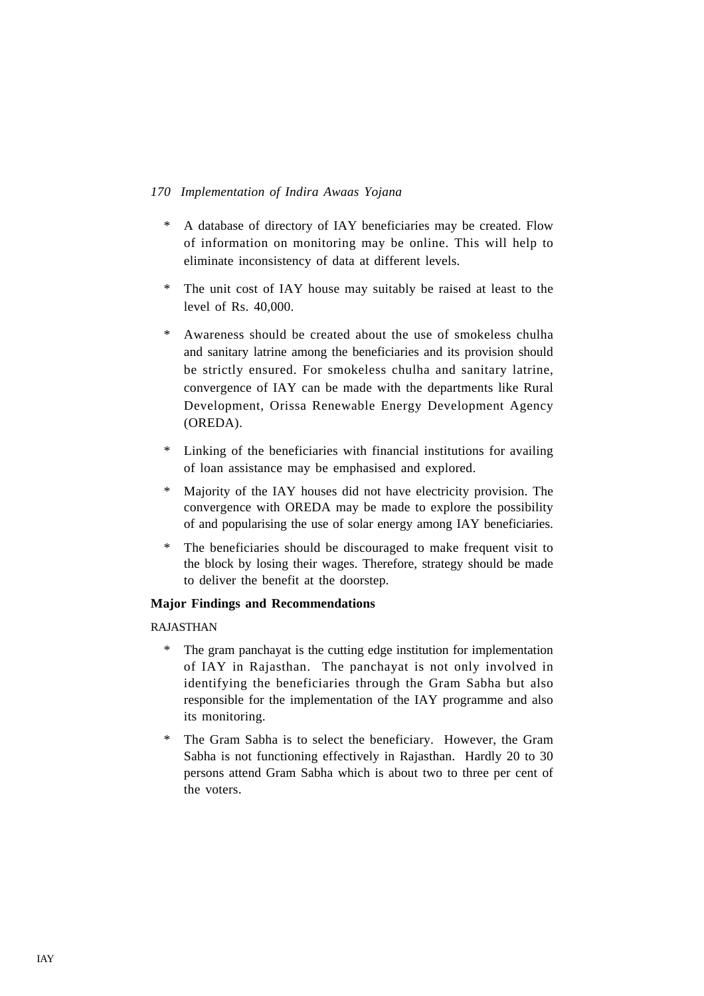- \* A database of directory of IAY beneficiaries may be created. Flow of information on monitoring may be online. This will help to eliminate inconsistency of data at different levels.
- \* The unit cost of IAY house may suitably be raised at least to the level of Rs. 40,000.
- \* Awareness should be created about the use of smokeless chulha and sanitary latrine among the beneficiaries and its provision should be strictly ensured. For smokeless chulha and sanitary latrine, convergence of IAY can be made with the departments like Rural Development, Orissa Renewable Energy Development Agency (OREDA).
- \* Linking of the beneficiaries with financial institutions for availing of loan assistance may be emphasised and explored.
- \* Majority of the IAY houses did not have electricity provision. The convergence with OREDA may be made to explore the possibility of and popularising the use of solar energy among IAY beneficiaries.
- \* The beneficiaries should be discouraged to make frequent visit to the block by losing their wages. Therefore, strategy should be made to deliver the benefit at the doorstep.

# **Major Findings and Recommendations**

# RAJASTHAN

- \* The gram panchayat is the cutting edge institution for implementation of IAY in Rajasthan. The panchayat is not only involved in identifying the beneficiaries through the Gram Sabha but also responsible for the implementation of the IAY programme and also its monitoring.
- \* The Gram Sabha is to select the beneficiary. However, the Gram Sabha is not functioning effectively in Rajasthan. Hardly 20 to 30 persons attend Gram Sabha which is about two to three per cent of the voters.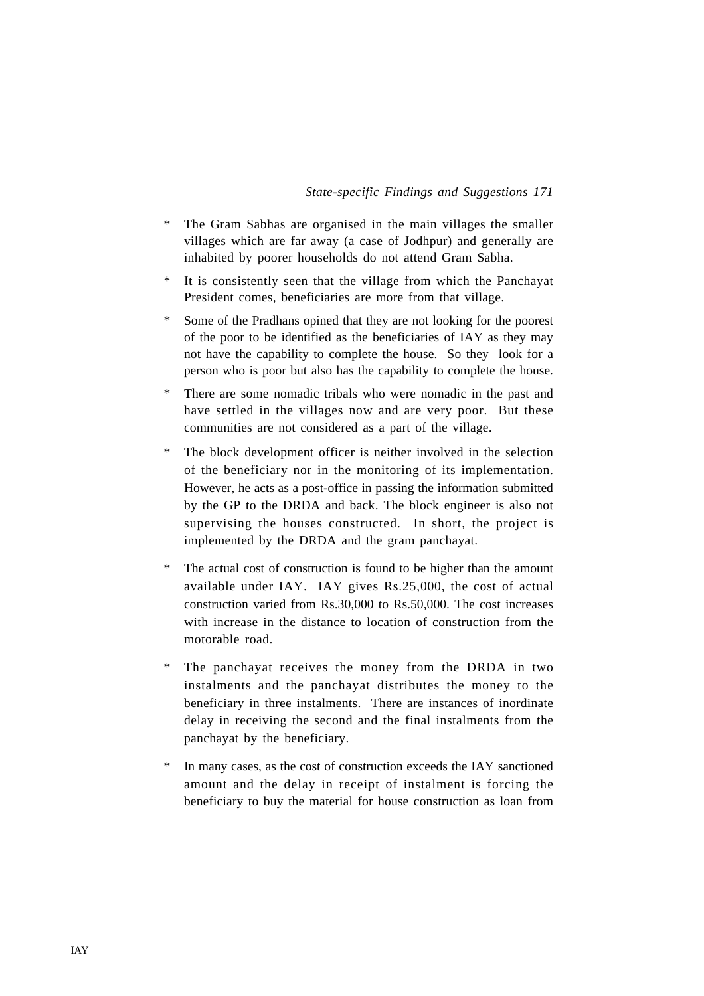- \* The Gram Sabhas are organised in the main villages the smaller villages which are far away (a case of Jodhpur) and generally are inhabited by poorer households do not attend Gram Sabha.
- \* It is consistently seen that the village from which the Panchayat President comes, beneficiaries are more from that village.
- \* Some of the Pradhans opined that they are not looking for the poorest of the poor to be identified as the beneficiaries of IAY as they may not have the capability to complete the house. So they look for a person who is poor but also has the capability to complete the house.
- \* There are some nomadic tribals who were nomadic in the past and have settled in the villages now and are very poor. But these communities are not considered as a part of the village.
- \* The block development officer is neither involved in the selection of the beneficiary nor in the monitoring of its implementation. However, he acts as a post-office in passing the information submitted by the GP to the DRDA and back. The block engineer is also not supervising the houses constructed. In short, the project is implemented by the DRDA and the gram panchayat.
- \* The actual cost of construction is found to be higher than the amount available under IAY. IAY gives Rs.25,000, the cost of actual construction varied from Rs.30,000 to Rs.50,000. The cost increases with increase in the distance to location of construction from the motorable road.
- \* The panchayat receives the money from the DRDA in two instalments and the panchayat distributes the money to the beneficiary in three instalments. There are instances of inordinate delay in receiving the second and the final instalments from the panchayat by the beneficiary.
- \* In many cases, as the cost of construction exceeds the IAY sanctioned amount and the delay in receipt of instalment is forcing the beneficiary to buy the material for house construction as loan from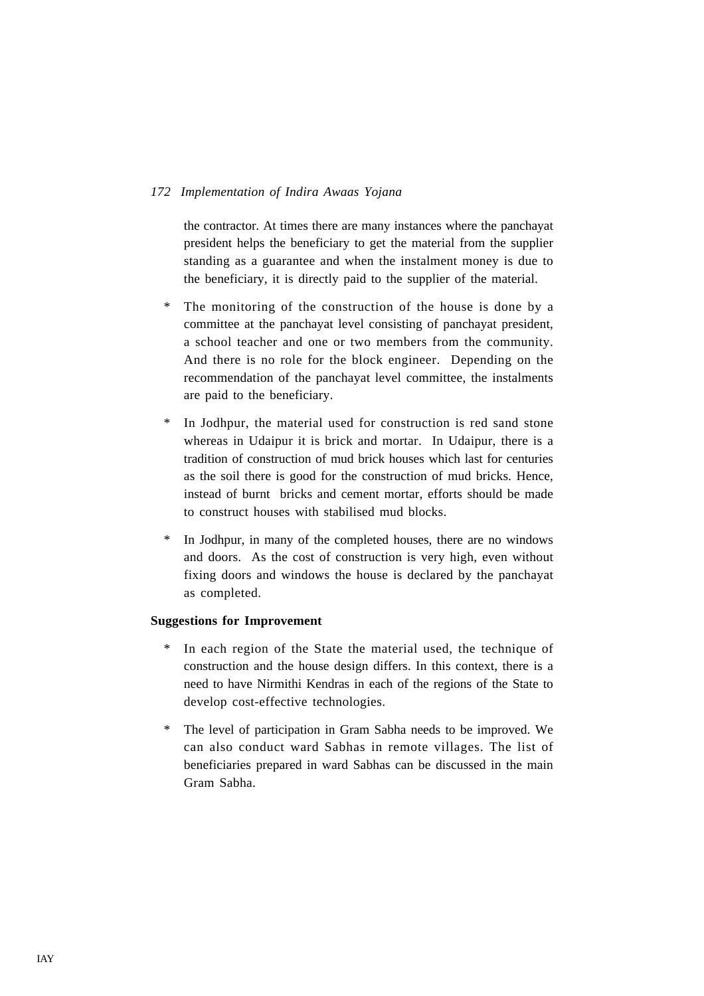the contractor. At times there are many instances where the panchayat president helps the beneficiary to get the material from the supplier standing as a guarantee and when the instalment money is due to the beneficiary, it is directly paid to the supplier of the material.

- \* The monitoring of the construction of the house is done by a committee at the panchayat level consisting of panchayat president, a school teacher and one or two members from the community. And there is no role for the block engineer. Depending on the recommendation of the panchayat level committee, the instalments are paid to the beneficiary.
- In Jodhpur, the material used for construction is red sand stone whereas in Udaipur it is brick and mortar. In Udaipur, there is a tradition of construction of mud brick houses which last for centuries as the soil there is good for the construction of mud bricks. Hence, instead of burnt bricks and cement mortar, efforts should be made to construct houses with stabilised mud blocks.
- \* In Jodhpur, in many of the completed houses, there are no windows and doors. As the cost of construction is very high, even without fixing doors and windows the house is declared by the panchayat as completed.

# **Suggestions for Improvement**

- \* In each region of the State the material used, the technique of construction and the house design differs. In this context, there is a need to have Nirmithi Kendras in each of the regions of the State to develop cost-effective technologies.
- \* The level of participation in Gram Sabha needs to be improved. We can also conduct ward Sabhas in remote villages. The list of beneficiaries prepared in ward Sabhas can be discussed in the main Gram Sabha.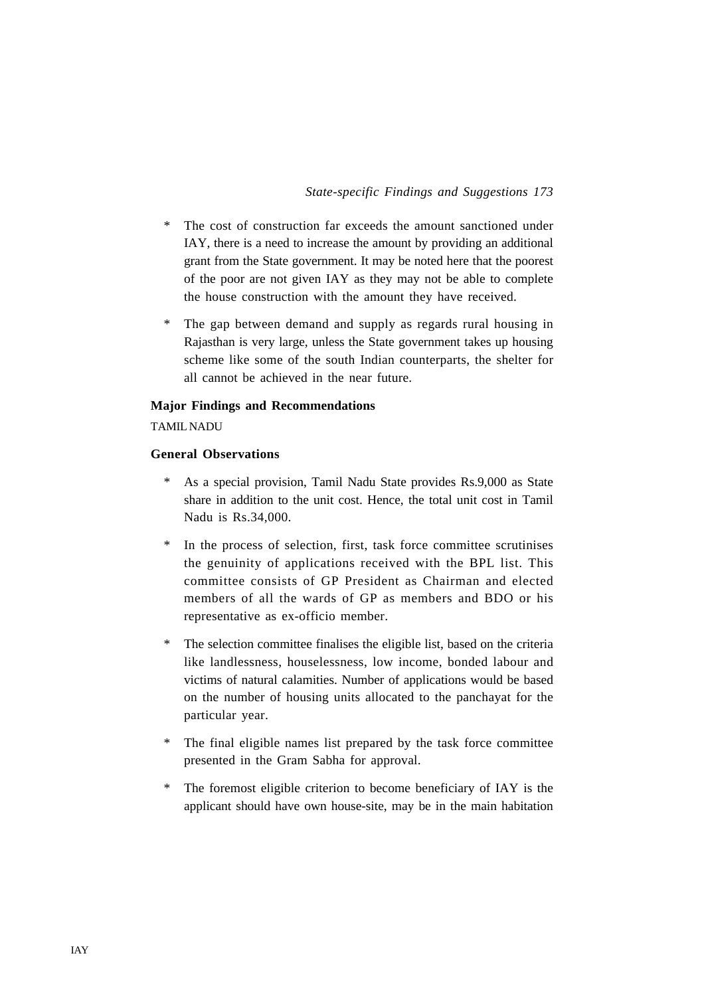- \* The cost of construction far exceeds the amount sanctioned under IAY, there is a need to increase the amount by providing an additional grant from the State government. It may be noted here that the poorest of the poor are not given IAY as they may not be able to complete the house construction with the amount they have received.
- \* The gap between demand and supply as regards rural housing in Rajasthan is very large, unless the State government takes up housing scheme like some of the south Indian counterparts, the shelter for all cannot be achieved in the near future.

#### **Major Findings and Recommendations**

# TAMIL NADU

#### **General Observations**

- \* As a special provision, Tamil Nadu State provides Rs.9,000 as State share in addition to the unit cost. Hence, the total unit cost in Tamil Nadu is Rs.34,000.
- \* In the process of selection, first, task force committee scrutinises the genuinity of applications received with the BPL list. This committee consists of GP President as Chairman and elected members of all the wards of GP as members and BDO or his representative as ex-officio member.
- \* The selection committee finalises the eligible list, based on the criteria like landlessness, houselessness, low income, bonded labour and victims of natural calamities. Number of applications would be based on the number of housing units allocated to the panchayat for the particular year.
- \* The final eligible names list prepared by the task force committee presented in the Gram Sabha for approval.
- \* The foremost eligible criterion to become beneficiary of IAY is the applicant should have own house-site, may be in the main habitation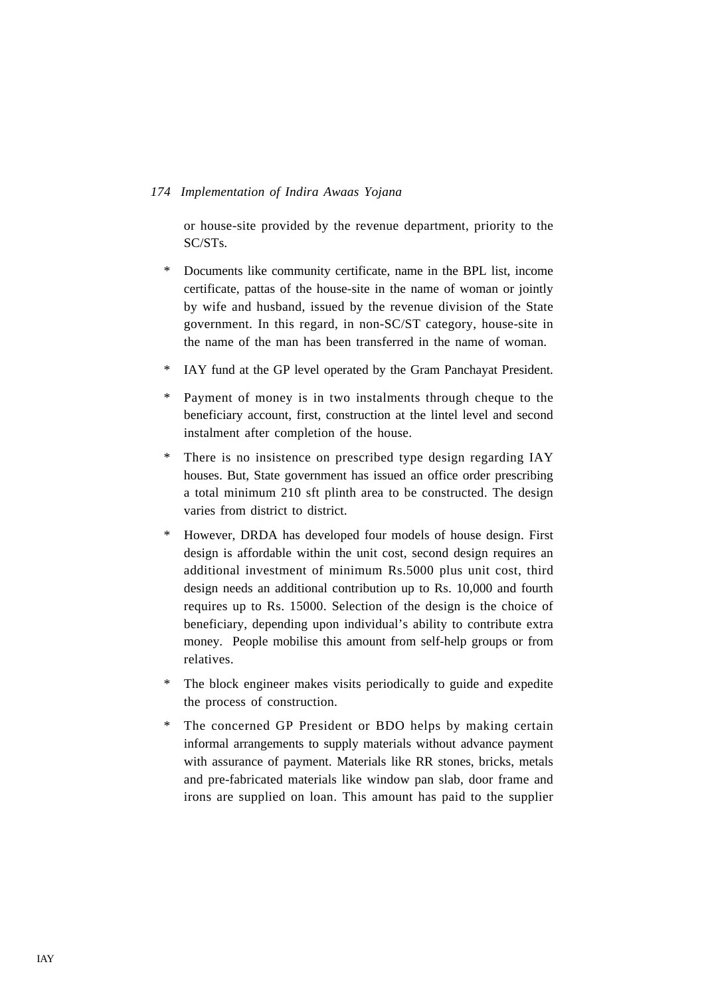or house-site provided by the revenue department, priority to the SC/STs.

- \* Documents like community certificate, name in the BPL list, income certificate, pattas of the house-site in the name of woman or jointly by wife and husband, issued by the revenue division of the State government. In this regard, in non-SC/ST category, house-site in the name of the man has been transferred in the name of woman.
- \* IAY fund at the GP level operated by the Gram Panchayat President.
- \* Payment of money is in two instalments through cheque to the beneficiary account, first, construction at the lintel level and second instalment after completion of the house.
- \* There is no insistence on prescribed type design regarding IAY houses. But, State government has issued an office order prescribing a total minimum 210 sft plinth area to be constructed. The design varies from district to district.
- \* However, DRDA has developed four models of house design. First design is affordable within the unit cost, second design requires an additional investment of minimum Rs.5000 plus unit cost, third design needs an additional contribution up to Rs. 10,000 and fourth requires up to Rs. 15000. Selection of the design is the choice of beneficiary, depending upon individual's ability to contribute extra money. People mobilise this amount from self-help groups or from relatives.
- \* The block engineer makes visits periodically to guide and expedite the process of construction.
- \* The concerned GP President or BDO helps by making certain informal arrangements to supply materials without advance payment with assurance of payment. Materials like RR stones, bricks, metals and pre-fabricated materials like window pan slab, door frame and irons are supplied on loan. This amount has paid to the supplier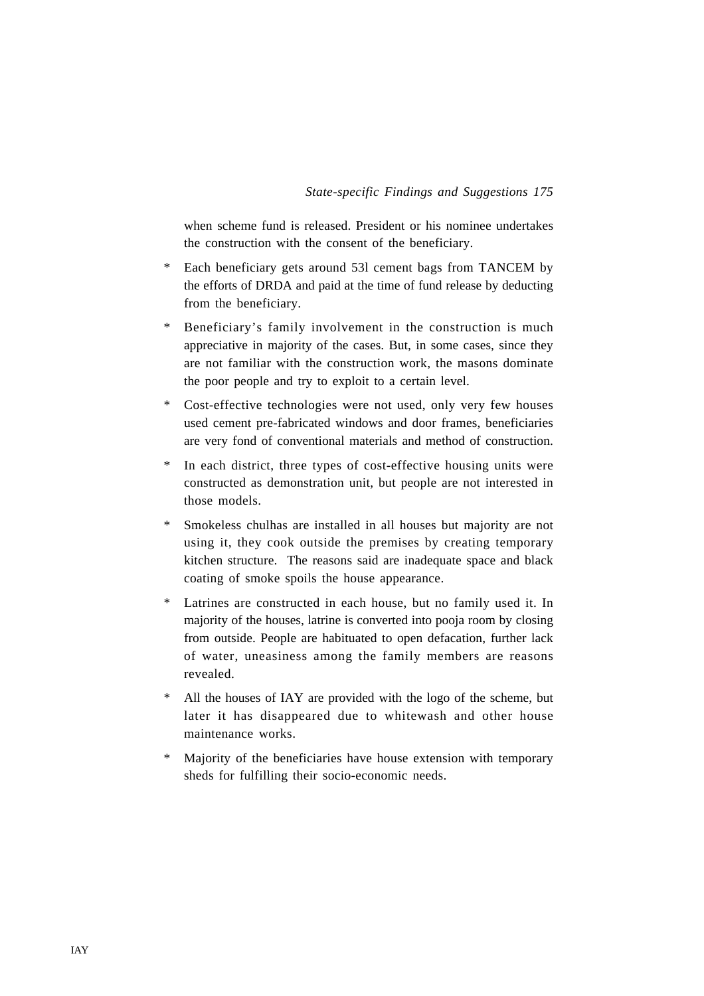when scheme fund is released. President or his nominee undertakes the construction with the consent of the beneficiary.

- \* Each beneficiary gets around 53l cement bags from TANCEM by the efforts of DRDA and paid at the time of fund release by deducting from the beneficiary.
- \* Beneficiary's family involvement in the construction is much appreciative in majority of the cases. But, in some cases, since they are not familiar with the construction work, the masons dominate the poor people and try to exploit to a certain level.
- \* Cost-effective technologies were not used, only very few houses used cement pre-fabricated windows and door frames, beneficiaries are very fond of conventional materials and method of construction.
- \* In each district, three types of cost-effective housing units were constructed as demonstration unit, but people are not interested in those models.
- \* Smokeless chulhas are installed in all houses but majority are not using it, they cook outside the premises by creating temporary kitchen structure. The reasons said are inadequate space and black coating of smoke spoils the house appearance.
- \* Latrines are constructed in each house, but no family used it. In majority of the houses, latrine is converted into pooja room by closing from outside. People are habituated to open defacation, further lack of water, uneasiness among the family members are reasons revealed.
- \* All the houses of IAY are provided with the logo of the scheme, but later it has disappeared due to whitewash and other house maintenance works.
- Majority of the beneficiaries have house extension with temporary sheds for fulfilling their socio-economic needs.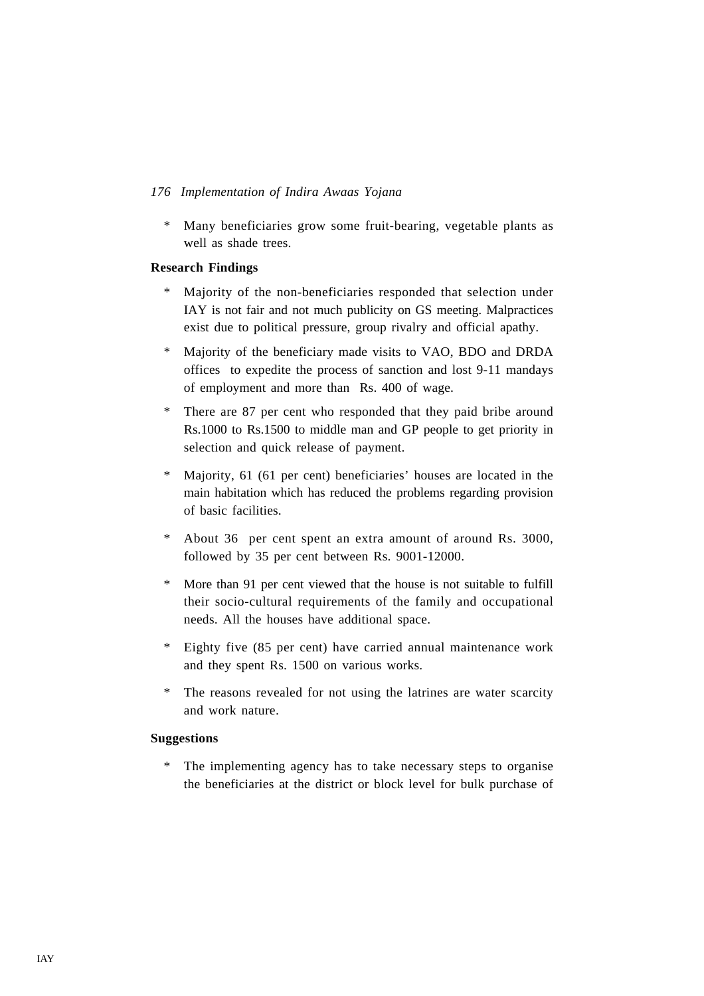\* Many beneficiaries grow some fruit-bearing, vegetable plants as well as shade trees.

# **Research Findings**

- \* Majority of the non-beneficiaries responded that selection under IAY is not fair and not much publicity on GS meeting. Malpractices exist due to political pressure, group rivalry and official apathy.
- \* Majority of the beneficiary made visits to VAO, BDO and DRDA offices to expedite the process of sanction and lost 9-11 mandays of employment and more than Rs. 400 of wage.
- \* There are 87 per cent who responded that they paid bribe around Rs.1000 to Rs.1500 to middle man and GP people to get priority in selection and quick release of payment.
- \* Majority, 61 (61 per cent) beneficiaries' houses are located in the main habitation which has reduced the problems regarding provision of basic facilities.
- \* About 36 per cent spent an extra amount of around Rs. 3000, followed by 35 per cent between Rs. 9001-12000.
- \* More than 91 per cent viewed that the house is not suitable to fulfill their socio-cultural requirements of the family and occupational needs. All the houses have additional space.
- \* Eighty five (85 per cent) have carried annual maintenance work and they spent Rs. 1500 on various works.
- \* The reasons revealed for not using the latrines are water scarcity and work nature.

# **Suggestions**

\* The implementing agency has to take necessary steps to organise the beneficiaries at the district or block level for bulk purchase of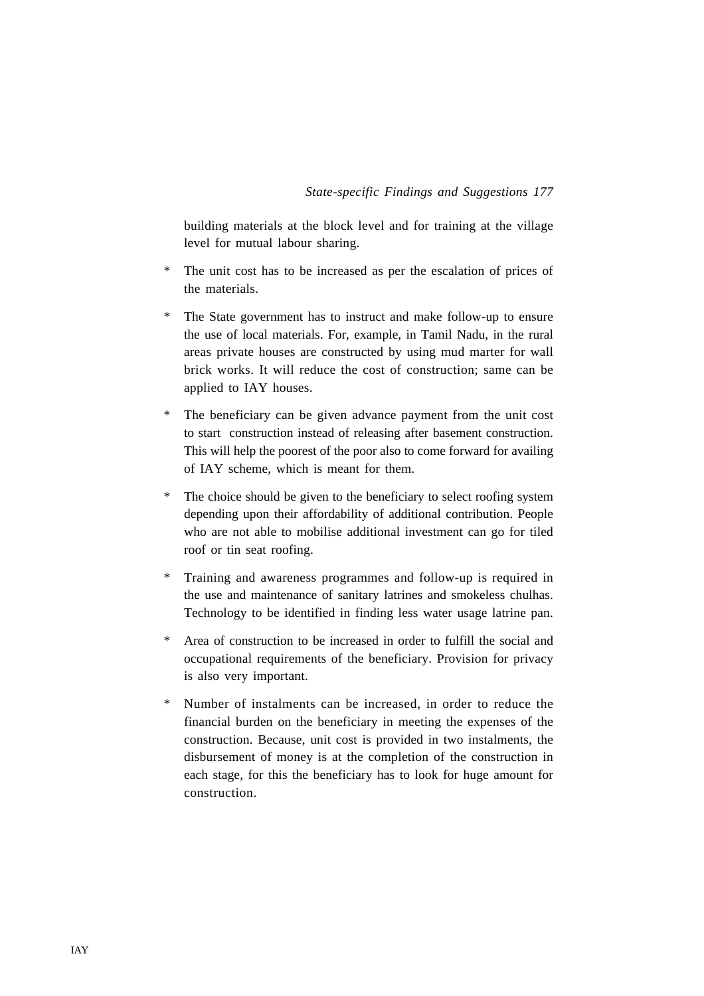building materials at the block level and for training at the village level for mutual labour sharing.

- \* The unit cost has to be increased as per the escalation of prices of the materials.
- \* The State government has to instruct and make follow-up to ensure the use of local materials. For, example, in Tamil Nadu, in the rural areas private houses are constructed by using mud marter for wall brick works. It will reduce the cost of construction; same can be applied to IAY houses.
- \* The beneficiary can be given advance payment from the unit cost to start construction instead of releasing after basement construction. This will help the poorest of the poor also to come forward for availing of IAY scheme, which is meant for them.
- The choice should be given to the beneficiary to select roofing system depending upon their affordability of additional contribution. People who are not able to mobilise additional investment can go for tiled roof or tin seat roofing.
- \* Training and awareness programmes and follow-up is required in the use and maintenance of sanitary latrines and smokeless chulhas. Technology to be identified in finding less water usage latrine pan.
- \* Area of construction to be increased in order to fulfill the social and occupational requirements of the beneficiary. Provision for privacy is also very important.
- \* Number of instalments can be increased, in order to reduce the financial burden on the beneficiary in meeting the expenses of the construction. Because, unit cost is provided in two instalments, the disbursement of money is at the completion of the construction in each stage, for this the beneficiary has to look for huge amount for construction.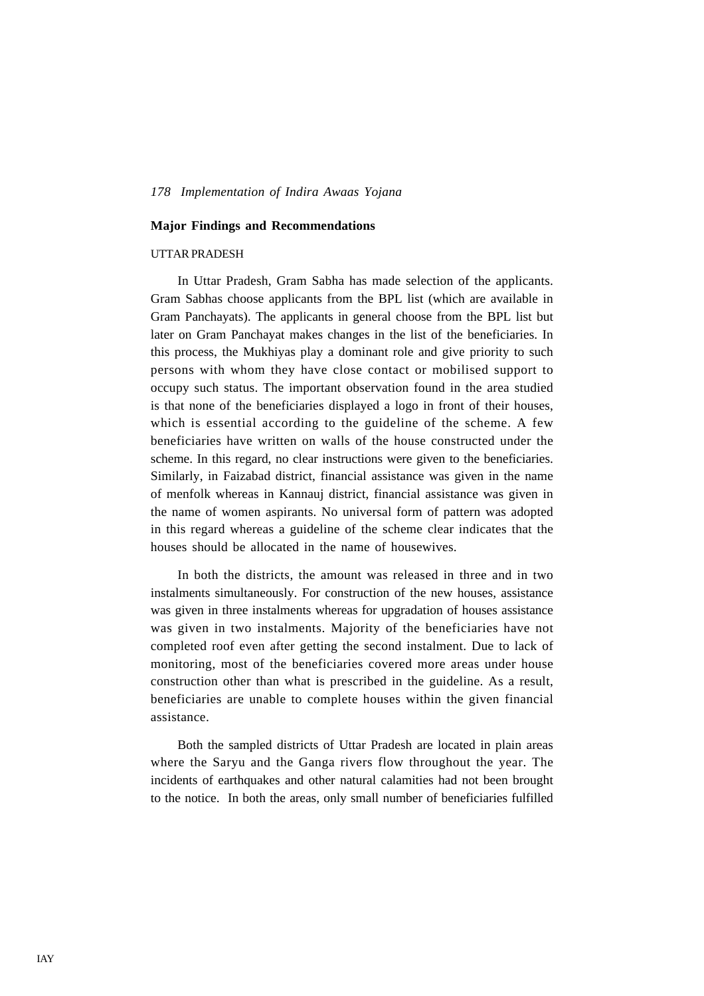#### **Major Findings and Recommendations**

### UTTAR PRADESH

In Uttar Pradesh, Gram Sabha has made selection of the applicants. Gram Sabhas choose applicants from the BPL list (which are available in Gram Panchayats). The applicants in general choose from the BPL list but later on Gram Panchayat makes changes in the list of the beneficiaries. In this process, the Mukhiyas play a dominant role and give priority to such persons with whom they have close contact or mobilised support to occupy such status. The important observation found in the area studied is that none of the beneficiaries displayed a logo in front of their houses, which is essential according to the guideline of the scheme. A few beneficiaries have written on walls of the house constructed under the scheme. In this regard, no clear instructions were given to the beneficiaries. Similarly, in Faizabad district, financial assistance was given in the name of menfolk whereas in Kannauj district, financial assistance was given in the name of women aspirants. No universal form of pattern was adopted in this regard whereas a guideline of the scheme clear indicates that the houses should be allocated in the name of housewives.

In both the districts, the amount was released in three and in two instalments simultaneously. For construction of the new houses, assistance was given in three instalments whereas for upgradation of houses assistance was given in two instalments. Majority of the beneficiaries have not completed roof even after getting the second instalment. Due to lack of monitoring, most of the beneficiaries covered more areas under house construction other than what is prescribed in the guideline. As a result, beneficiaries are unable to complete houses within the given financial assistance.

Both the sampled districts of Uttar Pradesh are located in plain areas where the Saryu and the Ganga rivers flow throughout the year. The incidents of earthquakes and other natural calamities had not been brought to the notice. In both the areas, only small number of beneficiaries fulfilled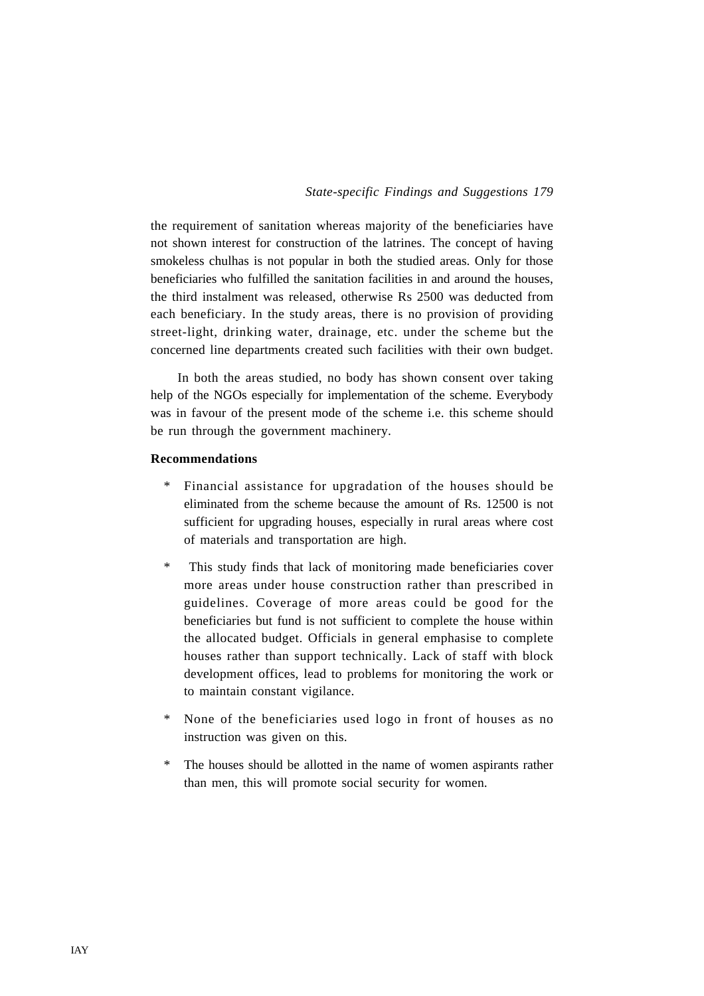the requirement of sanitation whereas majority of the beneficiaries have not shown interest for construction of the latrines. The concept of having smokeless chulhas is not popular in both the studied areas. Only for those beneficiaries who fulfilled the sanitation facilities in and around the houses, the third instalment was released, otherwise Rs 2500 was deducted from each beneficiary. In the study areas, there is no provision of providing street-light, drinking water, drainage, etc. under the scheme but the concerned line departments created such facilities with their own budget.

In both the areas studied, no body has shown consent over taking help of the NGOs especially for implementation of the scheme. Everybody was in favour of the present mode of the scheme i.e. this scheme should be run through the government machinery.

# **Recommendations**

- Financial assistance for upgradation of the houses should be eliminated from the scheme because the amount of Rs. 12500 is not sufficient for upgrading houses, especially in rural areas where cost of materials and transportation are high.
- \* This study finds that lack of monitoring made beneficiaries cover more areas under house construction rather than prescribed in guidelines. Coverage of more areas could be good for the beneficiaries but fund is not sufficient to complete the house within the allocated budget. Officials in general emphasise to complete houses rather than support technically. Lack of staff with block development offices, lead to problems for monitoring the work or to maintain constant vigilance.
- None of the beneficiaries used logo in front of houses as no instruction was given on this.
- \* The houses should be allotted in the name of women aspirants rather than men, this will promote social security for women.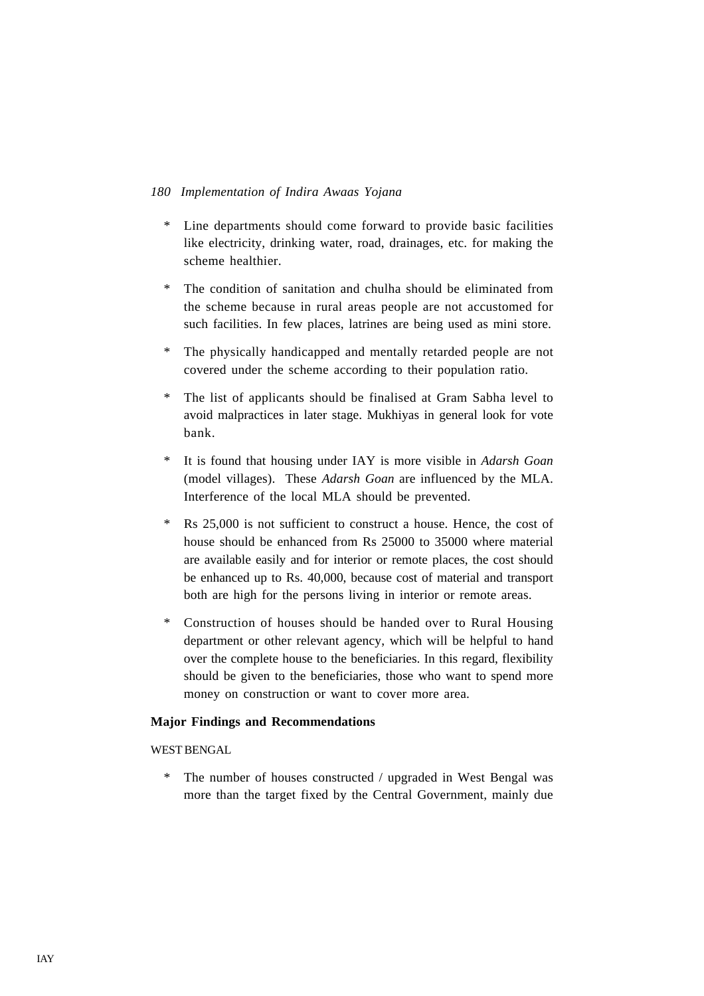- \* Line departments should come forward to provide basic facilities like electricity, drinking water, road, drainages, etc. for making the scheme healthier.
- \* The condition of sanitation and chulha should be eliminated from the scheme because in rural areas people are not accustomed for such facilities. In few places, latrines are being used as mini store.
- \* The physically handicapped and mentally retarded people are not covered under the scheme according to their population ratio.
- \* The list of applicants should be finalised at Gram Sabha level to avoid malpractices in later stage. Mukhiyas in general look for vote bank.
- \* It is found that housing under IAY is more visible in *Adarsh Goan* (model villages). These *Adarsh Goan* are influenced by the MLA. Interference of the local MLA should be prevented.
- \* Rs 25,000 is not sufficient to construct a house. Hence, the cost of house should be enhanced from Rs 25000 to 35000 where material are available easily and for interior or remote places, the cost should be enhanced up to Rs. 40,000, because cost of material and transport both are high for the persons living in interior or remote areas.
- Construction of houses should be handed over to Rural Housing department or other relevant agency, which will be helpful to hand over the complete house to the beneficiaries. In this regard, flexibility should be given to the beneficiaries, those who want to spend more money on construction or want to cover more area.

# **Major Findings and Recommendations**

# WEST BENGAL

\* The number of houses constructed / upgraded in West Bengal was more than the target fixed by the Central Government, mainly due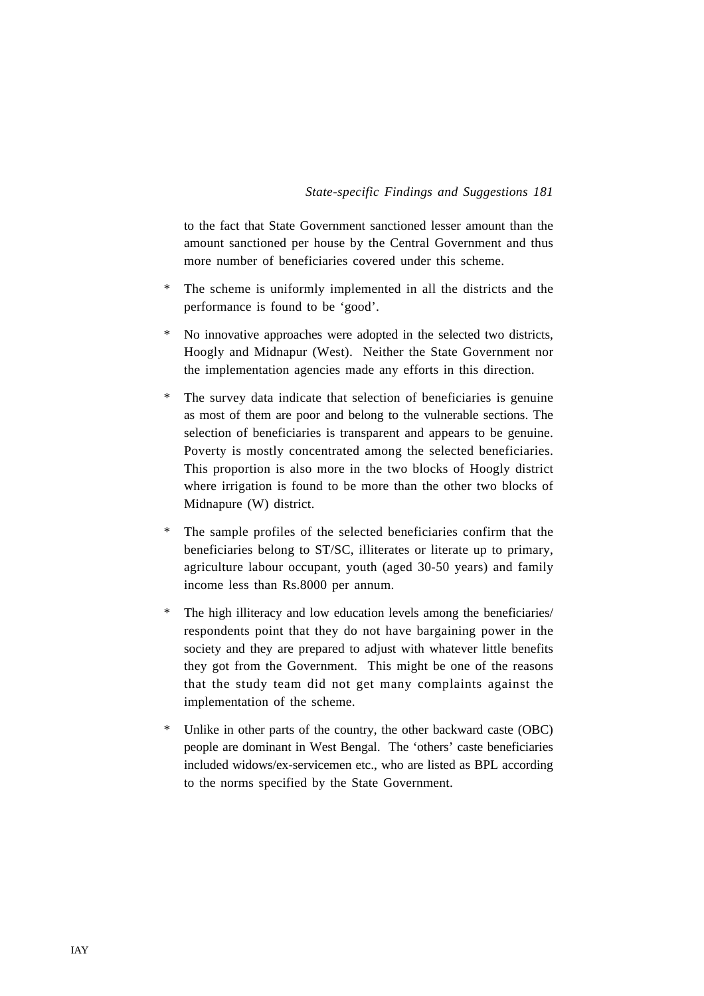to the fact that State Government sanctioned lesser amount than the amount sanctioned per house by the Central Government and thus more number of beneficiaries covered under this scheme.

- \* The scheme is uniformly implemented in all the districts and the performance is found to be 'good'.
- \* No innovative approaches were adopted in the selected two districts, Hoogly and Midnapur (West). Neither the State Government nor the implementation agencies made any efforts in this direction.
- \* The survey data indicate that selection of beneficiaries is genuine as most of them are poor and belong to the vulnerable sections. The selection of beneficiaries is transparent and appears to be genuine. Poverty is mostly concentrated among the selected beneficiaries. This proportion is also more in the two blocks of Hoogly district where irrigation is found to be more than the other two blocks of Midnapure (W) district.
- \* The sample profiles of the selected beneficiaries confirm that the beneficiaries belong to ST/SC, illiterates or literate up to primary, agriculture labour occupant, youth (aged 30-50 years) and family income less than Rs.8000 per annum.
- The high illiteracy and low education levels among the beneficiaries/ respondents point that they do not have bargaining power in the society and they are prepared to adjust with whatever little benefits they got from the Government. This might be one of the reasons that the study team did not get many complaints against the implementation of the scheme.
- Unlike in other parts of the country, the other backward caste (OBC) people are dominant in West Bengal. The 'others' caste beneficiaries included widows/ex-servicemen etc., who are listed as BPL according to the norms specified by the State Government.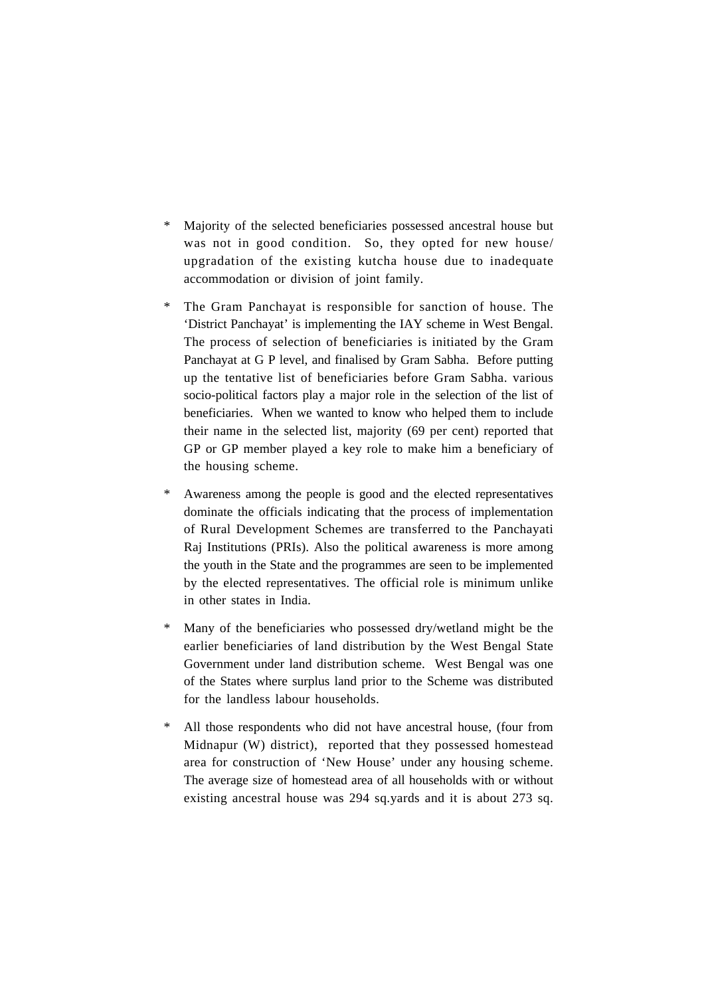- \* Majority of the selected beneficiaries possessed ancestral house but was not in good condition. So, they opted for new house/ upgradation of the existing kutcha house due to inadequate accommodation or division of joint family.
- The Gram Panchayat is responsible for sanction of house. The 'District Panchayat' is implementing the IAY scheme in West Bengal. The process of selection of beneficiaries is initiated by the Gram Panchayat at G P level, and finalised by Gram Sabha. Before putting up the tentative list of beneficiaries before Gram Sabha. various socio-political factors play a major role in the selection of the list of beneficiaries. When we wanted to know who helped them to include their name in the selected list, majority (69 per cent) reported that GP or GP member played a key role to make him a beneficiary of the housing scheme.
- \* Awareness among the people is good and the elected representatives dominate the officials indicating that the process of implementation of Rural Development Schemes are transferred to the Panchayati Raj Institutions (PRIs). Also the political awareness is more among the youth in the State and the programmes are seen to be implemented by the elected representatives. The official role is minimum unlike in other states in India.
- \* Many of the beneficiaries who possessed dry/wetland might be the earlier beneficiaries of land distribution by the West Bengal State Government under land distribution scheme. West Bengal was one of the States where surplus land prior to the Scheme was distributed for the landless labour households.
- \* All those respondents who did not have ancestral house, (four from Midnapur (W) district), reported that they possessed homestead area for construction of 'New House' under any housing scheme. The average size of homestead area of all households with or without existing ancestral house was 294 sq.yards and it is about 273 sq.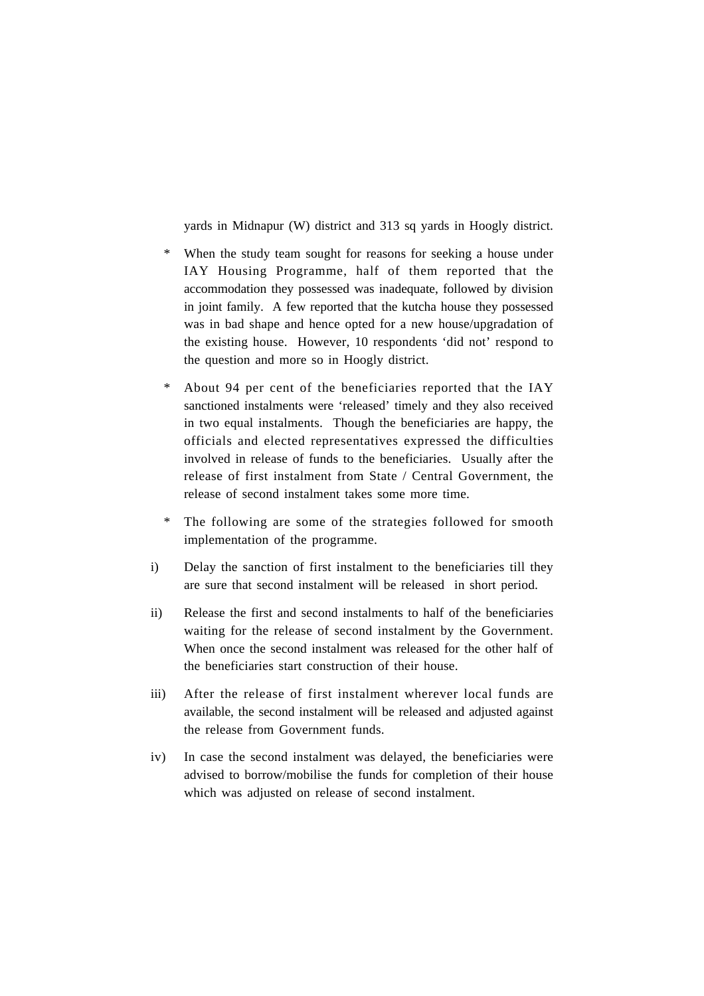yards in Midnapur (W) district and 313 sq yards in Hoogly district.

- \* When the study team sought for reasons for seeking a house under IAY Housing Programme, half of them reported that the accommodation they possessed was inadequate, followed by division in joint family. A few reported that the kutcha house they possessed was in bad shape and hence opted for a new house/upgradation of the existing house. However, 10 respondents 'did not' respond to the question and more so in Hoogly district.
- \* About 94 per cent of the beneficiaries reported that the IAY sanctioned instalments were 'released' timely and they also received in two equal instalments. Though the beneficiaries are happy, the officials and elected representatives expressed the difficulties involved in release of funds to the beneficiaries. Usually after the release of first instalment from State / Central Government, the release of second instalment takes some more time.
- \* The following are some of the strategies followed for smooth implementation of the programme.
- i) Delay the sanction of first instalment to the beneficiaries till they are sure that second instalment will be released in short period.
- ii) Release the first and second instalments to half of the beneficiaries waiting for the release of second instalment by the Government. When once the second instalment was released for the other half of the beneficiaries start construction of their house.
- iii) After the release of first instalment wherever local funds are available, the second instalment will be released and adjusted against the release from Government funds.
- iv) In case the second instalment was delayed, the beneficiaries were advised to borrow/mobilise the funds for completion of their house which was adjusted on release of second instalment.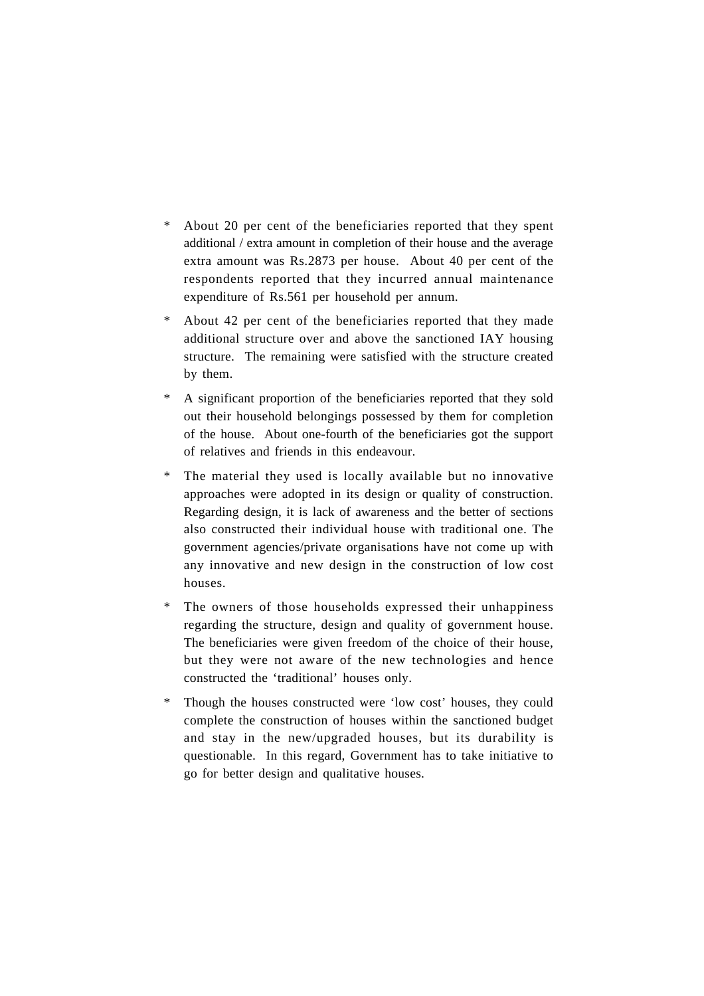- \* About 20 per cent of the beneficiaries reported that they spent additional / extra amount in completion of their house and the average extra amount was Rs.2873 per house. About 40 per cent of the respondents reported that they incurred annual maintenance expenditure of Rs.561 per household per annum.
- \* About 42 per cent of the beneficiaries reported that they made additional structure over and above the sanctioned IAY housing structure. The remaining were satisfied with the structure created by them.
- \* A significant proportion of the beneficiaries reported that they sold out their household belongings possessed by them for completion of the house. About one-fourth of the beneficiaries got the support of relatives and friends in this endeavour.
- The material they used is locally available but no innovative approaches were adopted in its design or quality of construction. Regarding design, it is lack of awareness and the better of sections also constructed their individual house with traditional one. The government agencies/private organisations have not come up with any innovative and new design in the construction of low cost houses.
- \* The owners of those households expressed their unhappiness regarding the structure, design and quality of government house. The beneficiaries were given freedom of the choice of their house, but they were not aware of the new technologies and hence constructed the 'traditional' houses only.
- Though the houses constructed were 'low cost' houses, they could complete the construction of houses within the sanctioned budget and stay in the new/upgraded houses, but its durability is questionable. In this regard, Government has to take initiative to go for better design and qualitative houses.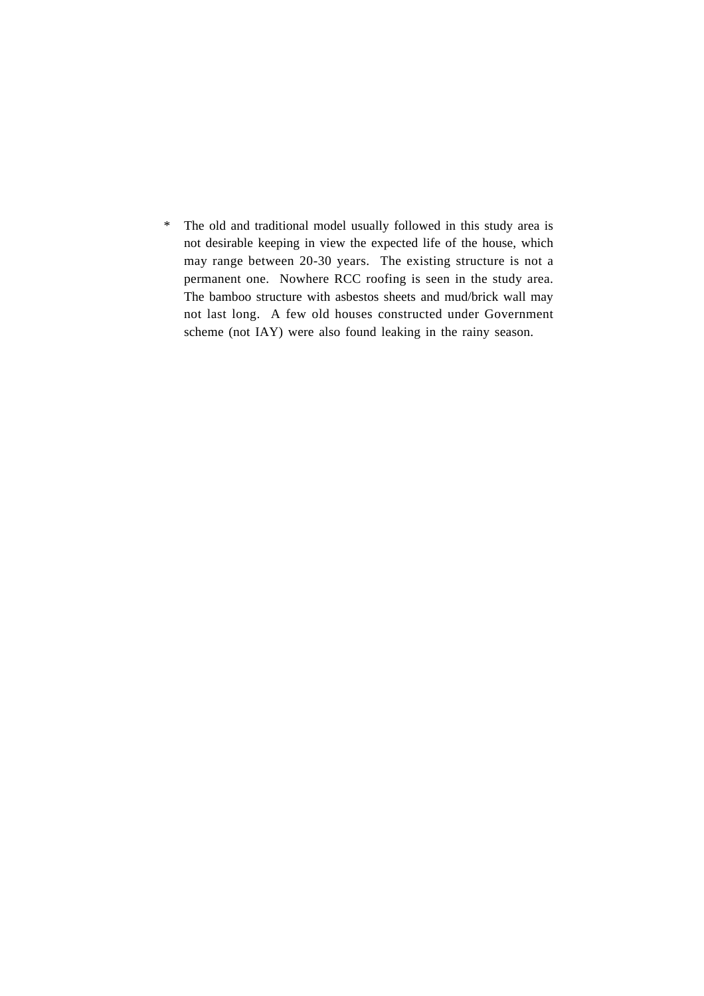\* The old and traditional model usually followed in this study area is not desirable keeping in view the expected life of the house, which may range between 20-30 years. The existing structure is not a permanent one. Nowhere RCC roofing is seen in the study area. The bamboo structure with asbestos sheets and mud/brick wall may not last long. A few old houses constructed under Government scheme (not IAY) were also found leaking in the rainy season.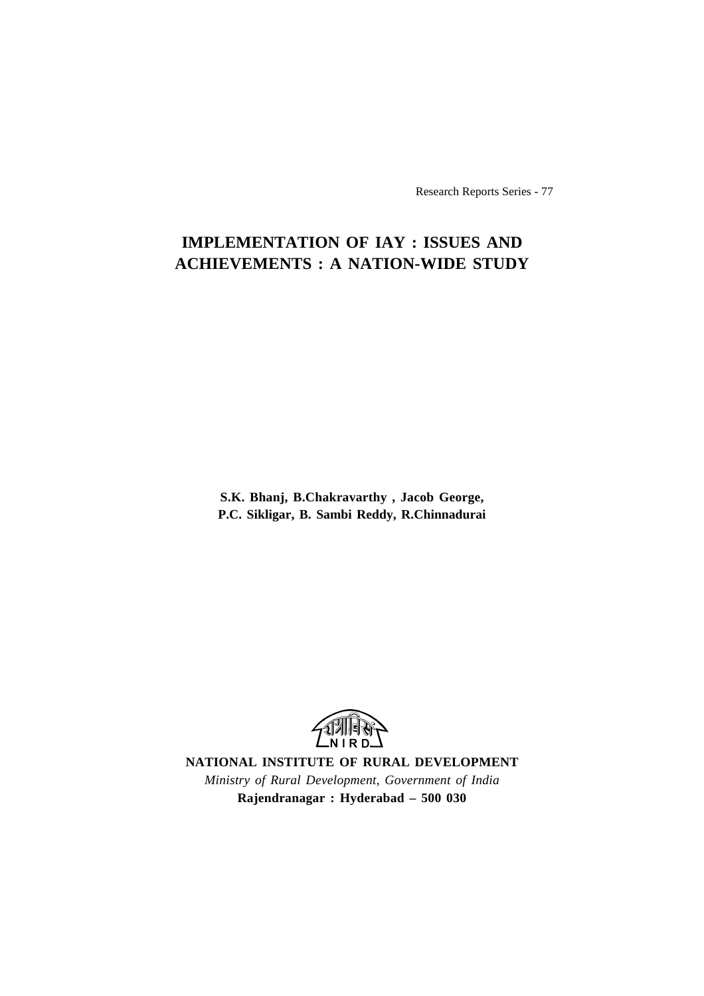Research Reports Series - 77

## **IMPLEMENTATION OF IAY : ISSUES AND ACHIEVEMENTS : A NATION-WIDE STUDY**

**S.K. Bhanj, B.Chakravarthy , Jacob George, P.C. Sikligar, B. Sambi Reddy, R.Chinnadurai**



**NATIONAL INSTITUTE OF RURAL DEVELOPMENT** *Ministry of Rural Development, Government of India* **Rajendranagar : Hyderabad – 500 030**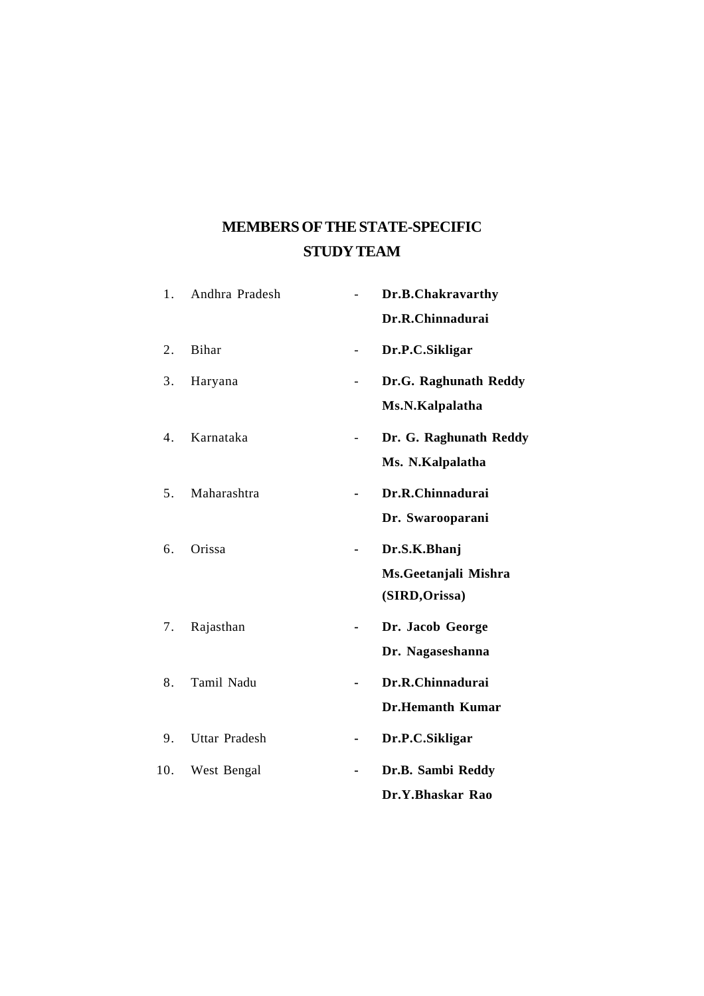## **MEMBERS OF THE STATE-SPECIFIC STUDY TEAM**

| 1.  | Andhra Pradesh       |    | Dr.B.Chakravarthy       |
|-----|----------------------|----|-------------------------|
|     |                      |    | Dr.R.Chinnadurai        |
| 2.  | Bihar                |    | Dr.P.C.Sikligar         |
| 3.  | Haryana              |    | Dr.G. Raghunath Reddy   |
|     |                      |    | Ms.N.Kalpalatha         |
| 4.  | Karnataka            |    | Dr. G. Raghunath Reddy  |
|     |                      |    | Ms. N.Kalpalatha        |
| 5.  | Maharashtra          |    | Dr.R.Chinnadurai        |
|     |                      |    | Dr. Swarooparani        |
| 6.  | Orissa               |    | Dr.S.K.Bhanj            |
|     |                      |    | Ms. Geetanjali Mishra   |
|     |                      |    | (SIRD, Orissa)          |
| 7.  | Rajasthan            |    | Dr. Jacob George        |
|     |                      |    | Dr. Nagaseshanna        |
| 8.  | Tamil Nadu           |    | Dr.R.Chinnadurai        |
|     |                      |    | <b>Dr.Hemanth Kumar</b> |
| 9.  | <b>Uttar Pradesh</b> | -  | Dr.P.C.Sikligar         |
| 10. | West Bengal          | Ξ. | Dr.B. Sambi Reddy       |
|     |                      |    | Dr.Y.Bhaskar Rao        |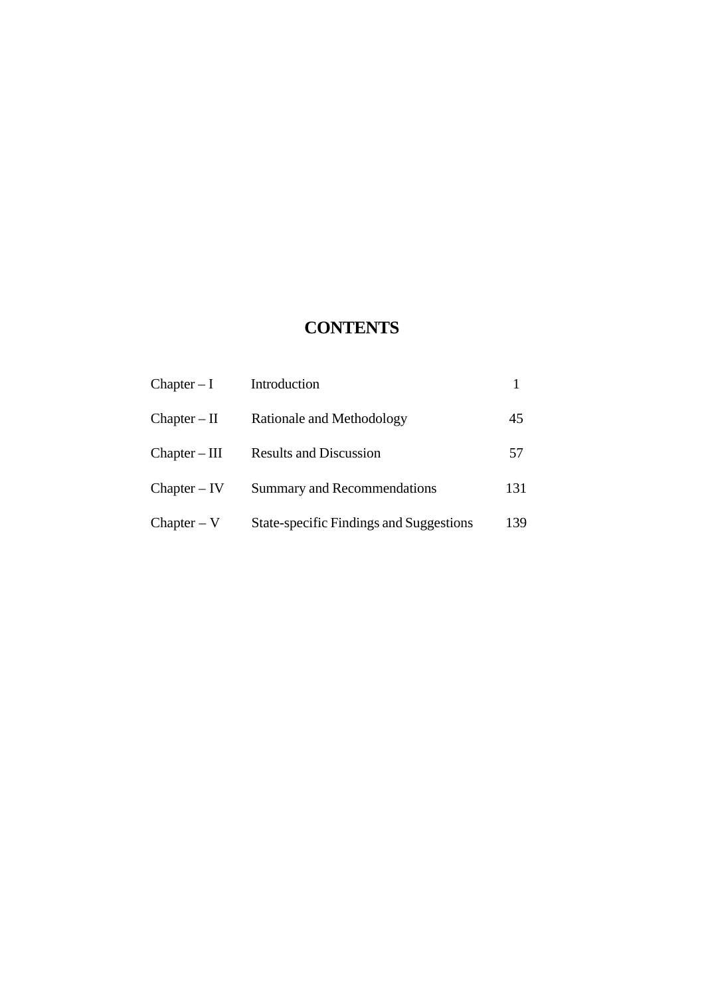## **CONTENTS**

| $Chapter - I$   | Introduction                            |     |
|-----------------|-----------------------------------------|-----|
| $Chapter - II$  | Rationale and Methodology               | 45  |
| $Chapter - III$ | <b>Results and Discussion</b>           | 57  |
| $Chapter - IV$  | <b>Summary and Recommendations</b>      | 131 |
| $Chapter - V$   | State-specific Findings and Suggestions | 139 |